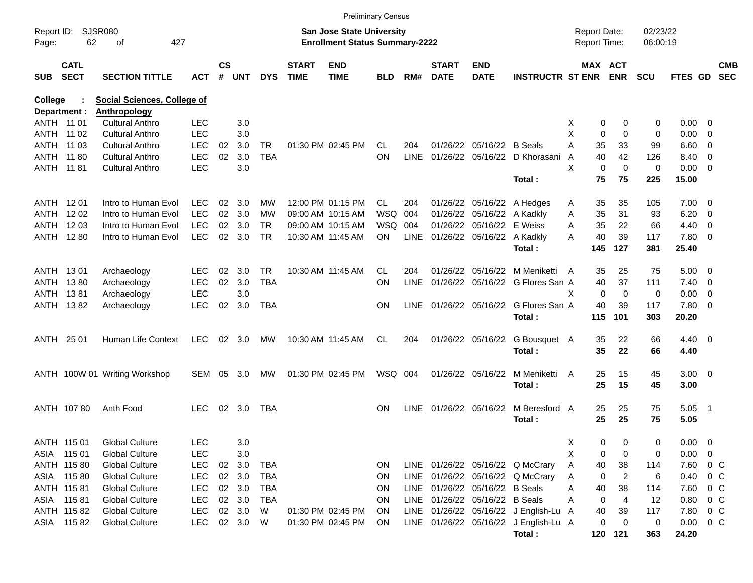|                |                            |                                    |            |                    |            |            |                             | <b>Preliminary Census</b>             |            |             |                             |                            |                                       |   |                     |                       |            |               |                          |                          |
|----------------|----------------------------|------------------------------------|------------|--------------------|------------|------------|-----------------------------|---------------------------------------|------------|-------------|-----------------------------|----------------------------|---------------------------------------|---|---------------------|-----------------------|------------|---------------|--------------------------|--------------------------|
| Report ID:     |                            | <b>SJSR080</b>                     |            |                    |            |            |                             | <b>San Jose State University</b>      |            |             |                             |                            |                                       |   | <b>Report Date:</b> |                       | 02/23/22   |               |                          |                          |
| Page:          | 62                         | 427<br>οf                          |            |                    |            |            |                             | <b>Enrollment Status Summary-2222</b> |            |             |                             |                            |                                       |   | Report Time:        |                       | 06:00:19   |               |                          |                          |
| <b>SUB</b>     | <b>CATL</b><br><b>SECT</b> | <b>SECTION TITTLE</b>              | <b>ACT</b> | $\mathsf{cs}$<br># | <b>UNT</b> | <b>DYS</b> | <b>START</b><br><b>TIME</b> | <b>END</b><br><b>TIME</b>             | <b>BLD</b> | RM#         | <b>START</b><br><b>DATE</b> | <b>END</b><br><b>DATE</b>  | <b>INSTRUCTR ST ENR</b>               |   |                     | MAX ACT<br><b>ENR</b> | <b>SCU</b> | FTES GD       |                          | <b>CMB</b><br><b>SEC</b> |
| <b>College</b> |                            | <b>Social Sciences, College of</b> |            |                    |            |            |                             |                                       |            |             |                             |                            |                                       |   |                     |                       |            |               |                          |                          |
|                | Department :               | <b>Anthropology</b>                |            |                    |            |            |                             |                                       |            |             |                             |                            |                                       |   |                     |                       |            |               |                          |                          |
| ANTH 11 01     |                            | <b>Cultural Anthro</b>             | <b>LEC</b> |                    | 3.0        |            |                             |                                       |            |             |                             |                            |                                       | х | 0                   | 0                     | 0          | 0.00          | - 0                      |                          |
|                | ANTH 11 02                 | <b>Cultural Anthro</b>             | <b>LEC</b> |                    | 3.0        |            |                             |                                       |            |             |                             |                            |                                       | X | $\mathbf 0$         | $\Omega$              | 0          | 0.00          | $\overline{0}$           |                          |
| ANTH           | 11 03                      | <b>Cultural Anthro</b>             | <b>LEC</b> | 02                 | 3.0        | TR         |                             | 01:30 PM 02:45 PM                     | CL.        | 204         |                             | 01/26/22 05/16/22 B Seals  |                                       | A | 35                  | 33                    | 99         | 6.60          | - 0                      |                          |
|                | ANTH 11 80                 | <b>Cultural Anthro</b>             | <b>LEC</b> | 02                 | 3.0        | <b>TBA</b> |                             |                                       | ON         | <b>LINE</b> |                             |                            | 01/26/22 05/16/22 D Khorasani         | A | 40                  | 42                    | 126        | 8.40          | $\overline{0}$           |                          |
| ANTH 11 81     |                            | <b>Cultural Anthro</b>             | <b>LEC</b> |                    | 3.0        |            |                             |                                       |            |             |                             |                            |                                       | X | $\mathbf 0$         | $\mathbf 0$           | 0          | 0.00          | $\overline{\phantom{0}}$ |                          |
|                |                            |                                    |            |                    |            |            |                             |                                       |            |             |                             |                            | Total:                                |   | 75                  | 75                    | 225        | 15.00         |                          |                          |
| ANTH 1201      |                            | Intro to Human Evol                | <b>LEC</b> | 02                 | 3.0        | MW         |                             | 12:00 PM 01:15 PM                     | CL         | 204         |                             |                            | 01/26/22 05/16/22 A Hedges            | Α | 35                  | 35                    | 105        | 7.00          | - 0                      |                          |
| ANTH           | 12 02                      | Intro to Human Evol                | <b>LEC</b> | 02                 | 3.0        | МW         |                             | 09:00 AM 10:15 AM                     | <b>WSQ</b> | 004         |                             | 01/26/22 05/16/22 A Kadkly |                                       | A | 35                  | 31                    | 93         | 6.20          | - 0                      |                          |
| ANTH           | 12 03                      | Intro to Human Evol                | <b>LEC</b> | 02                 | 3.0        | TR         |                             | 09:00 AM 10:15 AM                     | <b>WSQ</b> | 004         |                             | 01/26/22 05/16/22 E Weiss  |                                       | A | 35                  | 22                    | 66         | 4.40          | 0                        |                          |
|                | ANTH 1280                  | Intro to Human Evol                | <b>LEC</b> | 02                 | 3.0        | <b>TR</b>  |                             | 10:30 AM 11:45 AM                     | ON.        | <b>LINE</b> |                             | 01/26/22 05/16/22 A Kadkly |                                       | А | 40                  | 39                    | 117        | 7.80          | $\overline{\phantom{0}}$ |                          |
|                |                            |                                    |            |                    |            |            |                             |                                       |            |             |                             |                            | Total:                                |   | 145                 | 127                   | 381        | 25.40         |                          |                          |
| ANTH 1301      |                            | Archaeology                        | LEC        | 02                 | 3.0        | TR         |                             | 10:30 AM 11:45 AM                     | CL.        | 204         |                             |                            | 01/26/22 05/16/22 M Meniketti         | A | 35                  | 25                    | 75         | 5.00          | - 0                      |                          |
| ANTH           | 1380                       | Archaeology                        | <b>LEC</b> | 02                 | 3.0        | <b>TBA</b> |                             |                                       | ON         | <b>LINE</b> |                             |                            | 01/26/22 05/16/22 G Flores San A      |   | 40                  | 37                    | 111        | 7.40          | $\overline{\phantom{0}}$ |                          |
| ANTH           | 1381                       | Archaeology                        | <b>LEC</b> |                    | 3.0        |            |                             |                                       |            |             |                             |                            |                                       | X | 0                   | $\mathbf 0$           | 0          | 0.00          | $\overline{0}$           |                          |
|                | ANTH 1382                  | Archaeology                        | <b>LEC</b> | 02                 | 3.0        | <b>TBA</b> |                             |                                       | ΟN         | <b>LINE</b> |                             |                            | 01/26/22 05/16/22 G Flores San A      |   | 40                  | 39                    | 117        | 7.80 0        |                          |                          |
|                |                            |                                    |            |                    |            |            |                             |                                       |            |             |                             |                            | Total:                                |   | 115                 | 101                   | 303        | 20.20         |                          |                          |
| ANTH 25 01     |                            | Human Life Context                 | <b>LEC</b> |                    | 02 3.0     | MW         |                             | 10:30 AM 11:45 AM                     | CL         | 204         |                             | 01/26/22 05/16/22          | G Bousquet A                          |   | 35                  | 22                    | 66         | $4.40 \ 0$    |                          |                          |
|                |                            |                                    |            |                    |            |            |                             |                                       |            |             |                             |                            | Total:                                |   | 35                  | 22                    | 66         | 4.40          |                          |                          |
|                |                            | ANTH 100W 01 Writing Workshop      | SEM        | 05                 | 3.0        | MW         |                             | 01:30 PM 02:45 PM                     | WSQ 004    |             |                             | 01/26/22 05/16/22          | M Meniketti                           | A | 25                  | 15                    | 45         | $3.00 \ 0$    |                          |                          |
|                |                            |                                    |            |                    |            |            |                             |                                       |            |             |                             |                            | Total:                                |   | 25                  | 15                    | 45         | 3.00          |                          |                          |
|                | ANTH 10780                 | Anth Food                          | <b>LEC</b> | 02                 | 3.0        | TBA        |                             |                                       | ΟN         | <b>LINE</b> |                             | 01/26/22 05/16/22          | M Beresford A                         |   | 25                  | 25                    | 75         | 5.05          | - 1                      |                          |
|                |                            |                                    |            |                    |            |            |                             |                                       |            |             |                             |                            | Total:                                |   | 25                  | 25                    | 75         | 5.05          |                          |                          |
|                | ANTH 115 01                | <b>Global Culture</b>              | <b>LEC</b> |                    | 3.0        |            |                             |                                       |            |             |                             |                            |                                       | Χ | 0                   | 0                     | 0          | 0.00          | $\overline{\phantom{0}}$ |                          |
|                | ASIA 115 01                | <b>Global Culture</b>              | <b>LEC</b> |                    | 3.0        |            |                             |                                       |            |             |                             |                            |                                       | Χ | 0                   | 0                     | 0          | 0.00          | $\overline{\phantom{0}}$ |                          |
|                | ANTH 115 80                | <b>Global Culture</b>              | <b>LEC</b> | 02 <sub>o</sub>    | 3.0        | TBA        |                             |                                       | ON.        |             |                             |                            | LINE 01/26/22 05/16/22 Q McCrary      | Α | 40                  | 38                    | 114        | 7.60          | $0\,C$                   |                          |
|                | ASIA 115 80                | <b>Global Culture</b>              | <b>LEC</b> |                    | 02 3.0     | TBA        |                             |                                       | <b>ON</b>  | LINE        |                             |                            | 01/26/22 05/16/22 Q McCrary           | Α | 0                   | 2                     | 6          | 0.40          | $0\,$ C                  |                          |
|                | ANTH 115 81                | <b>Global Culture</b>              | <b>LEC</b> |                    | 02 3.0     | TBA        |                             |                                       | ON.        | LINE        |                             | 01/26/22 05/16/22 B Seals  |                                       | Α | 40                  | 38                    | 114        | 7.60          | $0\,$ C                  |                          |
|                | ASIA 11581                 | <b>Global Culture</b>              | <b>LEC</b> |                    | 02 3.0     | TBA        |                             |                                       | 0N         | LINE        |                             | 01/26/22 05/16/22 B Seals  |                                       | Α | 0                   | 4                     | 12         | 0.80          | $0\,$ C                  |                          |
|                | ANTH 115 82                | <b>Global Culture</b>              | <b>LEC</b> |                    | 02 3.0     | W          |                             | 01:30 PM 02:45 PM                     | ON.        | LINE        |                             |                            | 01/26/22 05/16/22 J English-Lu        | A | 40                  | 39                    | 117        | 7.80          | $0\,$ C                  |                          |
|                | ASIA 11582                 | <b>Global Culture</b>              | LEC        |                    | 02 3.0     | W          |                             | 01:30 PM 02:45 PM                     | ON.        |             |                             |                            | LINE 01/26/22 05/16/22 J English-Lu A |   | 0                   | 0                     | 0          | $0.00 \t 0 C$ |                          |                          |
|                |                            |                                    |            |                    |            |            |                             |                                       |            |             |                             |                            | Total:                                |   |                     | 120 121               | 363        | 24.20         |                          |                          |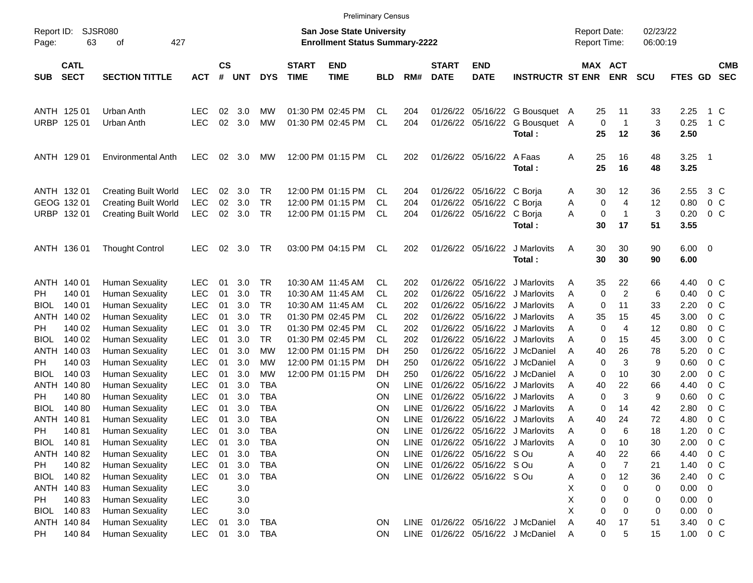|                     |                            |                                                  |                          |                             |               |            |                             | <b>Preliminary Census</b>                                                 |                  |             |                             |                             |                                          |                                            |                                |                      |                        |                          |                          |
|---------------------|----------------------------|--------------------------------------------------|--------------------------|-----------------------------|---------------|------------|-----------------------------|---------------------------------------------------------------------------|------------------|-------------|-----------------------------|-----------------------------|------------------------------------------|--------------------------------------------|--------------------------------|----------------------|------------------------|--------------------------|--------------------------|
| Report ID:<br>Page: | 63                         | <b>SJSR080</b><br>427<br>оf                      |                          |                             |               |            |                             | <b>San Jose State University</b><br><b>Enrollment Status Summary-2222</b> |                  |             |                             |                             |                                          | <b>Report Date:</b><br><b>Report Time:</b> |                                | 02/23/22<br>06:00:19 |                        |                          |                          |
| <b>SUB</b>          | <b>CATL</b><br><b>SECT</b> | <b>SECTION TITTLE</b>                            | <b>ACT</b>               | $\mathbf{c}\mathbf{s}$<br># | UNT           | <b>DYS</b> | <b>START</b><br><b>TIME</b> | <b>END</b><br><b>TIME</b>                                                 | <b>BLD</b>       | RM#         | <b>START</b><br><b>DATE</b> | <b>END</b><br><b>DATE</b>   | <b>INSTRUCTR ST ENR</b>                  |                                            | <b>MAX ACT</b><br><b>ENR</b>   | <b>SCU</b>           | FTES GD                |                          | <b>CMB</b><br><b>SEC</b> |
| ANTH 125 01         |                            | Urban Anth                                       | LEC                      | 02                          | 3.0           | МW         |                             | 01:30 PM 02:45 PM                                                         | CL               | 204         | 01/26/22                    |                             | 05/16/22 G Bousquet A                    | 25                                         | 11                             | 33                   | 2.25                   | 1 C                      |                          |
| URBP 125 01         |                            | Urban Anth                                       | <b>LEC</b>               | 02                          | 3.0           | <b>MW</b>  |                             | 01:30 PM 02:45 PM                                                         | <b>CL</b>        | 204         |                             |                             | 01/26/22 05/16/22 G Bousquet A<br>Total: | 25                                         | $\pmb{0}$<br>$\mathbf 1$<br>12 | 3<br>36              | 0.25<br>2.50           | $1\,C$                   |                          |
| ANTH 129 01         |                            | <b>Environmental Anth</b>                        | <b>LEC</b>               | 02                          | 3.0           | MW         |                             | 12:00 PM 01:15 PM                                                         | CL               | 202         |                             | 01/26/22 05/16/22 A Faas    | Total:                                   | 25<br>Α<br>25                              | 16<br>16                       | 48<br>48             | 3.25<br>3.25           | $\overline{\phantom{0}}$ |                          |
| ANTH 132 01         |                            | <b>Creating Built World</b>                      | LEC                      | 02                          | 3.0           | TR         |                             | 12:00 PM 01:15 PM                                                         | CL               | 204         | 01/26/22                    | 05/16/22 C Borja            |                                          | 30<br>A                                    | 12                             | 36                   | 2.55                   | 3 C                      |                          |
| GEOG 132 01         |                            | <b>Creating Built World</b>                      | <b>LEC</b>               | 02                          | 3.0           | <b>TR</b>  |                             | 12:00 PM 01:15 PM                                                         | CL.              | 204         | 01/26/22                    | 05/16/22 C Boria            |                                          | Α                                          | 0<br>$\overline{4}$            | 12                   | 0.80                   | 0 <sup>o</sup>           |                          |
| URBP 13201          |                            | <b>Creating Built World</b>                      | <b>LEC</b>               | 02                          | 3.0           | <b>TR</b>  |                             | 12:00 PM 01:15 PM                                                         | CL               | 204         |                             | 01/26/22 05/16/22 C Borja   | Total:                                   | Α<br>30                                    | 0<br>1<br>17                   | 3<br>51              | 0.20<br>3.55           | 0 <sup>o</sup>           |                          |
| ANTH 136 01         |                            | <b>Thought Control</b>                           | <b>LEC</b>               | 02                          | 3.0           | TR         |                             | 03:00 PM 04:15 PM                                                         | CL               | 202         |                             | 01/26/22 05/16/22           | J Marlovits<br>Total:                    | 30<br>Α<br>30                              | 30<br>30                       | 90<br>90             | $6.00 \quad 0$<br>6.00 |                          |                          |
| ANTH 140 01         |                            | <b>Human Sexuality</b>                           | LEC                      | 01                          | 3.0           | TR         |                             | 10:30 AM 11:45 AM                                                         | CL.              | 202         | 01/26/22                    |                             | 05/16/22 J Marlovits                     | 35<br>Α                                    | 22                             | 66                   | 4.40                   | 0 C                      |                          |
| <b>PH</b>           | 140 01                     | <b>Human Sexuality</b>                           | LEC                      | 01                          | 3.0           | <b>TR</b>  |                             | 10:30 AM 11:45 AM                                                         | CL.              | 202         | 01/26/22                    |                             | 05/16/22 J Marlovits                     | Α                                          | 0<br>2                         | 6                    | 0.40                   | 0 <sup>o</sup>           |                          |
| <b>BIOL</b>         | 140 01                     | <b>Human Sexuality</b>                           | LEC                      | 01                          | 3.0           | <b>TR</b>  |                             | 10:30 AM 11:45 AM                                                         | CL.              | 202         | 01/26/22                    |                             | 05/16/22 J Marlovits                     | A                                          | 0<br>11                        | 33                   | 2.20                   | 0 <sup>o</sup>           |                          |
| ANTH 140 02         |                            | <b>Human Sexuality</b>                           | LEC                      | 01                          | 3.0           | <b>TR</b>  |                             | 01:30 PM 02:45 PM                                                         | CL.              | 202         | 01/26/22                    |                             | 05/16/22 J Marlovits                     | 35<br>A                                    | 15                             | 45                   | 3.00                   | 0 <sup>o</sup>           |                          |
| <b>PH</b>           | 140 02                     | <b>Human Sexuality</b>                           | LEC                      | 01                          | 3.0           | <b>TR</b>  |                             | 01:30 PM 02:45 PM                                                         | CL.              | 202         | 01/26/22                    |                             | 05/16/22 J Marlovits                     | Α                                          | 0<br>4                         | 12                   | 0.80                   | 0 <sup>o</sup>           |                          |
| <b>BIOL</b>         | 140 02                     | <b>Human Sexuality</b>                           | <b>LEC</b>               | 01                          | 3.0           | <b>TR</b>  |                             | 01:30 PM 02:45 PM                                                         | CL.              | 202         | 01/26/22                    |                             | 05/16/22 J Marlovits                     | A                                          | 15<br>0                        | 45                   | 3.00                   | 0 <sup>o</sup>           |                          |
| ANTH 140 03         |                            | <b>Human Sexuality</b>                           | <b>LEC</b>               | 01                          | 3.0           | МW         |                             | 12:00 PM 01:15 PM                                                         | DН               | 250         | 01/26/22                    |                             | 05/16/22 J McDaniel                      | 40<br>Α                                    | 26                             | 78                   | 5.20                   | 0 <sup>o</sup>           |                          |
| PH.                 | 140 03                     | <b>Human Sexuality</b>                           | <b>LEC</b>               | 01                          | 3.0           | МW         |                             | 12:00 PM 01:15 PM                                                         | DН               | 250         | 01/26/22                    |                             | 05/16/22 J McDaniel                      | A                                          | 0<br>3                         | 9                    | 0.60                   | 0 <sup>o</sup>           |                          |
| <b>BIOL</b>         | 140 03                     | <b>Human Sexuality</b>                           | <b>LEC</b>               | 01                          | 3.0           | МW         |                             | 12:00 PM 01:15 PM                                                         | DН               | 250         | 01/26/22                    |                             | 05/16/22 J McDaniel                      | A                                          | 10<br>0                        | 30                   | 2.00                   | $0\,$ C                  |                          |
| ANTH 140 80         |                            | <b>Human Sexuality</b>                           | <b>LEC</b>               | 01                          | 3.0           | <b>TBA</b> |                             |                                                                           | ΟN               | <b>LINE</b> | 01/26/22                    |                             | 05/16/22 J Marlovits                     | 40<br>A                                    | 22                             | 66                   | 4.40                   | 0 <sup>o</sup>           |                          |
| PH.                 | 140 80                     | <b>Human Sexuality</b>                           | <b>LEC</b>               | 01                          | 3.0           | <b>TBA</b> |                             |                                                                           | ΟN               | <b>LINE</b> | 01/26/22                    |                             | 05/16/22 J Marlovits                     | Α                                          | 0<br>3                         | 9                    | 0.60                   | 0 <sup>o</sup>           |                          |
| <b>BIOL</b>         | 140 80                     | <b>Human Sexuality</b>                           | <b>LEC</b>               | 01                          | 3.0           | <b>TBA</b> |                             |                                                                           | ON               | <b>LINE</b> | 01/26/22                    |                             | 05/16/22 J Marlovits                     | Α                                          | 0<br>14                        | 42                   | 2.80                   | 0 <sup>o</sup>           |                          |
| ANTH 140 81         |                            | <b>Human Sexuality</b>                           | <b>LEC</b>               | 01                          | 3.0           | <b>TBA</b> |                             |                                                                           | ΟN               | <b>LINE</b> | 01/26/22                    |                             | 05/16/22 J Marlovits                     | 40<br>Α                                    | 24                             | 72                   | 4.80                   | 0 <sup>o</sup>           |                          |
| PH.                 | 14081                      | <b>Human Sexuality</b>                           | <b>LEC</b>               | 01                          | 3.0           | <b>TBA</b> |                             |                                                                           | ΟN               | <b>LINE</b> |                             |                             | 01/26/22 05/16/22 J Marlovits            | Α                                          | 0<br>6                         | 18                   | 1.20                   | 0 <sup>o</sup>           |                          |
| BIOL 140 81         |                            | <b>Human Sexuality</b>                           | <b>LEC</b>               | 01                          | 3.0           | <b>TBA</b> |                             |                                                                           | ON               |             |                             |                             | LINE 01/26/22 05/16/22 J Marlovits       | Α                                          | 0<br>10                        | 30                   | 2.00                   | 0 <sup>o</sup>           |                          |
|                     | ANTH 140 82                | <b>Human Sexuality</b>                           | <b>LEC</b>               | 01                          | 3.0           | <b>TBA</b> |                             |                                                                           | <b>ON</b>        |             |                             | LINE 01/26/22 05/16/22 S Ou |                                          | 40<br>Α                                    | 22                             | 66                   | 4.40                   | 0 <sup>o</sup>           |                          |
| PH                  | 140 82                     | <b>Human Sexuality</b>                           | <b>LEC</b>               | 01                          | 3.0           | <b>TBA</b> |                             |                                                                           | <b>ON</b>        |             |                             | LINE 01/26/22 05/16/22 S Ou |                                          | Α                                          | 7<br>0                         | 21                   | 1.40                   | $0\,C$                   |                          |
|                     | BIOL 140 82                | <b>Human Sexuality</b>                           | <b>LEC</b>               | 01                          | 3.0           | <b>TBA</b> |                             |                                                                           | <b>ON</b>        |             |                             | LINE 01/26/22 05/16/22 S Ou |                                          | Α                                          | 12<br>0                        | 36                   | 2.40                   | $0\,$ C                  |                          |
|                     | ANTH 140 83                | <b>Human Sexuality</b>                           | <b>LEC</b>               |                             | 3.0           |            |                             |                                                                           |                  |             |                             |                             |                                          | Χ                                          | 0<br>0                         | 0                    | 0.00                   | $\overline{\phantom{0}}$ |                          |
| PH                  | 140 83                     | <b>Human Sexuality</b>                           | <b>LEC</b>               |                             | 3.0           |            |                             |                                                                           |                  |             |                             |                             |                                          | Χ<br>X                                     | 0<br>0                         | 0                    | $0.00 \t 0$            |                          |                          |
|                     | BIOL 140 83<br>ANTH 140 84 | <b>Human Sexuality</b><br><b>Human Sexuality</b> | <b>LEC</b>               |                             | 3.0           | <b>TBA</b> |                             |                                                                           |                  |             |                             |                             | LINE 01/26/22 05/16/22 J McDaniel        | Α                                          | 0<br>0<br>17                   | 0                    | 0.00<br>3.40 0 C       | $\overline{\phantom{0}}$ |                          |
| PH                  | 140 84                     | <b>Human Sexuality</b>                           | <b>LEC</b><br><b>LEC</b> | 01                          | 3.0<br>01 3.0 | <b>TBA</b> |                             |                                                                           | ON.<br><b>ON</b> |             |                             |                             | LINE 01/26/22 05/16/22 J McDaniel        | 40<br>Α                                    | 0<br>5                         | 51<br>15             | $1.00 \t 0 C$          |                          |                          |
|                     |                            |                                                  |                          |                             |               |            |                             |                                                                           |                  |             |                             |                             |                                          |                                            |                                |                      |                        |                          |                          |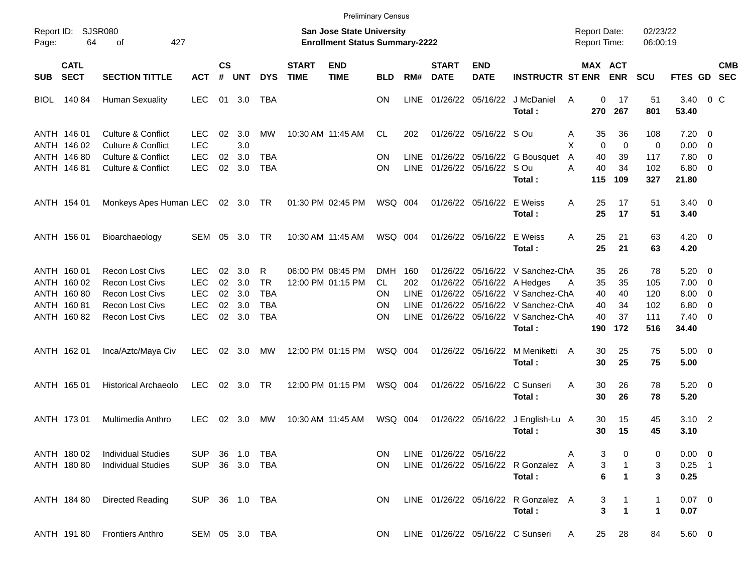|                     |                                                                         |                                                                                                                                |                                                             |                            |                                 |                                                          |                             |                                                                           | <b>Preliminary Census</b>                                |                                                         |                                              |                           |                                                                                                                                              |                                            |                                               |                                       |                                                         |                                                                                        |                          |
|---------------------|-------------------------------------------------------------------------|--------------------------------------------------------------------------------------------------------------------------------|-------------------------------------------------------------|----------------------------|---------------------------------|----------------------------------------------------------|-----------------------------|---------------------------------------------------------------------------|----------------------------------------------------------|---------------------------------------------------------|----------------------------------------------|---------------------------|----------------------------------------------------------------------------------------------------------------------------------------------|--------------------------------------------|-----------------------------------------------|---------------------------------------|---------------------------------------------------------|----------------------------------------------------------------------------------------|--------------------------|
| Report ID:<br>Page: | 64                                                                      | <b>SJSR080</b><br>427<br>οf                                                                                                    |                                                             |                            |                                 |                                                          |                             | <b>San Jose State University</b><br><b>Enrollment Status Summary-2222</b> |                                                          |                                                         |                                              |                           |                                                                                                                                              | <b>Report Date:</b><br><b>Report Time:</b> |                                               | 02/23/22<br>06:00:19                  |                                                         |                                                                                        |                          |
| <b>SUB</b>          | <b>CATL</b><br><b>SECT</b>                                              | <b>SECTION TITTLE</b>                                                                                                          | <b>ACT</b>                                                  | $\mathsf{cs}$<br>#         | <b>UNT</b>                      | <b>DYS</b>                                               | <b>START</b><br><b>TIME</b> | <b>END</b><br><b>TIME</b>                                                 | <b>BLD</b>                                               | RM#                                                     | <b>START</b><br><b>DATE</b>                  | <b>END</b><br><b>DATE</b> | <b>INSTRUCTR ST ENR</b>                                                                                                                      |                                            | MAX ACT<br><b>ENR</b>                         | <b>SCU</b>                            | <b>FTES GD</b>                                          |                                                                                        | <b>CMB</b><br><b>SEC</b> |
| <b>BIOL</b>         | 140 84                                                                  | <b>Human Sexuality</b>                                                                                                         | <b>LEC</b>                                                  | 01                         | 3.0                             | <b>TBA</b>                                               |                             |                                                                           | <b>ON</b>                                                | <b>LINE</b>                                             |                                              | 01/26/22 05/16/22         | J McDaniel<br>Total:                                                                                                                         | A<br>270                                   | 0<br>17<br>267                                | 51<br>801                             | 3.40<br>53.40                                           | $0\,C$                                                                                 |                          |
|                     | ANTH 146 01<br>ANTH 146 02                                              | <b>Culture &amp; Conflict</b><br>Culture & Conflict                                                                            | <b>LEC</b><br><b>LEC</b>                                    | 02                         | 3.0<br>3.0                      | МW                                                       |                             | 10:30 AM 11:45 AM                                                         | CL.                                                      | 202                                                     |                                              | 01/26/22 05/16/22 S Ou    |                                                                                                                                              | Α<br>35<br>X                               | 36<br>0<br>0                                  | 108<br>$\mathbf 0$                    | 7.20<br>0.00                                            | $\overline{\mathbf{0}}$<br>$\overline{0}$                                              |                          |
|                     | ANTH 146 80<br>ANTH 146 81                                              | Culture & Conflict<br>Culture & Conflict                                                                                       | <b>LEC</b><br>LEC                                           | 02<br>02                   | 3.0<br>3.0                      | <b>TBA</b><br><b>TBA</b>                                 |                             |                                                                           | <b>ON</b><br><b>ON</b>                                   | <b>LINE</b><br><b>LINE</b>                              |                                              | 01/26/22 05/16/22 S Ou    | 01/26/22 05/16/22 G Bousquet<br>Total:                                                                                                       | 40<br>$\overline{A}$<br>A<br>40<br>115     | 39<br>34<br>109                               | 117<br>102<br>327                     | 7.80<br>$6.80$ 0<br>21.80                               | $\overline{\mathbf{0}}$                                                                |                          |
|                     | ANTH 154 01                                                             | Monkeys Apes Human LEC                                                                                                         |                                                             |                            | 02 3.0 TR                       |                                                          |                             | 01:30 PM 02:45 PM                                                         | WSQ 004                                                  |                                                         |                                              | 01/26/22 05/16/22         | E Weiss<br>Total:                                                                                                                            | 25<br>A<br>25                              | 17<br>17                                      | 51<br>51                              | $3.40 \quad 0$<br>3.40                                  |                                                                                        |                          |
|                     | ANTH 156 01                                                             | Bioarchaeology                                                                                                                 | SEM                                                         | 05                         | 3.0                             | TR.                                                      |                             | 10:30 AM 11:45 AM                                                         | WSQ 004                                                  |                                                         |                                              | 01/26/22 05/16/22         | E Weiss<br>Total:                                                                                                                            | 25<br>A<br>25                              | 21<br>21                                      | 63<br>63                              | $4.20 \ 0$<br>4.20                                      |                                                                                        |                          |
|                     | ANTH 160 01<br>ANTH 160 02<br>ANTH 160 80<br>ANTH 160 81<br>ANTH 160 82 | <b>Recon Lost Civs</b><br><b>Recon Lost Civs</b><br><b>Recon Lost Civs</b><br><b>Recon Lost Civs</b><br><b>Recon Lost Civs</b> | <b>LEC</b><br><b>LEC</b><br><b>LEC</b><br><b>LEC</b><br>LEC | 02<br>02<br>02<br>02<br>02 | 3.0<br>3.0<br>3.0<br>3.0<br>3.0 | R<br><b>TR</b><br><b>TBA</b><br><b>TBA</b><br><b>TBA</b> |                             | 06:00 PM 08:45 PM<br>12:00 PM 01:15 PM                                    | <b>DMH</b><br>CL.<br><b>ON</b><br><b>ON</b><br><b>ON</b> | 160<br>202<br><b>LINE</b><br><b>LINE</b><br><b>LINE</b> | 01/26/22<br>01/26/22<br>01/26/22<br>01/26/22 |                           | 05/16/22 V Sanchez-ChA<br>05/16/22 A Hedges<br>05/16/22 V Sanchez-ChA<br>05/16/22 V Sanchez-ChA<br>01/26/22 05/16/22 V Sanchez-ChA<br>Total: | 35<br>35<br>Α<br>40<br>40<br>40<br>190     | 26<br>35<br>40<br>34<br>37<br>172             | 78<br>105<br>120<br>102<br>111<br>516 | 5.20<br>7.00<br>8.00<br>6.80<br>$7.40 \quad 0$<br>34.40 | $\overline{\mathbf{0}}$<br>$\overline{\mathbf{0}}$<br>$\overline{0}$<br>$\overline{0}$ |                          |
|                     | ANTH 162 01                                                             | Inca/Aztc/Maya Civ                                                                                                             | <b>LEC</b>                                                  | 02                         | 3.0                             | МW                                                       |                             | 12:00 PM 01:15 PM                                                         | WSQ 004                                                  |                                                         |                                              | 01/26/22 05/16/22         | M Meniketti<br>Total:                                                                                                                        | 30<br>A<br>30                              | 25<br>25                                      | 75<br>75                              | $5.00 \t 0$<br>5.00                                     |                                                                                        |                          |
|                     | ANTH 165 01                                                             | <b>Historical Archaeolo</b>                                                                                                    | <b>LEC</b>                                                  | 02                         | 3.0                             | <b>TR</b>                                                |                             | 12:00 PM 01:15 PM                                                         | WSQ 004                                                  |                                                         |                                              | 01/26/22 05/16/22         | C Sunseri<br>Total:                                                                                                                          | 30<br>A<br>30                              | 26<br>26                                      | 78<br>78                              | $5.20 \ 0$<br>5.20                                      |                                                                                        |                          |
|                     | ANTH 173 01                                                             | Multimedia Anthro                                                                                                              | LEC                                                         | 02                         | 3.0                             | МW                                                       |                             | 10:30 AM 11:45 AM                                                         | WSQ 004                                                  |                                                         |                                              | 01/26/22 05/16/22         | J English-Lu A<br>Total:                                                                                                                     | 30<br>30                                   | 15<br>15                                      | 45<br>45                              | 3.10<br>3.10                                            | $\overline{\phantom{0}}$                                                               |                          |
|                     | ANTH 180 02<br>ANTH 180 80                                              | <b>Individual Studies</b><br><b>Individual Studies</b>                                                                         | <b>SUP</b><br><b>SUP</b>                                    | 36                         | 1.0                             | TBA<br>36 3.0 TBA                                        |                             |                                                                           | ON.<br><b>ON</b>                                         |                                                         | LINE 01/26/22 05/16/22                       |                           | LINE 01/26/22 05/16/22 R Gonzalez A<br>Total:                                                                                                |                                            | 3<br>3<br>$\overline{1}$<br>6<br>$\mathbf{1}$ | 0<br>3<br>3                           | $0.00 \t 0$<br>$0.25$ 1<br>0.25                         |                                                                                        |                          |
|                     | ANTH 184 80                                                             | <b>Directed Reading</b>                                                                                                        |                                                             |                            |                                 | SUP 36 1.0 TBA                                           |                             |                                                                           | ON.                                                      |                                                         |                                              |                           | LINE 01/26/22 05/16/22 R Gonzalez A<br>Total:                                                                                                |                                            | $\mathbf{1}$<br>3<br>3<br>$\overline{1}$      | 1<br>$\mathbf 1$                      | $0.07 \ 0$<br>0.07                                      |                                                                                        |                          |
|                     |                                                                         | ANTH 191 80 Frontiers Anthro                                                                                                   |                                                             |                            |                                 | SEM 05 3.0 TBA                                           |                             |                                                                           | ON                                                       |                                                         |                                              |                           | LINE 01/26/22 05/16/22 C Sunseri                                                                                                             | 25<br>A                                    | 28                                            | 84                                    | 5.60 0                                                  |                                                                                        |                          |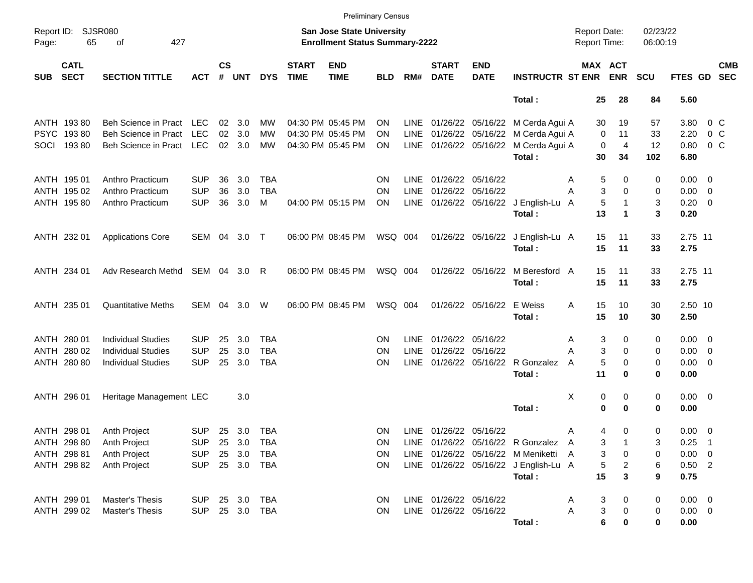|                     |                            |                           |                |                    |            |            |                             |                                                                           | <b>Preliminary Census</b> |             |                             |                           |                                       |                                     |                |                      |             |                          |                          |
|---------------------|----------------------------|---------------------------|----------------|--------------------|------------|------------|-----------------------------|---------------------------------------------------------------------------|---------------------------|-------------|-----------------------------|---------------------------|---------------------------------------|-------------------------------------|----------------|----------------------|-------------|--------------------------|--------------------------|
| Report ID:<br>Page: | <b>SJSR080</b><br>65       | 427<br>of                 |                |                    |            |            |                             | <b>San Jose State University</b><br><b>Enrollment Status Summary-2222</b> |                           |             |                             |                           |                                       | <b>Report Date:</b><br>Report Time: |                | 02/23/22<br>06:00:19 |             |                          |                          |
| <b>SUB</b>          | <b>CATL</b><br><b>SECT</b> | <b>SECTION TITTLE</b>     | <b>ACT</b>     | $\mathsf{cs}$<br># | <b>UNT</b> | <b>DYS</b> | <b>START</b><br><b>TIME</b> | <b>END</b><br><b>TIME</b>                                                 | <b>BLD</b>                | RM#         | <b>START</b><br><b>DATE</b> | <b>END</b><br><b>DATE</b> | <b>INSTRUCTR ST ENR</b>               | MAX ACT                             | <b>ENR</b>     | <b>SCU</b>           | FTES GD     |                          | <b>CMB</b><br><b>SEC</b> |
|                     |                            |                           |                |                    |            |            |                             |                                                                           |                           |             |                             |                           | Total:                                | 25                                  | 28             | 84                   | 5.60        |                          |                          |
|                     | ANTH 193 80                | Beh Science in Pract      | LEC            | 02                 | 3.0        | MW         |                             | 04:30 PM 05:45 PM                                                         | ON                        |             |                             |                           | LINE 01/26/22 05/16/22 M Cerda Agui A | 30                                  | 19             | 57                   | 3.80        | $0\,$ C                  |                          |
| <b>PSYC</b>         | 19380                      | Beh Science in Pract      | <b>LEC</b>     | 02                 | 3.0        | MW         |                             | 04:30 PM 05:45 PM                                                         | ON                        | LINE        |                             | 01/26/22 05/16/22         | M Cerda Agui A                        | 0                                   | 11             | 33                   | 2.20        | 0 <sup>o</sup>           |                          |
| SOCI                | 19380                      | Beh Science in Pract      | <b>LEC</b>     | 02                 | 3.0        | MW         |                             | 04:30 PM 05:45 PM                                                         | ΟN                        | LINE        |                             |                           | 01/26/22 05/16/22 M Cerda Agui A      | $\mathbf 0$                         | $\overline{4}$ | 12                   | 0.80        | 0 <sup>o</sup>           |                          |
|                     |                            |                           |                |                    |            |            |                             |                                                                           |                           |             |                             |                           | Total:                                | 30                                  | 34             | 102                  | 6.80        |                          |                          |
|                     | ANTH 195 01                | Anthro Practicum          | <b>SUP</b>     | 36                 | 3.0        | <b>TBA</b> |                             |                                                                           | ΟN                        | LINE        | 01/26/22 05/16/22           |                           |                                       | 5<br>Α                              | 0              | 0                    | $0.00 \t 0$ |                          |                          |
|                     | ANTH 195 02                | Anthro Practicum          | <b>SUP</b>     | 36                 | 3.0        | <b>TBA</b> |                             |                                                                           | ΟN                        | <b>LINE</b> | 01/26/22 05/16/22           |                           |                                       | 3<br>Α                              | 0              | 0                    | 0.00        | $\overline{\phantom{0}}$ |                          |
|                     | ANTH 195 80                | Anthro Practicum          | <b>SUP</b>     | 36                 | 3.0        | M          |                             | 04:00 PM 05:15 PM                                                         | <b>ON</b>                 | <b>LINE</b> |                             |                           | 01/26/22 05/16/22 J English-Lu A      | 5                                   | 1              | 3                    | 0.20        | $\overline{\phantom{0}}$ |                          |
|                     |                            |                           |                |                    |            |            |                             |                                                                           |                           |             |                             |                           | Total:                                | 13                                  | 1              | 3                    | 0.20        |                          |                          |
|                     | ANTH 232 01                | <b>Applications Core</b>  | SEM            | 04                 | 3.0        | $\top$     |                             | 06:00 PM 08:45 PM                                                         | WSQ 004                   |             |                             |                           | 01/26/22 05/16/22 J English-Lu A      | 15                                  | 11             | 33                   | 2.75 11     |                          |                          |
|                     |                            |                           |                |                    |            |            |                             |                                                                           |                           |             |                             |                           | Total:                                | 15                                  | 11             | 33                   | 2.75        |                          |                          |
|                     | ANTH 234 01                | Adv Research Methd        | SEM 04         |                    | 3.0        | R          |                             | 06:00 PM 08:45 PM                                                         | WSQ 004                   |             |                             | 01/26/22 05/16/22         | M Beresford A                         | 15                                  | 11             | 33                   | 2.75 11     |                          |                          |
|                     |                            |                           |                |                    |            |            |                             |                                                                           |                           |             |                             |                           | Total:                                | 15                                  | 11             | 33                   | 2.75        |                          |                          |
|                     | ANTH 235 01                | <b>Quantitative Meths</b> | SEM            | 04                 | 3.0        | W          |                             | 06:00 PM 08:45 PM                                                         | WSQ 004                   |             |                             | 01/26/22 05/16/22         | E Weiss                               | 15<br>A                             | 10             | 30                   | 2.50 10     |                          |                          |
|                     |                            |                           |                |                    |            |            |                             |                                                                           |                           |             |                             |                           | Total:                                | 15                                  | 10             | 30                   | 2.50        |                          |                          |
|                     | ANTH 280 01                | <b>Individual Studies</b> | <b>SUP</b>     | 25                 | 3.0        | <b>TBA</b> |                             |                                                                           | ΟN                        | LINE        | 01/26/22 05/16/22           |                           |                                       | 3<br>Α                              | 0              | 0                    | $0.00 \t 0$ |                          |                          |
| ANTH                | 280 02                     | <b>Individual Studies</b> | <b>SUP</b>     | 25                 | 3.0        | <b>TBA</b> |                             |                                                                           | ΟN                        | <b>LINE</b> | 01/26/22                    | 05/16/22                  |                                       | 3<br>Α                              | 0              | 0                    | 0.00        | $\overline{\phantom{0}}$ |                          |
|                     | ANTH 280 80                | <b>Individual Studies</b> | <b>SUP</b>     | 25                 | 3.0        | <b>TBA</b> |                             |                                                                           | ΟN                        | <b>LINE</b> |                             |                           | 01/26/22 05/16/22 R Gonzalez          | 5<br>A                              | 0              | 0                    | $0.00 \t 0$ |                          |                          |
|                     |                            |                           |                |                    |            |            |                             |                                                                           |                           |             |                             |                           | Total:                                | 11                                  | 0              | 0                    | 0.00        |                          |                          |
|                     | ANTH 296 01                | Heritage Management LEC   |                |                    | 3.0        |            |                             |                                                                           |                           |             |                             |                           |                                       | X<br>0                              | 0              | 0                    | $0.00 \t 0$ |                          |                          |
|                     |                            |                           |                |                    |            |            |                             |                                                                           |                           |             |                             |                           | Total :                               | 0                                   | 0              | 0                    | 0.00        |                          |                          |
|                     | ANTH 298 01                | Anth Project              | <b>SUP</b>     |                    | 25 3.0     | <b>TBA</b> |                             |                                                                           | ΟN                        |             | LINE 01/26/22 05/16/22      |                           |                                       | Α<br>4                              | 0              | 0                    | $0.00 \t 0$ |                          |                          |
|                     | ANTH 298 80                | Anth Project              | SUP 25 3.0     |                    |            | TBA        |                             |                                                                           | ΟN                        |             |                             |                           | LINE 01/26/22 05/16/22 R Gonzalez A   | 3                                   |                | 3                    | $0.25$ 1    |                          |                          |
|                     | ANTH 298 81                | Anth Project              | <b>SUP</b>     |                    | 25 3.0     | <b>TBA</b> |                             |                                                                           | ON                        |             |                             |                           | LINE 01/26/22 05/16/22 M Meniketti A  | 3                                   | 0              | 0                    | $0.00 \t 0$ |                          |                          |
|                     | ANTH 298 82                | Anth Project              | <b>SUP</b>     |                    | 25 3.0     | TBA        |                             |                                                                           | ON.                       |             |                             |                           | LINE 01/26/22 05/16/22 J English-Lu A | 5                                   | 2              | 6                    | $0.50$ 2    |                          |                          |
|                     |                            |                           |                |                    |            |            |                             |                                                                           |                           |             |                             |                           | Total:                                | 15                                  | 3              | 9                    | 0.75        |                          |                          |
|                     | ANTH 299 01                | Master's Thesis           | SUP            |                    | 25 3.0     | TBA        |                             |                                                                           | <b>ON</b>                 |             | LINE 01/26/22 05/16/22      |                           |                                       | 3<br>Α                              | 0              | 0                    | $0.00 \t 0$ |                          |                          |
|                     | ANTH 299 02                | Master's Thesis           | SUP 25 3.0 TBA |                    |            |            |                             |                                                                           | ON.                       |             | LINE 01/26/22 05/16/22      |                           |                                       | 3<br>Α                              | 0              | 0                    | $0.00 \t 0$ |                          |                          |
|                     |                            |                           |                |                    |            |            |                             |                                                                           |                           |             |                             |                           | Total:                                | 6                                   | 0              | 0                    | 0.00        |                          |                          |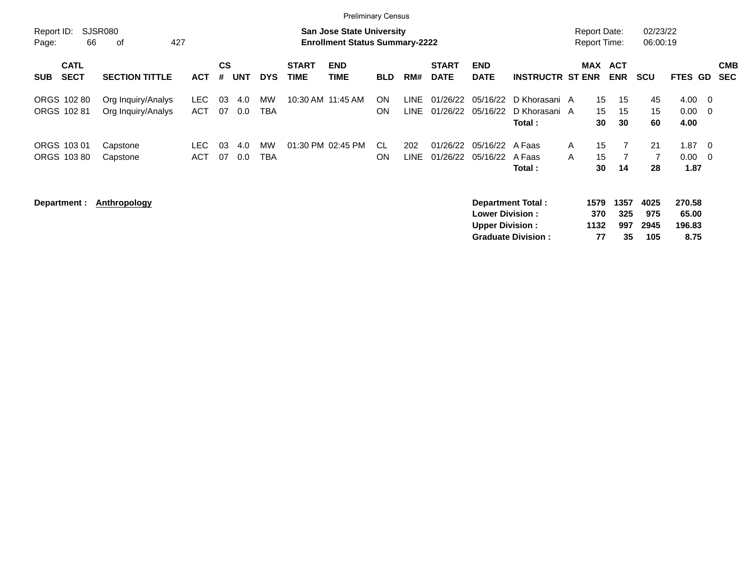|                     |                            |                                          |                    |                |            |            |                             | <b>Preliminary Census</b>                                                 |                        |               |                             |                                                  |                                                       |                   |                                            |                          |                            |                                   |                                 |                          |
|---------------------|----------------------------|------------------------------------------|--------------------|----------------|------------|------------|-----------------------------|---------------------------------------------------------------------------|------------------------|---------------|-----------------------------|--------------------------------------------------|-------------------------------------------------------|-------------------|--------------------------------------------|--------------------------|----------------------------|-----------------------------------|---------------------------------|--------------------------|
| Report ID:<br>Page: | 66                         | SJSR080<br>427<br>οf                     |                    |                |            |            |                             | <b>San Jose State University</b><br><b>Enrollment Status Summary-2222</b> |                        |               |                             |                                                  |                                                       |                   | <b>Report Date:</b><br><b>Report Time:</b> |                          | 02/23/22<br>06:00:19       |                                   |                                 |                          |
| <b>SUB</b>          | <b>CATL</b><br><b>SECT</b> | <b>SECTION TITTLE</b>                    | <b>ACT</b>         | <b>CS</b><br># | <b>UNT</b> | <b>DYS</b> | <b>START</b><br><b>TIME</b> | <b>END</b><br><b>TIME</b>                                                 | <b>BLD</b>             | RM#           | <b>START</b><br><b>DATE</b> | <b>END</b><br><b>DATE</b>                        | <b>INSTRUCTR ST ENR</b>                               |                   | MAX                                        | <b>ACT</b><br><b>ENR</b> | <b>SCU</b>                 | FTES GD                           |                                 | <b>CMB</b><br><b>SEC</b> |
| ORGS 102 81         | ORGS 102 80                | Org Inquiry/Analys<br>Org Inquiry/Analys | LEC.<br><b>ACT</b> | 03<br>07       | 4.0<br>0.0 | MW<br>TBA  |                             | 10:30 AM 11:45 AM                                                         | <b>ON</b><br><b>ON</b> | LINE<br>LINE. | 01/26/22<br>01/26/22        | 05/16/22<br>05/16/22                             | D Khorasani A<br>D Khorasani A<br>Total :             |                   | 15<br>15<br>30                             | 15<br>15<br>30           | 45<br>15<br>60             | 4.00<br>0.00<br>4.00              | - 0<br>$\overline{\mathbf{0}}$  |                          |
| ORGS 103 01         | ORGS 10380                 | Capstone<br>Capstone                     | LEC.<br><b>ACT</b> | 03<br>07       | 4.0<br>0.0 | MW<br>TBA  |                             | 01:30 PM 02:45 PM                                                         | CL.<br><b>ON</b>       | 202<br>LINE   | 01/26/22<br>01/26/22        | 05/16/22<br>05/16/22                             | A Faas<br>A Faas<br>Total :                           | $\mathsf{A}$<br>A | 15<br>15<br>30                             | 14                       | 21<br>$\overline{7}$<br>28 | 1.87<br>$0.00\,$<br>1.87          | - 0<br>$\overline{\phantom{0}}$ |                          |
| Department :        |                            | <b>Anthropology</b>                      |                    |                |            |            |                             |                                                                           |                        |               |                             | <b>Lower Division:</b><br><b>Upper Division:</b> | <b>Department Total:</b><br><b>Graduate Division:</b> |                   | 1579<br>370<br>1132<br>77                  | 1357<br>325<br>997<br>35 | 4025<br>975<br>2945<br>105 | 270.58<br>65.00<br>196.83<br>8.75 |                                 |                          |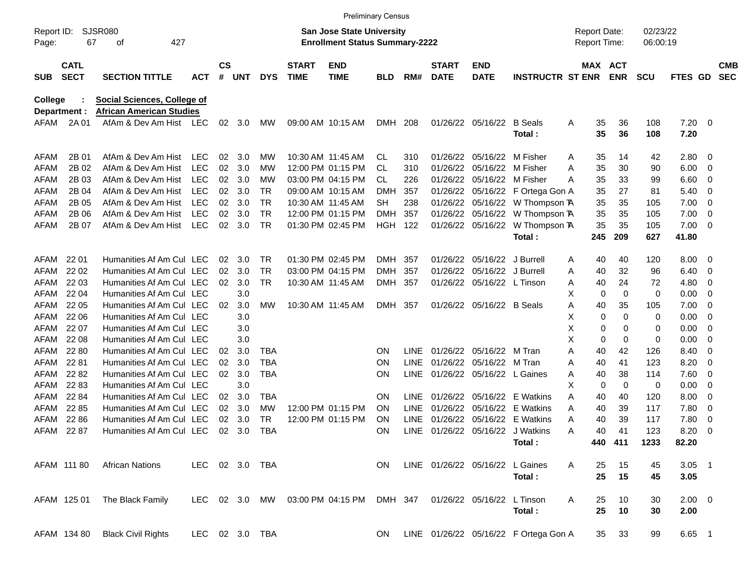|                     |                            |                                 |                |                    |            |            |                             | <b>Preliminary Census</b>                                                 |            |             |                             |                                 |                                       |                                            |                |                      |              |                          |                          |
|---------------------|----------------------------|---------------------------------|----------------|--------------------|------------|------------|-----------------------------|---------------------------------------------------------------------------|------------|-------------|-----------------------------|---------------------------------|---------------------------------------|--------------------------------------------|----------------|----------------------|--------------|--------------------------|--------------------------|
| Report ID:<br>Page: | 67                         | SJSR080<br>427<br>οf            |                |                    |            |            |                             | <b>San Jose State University</b><br><b>Enrollment Status Summary-2222</b> |            |             |                             |                                 |                                       | <b>Report Date:</b><br><b>Report Time:</b> |                | 02/23/22<br>06:00:19 |              |                          |                          |
| <b>SUB</b>          | <b>CATL</b><br><b>SECT</b> | <b>SECTION TITTLE</b>           | <b>ACT</b>     | $\mathsf{cs}$<br># | <b>UNT</b> | <b>DYS</b> | <b>START</b><br><b>TIME</b> | <b>END</b><br><b>TIME</b>                                                 | <b>BLD</b> | RM#         | <b>START</b><br><b>DATE</b> | <b>END</b><br><b>DATE</b>       | <b>INSTRUCTR ST ENR</b>               | MAX ACT                                    | <b>ENR</b>     | <b>SCU</b>           | FTES GD      |                          | <b>CMB</b><br><b>SEC</b> |
| <b>College</b>      |                            | Social Sciences, College of     |                |                    |            |            |                             |                                                                           |            |             |                             |                                 |                                       |                                            |                |                      |              |                          |                          |
|                     | Department :               | <b>African American Studies</b> |                |                    |            |            |                             |                                                                           |            |             |                             |                                 |                                       |                                            |                |                      |              |                          |                          |
| AFAM                | 2A 01                      | AfAm & Dev Am Hist LEC          |                | 02                 | 3.0        | МW         |                             | 09:00 AM 10:15 AM                                                         | DMH 208    |             |                             | 01/26/22 05/16/22               | <b>B</b> Seals<br>Total:              | A<br>35<br>35                              | 36<br>36       | 108<br>108           | 7.20<br>7.20 | $\overline{\phantom{0}}$ |                          |
| AFAM                | 2B 01                      | AfAm & Dev Am Hist              | <b>LEC</b>     | 02                 | 3.0        | МW         |                             | 10:30 AM 11:45 AM                                                         | CL         | 310         | 01/26/22                    | 05/16/22                        | M Fisher                              | 35<br>A                                    | 14             | 42                   | 2.80         | - 0                      |                          |
| AFAM                | 2B 02                      | AfAm & Dev Am Hist              | <b>LEC</b>     | 02                 | 3.0        | <b>MW</b>  |                             | 12:00 PM 01:15 PM                                                         | CL         | 310         | 01/26/22                    | 05/16/22                        | M Fisher                              | 35<br>Α                                    | 30             | 90                   | 6.00         | 0                        |                          |
| AFAM                | 2B 03                      | AfAm & Dev Am Hist              | <b>LEC</b>     | 02                 | 3.0        | <b>MW</b>  |                             | 03:00 PM 04:15 PM                                                         | CL         | 226         | 01/26/22                    | 05/16/22                        | M Fisher                              | 35<br>A                                    | 33             | 99                   | 6.60         | 0                        |                          |
| AFAM                | 2B 04                      | AfAm & Dev Am Hist              | <b>LEC</b>     | 02                 | 3.0        | <b>TR</b>  |                             | 09:00 AM 10:15 AM                                                         | <b>DMH</b> | 357         | 01/26/22                    | 05/16/22                        | F Ortega Gon A                        | 35                                         | 27             | 81                   | 5.40         | 0                        |                          |
| AFAM                | 2B 05                      | AfAm & Dev Am Hist              | <b>LEC</b>     | 02                 | 3.0        | <b>TR</b>  |                             | 10:30 AM 11:45 AM                                                         | <b>SH</b>  | 238         | 01/26/22                    | 05/16/22                        | W Thompson TA                         | 35                                         | 35             | 105                  | 7.00         | 0                        |                          |
| <b>AFAM</b>         | 2B 06                      | AfAm & Dev Am Hist              | <b>LEC</b>     | 02                 | 3.0        | <b>TR</b>  |                             | 12:00 PM 01:15 PM                                                         | <b>DMH</b> | 357         | 01/26/22                    | 05/16/22                        | W Thompson TA                         | 35                                         | 35             | 105                  | 7.00         | 0                        |                          |
| AFAM                | 2B 07                      | AfAm & Dev Am Hist              | <b>LEC</b>     | 02                 | 3.0        | <b>TR</b>  |                             | 01:30 PM 02:45 PM                                                         | HGH        | 122         | 01/26/22                    | 05/16/22                        | W Thompson TA                         | 35                                         | 35             | 105                  | 7.00         | $\overline{\mathbf{0}}$  |                          |
|                     |                            |                                 |                |                    |            |            |                             |                                                                           |            |             |                             |                                 | Total:                                | 245                                        | 209            | 627                  | 41.80        |                          |                          |
| AFAM                | 22 01                      | Humanities Af Am Cul LEC        |                | 02                 | 3.0        | <b>TR</b>  |                             | 01:30 PM 02:45 PM                                                         | <b>DMH</b> | -357        | 01/26/22                    | 05/16/22                        | J Burrell                             | A<br>40                                    | 40             | 120                  | 8.00         | - 0                      |                          |
| AFAM                | 22 02                      | Humanities Af Am Cul LEC        |                | 02                 | 3.0        | <b>TR</b>  |                             | 03:00 PM 04:15 PM                                                         | <b>DMH</b> | 357         | 01/26/22                    | 05/16/22                        | J Burrell                             | 40<br>A                                    | 32             | 96                   | 6.40         | 0                        |                          |
| AFAM                | 22 03                      | Humanities Af Am Cul LEC        |                | 02                 | 3.0        | <b>TR</b>  |                             | 10:30 AM 11:45 AM                                                         | <b>DMH</b> | 357         | 01/26/22                    | 05/16/22                        | L Tinson                              | 40<br>A                                    | 24             | 72                   | 4.80         | 0                        |                          |
| AFAM                | 22 04                      | Humanities Af Am Cul LEC        |                |                    | 3.0        |            |                             |                                                                           |            |             |                             |                                 |                                       | X<br>0                                     | 0              | 0                    | 0.00         | 0                        |                          |
| AFAM                | 22 05                      | Humanities Af Am Cul LEC        |                | 02                 | 3.0        | MW         |                             | 10:30 AM 11:45 AM                                                         | <b>DMH</b> | 357         | 01/26/22                    | 05/16/22 B Seals                |                                       | 40<br>A                                    | 35             | 105                  | 7.00         | 0                        |                          |
| AFAM                | 22 06                      | Humanities Af Am Cul LEC        |                |                    | 3.0        |            |                             |                                                                           |            |             |                             |                                 |                                       | Χ<br>0                                     | $\mathbf 0$    | 0                    | 0.00         | 0                        |                          |
| AFAM                | 22 07                      | Humanities Af Am Cul LEC        |                |                    | 3.0        |            |                             |                                                                           |            |             |                             |                                 |                                       | X<br>$\mathbf 0$                           | 0              | 0                    | 0.00         | 0                        |                          |
| AFAM                | 22 08                      | Humanities Af Am Cul LEC        |                |                    | 3.0        |            |                             |                                                                           |            |             |                             |                                 |                                       | X<br>$\mathbf 0$                           | 0              | 0                    | 0.00         | 0                        |                          |
| AFAM                | 22 80                      | Humanities Af Am Cul LEC        |                | 02                 | 3.0        | TBA        |                             |                                                                           | <b>ON</b>  | LINE        | 01/26/22                    | 05/16/22                        | M Tran                                | 40<br>Α                                    | 42             | 126                  | 8.40         | 0                        |                          |
| AFAM                | 22 81                      | Humanities Af Am Cul LEC        |                | 02                 | 3.0        | <b>TBA</b> |                             |                                                                           | ON         | <b>LINE</b> | 01/26/22                    | 05/16/22                        | M Tran                                | 40<br>A                                    | 41             | 123                  | 8.20         | 0                        |                          |
| AFAM                | 22 82                      | Humanities Af Am Cul LEC        |                | 02                 | 3.0        | <b>TBA</b> |                             |                                                                           | ON         | <b>LINE</b> |                             | 01/26/22 05/16/22               | L Gaines                              | 40<br>A                                    | 38             | 114                  | 7.60         | 0                        |                          |
| AFAM                | 22 83                      | Humanities Af Am Cul LEC        |                |                    | 3.0        |            |                             |                                                                           |            |             |                             |                                 |                                       | X<br>$\mathbf 0$                           | $\overline{0}$ | 0                    | 0.00         | 0                        |                          |
| AFAM                | 22 84                      | Humanities Af Am Cul LEC        |                | 02                 | 3.0        | <b>TBA</b> |                             |                                                                           | <b>ON</b>  | <b>LINE</b> | 01/26/22                    | 05/16/22                        | E Watkins                             | Α<br>40                                    | 40             | 120                  | 8.00         | 0                        |                          |
| AFAM                | 22 85                      | Humanities Af Am Cul LEC        |                | 02                 | 3.0        | MW         |                             | 12:00 PM 01:15 PM                                                         | <b>ON</b>  | <b>LINE</b> | 01/26/22                    | 05/16/22                        | E Watkins                             | 40<br>A                                    | 39             | 117                  | 7.80         | 0                        |                          |
| AFAM                | 22 86                      | Humanities Af Am Cul LEC        |                | 02                 | 3.0        | <b>TR</b>  |                             | 12:00 PM 01:15 PM                                                         | ON         | <b>LINE</b> | 01/26/22                    | 05/16/22                        | E Watkins                             | 40<br>A                                    | 39             | 117                  | 7.80         | 0                        |                          |
| AFAM                | 22 87                      | Humanities Af Am Cul LEC        |                | 02                 | 3.0        | <b>TBA</b> |                             |                                                                           | <b>ON</b>  |             |                             | LINE 01/26/22 05/16/22          | J Watkins                             | 40<br>A                                    | 41             | 123                  | 8.20         | 0                        |                          |
|                     |                            |                                 |                |                    |            |            |                             |                                                                           |            |             |                             |                                 | Total:                                |                                            | 440 411        | 1233                 | 82.20        |                          |                          |
|                     | AFAM 111 80                | <b>African Nations</b>          | LEC 02 3.0 TBA |                    |            |            |                             |                                                                           | <b>ON</b>  |             |                             | LINE 01/26/22 05/16/22 L Gaines |                                       | Α<br>25                                    | 15             | 45                   | $3.05$ 1     |                          |                          |
|                     |                            |                                 |                |                    |            |            |                             |                                                                           |            |             |                             |                                 | Total:                                | 25                                         | 15             | 45                   | 3.05         |                          |                          |
|                     | AFAM 125 01                | The Black Family                | LEC            |                    |            | 02 3.0 MW  |                             | 03:00 PM 04:15 PM                                                         | DMH 347    |             |                             | 01/26/22 05/16/22               | L Tinson                              | A<br>25                                    | 10             | 30                   | $2.00 \t 0$  |                          |                          |
|                     |                            |                                 |                |                    |            |            |                             |                                                                           |            |             |                             |                                 | Total:                                | 25                                         | 10             | 30                   | 2.00         |                          |                          |
|                     | AFAM 134 80                | <b>Black Civil Rights</b>       | LEC 02 3.0 TBA |                    |            |            |                             |                                                                           | <b>ON</b>  |             |                             |                                 | LINE 01/26/22 05/16/22 F Ortega Gon A | 35                                         | 33             | 99                   | 6.65 1       |                          |                          |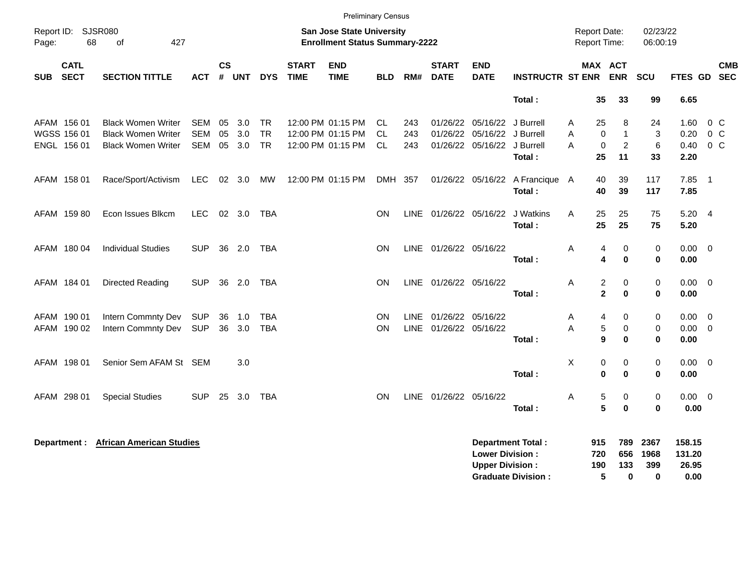|            |                                           |                                                                                     |                          |                                     |                   |                                     |                             | <b>Preliminary Census</b>              |                               |                   |                                             |                                                             |                                                       |                   |                                                                         |                                           |                                   |                                           |
|------------|-------------------------------------------|-------------------------------------------------------------------------------------|--------------------------|-------------------------------------|-------------------|-------------------------------------|-----------------------------|----------------------------------------|-------------------------------|-------------------|---------------------------------------------|-------------------------------------------------------------|-------------------------------------------------------|-------------------|-------------------------------------------------------------------------|-------------------------------------------|-----------------------------------|-------------------------------------------|
| Page:      | Report ID: SJSR080<br>68                  | 427<br>of                                                                           |                          | <b>Report Date:</b><br>Report Time: |                   | 02/23/22<br>06:00:19                |                             |                                        |                               |                   |                                             |                                                             |                                                       |                   |                                                                         |                                           |                                   |                                           |
| <b>SUB</b> | <b>CATL</b><br><b>SECT</b>                | <b>SECTION TITTLE</b>                                                               | <b>ACT</b>               | <b>CS</b><br>#                      | <b>UNT</b>        | <b>DYS</b>                          | <b>START</b><br><b>TIME</b> | <b>END</b><br><b>TIME</b>              | <b>BLD</b>                    | RM#               | <b>START</b><br><b>DATE</b>                 | <b>END</b><br><b>DATE</b>                                   | <b>INSTRUCTR ST ENR</b>                               |                   | <b>MAX ACT</b><br><b>ENR</b>                                            | SCU                                       |                                   | <b>CMB</b><br>FTES GD SEC                 |
|            |                                           |                                                                                     |                          |                                     |                   |                                     |                             |                                        |                               |                   |                                             |                                                             | Total:                                                |                   | 35<br>33                                                                | 99                                        | 6.65                              |                                           |
|            | AFAM 156 01<br>WGSS 156 01<br>ENGL 156 01 | <b>Black Women Writer</b><br><b>Black Women Writer</b><br><b>Black Women Writer</b> | SEM<br><b>SEM</b><br>SEM | 05<br>05<br>05                      | 3.0<br>3.0<br>3.0 | <b>TR</b><br><b>TR</b><br><b>TR</b> | 12:00 PM 01:15 PM           | 12:00 PM 01:15 PM<br>12:00 PM 01:15 PM | CL.<br><b>CL</b><br><b>CL</b> | 243<br>243<br>243 |                                             | 01/26/22 05/16/22<br>01/26/22 05/16/22<br>01/26/22 05/16/22 | J Burrell<br>J Burrell<br>J Burrell<br>Total:         | A<br>A<br>A       | 8<br>25<br>0<br>$\mathbf{1}$<br>$\pmb{0}$<br>$\overline{2}$<br>25<br>11 | 24<br>3<br>6<br>33                        | 1.60<br>0.20<br>0.40<br>2.20      | $0\,C$<br>$0\,C$<br>$0\,C$                |
|            | AFAM 158 01                               | Race/Sport/Activism                                                                 | LEC                      |                                     | 02 3.0            | <b>MW</b>                           | 12:00 PM 01:15 PM           |                                        | DMH 357                       |                   |                                             |                                                             | 01/26/22 05/16/22 A Francique A<br>Total:             |                   | 39<br>40<br>40<br>39                                                    | 117<br>117                                | 7.85<br>7.85                      | $\overline{\phantom{0}}$ 1                |
|            | AFAM 159 80                               | Econ Issues Blkcm                                                                   | <b>LEC</b>               |                                     | 02 3.0            | TBA                                 |                             |                                        | <b>ON</b>                     |                   | LINE 01/26/22 05/16/22                      |                                                             | J Watkins<br>Total:                                   | A                 | 25<br>25<br>25<br>25                                                    | 75<br>75                                  | $5.20 \quad 4$<br>5.20            |                                           |
|            | AFAM 180 04                               | <b>Individual Studies</b>                                                           | <b>SUP</b>               | 36                                  | 2.0               | <b>TBA</b>                          |                             |                                        | ON                            |                   | LINE 01/26/22 05/16/22                      |                                                             | Total:                                                | A                 | 0<br>4<br>$\bf{0}$<br>4                                                 | $\mathbf 0$<br>$\bf{0}$                   | $0.00\,$<br>0.00                  | $\overline{\mathbf{0}}$                   |
|            | AFAM 184 01                               | Directed Reading                                                                    | <b>SUP</b>               |                                     | 36 2.0            | TBA                                 |                             |                                        | ON                            |                   | LINE 01/26/22 05/16/22                      |                                                             | Total:                                                | A                 | 2<br>0<br>$\overline{2}$<br>$\bf{0}$                                    | 0<br>$\mathbf 0$                          | $0.00\,$<br>0.00                  | $\overline{\mathbf{0}}$                   |
|            | AFAM 190 01<br>AFAM 190 02                | Intern Commnty Dev<br>Intern Commnty Dev                                            | <b>SUP</b><br><b>SUP</b> | 36                                  | 1.0<br>36 3.0     | <b>TBA</b><br><b>TBA</b>            |                             |                                        | ON<br>ON                      | LINE              | 01/26/22 05/16/22<br>LINE 01/26/22 05/16/22 |                                                             | Total:                                                | Α<br>A            | 4<br>0<br>5<br>$\pmb{0}$<br>9<br>$\bf{0}$                               | $\mathbf 0$<br>$\mathbf 0$<br>$\mathbf 0$ | 0.00<br>0.00<br>0.00              | $\overline{0}$<br>$\overline{\mathbf{0}}$ |
|            | AFAM 198 01                               | Senior Sem AFAM St SEM                                                              |                          |                                     | 3.0               |                                     |                             |                                        |                               |                   |                                             |                                                             | Total:                                                | X                 | 0<br>0<br>$\bf{0}$<br>$\bf{0}$                                          | $\pmb{0}$<br>$\mathbf 0$                  | $0.00\,$<br>0.00                  | $\overline{\mathbf{0}}$                   |
|            | AFAM 298 01                               | <b>Special Studies</b>                                                              | <b>SUP</b>               | 25                                  | 3.0               | TBA                                 |                             |                                        | ON                            |                   | LINE 01/26/22 05/16/22                      |                                                             | Total:                                                | Α                 | 5<br>0<br>5<br>$\bf{0}$                                                 | $\mathbf 0$<br>$\mathbf 0$                | $0.00 \t 0$<br>0.00               |                                           |
|            |                                           | <b>Department : African American Studies</b>                                        |                          |                                     |                   |                                     |                             |                                        |                               |                   |                                             | <b>Lower Division:</b><br><b>Upper Division:</b>            | <b>Department Total:</b><br><b>Graduate Division:</b> | 915<br>720<br>190 | 789<br>656<br>133<br>5<br>$\bf{0}$                                      | 2367<br>1968<br>399<br>$\bf{0}$           | 158.15<br>131.20<br>26.95<br>0.00 |                                           |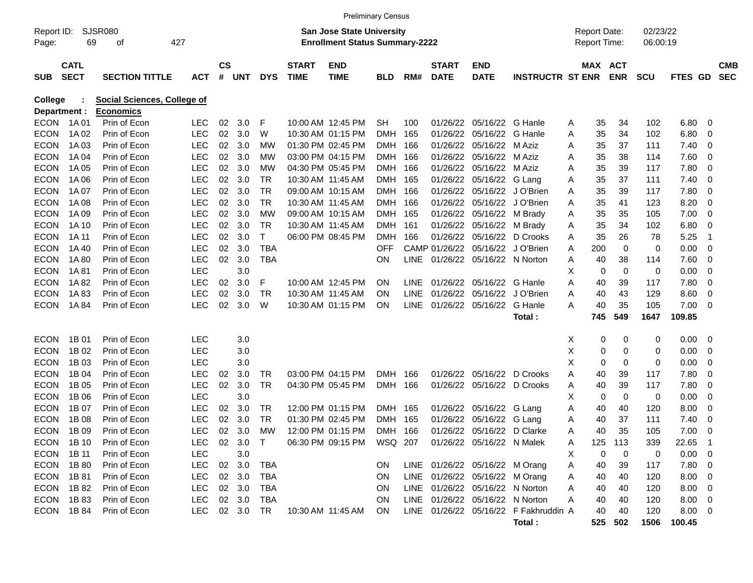|                     |             |                             |            |               |           |            |              | <b>Preliminary Census</b>                                                 |            |             |               |                                 |                                       |   |                                            |            |                      |             |                |            |
|---------------------|-------------|-----------------------------|------------|---------------|-----------|------------|--------------|---------------------------------------------------------------------------|------------|-------------|---------------|---------------------------------|---------------------------------------|---|--------------------------------------------|------------|----------------------|-------------|----------------|------------|
| Report ID:<br>Page: | 69          | <b>SJSR080</b><br>427<br>οf |            |               |           |            |              | <b>San Jose State University</b><br><b>Enrollment Status Summary-2222</b> |            |             |               |                                 |                                       |   | <b>Report Date:</b><br><b>Report Time:</b> |            | 02/23/22<br>06:00:19 |             |                |            |
|                     | <b>CATL</b> |                             |            | $\mathsf{cs}$ |           |            | <b>START</b> | <b>END</b>                                                                |            |             | <b>START</b>  | <b>END</b>                      |                                       |   | <b>MAX ACT</b>                             |            |                      |             |                | <b>CMB</b> |
| <b>SUB</b>          | <b>SECT</b> | <b>SECTION TITTLE</b>       | ACT        | #             | UNT       | <b>DYS</b> | <b>TIME</b>  | <b>TIME</b>                                                               | <b>BLD</b> | RM#         | <b>DATE</b>   | <b>DATE</b>                     | <b>INSTRUCTR ST ENR</b>               |   |                                            | <b>ENR</b> | <b>SCU</b>           | FTES GD     |                | <b>SEC</b> |
| <b>College</b>      |             | Social Sciences, College of |            |               |           |            |              |                                                                           |            |             |               |                                 |                                       |   |                                            |            |                      |             |                |            |
| Department :        |             | <b>Economics</b>            |            |               |           |            |              |                                                                           |            |             |               |                                 |                                       |   |                                            |            |                      |             |                |            |
| <b>ECON</b>         | 1A 01       | Prin of Econ                | <b>LEC</b> | 02            | 3.0       | F          |              | 10:00 AM 12:45 PM                                                         | <b>SH</b>  | 100         | 01/26/22      | 05/16/22 G Hanle                |                                       | Α | 35                                         | 34         | 102                  | 6.80        | - 0            |            |
| <b>ECON</b>         | 1A 02       | Prin of Econ                | <b>LEC</b> | 02            | 3.0       | W          |              | 10:30 AM 01:15 PM                                                         | <b>DMH</b> | 165         | 01/26/22      | 05/16/22                        | G Hanle                               | A | 35                                         | 34         | 102                  | 6.80        | 0              |            |
| <b>ECON</b>         | 1A03        | Prin of Econ                | <b>LEC</b> | 02            | 3.0       | MW         |              | 01:30 PM 02:45 PM                                                         | <b>DMH</b> | 166         | 01/26/22      | 05/16/22                        | M Aziz                                | A | 35                                         | 37         | 111                  | 7.40        | $\mathbf 0$    |            |
| <b>ECON</b>         | 1A 04       | Prin of Econ                | <b>LEC</b> | 02            | 3.0       | <b>MW</b>  |              | 03:00 PM 04:15 PM                                                         | <b>DMH</b> | 166         | 01/26/22      | 05/16/22                        | M Aziz                                | A | 35                                         | 38         | 114                  | 7.60        | $\overline{0}$ |            |
| <b>ECON</b>         | 1A 05       | Prin of Econ                | <b>LEC</b> | 02            | 3.0       | <b>MW</b>  |              | 04:30 PM 05:45 PM                                                         | <b>DMH</b> | 166         | 01/26/22      | 05/16/22                        | M Aziz                                | A | 35                                         | 39         | 117                  | 7.80        | $\overline{0}$ |            |
| <b>ECON</b>         | 1A 06       | Prin of Econ                | <b>LEC</b> | 02            | 3.0       | <b>TR</b>  |              | 10:30 AM 11:45 AM                                                         | <b>DMH</b> | 165         | 01/26/22      | 05/16/22 G Lang                 |                                       | A | 35                                         | 37         | 111                  | 7.40        | $\mathbf 0$    |            |
| <b>ECON</b>         | 1A 07       | Prin of Econ                | <b>LEC</b> | 02            | 3.0       | <b>TR</b>  |              | 09:00 AM 10:15 AM                                                         | <b>DMH</b> | 166         | 01/26/22      | 05/16/22                        | J O'Brien                             | A | 35                                         | 39         | 117                  | 7.80        | $\overline{0}$ |            |
| <b>ECON</b>         | 1A 08       | Prin of Econ                | <b>LEC</b> | 02            | 3.0       | <b>TR</b>  |              | 10:30 AM 11:45 AM                                                         | <b>DMH</b> | 166         | 01/26/22      | 05/16/22                        | J O'Brien                             | A | 35                                         | 41         | 123                  | 8.20        | $\overline{0}$ |            |
| <b>ECON</b>         | 1A 09       | Prin of Econ                | <b>LEC</b> | 02            | 3.0       | <b>MW</b>  |              | 09:00 AM 10:15 AM                                                         | <b>DMH</b> | 165         | 01/26/22      | 05/16/22                        | M Brady                               | A | 35                                         | 35         | 105                  | 7.00        | $\overline{0}$ |            |
| <b>ECON</b>         | 1A 10       | Prin of Econ                | <b>LEC</b> | 02            | 3.0       | <b>TR</b>  |              | 10:30 AM 11:45 AM                                                         | <b>DMH</b> | 161         | 01/26/22      | 05/16/22                        | M Brady                               | Α | 35                                         | 34         | 102                  | 6.80        | $\overline{0}$ |            |
| <b>ECON</b>         | 1A 11       | Prin of Econ                | <b>LEC</b> | 02            | 3.0       | T          |              | 06:00 PM 08:45 PM                                                         | <b>DMH</b> | 166         | 01/26/22      | 05/16/22                        | D Crooks                              | A | 35                                         | 26         | 78                   | 5.25        | -1             |            |
| <b>ECON</b>         | 1A 40       | Prin of Econ                | <b>LEC</b> | 02            | 3.0       | <b>TBA</b> |              |                                                                           | <b>OFF</b> |             | CAMP 01/26/22 | 05/16/22                        | J O'Brien                             | A | 200                                        | 0          | 0                    | 0.00        | $\overline{0}$ |            |
| <b>ECON</b>         | 1A 80       | Prin of Econ                | <b>LEC</b> | 02            | 3.0       | <b>TBA</b> |              |                                                                           | <b>ON</b>  | <b>LINE</b> | 01/26/22      | 05/16/22 N Norton               |                                       | A | 40                                         | 38         | 114                  | 7.60        | $\mathbf 0$    |            |
| <b>ECON</b>         | 1A 81       | Prin of Econ                | <b>LEC</b> |               | 3.0       |            |              |                                                                           |            |             |               |                                 |                                       | X | 0                                          | 0          | 0                    | 0.00        | $\mathbf 0$    |            |
| <b>ECON</b>         | 1A 82       | Prin of Econ                | <b>LEC</b> | 02            | 3.0       | F          |              | 10:00 AM 12:45 PM                                                         | <b>ON</b>  | <b>LINE</b> | 01/26/22      | 05/16/22                        | G Hanle                               | A | 40                                         | 39         | 117                  | 7.80        | $\overline{0}$ |            |
| <b>ECON</b>         | 1A83        | Prin of Econ                | <b>LEC</b> | 02            | 3.0       | <b>TR</b>  |              | 10:30 AM 11:45 AM                                                         | <b>ON</b>  | <b>LINE</b> | 01/26/22      | 05/16/22                        | J O'Brien                             | A | 40                                         | 43         | 129                  | 8.60        | $\mathbf 0$    |            |
| <b>ECON</b>         | 1A 84       | Prin of Econ                | <b>LEC</b> | 02            | 3.0       | W          |              | 10:30 AM 01:15 PM                                                         | ON         | <b>LINE</b> | 01/26/22      | 05/16/22                        | G Hanle                               | A | 40                                         | 35         | 105                  | 7.00        | $\overline{0}$ |            |
|                     |             |                             |            |               |           |            |              |                                                                           |            |             |               |                                 | Total:                                |   | 745                                        | 549        | 1647                 | 109.85      |                |            |
| <b>ECON</b>         | 1B 01       | Prin of Econ                | <b>LEC</b> |               | 3.0       |            |              |                                                                           |            |             |               |                                 |                                       | х | 0                                          | 0          | 0                    | 0.00        | - 0            |            |
| <b>ECON</b>         | 1B 02       | Prin of Econ                | LEC        |               | 3.0       |            |              |                                                                           |            |             |               |                                 |                                       | Χ | 0                                          | 0          | 0                    | 0.00        | 0              |            |
| <b>ECON</b>         | 1B 03       | Prin of Econ                | <b>LEC</b> |               | 3.0       |            |              |                                                                           |            |             |               |                                 |                                       | X | 0                                          | 0          | 0                    | 0.00        | 0              |            |
| <b>ECON</b>         | 1B 04       | Prin of Econ                | <b>LEC</b> | 02            | 3.0       | TR         |              | 03:00 PM 04:15 PM                                                         | <b>DMH</b> | 166         | 01/26/22      | 05/16/22                        | D Crooks                              | A | 40                                         | 39         | 117                  | 7.80        | $\mathbf 0$    |            |
| <b>ECON</b>         | 1B 05       | Prin of Econ                | <b>LEC</b> | 02            | 3.0       | <b>TR</b>  |              | 04:30 PM 05:45 PM                                                         | <b>DMH</b> | 166         | 01/26/22      | 05/16/22                        | D Crooks                              | Α | 40                                         | 39         | 117                  | 7.80        | $\mathbf 0$    |            |
| <b>ECON</b>         | 1B 06       | Prin of Econ                | <b>LEC</b> |               | 3.0       |            |              |                                                                           |            |             |               |                                 |                                       | X | 0                                          | 0          | 0                    | 0.00        | 0              |            |
| <b>ECON</b>         | 1B 07       | Prin of Econ                | <b>LEC</b> | 02            | 3.0       | TR         |              | 12:00 PM 01:15 PM                                                         | <b>DMH</b> | 165         | 01/26/22      | 05/16/22                        | G Lang                                | A | 40                                         | 40         | 120                  | 8.00        | 0              |            |
| <b>ECON</b>         | 1B 08       | Prin of Econ                | <b>LEC</b> | 02            | 3.0       | <b>TR</b>  |              | 01:30 PM 02:45 PM                                                         | <b>DMH</b> | 165         | 01/26/22      | 05/16/22                        | G Lang                                | A | 40                                         | 37         | 111                  | 7.40        | 0              |            |
| <b>ECON</b>         | 1B 09       | Prin of Econ                | <b>LEC</b> | 02            | 3.0       | <b>MW</b>  |              | 12:00 PM 01:15 PM                                                         | <b>DMH</b> | 166         | 01/26/22      | 05/16/22 D Clarke               |                                       | A | 40                                         | 35         | 105                  | 7.00        | $\mathbf 0$    |            |
| ECON 1B 10          |             | Prin of Econ                | LEC.       |               | 02 3.0 T  |            |              | 06:30 PM 09:15 PM WSQ 207 01/26/22 05/16/22 N Malek                       |            |             |               |                                 |                                       | Α | 125                                        | 113        | 339                  | 22.65 1     |                |            |
| <b>ECON</b>         | 1B 11       | Prin of Econ                | <b>LEC</b> |               | $3.0\,$   |            |              |                                                                           |            |             |               |                                 |                                       | X | $\mathbf 0$                                | 0          | 0                    | $0.00 \t 0$ |                |            |
| ECON                | 1B 80       | Prin of Econ                | <b>LEC</b> |               | 02 3.0    | TBA        |              |                                                                           | <b>ON</b>  |             |               | LINE 01/26/22 05/16/22 M Orang  |                                       | A | 40                                         | 39         | 117                  | $7.80\ 0$   |                |            |
| <b>ECON</b>         | 1B 81       | Prin of Econ                | <b>LEC</b> |               | 02 3.0    | TBA        |              |                                                                           | <b>ON</b>  |             |               | LINE 01/26/22 05/16/22 M Orang  |                                       | A | 40                                         | 40         | 120                  | $8.00 \t 0$ |                |            |
| <b>ECON</b>         | 1B 82       | Prin of Econ                | <b>LEC</b> |               | 02 3.0    | TBA        |              |                                                                           | ON.        |             |               | LINE 01/26/22 05/16/22 N Norton |                                       | Α | 40                                         | 40         | 120                  | $8.00 \t 0$ |                |            |
| ECON                | 1B 83       | Prin of Econ                | <b>LEC</b> |               | 02 3.0    | <b>TBA</b> |              |                                                                           | <b>ON</b>  |             |               | LINE 01/26/22 05/16/22 N Norton |                                       | Α | 40                                         | 40         | 120                  | $8.00 \t 0$ |                |            |
| ECON 1B84           |             | Prin of Econ                | <b>LEC</b> |               | 02 3.0 TR |            |              | 10:30 AM 11:45 AM                                                         | - ON       |             |               |                                 | LINE 01/26/22 05/16/22 F Fakhruddin A |   | 40                                         | 40         | 120                  | $8.00 \t 0$ |                |            |
|                     |             |                             |            |               |           |            |              |                                                                           |            |             |               |                                 | Total:                                |   |                                            | 525 502    | 1506                 | 100.45      |                |            |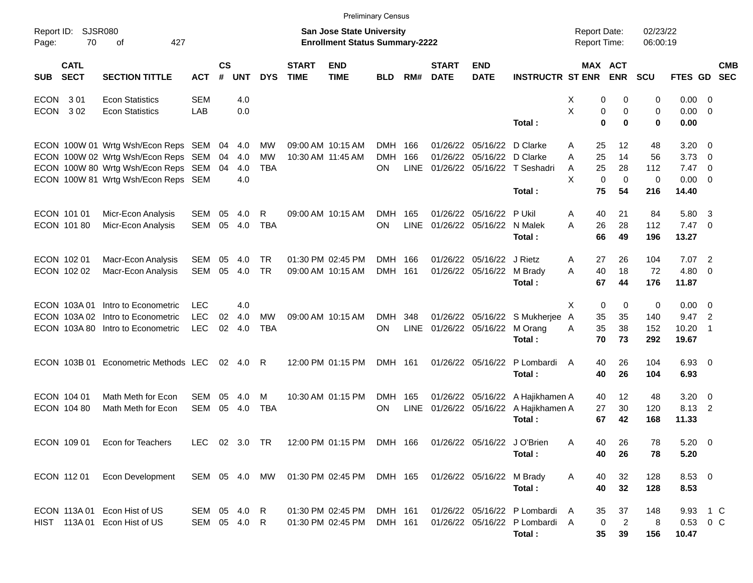|                                          |                                      |               |                    |            |            |                             | <b>Preliminary Census</b>                                                 |            |             |                             |                           |                                  |                                            |                                  |                         |                |                            |                          |
|------------------------------------------|--------------------------------------|---------------|--------------------|------------|------------|-----------------------------|---------------------------------------------------------------------------|------------|-------------|-----------------------------|---------------------------|----------------------------------|--------------------------------------------|----------------------------------|-------------------------|----------------|----------------------------|--------------------------|
| Report ID:<br>70<br>Page:                | <b>SJSR080</b><br>427<br>оf          |               |                    |            |            |                             | <b>San Jose State University</b><br><b>Enrollment Status Summary-2222</b> |            |             |                             |                           |                                  | <b>Report Date:</b><br><b>Report Time:</b> |                                  | 02/23/22<br>06:00:19    |                |                            |                          |
| <b>CATL</b><br><b>SECT</b><br><b>SUB</b> | <b>SECTION TITTLE</b>                | <b>ACT</b>    | $\mathsf{cs}$<br># | <b>UNT</b> | <b>DYS</b> | <b>START</b><br><b>TIME</b> | <b>END</b><br><b>TIME</b>                                                 | <b>BLD</b> | RM#         | <b>START</b><br><b>DATE</b> | <b>END</b><br><b>DATE</b> | <b>INSTRUCTR ST ENR</b>          |                                            | <b>MAX ACT</b><br><b>ENR</b>     | SCU                     | <b>FTES GD</b> |                            | <b>CMB</b><br><b>SEC</b> |
| ECON<br>3 0 1                            | <b>Econ Statistics</b>               | <b>SEM</b>    |                    | 4.0        |            |                             |                                                                           |            |             |                             |                           |                                  | X                                          | 0<br>0                           | 0                       | 0.00           | - 0                        |                          |
| <b>ECON</b><br>302                       | <b>Econ Statistics</b>               | LAB           |                    | 0.0        |            |                             |                                                                           |            |             |                             |                           | Total :                          | X                                          | 0<br>0<br>$\bf{0}$<br>$\bf{0}$   | $\mathbf 0$<br>$\bf{0}$ | 0.00<br>0.00   | $\overline{0}$             |                          |
|                                          |                                      |               |                    |            |            |                             |                                                                           |            |             |                             |                           |                                  |                                            |                                  |                         |                |                            |                          |
|                                          | ECON 100W 01 Wrtg Wsh/Econ Reps SEM  |               |                    | 04 4.0     | МW         |                             | 09:00 AM 10:15 AM                                                         | DMH 166    |             | 01/26/22                    | 05/16/22                  | D Clarke                         | 25<br>A                                    | 12                               | 48                      | 3.20           | - 0                        |                          |
|                                          | ECON 100W 02 Wrtg Wsh/Econ Reps SEM  |               | 04                 | 4.0        | MW         |                             | 10:30 AM 11:45 AM                                                         | <b>DMH</b> | 166         | 01/26/22                    | 05/16/22 D Clarke         |                                  | 25<br>A                                    | 14                               | 56                      | 3.73           | 0                          |                          |
|                                          | ECON 100W 80 Wrtg Wsh/Econ Reps SEM  |               | 04                 | 4.0        | <b>TBA</b> |                             |                                                                           | <b>ON</b>  | <b>LINE</b> |                             |                           | 01/26/22 05/16/22 T Seshadri     | 25<br>A                                    | 28                               | 112                     | 7.47           | $\overline{\mathbf{0}}$    |                          |
|                                          | ECON 100W 81 Wrtg Wsh/Econ Reps SEM  |               |                    | 4.0        |            |                             |                                                                           |            |             |                             |                           | Total :                          | X<br>75                                    | $\mathbf 0$<br>$\mathbf 0$<br>54 | $\mathbf 0$<br>216      | 0.00<br>14.40  | $\overline{0}$             |                          |
|                                          |                                      |               |                    |            |            |                             |                                                                           |            |             |                             |                           |                                  |                                            |                                  |                         |                |                            |                          |
| ECON 101 01                              | Micr-Econ Analysis                   | SEM           | 05                 | 4.0        | R.         |                             | 09:00 AM 10:15 AM                                                         | <b>DMH</b> | 165         | 01/26/22                    | 05/16/22                  | P Ukil                           | 40<br>A                                    | 21                               | 84                      | 5.80           | $\overline{\mathbf{3}}$    |                          |
| ECON 101 80                              | Micr-Econ Analysis                   | <b>SEM</b>    | 05                 | 4.0        | <b>TBA</b> |                             |                                                                           | ON         | <b>LINE</b> |                             | 01/26/22 05/16/22 N Malek |                                  | A<br>26                                    | 28                               | 112                     | $7.47$ 0       |                            |                          |
|                                          |                                      |               |                    |            |            |                             |                                                                           |            |             |                             |                           | Total:                           | 66                                         | 49                               | 196                     | 13.27          |                            |                          |
| ECON 102 01                              | Macr-Econ Analysis                   | <b>SEM</b>    | 05                 | 4.0        | <b>TR</b>  |                             | 01:30 PM 02:45 PM                                                         | DMH 166    |             | 01/26/22                    | 05/16/22                  | J Rietz                          | 27<br>A                                    | 26                               | 104                     | 7.07           | $\overline{\phantom{0}}^2$ |                          |
| ECON 102 02                              | Macr-Econ Analysis                   | <b>SEM</b>    | 05                 | 4.0        | <b>TR</b>  |                             | 09:00 AM 10:15 AM                                                         | DMH 161    |             | 01/26/22                    | 05/16/22 M Brady          |                                  | 40<br>A                                    | 18                               | 72                      | 4.80           | - 0                        |                          |
|                                          |                                      |               |                    |            |            |                             |                                                                           |            |             |                             |                           | Total:                           | 67                                         | 44                               | 176                     | 11.87          |                            |                          |
|                                          | ECON 103A 01 Intro to Econometric    | <b>LEC</b>    |                    | 4.0        |            |                             |                                                                           |            |             |                             |                           |                                  | X                                          | 0<br>0                           | 0                       | $0.00 \t 0$    |                            |                          |
| ECON 103A 02                             | Intro to Econometric                 | <b>LEC</b>    | 02                 | 4.0        | <b>MW</b>  |                             | 09:00 AM 10:15 AM                                                         | <b>DMH</b> | 348         |                             |                           | 01/26/22 05/16/22 S Mukherjee    | 35<br>A                                    | 35                               | 140                     | 9.47           | $\overline{2}$             |                          |
|                                          | ECON 103A 80 Intro to Econometric    | <b>LEC</b>    | 02                 | 4.0        | <b>TBA</b> |                             |                                                                           | <b>ON</b>  | <b>LINE</b> |                             | 01/26/22 05/16/22 M Orang |                                  | 35<br>A                                    | 38                               | 152                     | 10.20          | -1                         |                          |
|                                          |                                      |               |                    |            |            |                             |                                                                           |            |             |                             |                           | Total:                           | 70                                         | 73                               | 292                     | 19.67          |                            |                          |
|                                          | ECON 103B 01 Econometric Methods LEC |               | 02                 | 4.0        | - R        |                             | 12:00 PM 01:15 PM                                                         | DMH 161    |             |                             | 01/26/22 05/16/22         | P Lombardi                       | $\overline{A}$<br>40                       | 26                               | 104                     | $6.93$ 0       |                            |                          |
|                                          |                                      |               |                    |            |            |                             |                                                                           |            |             |                             |                           | Total:                           | 40                                         | 26                               | 104                     | 6.93           |                            |                          |
| ECON 104 01                              | Math Meth for Econ                   | <b>SEM</b>    | 05                 | 4.0        | M          |                             | 10:30 AM 01:15 PM                                                         | DMH        | 165         |                             | 01/26/22 05/16/22         | A Hajikhamen A                   | 40                                         | 12                               | 48                      | 3.20           | $\overline{\mathbf{0}}$    |                          |
| ECON 104 80                              | Math Meth for Econ                   | <b>SEM</b>    | 05                 | 4.0        | <b>TBA</b> |                             |                                                                           | ON         | <b>LINE</b> |                             |                           | 01/26/22 05/16/22 A Hajikhamen A | 27                                         | 30                               | 120                     | 8.13           | $\overline{c}$             |                          |
|                                          |                                      |               |                    |            |            |                             |                                                                           |            |             |                             |                           | Total:                           | 67                                         | 42                               | 168                     | 11.33          |                            |                          |
| ECON 109 01                              | Econ for Teachers                    | LEC 02 3.0 TR |                    |            |            |                             | 12:00 PM 01:15 PM DMH 166 01/26/22 05/16/22 J O'Brien                     |            |             |                             |                           |                                  | 40<br>A                                    | 26                               | 78                      | $5.20 \ 0$     |                            |                          |
|                                          |                                      |               |                    |            |            |                             |                                                                           |            |             |                             |                           | Total:                           | 40                                         | 26                               | 78                      | 5.20           |                            |                          |
|                                          |                                      |               |                    |            |            |                             |                                                                           |            |             |                             |                           |                                  |                                            |                                  |                         |                |                            |                          |
| ECON 112 01                              | Econ Development                     | SEM 05 4.0 MW |                    |            |            |                             | 01:30 PM 02:45 PM DMH 165                                                 |            |             |                             | 01/26/22 05/16/22 M Brady |                                  | A<br>40                                    | 32                               | 128                     | 8.53 0         |                            |                          |
|                                          |                                      |               |                    |            |            |                             |                                                                           |            |             |                             |                           | Total:                           | 40                                         | 32                               | 128                     | 8.53           |                            |                          |
|                                          | ECON 113A 01 Econ Hist of US         | SEM 05 4.0 R  |                    |            |            |                             | 01:30 PM 02:45 PM                                                         | DMH 161    |             |                             |                           | 01/26/22 05/16/22 P Lombardi     | A<br>35                                    | 37                               | 148                     | 9.93 1 C       |                            |                          |
|                                          | HIST 113A 01 Econ Hist of US         | SEM 05 4.0 R  |                    |            |            |                             | 01:30 PM 02:45 PM                                                         | DMH 161    |             |                             |                           | 01/26/22 05/16/22 P Lombardi A   |                                            | $\overline{2}$<br>0              | 8                       | 0.53 0 C       |                            |                          |
|                                          |                                      |               |                    |            |            |                             |                                                                           |            |             |                             |                           | Total:                           | 35                                         | 39                               | 156                     | 10.47          |                            |                          |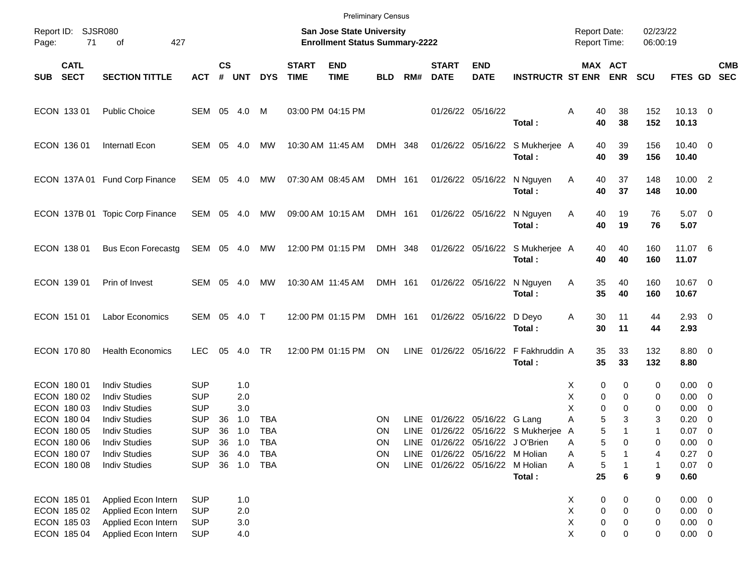|                                   |                                              |                          |                |            |            |                             | <b>Preliminary Census</b>                                          |            |       |                             |                                  |                                            |                                            |                              |                      |                               |                          |            |
|-----------------------------------|----------------------------------------------|--------------------------|----------------|------------|------------|-----------------------------|--------------------------------------------------------------------|------------|-------|-----------------------------|----------------------------------|--------------------------------------------|--------------------------------------------|------------------------------|----------------------|-------------------------------|--------------------------|------------|
| Report ID: SJSR080<br>71<br>Page: | 427<br>οf                                    |                          |                |            |            |                             | San Jose State University<br><b>Enrollment Status Summary-2222</b> |            |       |                             |                                  |                                            | <b>Report Date:</b><br><b>Report Time:</b> |                              | 02/23/22<br>06:00:19 |                               |                          |            |
| <b>CATL</b><br><b>SECT</b><br>SUB | <b>SECTION TITTLE</b>                        | <b>ACT</b>               | <b>CS</b><br># | <b>UNT</b> | <b>DYS</b> | <b>START</b><br><b>TIME</b> | <b>END</b><br><b>TIME</b>                                          | <b>BLD</b> | RM#   | <b>START</b><br><b>DATE</b> | <b>END</b><br><b>DATE</b>        | <b>INSTRUCTR ST ENR</b>                    |                                            | <b>MAX ACT</b><br><b>ENR</b> | <b>SCU</b>           | FTES GD SEC                   |                          | <b>CMB</b> |
| ECON 133 01                       | <b>Public Choice</b>                         | SEM 05 4.0               |                |            | M          |                             | 03:00 PM 04:15 PM                                                  |            |       |                             | 01/26/22 05/16/22                | Total:                                     | 40<br>Α<br>40                              | 38<br>38                     | 152<br>152           | $10.13 \t 0$<br>10.13         |                          |            |
| ECON 136 01                       | Internatl Econ                               | SEM 05                   |                | - 4.0      | МW         |                             | 10:30 AM 11:45 AM                                                  | DMH 348    |       |                             |                                  | 01/26/22 05/16/22 S Mukherjee A<br>Total:  | 40<br>40                                   | 39<br>39                     | 156<br>156           | $10.40 \t 0$<br>10.40         |                          |            |
|                                   | ECON 137A 01 Fund Corp Finance               | SEM 05 4.0               |                |            | МW         |                             | 07:30 AM 08:45 AM                                                  | DMH 161    |       |                             | 01/26/22 05/16/22                | N Nguyen<br>Total:                         | 40<br>A<br>40                              | 37<br>37                     | 148<br>148           | 10.00 2<br>10.00              |                          |            |
|                                   | ECON 137B 01 Topic Corp Finance              | SEM 05 4.0               |                |            | МW         |                             | 09:00 AM 10:15 AM                                                  | DMH 161    |       |                             | 01/26/22 05/16/22                | N Nguyen<br>Total:                         | 40<br>A<br>40                              | 19<br>19                     | 76<br>76             | $5.07$ 0<br>5.07              |                          |            |
| ECON 138 01                       | <b>Bus Econ Forecastg</b>                    | SEM 05 4.0               |                |            | МW         |                             | 12:00 PM 01:15 PM                                                  | DMH 348    |       |                             | 01/26/22 05/16/22                | S Mukherjee A<br>Total:                    | 40<br>40                                   | 40<br>40                     | 160<br>160           | 11.07 6<br>11.07              |                          |            |
| ECON 139 01                       | Prin of Invest                               | SEM 05                   |                | -4.0       | MW         |                             | 10:30 AM 11:45 AM                                                  | DMH 161    |       |                             | 01/26/22 05/16/22                | N Nguyen<br>Total:                         | 35<br>A<br>35                              | 40<br>40                     | 160<br>160           | 10.67 0<br>10.67              |                          |            |
| ECON 151 01                       | Labor Economics                              | SEM 05 4.0 T             |                |            |            |                             | 12:00 PM 01:15 PM                                                  | DMH 161    |       |                             | 01/26/22 05/16/22                | D Deyo<br>Total:                           | 30<br>A<br>30                              | 11<br>11                     | 44<br>44             | $2.93$ 0<br>2.93              |                          |            |
| ECON 170 80                       | <b>Health Economics</b>                      | <b>LEC</b>               | 05             | 4.0        | TR         |                             | 12:00 PM 01:15 PM                                                  | ON         | LINE  |                             |                                  | 01/26/22 05/16/22 F Fakhruddin A<br>Total: | 35<br>35                                   | 33<br>33                     | 132<br>132           | 8.80 0<br>8.80                |                          |            |
| ECON 180 01<br>ECON 180 02        | <b>Indiv Studies</b><br><b>Indiv Studies</b> | <b>SUP</b><br><b>SUP</b> |                | 1.0<br>2.0 |            |                             |                                                                    |            |       |                             |                                  |                                            | X<br>Χ                                     | 0<br>0<br>0<br>0             | 0<br>0               | $0.00 \quad 0$<br>$0.00 \t 0$ |                          |            |
| ECON 180 03                       | <b>Indiv Studies</b>                         | <b>SUP</b>               |                | 3.0        |            |                             |                                                                    |            |       |                             |                                  |                                            | X                                          | 0<br>0                       | 0                    | $0.00 \quad 0$                |                          |            |
| ECON 180 04                       | <b>Indiv Studies</b>                         | <b>SUP</b>               | 36             | 1.0        | TBA        |                             |                                                                    | ΟN         | LINE. |                             | 01/26/22 05/16/22 G Lang         |                                            | Α                                          | 5<br>3                       | 3                    | 0.20                          | $\overline{\mathbf{0}}$  |            |
| ECON 180 05                       | <b>Indiv Studies</b>                         | <b>SUP</b>               | 36             | 1.0        | <b>TBA</b> |                             |                                                                    | ΟN         |       |                             |                                  | LINE 01/26/22 05/16/22 S Mukherjee         | A                                          | 5<br>1                       | 1                    | 0.07                          | $\overline{\phantom{0}}$ |            |
| ECON 180 06                       | <b>Indiv Studies</b>                         | <b>SUP</b>               | 36             | 1.0        | TBA        |                             |                                                                    | ON         |       |                             | LINE 01/26/22 05/16/22 J O'Brien |                                            | A                                          | 5<br>0                       | 0                    | $0.00 \t 0$                   |                          |            |
| ECON 180 07                       | <b>Indiv Studies</b>                         | <b>SUP</b>               | 36             | 4.0        | <b>TBA</b> |                             |                                                                    | ON         |       |                             | LINE 01/26/22 05/16/22 M Holian  |                                            | Α                                          | 5                            | 4                    | $0.27$ 0                      |                          |            |
| ECON 180 08                       | <b>Indiv Studies</b>                         | <b>SUP</b>               |                |            | 36 1.0 TBA |                             |                                                                    | ON         |       |                             | LINE 01/26/22 05/16/22 M Holian  |                                            | Α                                          | 5                            | 1                    | $0.07$ 0                      |                          |            |
|                                   |                                              |                          |                |            |            |                             |                                                                    |            |       |                             |                                  | Total:                                     | 25                                         | 6                            | 9                    | 0.60                          |                          |            |
| ECON 185 01                       | Applied Econ Intern                          | <b>SUP</b>               |                | 1.0        |            |                             |                                                                    |            |       |                             |                                  |                                            | X                                          | 0<br>0                       | 0                    | $0.00 \t 0$                   |                          |            |
| ECON 185 02                       | Applied Econ Intern                          | <b>SUP</b>               |                | 2.0        |            |                             |                                                                    |            |       |                             |                                  |                                            | Χ                                          | 0<br>0                       | 0                    | $0.00 \t 0$                   |                          |            |
| ECON 185 03                       | Applied Econ Intern                          | <b>SUP</b>               |                | 3.0        |            |                             |                                                                    |            |       |                             |                                  |                                            | Χ                                          | $\pmb{0}$<br>0               | 0                    | $0.00 \t 0$                   |                          |            |
| ECON 185 04                       | Applied Econ Intern                          | <b>SUP</b>               |                | 4.0        |            |                             |                                                                    |            |       |                             |                                  |                                            | X                                          | 0<br>0                       | 0                    | $0.00 \t 0$                   |                          |            |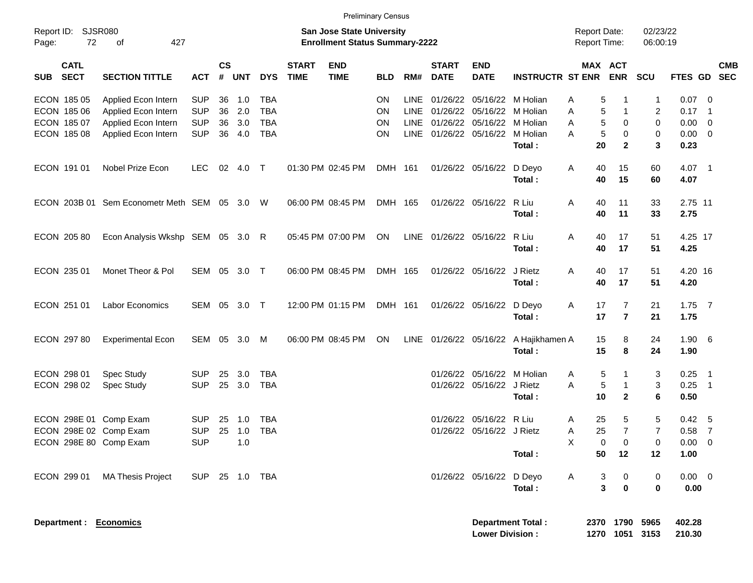| Report ID:                               | <b>SJSR080</b>                               |                |                |            |            |                             | <b>San Jose State University</b>      | <b>Preliminary Census</b> |             |                             |                                 |                                       | <b>Report Date:</b> |                                        | 02/23/22       |                     |                           |
|------------------------------------------|----------------------------------------------|----------------|----------------|------------|------------|-----------------------------|---------------------------------------|---------------------------|-------------|-----------------------------|---------------------------------|---------------------------------------|---------------------|----------------------------------------|----------------|---------------------|---------------------------|
| 72<br>Page:                              | of<br>427                                    |                |                |            |            |                             | <b>Enrollment Status Summary-2222</b> |                           |             |                             |                                 |                                       | Report Time:        |                                        | 06:00:19       |                     |                           |
| <b>CATL</b><br><b>SECT</b><br><b>SUB</b> | <b>SECTION TITTLE</b>                        | <b>ACT</b>     | <b>CS</b><br># | <b>UNT</b> | <b>DYS</b> | <b>START</b><br><b>TIME</b> | <b>END</b><br><b>TIME</b>             | <b>BLD</b>                | RM#         | <b>START</b><br><b>DATE</b> | <b>END</b><br><b>DATE</b>       | <b>INSTRUCTR ST ENR</b>               |                     | MAX ACT<br><b>ENR</b>                  | <b>SCU</b>     |                     | <b>CMB</b><br>FTES GD SEC |
| ECON 185 05                              | Applied Econ Intern                          | SUP            | 36             | 1.0        | TBA        |                             |                                       | ON                        | <b>LINE</b> |                             | 01/26/22 05/16/22 M Holian      |                                       | 5<br>Α              |                                        | $\mathbf{1}$   | 0.07                | - 0                       |
| ECON 185 06                              | Applied Econ Intern                          | <b>SUP</b>     | 36             | 2.0        | <b>TBA</b> |                             |                                       | ON                        | LINE        |                             | 01/26/22 05/16/22 M Holian      |                                       | 5<br>Α              | $\mathbf{1}$                           | 2              | 0.17                | - 1                       |
| ECON 185 07                              | Applied Econ Intern                          | <b>SUP</b>     | 36             | 3.0        | <b>TBA</b> |                             |                                       | ON                        | LINE        |                             | 01/26/22 05/16/22 M Holian      |                                       | 5<br>Α              | 0                                      | $\mathbf 0$    | 0.00                | $\overline{\mathbf{0}}$   |
| ECON 185 08                              | Applied Econ Intern                          | <b>SUP</b>     | 36             | 4.0        | <b>TBA</b> |                             |                                       | OΝ                        |             |                             | LINE 01/26/22 05/16/22 M Holian | Total:                                | 5<br>A<br>20        | 0<br>$\mathbf{2}$                      | 0<br>3         | 0.00<br>0.23        | $\overline{\mathbf{0}}$   |
| ECON 191 01                              | Nobel Prize Econ                             | <b>LEC</b>     | 02             | 4.0        | $\top$     |                             | 01:30 PM 02:45 PM                     | DMH 161                   |             |                             | 01/26/22 05/16/22               | D Deyo                                | 40<br>A             | 15                                     | 60             | 4.07 1              |                           |
|                                          |                                              |                |                |            |            |                             |                                       |                           |             |                             |                                 | Total:                                | 40                  | 15                                     | 60             | 4.07                |                           |
|                                          | ECON 203B 01 Sem Econometr Meth SEM 05 3.0 W |                |                |            |            |                             | 06:00 PM 08:45 PM                     | DMH 165                   |             |                             | 01/26/22 05/16/22               | R Liu                                 | Α<br>40             | 11                                     | 33             | 2.75 11             |                           |
|                                          |                                              |                |                |            |            |                             |                                       |                           |             |                             |                                 | Total:                                | 40                  | 11                                     | 33             | 2.75                |                           |
| ECON 205 80                              | Econ Analysis Wkshp SEM 05 3.0 R             |                |                |            |            |                             | 05:45 PM 07:00 PM                     | ON                        |             |                             | LINE 01/26/22 05/16/22          | R Liu                                 | Α<br>40             | 17                                     | 51             | 4.25 17             |                           |
|                                          |                                              |                |                |            |            |                             |                                       |                           |             |                             |                                 | Total:                                | 40                  | 17                                     | 51             | 4.25                |                           |
| ECON 235 01                              | Monet Theor & Pol                            | SEM 05 3.0 T   |                |            |            |                             | 06:00 PM 08:45 PM                     | DMH 165                   |             |                             | 01/26/22 05/16/22               | J Rietz                               | Α<br>40             | 17                                     | 51             | 4.20 16             |                           |
|                                          |                                              |                |                |            |            |                             |                                       |                           |             |                             |                                 | Total:                                | 40                  | 17                                     | 51             | 4.20                |                           |
| ECON 251 01                              | <b>Labor Economics</b>                       | SEM 05 3.0 T   |                |            |            |                             | 12:00 PM 01:15 PM                     | DMH 161                   |             |                             | 01/26/22 05/16/22 D Deyo        |                                       | 17<br>A             | 7                                      | 21             | $1.75$ 7            |                           |
|                                          |                                              |                |                |            |            |                             |                                       |                           |             |                             |                                 | Total:                                | 17                  | $\overline{7}$                         | 21             | 1.75                |                           |
| ECON 297 80                              | <b>Experimental Econ</b>                     | SEM 05 3.0 M   |                |            |            |                             | 06:00 PM 08:45 PM                     | ON                        |             |                             |                                 | LINE 01/26/22 05/16/22 A Hajikhamen A | 15                  | 8                                      | 24             | $1.90\quad 6$       |                           |
|                                          |                                              |                |                |            |            |                             |                                       |                           |             |                             |                                 | Total:                                | 15                  | 8                                      | 24             | 1.90                |                           |
| ECON 298 01                              | Spec Study                                   | <b>SUP</b>     | 25             | 3.0        | <b>TBA</b> |                             |                                       |                           |             |                             | 01/26/22 05/16/22 M Holian      |                                       | 5<br>A              |                                        | 3              | $0.25$ 1            |                           |
| ECON 298 02                              | <b>Spec Study</b>                            | <b>SUP</b>     |                | 25 3.0     | <b>TBA</b> |                             |                                       |                           |             |                             | 01/26/22 05/16/22 J Rietz       |                                       | 5<br>A              | -1                                     | 3              | $0.25$ 1            |                           |
|                                          |                                              |                |                |            |            |                             |                                       |                           |             |                             |                                 | Total:                                | 10                  | $\mathbf{2}$                           | 6              | 0.50                |                           |
| ECON 298E 01 Comp Exam                   |                                              | <b>SUP</b>     | 25             | 1.0        | TBA        |                             |                                       |                           |             |                             | 01/26/22 05/16/22 R Liu         |                                       | 25<br>A             | 5                                      | 5              | $0.42 \quad 5$      |                           |
| ECON 298E 02 Comp Exam                   |                                              | <b>SUP</b>     |                | 25 1.0     | <b>TBA</b> |                             |                                       |                           |             |                             | 01/26/22 05/16/22 J Rietz       |                                       | 25<br>Α             | $\overline{7}$                         | $\overline{7}$ | $0.58$ 7            |                           |
| ECON 298E 80 Comp Exam                   |                                              | <b>SUP</b>     |                | 1.0        |            |                             |                                       |                           |             |                             |                                 | Total:                                | $\mathsf X$<br>50   | $\mathbf 0$<br>$\overline{0}$<br>12    | 0<br>12        | $0.00 \t 0$<br>1.00 |                           |
|                                          |                                              |                |                |            |            |                             |                                       |                           |             |                             |                                 |                                       |                     |                                        |                |                     |                           |
| ECON 299 01                              | <b>MA Thesis Project</b>                     | SUP 25 1.0 TBA |                |            |            |                             |                                       |                           |             |                             | 01/26/22 05/16/22 D Deyo        |                                       | A                   | 3<br>0                                 | 0              | $0.00 \t 0$         |                           |
|                                          |                                              |                |                |            |            |                             |                                       |                           |             |                             |                                 | Total:                                |                     | $\overline{\mathbf{3}}$<br>$\mathbf 0$ | 0              | 0.00                |                           |
| Department : Economics                   |                                              |                |                |            |            |                             |                                       |                           |             |                             |                                 | <b>Department Total:</b>              |                     | 2370 1790 5965                         |                | 402.28              |                           |
|                                          |                                              |                |                |            |            |                             |                                       |                           |             |                             | <b>Lower Division:</b>          |                                       |                     | 1270 1051 3153                         |                | 210.30              |                           |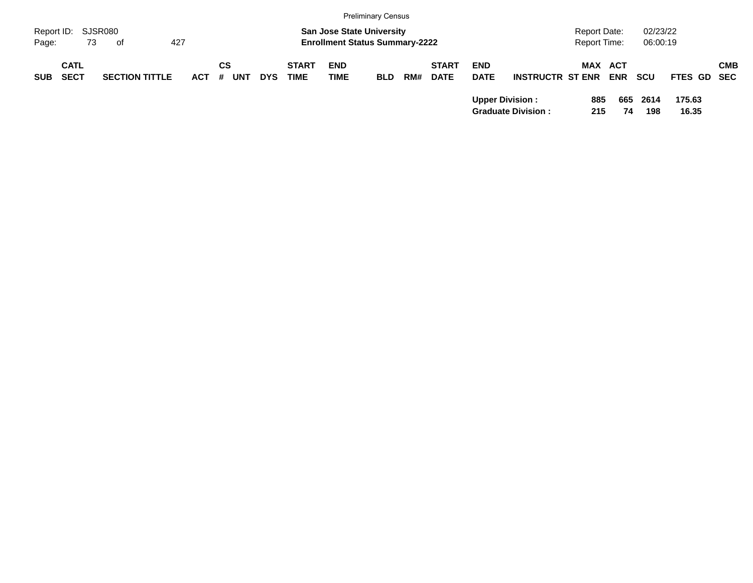|                             |                            |                       |         |                  |            |                             |                                                                           | <b>Preliminary Census</b> |     |                             |                           |                           |                                            |            |                      |                 |            |
|-----------------------------|----------------------------|-----------------------|---------|------------------|------------|-----------------------------|---------------------------------------------------------------------------|---------------------------|-----|-----------------------------|---------------------------|---------------------------|--------------------------------------------|------------|----------------------|-----------------|------------|
| Report ID: SJSR080<br>Page: | 73                         | of                    | 427     |                  |            |                             | <b>San Jose State University</b><br><b>Enrollment Status Summary-2222</b> |                           |     |                             |                           |                           | <b>Report Date:</b><br><b>Report Time:</b> |            | 02/23/22<br>06:00:19 |                 |            |
| <b>SUB</b>                  | <b>CATL</b><br><b>SECT</b> | <b>SECTION TITTLE</b> | $ACT$ # | СS<br><b>UNT</b> | <b>DYS</b> | <b>START</b><br><b>TIME</b> | <b>END</b><br>TIME                                                        | <b>BLD</b>                | RM# | <b>START</b><br><b>DATE</b> | <b>END</b><br><b>DATE</b> | <b>INSTRUCTR ST ENR</b>   | <b>MAX ACT</b>                             | <b>ENR</b> | <b>SCU</b>           | FTES GD SEC     | <b>CMB</b> |
|                             |                            |                       |         |                  |            |                             |                                                                           |                           |     |                             | <b>Upper Division:</b>    | <b>Graduate Division:</b> | 885<br>215                                 | 665<br>74  | 2614<br>198          | 175.63<br>16.35 |            |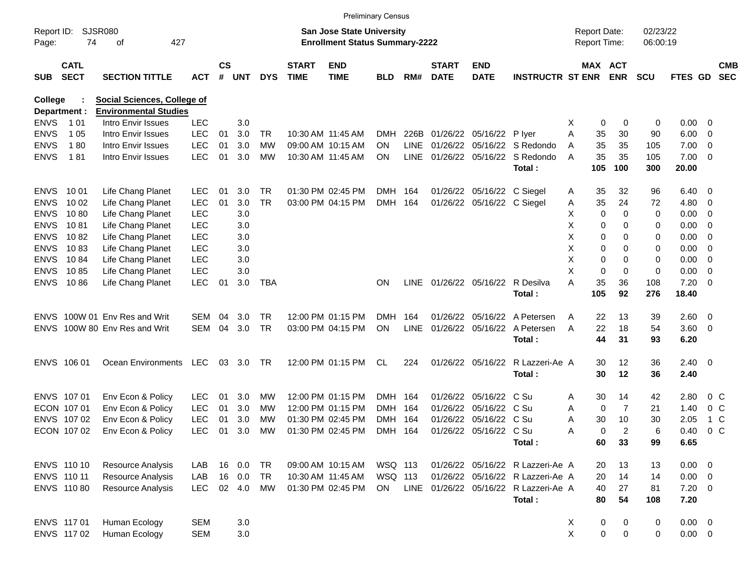|                     |                            |                              |            |                    |            |            |                             |                                                                           | <b>Preliminary Census</b> |             |                             |                            |                                       |   |                                     |                |                      |                |                         |                          |
|---------------------|----------------------------|------------------------------|------------|--------------------|------------|------------|-----------------------------|---------------------------------------------------------------------------|---------------------------|-------------|-----------------------------|----------------------------|---------------------------------------|---|-------------------------------------|----------------|----------------------|----------------|-------------------------|--------------------------|
| Report ID:<br>Page: | 74                         | SJSR080<br>427<br>οf         |            |                    |            |            |                             | <b>San Jose State University</b><br><b>Enrollment Status Summary-2222</b> |                           |             |                             |                            |                                       |   | <b>Report Date:</b><br>Report Time: |                | 02/23/22<br>06:00:19 |                |                         |                          |
| <b>SUB</b>          | <b>CATL</b><br><b>SECT</b> | <b>SECTION TITTLE</b>        | <b>ACT</b> | $\mathsf{cs}$<br># | <b>UNT</b> | <b>DYS</b> | <b>START</b><br><b>TIME</b> | <b>END</b><br><b>TIME</b>                                                 | <b>BLD</b>                | RM#         | <b>START</b><br><b>DATE</b> | <b>END</b><br><b>DATE</b>  | <b>INSTRUCTR ST ENR</b>               |   | MAX ACT                             | <b>ENR</b>     | <b>SCU</b>           | <b>FTES GD</b> |                         | <b>CMB</b><br><b>SEC</b> |
| College             |                            | Social Sciences, College of  |            |                    |            |            |                             |                                                                           |                           |             |                             |                            |                                       |   |                                     |                |                      |                |                         |                          |
| Department :        |                            | <b>Environmental Studies</b> |            |                    |            |            |                             |                                                                           |                           |             |                             |                            |                                       |   |                                     |                |                      |                |                         |                          |
| <b>ENVS</b>         | 1 01                       | Intro Envir Issues           | <b>LEC</b> |                    | 3.0        |            |                             |                                                                           |                           |             |                             |                            |                                       | Х | 0                                   | 0              | 0                    | 0.00           | - 0                     |                          |
| <b>ENVS</b>         | 1 0 5                      | Intro Envir Issues           | <b>LEC</b> | 01                 | 3.0        | TR         |                             | 10:30 AM 11:45 AM                                                         | <b>DMH</b>                | 226B        |                             | 01/26/22 05/16/22          | P lyer                                | A | 35                                  | 30             | 90                   | 6.00           | 0                       |                          |
| <b>ENVS</b>         | 180                        | Intro Envir Issues           | <b>LEC</b> | 01                 | 3.0        | <b>MW</b>  |                             | 09:00 AM 10:15 AM                                                         | <b>ON</b>                 | <b>LINE</b> |                             |                            | 01/26/22 05/16/22 S Redondo           | A | 35                                  | 35             | 105                  | 7.00           | 0                       |                          |
| <b>ENVS</b>         | 181                        | Intro Envir Issues           | <b>LEC</b> | 01                 | 3.0        | MW         |                             | 10:30 AM 11:45 AM                                                         | ON                        | <b>LINE</b> |                             | 01/26/22 05/16/22          | S Redondo                             | A | 35                                  | 35             | 105                  | 7.00           | 0                       |                          |
|                     |                            |                              |            |                    |            |            |                             |                                                                           |                           |             |                             |                            | Total:                                |   | 105                                 | 100            | 300                  | 20.00          |                         |                          |
| <b>ENVS</b>         | 10 01                      | Life Chang Planet            | <b>LEC</b> | 01                 | 3.0        | TR.        |                             | 01:30 PM 02:45 PM                                                         | DMH 164                   |             |                             | 01/26/22 05/16/22 C Siegel |                                       | Α | 35                                  | 32             | 96                   | 6.40           | $\overline{0}$          |                          |
| <b>ENVS</b>         | 10 02                      | Life Chang Planet            | <b>LEC</b> | 01                 | 3.0        | <b>TR</b>  |                             | 03:00 PM 04:15 PM                                                         | DMH                       | 164         |                             | 01/26/22 05/16/22 C Siegel |                                       | Α | 35                                  | 24             | 72                   | 4.80           | 0                       |                          |
| <b>ENVS</b>         | 1080                       | Life Chang Planet            | <b>LEC</b> |                    | 3.0        |            |                             |                                                                           |                           |             |                             |                            |                                       | х | 0                                   | 0              | 0                    | 0.00           | 0                       |                          |
| <b>ENVS</b>         | 1081                       | Life Chang Planet            | <b>LEC</b> |                    | 3.0        |            |                             |                                                                           |                           |             |                             |                            |                                       | Χ | 0                                   | 0              | 0                    | 0.00           | 0                       |                          |
| <b>ENVS</b>         | 1082                       | Life Chang Planet            | <b>LEC</b> |                    | 3.0        |            |                             |                                                                           |                           |             |                             |                            |                                       | Χ | 0                                   | 0              | 0                    | 0.00           | 0                       |                          |
| <b>ENVS</b>         | 1083                       | Life Chang Planet            | <b>LEC</b> |                    | 3.0        |            |                             |                                                                           |                           |             |                             |                            |                                       | X | 0                                   | 0              | 0                    | 0.00           | 0                       |                          |
| <b>ENVS</b>         | 1084                       | Life Chang Planet            | <b>LEC</b> |                    | 3.0        |            |                             |                                                                           |                           |             |                             |                            |                                       | X | 0                                   | 0              | 0                    | 0.00           | 0                       |                          |
| <b>ENVS</b>         | 1085                       | Life Chang Planet            | <b>LEC</b> |                    | 3.0        |            |                             |                                                                           |                           |             |                             |                            |                                       | Χ | $\mathbf 0$                         | $\mathbf 0$    | 0                    | 0.00           | 0                       |                          |
| <b>ENVS</b>         | 1086                       | Life Chang Planet            | <b>LEC</b> | 01                 | 3.0        | TBA        |                             |                                                                           | <b>ON</b>                 | LINE.       |                             | 01/26/22 05/16/22          | R Desilva                             | Α | 35                                  | 36             | 108                  | 7.20           | $\overline{0}$          |                          |
|                     |                            |                              |            |                    |            |            |                             |                                                                           |                           |             |                             |                            | Total:                                |   | 105                                 | 92             | 276                  | 18.40          |                         |                          |
| ENVS.               |                            | 100W 01 Env Res and Writ     | SEM        | 04                 | 3.0        | TR.        |                             | 12:00 PM 01:15 PM                                                         | <b>DMH</b>                | 164         |                             |                            | 01/26/22 05/16/22 A Petersen          | A | 22                                  | 13             | 39                   | 2.60           | - 0                     |                          |
| <b>ENVS</b>         |                            | 100W 80 Env Res and Writ     | SEM        | 04                 | 3.0        | TR         |                             | 03:00 PM 04:15 PM                                                         | ON                        | <b>LINE</b> |                             | 01/26/22 05/16/22          | A Petersen                            | A | 22                                  | 18             | 54                   | 3.60           | $\overline{\mathbf{0}}$ |                          |
|                     |                            |                              |            |                    |            |            |                             |                                                                           |                           |             |                             |                            | Total:                                |   | 44                                  | 31             | 93                   | 6.20           |                         |                          |
|                     | ENVS 106 01                | Ocean Environments           | LEC        | 03                 | 3.0        | TR         |                             | 12:00 PM 01:15 PM                                                         | CL                        | 224         |                             | 01/26/22 05/16/22          | R Lazzeri-Ae A                        |   | 30                                  | 12             | 36                   | $2.40 \quad 0$ |                         |                          |
|                     |                            |                              |            |                    |            |            |                             |                                                                           |                           |             |                             |                            | Total:                                |   | 30                                  | 12             | 36                   | 2.40           |                         |                          |
|                     | ENVS 107 01                | Env Econ & Policy            | <b>LEC</b> | 01                 | 3.0        | MW         |                             | 12:00 PM 01:15 PM                                                         | DMH 164                   |             |                             | 01/26/22 05/16/22 C Su     |                                       | Α | 30                                  | 14             | 42                   | 2.80           | $0\,$ C                 |                          |
|                     | ECON 107 01                | Env Econ & Policy            | <b>LEC</b> | 01                 | 3.0        | MW         |                             | 12:00 PM 01:15 PM                                                         | <b>DMH</b>                | 164         |                             | 01/26/22 05/16/22 C Su     |                                       | A | 0                                   | $\overline{7}$ | 21                   | 1.40           | $0\,$ C                 |                          |
|                     | ENVS 107 02                | Env Econ & Policy            | <b>LEC</b> | 01                 | 3.0        | МW         |                             | 01:30 PM 02:45 PM                                                         | <b>DMH</b>                | 164         |                             | 01/26/22 05/16/22 C Su     |                                       | A | 30                                  | 10             | 30                   | 2.05           | 1 C                     |                          |
|                     | ECON 107 02                | Env Econ & Policy            | <b>LEC</b> | 01                 | 3.0        | <b>MW</b>  |                             | 01:30 PM 02:45 PM                                                         | DMH 164                   |             |                             | 01/26/22 05/16/22 C Su     |                                       | A | 0                                   | 2              | 6                    | 0.40           | 0 <sup>o</sup>          |                          |
|                     |                            |                              |            |                    |            |            |                             |                                                                           |                           |             |                             |                            | Total:                                |   | 60                                  | 33             | 99                   | 6.65           |                         |                          |
|                     | ENVS 110 10                | Resource Analysis            | LAB        |                    | 16 0.0     | TR         |                             | 09:00 AM 10:15 AM                                                         | WSQ 113                   |             |                             |                            | 01/26/22 05/16/22 R Lazzeri-Ae A      |   | 20                                  | 13             | 13                   | $0.00 \t 0$    |                         |                          |
|                     | ENVS 110 11                | Resource Analysis            | LAB        |                    | 16 0.0     | TR         |                             | 10:30 AM 11:45 AM                                                         | WSQ 113                   |             |                             |                            | 01/26/22 05/16/22 R Lazzeri-Ae A      |   | 20                                  | 14             | 14                   | $0.00 \t 0$    |                         |                          |
|                     | ENVS 110 80                | Resource Analysis            | LEC.       |                    | 02 4.0     | MW         |                             | 01:30 PM 02:45 PM                                                         | ON                        |             |                             |                            | LINE 01/26/22 05/16/22 R Lazzeri-Ae A |   | 40                                  | 27             | 81                   | $7.20 \t 0$    |                         |                          |
|                     |                            |                              |            |                    |            |            |                             |                                                                           |                           |             |                             |                            | Total:                                |   | 80                                  | 54             | 108                  | 7.20           |                         |                          |
|                     | ENVS 117 01                | Human Ecology                | <b>SEM</b> |                    | 3.0        |            |                             |                                                                           |                           |             |                             |                            |                                       | X | $\pmb{0}$                           | 0              | 0                    | $0.00 \t 0$    |                         |                          |
|                     | ENVS 117 02                | Human Ecology                | <b>SEM</b> |                    | $3.0\,$    |            |                             |                                                                           |                           |             |                             |                            |                                       | X | $\pmb{0}$                           | $\mathbf 0$    | 0                    | $0.00 \t 0$    |                         |                          |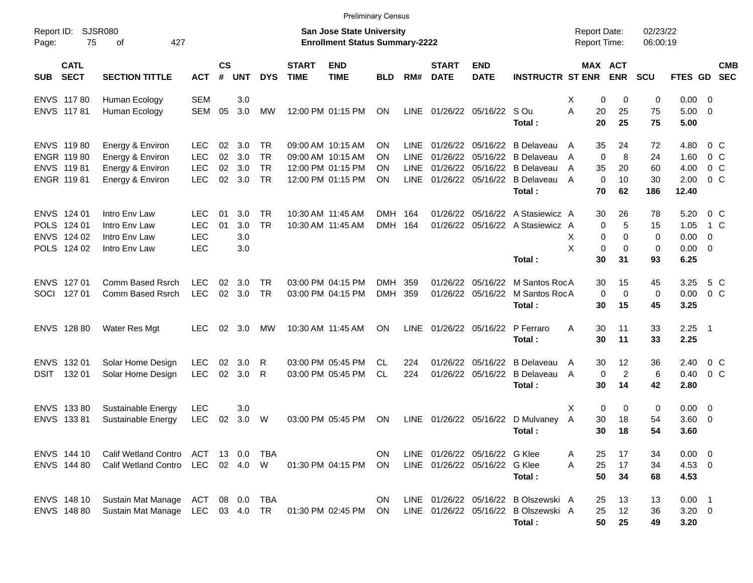|                     |                            |                                                       |                          |                |            |                 |                             | <b>Preliminary Census</b>                                                 |            |                     |                               |                           |                                        |                                     |                       |                      |              |                          |
|---------------------|----------------------------|-------------------------------------------------------|--------------------------|----------------|------------|-----------------|-----------------------------|---------------------------------------------------------------------------|------------|---------------------|-------------------------------|---------------------------|----------------------------------------|-------------------------------------|-----------------------|----------------------|--------------|--------------------------|
| Report ID:<br>Page: | 75                         | <b>SJSR080</b><br>427<br>оf                           |                          |                |            |                 |                             | <b>San Jose State University</b><br><b>Enrollment Status Summary-2222</b> |            |                     |                               |                           |                                        | <b>Report Date:</b><br>Report Time: |                       | 02/23/22<br>06:00:19 |              |                          |
| <b>SUB</b>          | <b>CATL</b><br><b>SECT</b> | <b>SECTION TITTLE</b>                                 | <b>ACT</b>               | <b>CS</b><br># | <b>UNT</b> | <b>DYS</b>      | <b>START</b><br><b>TIME</b> | <b>END</b><br><b>TIME</b>                                                 | <b>BLD</b> | RM#                 | <b>START</b><br><b>DATE</b>   | <b>END</b><br><b>DATE</b> | <b>INSTRUCTR ST ENR</b>                |                                     | MAX ACT<br><b>ENR</b> | <b>SCU</b>           | FTES GD      | <b>CMB</b><br><b>SEC</b> |
| <b>ENVS</b>         | 11780                      | Human Ecology                                         | <b>SEM</b>               |                | 3.0        |                 |                             |                                                                           |            |                     |                               |                           |                                        | X                                   | 0<br>0                | 0                    | 0.00         | $\overline{\phantom{0}}$ |
|                     | ENVS 11781                 | Human Ecology                                         | <b>SEM</b>               | 05             | 3.0        | MW              |                             | 12:00 PM 01:15 PM                                                         | ON         | <b>LINE</b>         | 01/26/22                      | 05/16/22 S Ou             | Total:                                 | A<br>20<br>20                       | 25<br>25              | 75<br>75             | 5.00<br>5.00 | - 0                      |
|                     |                            |                                                       |                          |                |            |                 |                             | 09:00 AM 10:15 AM                                                         |            |                     | 01/26/22                      |                           |                                        |                                     |                       |                      |              |                          |
|                     | ENVS 11980<br>ENGR 11980   | Energy & Environ<br>Energy & Environ                  | <b>LEC</b><br><b>LEC</b> | 02<br>02       | 3.0<br>3.0 | TR<br><b>TR</b> |                             | 09:00 AM 10:15 AM                                                         | ΟN<br>ΟN   | LINE<br><b>LINE</b> | 01/26/22                      | 05/16/22<br>05/16/22      | <b>B</b> Delaveau<br><b>B</b> Delaveau | 35<br>A<br>A                        | 24<br>0<br>8          | 72<br>24             | 4.80<br>1.60 | 0 C<br>$0\,C$            |
|                     | ENVS 11981                 | Energy & Environ                                      | <b>LEC</b>               | 02             | 3.0        | <b>TR</b>       |                             | 12:00 PM 01:15 PM                                                         | ΟN         | <b>LINE</b>         | 01/26/22                      | 05/16/22                  | <b>B</b> Delaveau                      | 35<br>A                             | 20                    | 60                   | 4.00         | $0\,C$                   |
|                     | ENGR 11981                 | Energy & Environ                                      | <b>LEC</b>               | 02             | 3.0        | <b>TR</b>       |                             | 12:00 PM 01:15 PM                                                         | ΟN         | LINE                |                               | 01/26/22 05/16/22         | <b>B</b> Delaveau                      | $\mathbf 0$<br>A                    | 10                    | 30                   | 2.00         | $0\,C$                   |
|                     |                            |                                                       |                          |                |            |                 |                             |                                                                           |            |                     |                               |                           | Total:                                 | 70                                  | 62                    | 186                  | 12.40        |                          |
|                     | ENVS 124 01                | Intro Env Law                                         | <b>LEC</b>               | 01             | 3.0        | <b>TR</b>       |                             | 10:30 AM 11:45 AM                                                         | DMH 164    |                     | 01/26/22                      | 05/16/22                  | A Stasiewicz A                         | 30                                  | 26                    | 78                   | 5.20         | 0 C                      |
|                     | POLS 124 01                | Intro Env Law                                         | <b>LEC</b>               | 01             | 3.0        | <b>TR</b>       |                             | 10:30 AM 11:45 AM                                                         | DMH 164    |                     | 01/26/22                      |                           | 05/16/22 A Stasiewicz A                |                                     | 5<br>0                | 15                   | 1.05         | 1 C                      |
| <b>ENVS</b>         | 124 02                     | Intro Env Law                                         | <b>LEC</b>               |                | 3.0        |                 |                             |                                                                           |            |                     |                               |                           |                                        | X                                   | 0<br>0                | 0                    | 0.00         | $\overline{0}$           |
|                     | POLS 124 02                | Intro Env Law                                         | <b>LEC</b>               |                | 3.0        |                 |                             |                                                                           |            |                     |                               |                           |                                        | Χ                                   | 0<br>$\mathbf 0$      | 0                    | 0.00         | - 0                      |
|                     |                            |                                                       |                          |                |            |                 |                             |                                                                           |            |                     |                               |                           | Total:                                 | 30                                  | 31                    | 93                   | 6.25         |                          |
| <b>ENVS</b>         | 127 01                     | Comm Based Rsrch                                      | <b>LEC</b>               | 02             | 3.0        | TR.             |                             | 03:00 PM 04:15 PM                                                         | <b>DMH</b> | 359                 | 01/26/22                      | 05/16/22                  | M Santos RocA                          | 30                                  | 15                    | 45                   | 3.25         | 5 C                      |
|                     | SOCI 127 01                | Comm Based Rsrch                                      | <b>LEC</b>               | 02             | 3.0        | <b>TR</b>       |                             | 03:00 PM 04:15 PM                                                         | DMH 359    |                     | 01/26/22                      | 05/16/22                  | M Santos RocA                          |                                     | 0<br>0                | 0                    | 0.00         | 0 <sup>o</sup>           |
|                     |                            |                                                       |                          |                |            |                 |                             |                                                                           |            |                     |                               |                           | Total:                                 | 30                                  | 15                    | 45                   | 3.25         |                          |
|                     | ENVS 128 80                | Water Res Mgt                                         | LEC.                     | 02             | 3.0        | <b>MW</b>       |                             | 10:30 AM 11:45 AM                                                         | ΟN         | <b>LINE</b>         |                               | 01/26/22 05/16/22         | P Ferraro                              | A<br>30                             | 11                    | 33                   | 2.25         | $\overline{\phantom{1}}$ |
|                     |                            |                                                       |                          |                |            |                 |                             |                                                                           |            |                     |                               |                           | Total:                                 | 30                                  | 11                    | 33                   | 2.25         |                          |
| <b>ENVS</b>         | 132 01                     | Solar Home Design                                     | <b>LEC</b>               | 02             | 3.0        | R               |                             | 03:00 PM 05:45 PM                                                         | CL         | 224                 | 01/26/22                      | 05/16/22                  | <b>B</b> Delaveau                      | 30<br>A                             | 12                    | 36                   | 2.40         | $0\,C$                   |
| <b>DSIT</b>         | 132 01                     | Solar Home Design                                     | <b>LEC</b>               | 02             | 3.0        | R               |                             | 03:00 PM 05:45 PM                                                         | CL         | 224                 | 01/26/22                      | 05/16/22                  | <b>B</b> Delaveau                      | A                                   | $\overline{c}$<br>0   | 6                    | 0.40         | 0 <sup>o</sup>           |
|                     |                            |                                                       |                          |                |            |                 |                             |                                                                           |            |                     |                               |                           | Total:                                 | 30                                  | 14                    | 42                   | 2.80         |                          |
|                     | ENVS 133 80                | Sustainable Energy                                    | <b>LEC</b>               |                | 3.0        |                 |                             |                                                                           |            |                     |                               |                           |                                        | X                                   | 0<br>0                | 0                    | $0.00 \t 0$  |                          |
|                     | ENVS 133 81                | Sustainable Energy                                    | <b>LEC</b>               | 02             | 3.0        | W               |                             | 03:00 PM 05:45 PM                                                         | ON         | LINE                | 01/26/22 05/16/22             |                           | D Mulvaney                             | A<br>30                             | 18                    | 54                   | 3.60         | $\overline{\mathbf{0}}$  |
|                     |                            |                                                       |                          |                |            |                 |                             |                                                                           |            |                     |                               |                           | Total:                                 | 30                                  | 18                    | 54                   | 3.60         |                          |
|                     | ENVS 144 10                | Calif Wetland Contro ACT 13 0.0 TBA                   |                          |                |            |                 |                             |                                                                           | ON.        |                     | LINE 01/26/22 05/16/22 G Klee |                           |                                        | 25<br>A                             | 17                    | 34                   | $0.00 \t 0$  |                          |
|                     | ENVS 144 80                | <b>Calif Wetland Contro</b>                           |                          |                |            | LEC 02 4.0 W    |                             | 01:30 PM 04:15 PM ON                                                      |            |                     | LINE 01/26/22 05/16/22 G Klee |                           |                                        | 25<br>A                             | 17                    | 34                   | 4.53 0       |                          |
|                     |                            |                                                       |                          |                |            |                 |                             |                                                                           |            |                     |                               |                           | Total:                                 | 50                                  | 34                    | 68                   | 4.53         |                          |
|                     | ENVS 148 10                | Sustain Mat Manage ACT 08 0.0                         |                          |                |            | TBA             |                             |                                                                           | ON.        |                     |                               |                           | LINE 01/26/22 05/16/22 B Olszewski A   | 25                                  | 13                    | 13                   | $0.00$ 1     |                          |
|                     | ENVS 148 80                | Sustain Mat Manage LEC 03 4.0 TR 01:30 PM 02:45 PM ON |                          |                |            |                 |                             |                                                                           |            |                     |                               |                           | LINE 01/26/22 05/16/22 B Olszewski A   | 25                                  | 12                    | 36                   | $3.20 \ 0$   |                          |
|                     |                            |                                                       |                          |                |            |                 |                             |                                                                           |            |                     |                               |                           | Total:                                 | 50                                  | 25                    | 49                   | 3.20         |                          |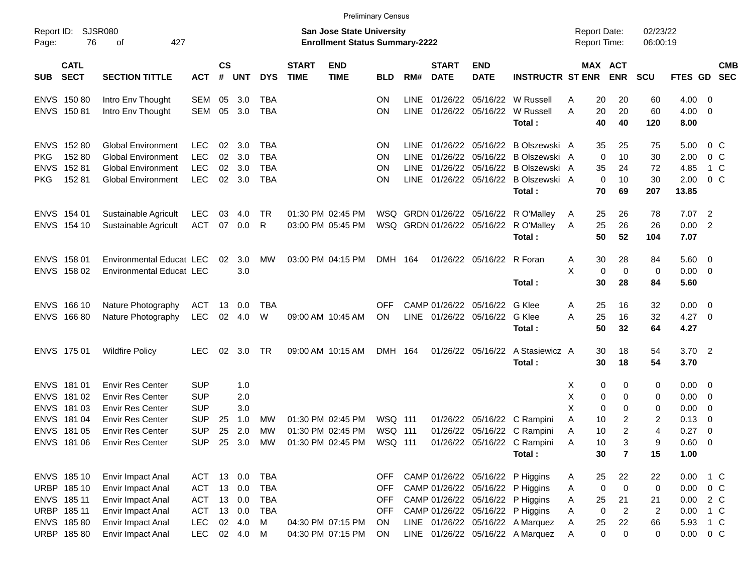|                     |                            |                                        |                          |                |                  |            |                             |                                                                           | <b>Preliminary Census</b> |             |                             |                               |                                                                           |                                     |                              |                      |                        |                          |                          |
|---------------------|----------------------------|----------------------------------------|--------------------------|----------------|------------------|------------|-----------------------------|---------------------------------------------------------------------------|---------------------------|-------------|-----------------------------|-------------------------------|---------------------------------------------------------------------------|-------------------------------------|------------------------------|----------------------|------------------------|--------------------------|--------------------------|
| Report ID:<br>Page: | 76                         | <b>SJSR080</b><br>427<br>οf            |                          |                |                  |            |                             | <b>San Jose State University</b><br><b>Enrollment Status Summary-2222</b> |                           |             |                             |                               |                                                                           | <b>Report Date:</b><br>Report Time: |                              | 02/23/22<br>06:00:19 |                        |                          |                          |
| <b>SUB</b>          | <b>CATL</b><br><b>SECT</b> | <b>SECTION TITTLE</b>                  | <b>ACT</b>               | <b>CS</b><br># | <b>UNT</b>       | <b>DYS</b> | <b>START</b><br><b>TIME</b> | <b>END</b><br><b>TIME</b>                                                 | <b>BLD</b>                | RM#         | <b>START</b><br><b>DATE</b> | <b>END</b><br><b>DATE</b>     | <b>INSTRUCTR ST ENR</b>                                                   |                                     | MAX ACT<br><b>ENR</b>        | <b>SCU</b>           | FTES GD                |                          | <b>CMB</b><br><b>SEC</b> |
|                     | ENVS 150 80                | Intro Env Thought                      | SEM                      | 05             | 3.0              | <b>TBA</b> |                             |                                                                           | ΟN                        | <b>LINE</b> | 01/26/22                    |                               | 05/16/22 W Russell                                                        | 20<br>Α                             | 20                           | 60                   | 4.00 0                 |                          |                          |
|                     | ENVS 150 81                | Intro Env Thought                      | SEM                      | 05             | 3.0              | <b>TBA</b> |                             |                                                                           | ΟN                        | <b>LINE</b> |                             |                               | 01/26/22 05/16/22 W Russell<br>Total:                                     | 20<br>A<br>40                       | 20<br>40                     | 60<br>120            | $4.00 \t 0$<br>8.00    |                          |                          |
|                     | ENVS 152 80                | <b>Global Environment</b>              | <b>LEC</b>               | 02             | 3.0              | <b>TBA</b> |                             |                                                                           | ΟN                        | LINE.       |                             |                               | 01/26/22 05/16/22 B Olszewski A                                           | 35                                  | 25                           | 75                   | 5.00                   | 0 C                      |                          |
| <b>PKG</b>          | 152 80                     | <b>Global Environment</b>              | <b>LEC</b>               | 02             | 3.0              | <b>TBA</b> |                             |                                                                           | ΟN                        | <b>LINE</b> | 01/26/22                    |                               | 05/16/22 B Olszewski A                                                    |                                     | $\mathbf 0$<br>10            | 30                   | 2.00                   | 0 <sup>o</sup>           |                          |
|                     | ENVS 152 81                | <b>Global Environment</b>              | <b>LEC</b>               | 02             | 3.0              | <b>TBA</b> |                             |                                                                           | ΟN                        | LINE        | 01/26/22                    |                               | 05/16/22 B Olszewski A                                                    | 35                                  | 24                           | 72                   | 4.85                   | 1 C                      |                          |
| <b>PKG</b>          | 15281                      | <b>Global Environment</b>              | <b>LEC</b>               |                | 02 3.0           | <b>TBA</b> |                             |                                                                           | ΟN                        | <b>LINE</b> |                             |                               | 01/26/22 05/16/22 B Olszewski A<br>Total:                                 | 70                                  | $\mathbf 0$<br>10<br>69      | 30<br>207            | 2.00<br>13.85          | $0\,C$                   |                          |
|                     | ENVS 154 01                | Sustainable Agricult                   | LEC                      | 03             | 4.0              | TR         |                             | 01:30 PM 02:45 PM                                                         |                           |             |                             |                               | WSQ GRDN 01/26/22 05/16/22 R O'Malley                                     | 25<br>A                             | 26                           | 78                   | $7.07$ 2               |                          |                          |
|                     | ENVS 154 10                | Sustainable Agricult                   | <b>ACT</b>               | 07             | $0.0\,$          | R          |                             | 03:00 PM 05:45 PM                                                         |                           |             |                             |                               | WSQ GRDN 01/26/22 05/16/22 R O'Malley                                     | 25<br>A                             | 26                           | 26                   | 0.00 2                 |                          |                          |
|                     |                            |                                        |                          |                |                  |            |                             |                                                                           |                           |             |                             |                               | Total:                                                                    | 50                                  | 52                           | 104                  | 7.07                   |                          |                          |
|                     | ENVS 158 01                | Environmental Educat LEC               |                          | 02             | 3.0              | МW         |                             | 03:00 PM 04:15 PM                                                         | DMH 164                   |             |                             | 01/26/22 05/16/22 R Foran     |                                                                           | 30<br>A                             | 28                           | 84                   | $5.60 \quad 0$         |                          |                          |
|                     | ENVS 158 02                | <b>Environmental Educat LEC</b>        |                          |                | 3.0              |            |                             |                                                                           |                           |             |                             |                               |                                                                           | X                                   | 0<br>$\mathbf 0$             | 0                    | $0.00 \t 0$            |                          |                          |
|                     |                            |                                        |                          |                |                  |            |                             |                                                                           |                           |             |                             |                               | Total:                                                                    | 30                                  | 28                           | 84                   | 5.60                   |                          |                          |
|                     | ENVS 166 10                | Nature Photography                     | ACT                      | 13             | 0.0              | TBA        |                             |                                                                           | <b>OFF</b>                |             | CAMP 01/26/22               | 05/16/22 G Klee               |                                                                           | 25<br>A                             | 16                           | 32                   | $0.00 \t 0$            |                          |                          |
|                     | ENVS 166 80                | Nature Photography                     | <b>LEC</b>               | 02             | 4.0              | W          |                             | 09:00 AM 10:45 AM                                                         | ON                        |             |                             | LINE 01/26/22 05/16/22 G Klee |                                                                           | 25<br>A                             | 16                           | 32                   | $4.27$ 0               |                          |                          |
|                     |                            |                                        |                          |                |                  |            |                             |                                                                           |                           |             |                             |                               | Total:                                                                    | 50                                  | 32                           | 64                   | 4.27                   |                          |                          |
|                     | ENVS 175 01                | <b>Wildfire Policy</b>                 | <b>LEC</b>               | 02             | 3.0              | TR         |                             | 09:00 AM 10:15 AM                                                         | DMH 164                   |             |                             | 01/26/22 05/16/22             | A Stasiewicz A                                                            | 30                                  | 18                           | 54                   | $3.70$ 2               |                          |                          |
|                     |                            |                                        |                          |                |                  |            |                             |                                                                           |                           |             |                             |                               | Total:                                                                    | 30                                  | 18                           | 54                   | 3.70                   |                          |                          |
|                     | ENVS 181 01                | <b>Envir Res Center</b>                | <b>SUP</b>               |                | 1.0              |            |                             |                                                                           |                           |             |                             |                               |                                                                           | X                                   | 0<br>0                       | 0                    | $0.00 \quad 0$         |                          |                          |
|                     | ENVS 181 02                | <b>Envir Res Center</b>                | <b>SUP</b>               |                | 2.0              |            |                             |                                                                           |                           |             |                             |                               |                                                                           | X                                   | 0<br>0                       | 0                    | 0.00                   | $\overline{\phantom{0}}$ |                          |
|                     | ENVS 181 03                | <b>Envir Res Center</b>                | <b>SUP</b>               |                | 3.0              |            |                             |                                                                           |                           |             |                             |                               |                                                                           | X                                   | 0<br>0                       | 0                    | 0.00                   | $\overline{\mathbf{0}}$  |                          |
|                     | ENVS 181 04                | <b>Envir Res Center</b>                | <b>SUP</b>               | 25             | 1.0              | МW         |                             | 01:30 PM 02:45 PM                                                         | WSQ 111                   |             | 01/26/22                    |                               | 05/16/22 C Rampini                                                        | Α<br>10                             | $\overline{\mathbf{c}}$      | 2                    | 0.13                   | 0                        |                          |
|                     | ENVS 181 05                | <b>Envir Res Center</b>                | <b>SUP</b>               | 25             | 2.0              | MW         |                             | 01:30 PM 02:45 PM                                                         | WSQ 111                   |             |                             |                               | 01/26/22 05/16/22 C Rampini                                               | 10<br>Α                             | $\overline{2}$               | 4                    | 0.27                   | - 0                      |                          |
|                     | ENVS 181 06                | Envir Res Center                       | <b>SUP</b>               |                |                  |            |                             |                                                                           |                           |             |                             |                               | 25 3.0 MW 01:30 PM 02:45 PM WSQ 111 01/26/22 05/16/22 C Rampini<br>Total: | A<br>10<br>30                       | 3<br>$\overline{\mathbf{r}}$ | 9<br>15              | $0.60 \quad 0$<br>1.00 |                          |                          |
|                     |                            |                                        |                          |                |                  |            |                             |                                                                           |                           |             |                             |                               |                                                                           |                                     |                              |                      |                        |                          |                          |
|                     | ENVS 185 10                | Envir Impact Anal                      | ACT                      |                | 13 0.0           | TBA        |                             |                                                                           | OFF                       |             |                             |                               | CAMP 01/26/22 05/16/22 P Higgins                                          | 25<br>A                             | 22                           | 22                   | 0.00                   | 1 C                      |                          |
|                     | URBP 185 10                | Envir Impact Anal                      | <b>ACT</b>               |                | 13 0.0           | <b>TBA</b> |                             |                                                                           | <b>OFF</b>                |             |                             |                               | CAMP 01/26/22 05/16/22 P Higgins                                          | A                                   | 0<br>$\mathbf 0$             | 0                    | 0.00                   | $0\,$ C                  |                          |
|                     | ENVS 185 11<br>URBP 185 11 | Envir Impact Anal                      | <b>ACT</b><br><b>ACT</b> |                | 13 0.0<br>13 0.0 | TBA<br>TBA |                             |                                                                           | <b>OFF</b><br><b>OFF</b>  |             |                             |                               | CAMP 01/26/22 05/16/22 P Higgins<br>CAMP 01/26/22 05/16/22 P Higgins      | 25<br>Α<br>A                        | 21<br>$\overline{c}$<br>0    | 21                   | 0.00<br>0.00           | 2 C<br>1 C               |                          |
|                     | ENVS 185 80                | Envir Impact Anal<br>Envir Impact Anal | <b>LEC</b>               |                | 02 4.0           | M          |                             | 04:30 PM 07:15 PM                                                         | ON                        |             |                             |                               | LINE 01/26/22 05/16/22 A Marquez                                          | Α<br>25                             | 22                           | $\overline{c}$<br>66 | 5.93                   | 1 C                      |                          |
|                     | URBP 185 80                | Envir Impact Anal                      | <b>LEC</b>               |                | 02 4.0 M         |            |                             | 04:30 PM 07:15 PM                                                         | ON                        |             |                             |                               | LINE 01/26/22 05/16/22 A Marquez                                          | Α                                   | $\mathbf 0$<br>0             | 0                    | $0.00 \t 0 C$          |                          |                          |
|                     |                            |                                        |                          |                |                  |            |                             |                                                                           |                           |             |                             |                               |                                                                           |                                     |                              |                      |                        |                          |                          |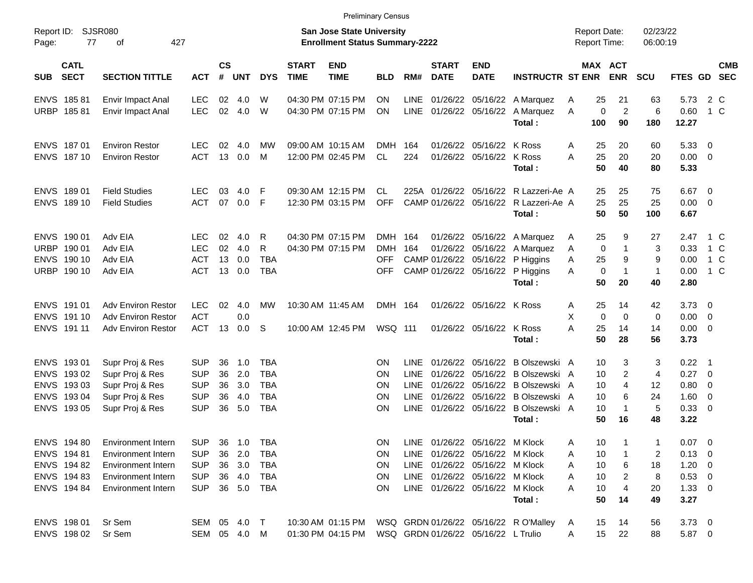|                     |                            |                           |              |                    |            |            |                             |                                                                           | <b>Preliminary Census</b> |             |                             |                                     |                                           |                                            |                       |                      |                     |                          |            |
|---------------------|----------------------------|---------------------------|--------------|--------------------|------------|------------|-----------------------------|---------------------------------------------------------------------------|---------------------------|-------------|-----------------------------|-------------------------------------|-------------------------------------------|--------------------------------------------|-----------------------|----------------------|---------------------|--------------------------|------------|
| Report ID:<br>Page: | 77                         | SJSR080<br>427<br>οf      |              |                    |            |            |                             | <b>San Jose State University</b><br><b>Enrollment Status Summary-2222</b> |                           |             |                             |                                     |                                           | <b>Report Date:</b><br><b>Report Time:</b> |                       | 02/23/22<br>06:00:19 |                     |                          |            |
| <b>SUB</b>          | <b>CATL</b><br><b>SECT</b> | <b>SECTION TITTLE</b>     | <b>ACT</b>   | $\mathsf{cs}$<br># | <b>UNT</b> | <b>DYS</b> | <b>START</b><br><b>TIME</b> | <b>END</b><br><b>TIME</b>                                                 | <b>BLD</b>                | RM#         | <b>START</b><br><b>DATE</b> | <b>END</b><br><b>DATE</b>           | <b>INSTRUCTR ST ENR</b>                   |                                            | MAX ACT<br><b>ENR</b> | <b>SCU</b>           | FTES GD SEC         |                          | <b>CMB</b> |
|                     | ENVS 185 81                | Envir Impact Anal         | LEC          | 02                 | 4.0        | W          |                             | 04:30 PM 07:15 PM                                                         | <b>ON</b>                 | <b>LINE</b> | 01/26/22                    |                                     | 05/16/22 A Marquez                        | 25<br>Α                                    | 21                    | 63                   | 5.73                | 2 C                      |            |
|                     | URBP 18581                 | Envir Impact Anal         | <b>LEC</b>   | 02                 | 4.0        | W          |                             | 04:30 PM 07:15 PM                                                         | <b>ON</b>                 | LINE        |                             |                                     | 01/26/22 05/16/22 A Marquez<br>Total:     | $\mathbf 0$<br>A<br>100                    | $\overline{2}$<br>90  | 6<br>180             | 0.60<br>12.27       | 1 C                      |            |
|                     |                            |                           |              |                    |            |            |                             |                                                                           |                           |             |                             |                                     |                                           |                                            |                       |                      |                     |                          |            |
|                     | ENVS 187 01                | <b>Environ Restor</b>     | LEC          | 02                 | 4.0        | МW         |                             | 09:00 AM 10:15 AM                                                         | <b>DMH</b>                | 164         |                             | 01/26/22 05/16/22 K Ross            |                                           | 25<br>A                                    | 20                    | 60                   | 5.3300              |                          |            |
|                     | ENVS 187 10                | <b>Environ Restor</b>     | <b>ACT</b>   |                    | 13 0.0     | M          |                             | 12:00 PM 02:45 PM                                                         | <b>CL</b>                 | 224         |                             | 01/26/22 05/16/22 K Ross            | Total:                                    | 25<br>A<br>50                              | 20<br>40              | 20<br>80             | $0.00 \t 0$<br>5.33 |                          |            |
|                     | ENVS 189 01                | <b>Field Studies</b>      | <b>LEC</b>   | 03                 | 4.0        | F          |                             | 09:30 AM 12:15 PM                                                         | CL                        |             |                             |                                     | 225A 01/26/22 05/16/22 R Lazzeri-Ae A     | 25                                         | 25                    | 75                   | $6.67$ 0            |                          |            |
|                     | ENVS 189 10                | <b>Field Studies</b>      | <b>ACT</b>   | 07                 | 0.0        | F          |                             | 12:30 PM 03:15 PM                                                         | <b>OFF</b>                |             |                             |                                     | CAMP 01/26/22 05/16/22 R Lazzeri-Ae A     | 25                                         | 25                    | 25                   | $0.00 \t 0$         |                          |            |
|                     |                            |                           |              |                    |            |            |                             |                                                                           |                           |             |                             |                                     | Total:                                    | 50                                         | 50                    | 100                  | 6.67                |                          |            |
|                     | ENVS 190 01                | Adv EIA                   | LEC          | 02                 | 4.0        | R          |                             | 04:30 PM 07:15 PM                                                         | DMH 164                   |             |                             |                                     | 01/26/22 05/16/22 A Marquez               | 25<br>A                                    | 9                     | 27                   | 2.47                | 1 C                      |            |
|                     | URBP 190 01                | Adv EIA                   | <b>LEC</b>   | 02                 | 4.0        | R          |                             | 04:30 PM 07:15 PM                                                         | <b>DMH</b>                | 164         |                             |                                     | 01/26/22 05/16/22 A Marquez               | $\mathbf 0$<br>A                           | $\mathbf{1}$          | 3                    | 0.33                | 1 C                      |            |
|                     | ENVS 190 10                | Adv EIA                   | <b>ACT</b>   | 13                 | 0.0        | <b>TBA</b> |                             |                                                                           | OFF                       |             |                             |                                     | CAMP 01/26/22 05/16/22 P Higgins          | 25<br>A                                    | 9                     | 9                    | 0.00                | 1 C                      |            |
|                     | URBP 190 10                | Adv EIA                   | <b>ACT</b>   |                    | 13 0.0     | <b>TBA</b> |                             |                                                                           | OFF                       |             |                             |                                     | CAMP 01/26/22 05/16/22 P Higgins          | $\mathbf 0$<br>A                           | $\mathbf{1}$          | $\mathbf{1}$         | 0.00                | 1 C                      |            |
|                     |                            |                           |              |                    |            |            |                             |                                                                           |                           |             |                             |                                     | Total:                                    | 50                                         | 20                    | 40                   | 2.80                |                          |            |
|                     | ENVS 191 01                | <b>Adv Environ Restor</b> | <b>LEC</b>   | 02                 | 4.0        | МW         |                             | 10:30 AM 11:45 AM                                                         | DMH 164                   |             |                             | 01/26/22 05/16/22 K Ross            |                                           | 25<br>Α                                    | 14                    | 42                   | $3.73 \quad 0$      |                          |            |
|                     | ENVS 191 10                | <b>Adv Environ Restor</b> | <b>ACT</b>   |                    | 0.0        |            |                             |                                                                           |                           |             |                             |                                     |                                           | X<br>$\mathbf 0$                           | $\Omega$              | 0                    | $0.00 \t 0$         |                          |            |
|                     | ENVS 191 11                | <b>Adv Environ Restor</b> | <b>ACT</b>   | 13                 | 0.0        | S.         |                             | 10:00 AM 12:45 PM                                                         | WSQ 111                   |             |                             | 01/26/22 05/16/22 K Ross            |                                           | A<br>25                                    | 14                    | 14                   | $0.00 \t 0$         |                          |            |
|                     |                            |                           |              |                    |            |            |                             |                                                                           |                           |             |                             |                                     | Total:                                    | 50                                         | 28                    | 56                   | 3.73                |                          |            |
|                     | ENVS 193 01                | Supr Proj & Res           | <b>SUP</b>   | 36                 | 1.0        | <b>TBA</b> |                             |                                                                           | <b>ON</b>                 | LINE.       |                             |                                     | 01/26/22 05/16/22 B Olszewski A           | 10                                         | 3                     | 3                    | $0.22$ 1            |                          |            |
|                     | ENVS 193 02                | Supr Proj & Res           | <b>SUP</b>   | 36                 | 2.0        | <b>TBA</b> |                             |                                                                           | <b>ON</b>                 | <b>LINE</b> | 01/26/22                    |                                     | 05/16/22 B Olszewski A                    | 10                                         | $\overline{2}$        | 4                    | $0.27$ 0            |                          |            |
|                     | ENVS 193 03                | Supr Proj & Res           | <b>SUP</b>   | 36                 | 3.0        | <b>TBA</b> |                             |                                                                           | <b>ON</b>                 | <b>LINE</b> | 01/26/22                    |                                     | 05/16/22 B Olszewski A                    | 10                                         | 4                     | 12                   | 0.80                | $\overline{\phantom{0}}$ |            |
|                     | ENVS 193 04                | Supr Proj & Res           | <b>SUP</b>   | 36                 | 4.0        | <b>TBA</b> |                             |                                                                           | OΝ                        | <b>LINE</b> |                             |                                     | 01/26/22 05/16/22 B Olszewski A           | 10                                         | 6<br>$\mathbf{1}$     | 24                   | $1.60 \t 0$         |                          |            |
|                     | ENVS 193 05                | Supr Proj & Res           | <b>SUP</b>   | 36                 | 5.0        | <b>TBA</b> |                             |                                                                           | <b>ON</b>                 | <b>LINE</b> |                             |                                     | 01/26/22 05/16/22 B Olszewski A<br>Total: | 10<br>50                                   | 16                    | 5<br>48              | 0.33 0<br>3.22      |                          |            |
|                     |                            |                           |              |                    |            |            |                             |                                                                           |                           |             |                             |                                     |                                           |                                            |                       |                      |                     |                          |            |
|                     | ENVS 194 80                | Environment Intern        | <b>SUP</b>   |                    | 36 1.0     | TBA        |                             |                                                                           | ΟN.                       |             |                             | LINE 01/26/22 05/16/22 M Klock      |                                           | 10<br>A                                    |                       |                      | $0.07 \quad 0$      |                          |            |
|                     | ENVS 194 81                | Environment Intern        | <b>SUP</b>   |                    | 36 2.0     | TBA        |                             |                                                                           | <b>ON</b>                 |             |                             | LINE 01/26/22 05/16/22 M Klock      |                                           | 10<br>Α                                    |                       | 2                    | $0.13 \ 0$          |                          |            |
|                     | ENVS 194 82                | Environment Intern        | <b>SUP</b>   |                    | 36 3.0     | TBA        |                             |                                                                           | ON                        |             |                             | LINE 01/26/22 05/16/22 M Klock      |                                           | 10<br>Α                                    | 6                     | 18                   | $1.20 \t 0$         |                          |            |
|                     | ENVS 194 83                | <b>Environment Intern</b> | <b>SUP</b>   |                    | 36 4.0     | TBA        |                             |                                                                           | ON                        |             |                             | LINE 01/26/22 05/16/22 M Klock      |                                           | 10<br>Α                                    | 2                     | 8                    | $0.53$ 0            |                          |            |
|                     | ENVS 194 84                | <b>Environment Intern</b> | <b>SUP</b>   |                    | 36 5.0     | TBA        |                             |                                                                           | <b>ON</b>                 |             |                             | LINE 01/26/22 05/16/22 M Klock      |                                           | 10<br>A                                    | 4                     | 20                   | $1.33 \ 0$          |                          |            |
|                     |                            |                           |              |                    |            |            |                             |                                                                           |                           |             |                             |                                     | Total:                                    | 50                                         | 14                    | 49                   | 3.27                |                          |            |
|                     | ENVS 198 01                | Sr Sem                    | SEM 05 4.0 T |                    |            |            |                             |                                                                           |                           |             |                             |                                     |                                           | 15<br>A                                    | 14                    | 56                   | $3.73$ 0            |                          |            |
|                     | ENVS 198 02                | Sr Sem                    | SEM 05 4.0 M |                    |            |            |                             | 01:30 PM 04:15 PM                                                         |                           |             |                             | WSQ GRDN 01/26/22 05/16/22 L Trulio |                                           | 15 <sub>1</sub><br>Α                       | 22                    | 88                   | 5.87 0              |                          |            |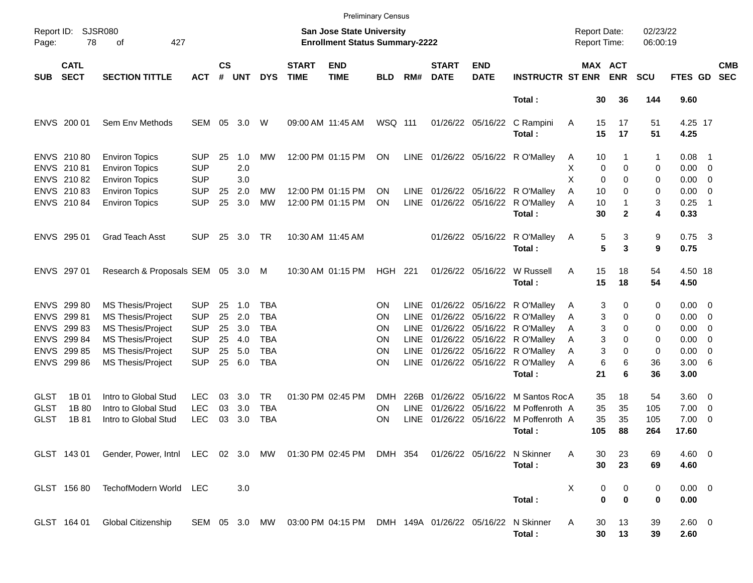|                            |                                          |                                                                                                      |                                        |                    |                   |                   |                             | <b>Preliminary Census</b>                                                 |                  |                            |                             |                           |                                                                                              |                                     |                       |                      |                                  |                                |
|----------------------------|------------------------------------------|------------------------------------------------------------------------------------------------------|----------------------------------------|--------------------|-------------------|-------------------|-----------------------------|---------------------------------------------------------------------------|------------------|----------------------------|-----------------------------|---------------------------|----------------------------------------------------------------------------------------------|-------------------------------------|-----------------------|----------------------|----------------------------------|--------------------------------|
| Report ID:<br>Page:        | 78                                       | SJSR080<br>427<br>οf                                                                                 |                                        |                    |                   |                   |                             | <b>San Jose State University</b><br><b>Enrollment Status Summary-2222</b> |                  |                            |                             |                           |                                                                                              | <b>Report Date:</b><br>Report Time: |                       | 02/23/22<br>06:00:19 |                                  |                                |
| <b>SUB</b>                 | <b>CATL</b><br><b>SECT</b>               | <b>SECTION TITTLE</b>                                                                                | <b>ACT</b>                             | $\mathsf{cs}$<br># | <b>UNT</b>        | <b>DYS</b>        | <b>START</b><br><b>TIME</b> | <b>END</b><br><b>TIME</b>                                                 | <b>BLD</b>       | RM#                        | <b>START</b><br><b>DATE</b> | <b>END</b><br><b>DATE</b> | <b>INSTRUCTR ST ENR</b>                                                                      |                                     | MAX ACT<br><b>ENR</b> | <b>SCU</b>           | FTES GD                          | <b>CMB</b><br><b>SEC</b>       |
|                            |                                          |                                                                                                      |                                        |                    |                   |                   |                             |                                                                           |                  |                            |                             |                           | Total:                                                                                       | 30                                  | 36                    | 144                  | 9.60                             |                                |
|                            | ENVS 200 01                              | Sem Env Methods                                                                                      | <b>SEM</b>                             | 05                 | 3.0               | W                 |                             | 09:00 AM 11:45 AM                                                         | WSQ 111          |                            |                             | 01/26/22 05/16/22         | C Rampini<br>Total:                                                                          | 15<br>Α<br>15                       | 17<br>17              | 51<br>51             | 4.25 17<br>4.25                  |                                |
|                            | ENVS 210 80<br>ENVS 21081                | <b>Environ Topics</b><br><b>Environ Topics</b>                                                       | <b>SUP</b><br><b>SUP</b>               | 25                 | 1.0<br>2.0        | MW                |                             | 12:00 PM 01:15 PM                                                         | ON               | <b>LINE</b>                |                             |                           | 01/26/22 05/16/22 R O'Malley                                                                 | 10<br>Α<br>0<br>х                   | 0                     | 1<br>0               | 0.08<br>$0.00 \t 0$              | - 1                            |
|                            | ENVS 21082<br>ENVS 210 83<br>ENVS 210 84 | <b>Environ Topics</b><br><b>Environ Topics</b><br><b>Environ Topics</b>                              | <b>SUP</b><br><b>SUP</b><br><b>SUP</b> | 25<br>25           | 3.0<br>2.0<br>3.0 | MW<br><b>MW</b>   |                             | 12:00 PM 01:15 PM<br>12:00 PM 01:15 PM                                    | ΟN<br>ΟN         | <b>LINE</b><br><b>LINE</b> |                             | 01/26/22 05/16/22         | 01/26/22 05/16/22 R O'Malley<br>R O'Malley                                                   | X<br>0<br>10<br>A<br>10<br>Α        | $\Omega$<br>0<br>1    | 0<br>0<br>3          | $0.00 \quad 0$<br>0.00<br>0.25   | $\overline{\phantom{0}}$<br>-1 |
|                            |                                          |                                                                                                      |                                        |                    |                   |                   |                             |                                                                           |                  |                            |                             |                           | Total:                                                                                       | 30                                  | $\mathbf{2}$          | 4                    | 0.33                             |                                |
|                            | ENVS 295 01                              | <b>Grad Teach Asst</b>                                                                               | <b>SUP</b>                             | 25                 | 3.0               | TR                |                             | 10:30 AM 11:45 AM                                                         |                  |                            |                             | 01/26/22 05/16/22         | R O'Malley<br>Total:                                                                         | 5<br>A<br>5                         | 3<br>3                | 9<br>9               | $0.75$ 3<br>0.75                 |                                |
|                            | ENVS 297 01                              | Research & Proposals SEM 05 3.0 M                                                                    |                                        |                    |                   |                   |                             | 10:30 AM 01:15 PM                                                         | HGH 221          |                            |                             | 01/26/22 05/16/22         | W Russell<br>Total:                                                                          | 15<br>A<br>15                       | 18<br>18              | 54<br>54             | 4.50 18<br>4.50                  |                                |
|                            | ENVS 299 80<br>ENVS 299 81               | MS Thesis/Project<br><b>MS Thesis/Project</b>                                                        | <b>SUP</b><br><b>SUP</b>               | 25<br>25           | 1.0<br>2.0        | TBA<br><b>TBA</b> |                             |                                                                           | ΟN<br>ΟN         | LINE.<br><b>LINE</b>       |                             |                           | 01/26/22 05/16/22 R O'Malley<br>01/26/22 05/16/22 R O'Malley                                 | 3<br>Α<br>3<br>Α                    | 0<br>0                | 0<br>0               | $0.00 \quad 0$<br>$0.00 \quad 0$ |                                |
|                            | ENVS 299 83<br>ENVS 299 84               | <b>MS Thesis/Project</b><br><b>MS Thesis/Project</b>                                                 | <b>SUP</b><br><b>SUP</b>               | 25<br>25           | 3.0<br>4.0        | TBA<br>TBA        |                             |                                                                           | ΟN<br>ΟN         | <b>LINE</b><br><b>LINE</b> |                             |                           | 01/26/22 05/16/22 R O'Malley<br>01/26/22 05/16/22 R O'Malley<br>01/26/22 05/16/22 R O'Malley | 3<br>Α<br>3<br>Α                    | 0<br>0                | 0<br>0               | 0.00<br>0.00                     | $\overline{\mathbf{0}}$<br>- 0 |
|                            | ENVS 299 85<br>ENVS 299 86               | <b>MS Thesis/Project</b><br><b>MS Thesis/Project</b>                                                 | <b>SUP</b><br><b>SUP</b>               | 25<br>25           | 5.0<br>6.0        | <b>TBA</b><br>TBA |                             |                                                                           | ΟN<br>ON         | <b>LINE</b><br><b>LINE</b> |                             |                           | 01/26/22 05/16/22 R O'Malley<br>Total:                                                       | 3<br>Α<br>6<br>Α<br>21              | 0<br>6<br>6           | 0<br>36<br>36        | 0.00<br>3.00 6<br>3.00           | - 0                            |
| <b>GLST</b><br><b>GLST</b> | 1B 01<br>1B 80                           | Intro to Global Stud<br>Intro to Global Stud                                                         | <b>LEC</b><br><b>LEC</b>               | 03<br>03           | 3.0<br>3.0        | TR.<br>TBA        |                             | 01:30 PM 02:45 PM                                                         | <b>DMH</b><br>ΟN | 226B<br>LINE               | 01/26/22<br>01/26/22        | 05/16/22                  | M Santos RocA<br>05/16/22 M Poffenroth A                                                     | 35<br>35                            | 18<br>35              | 54<br>105            | 3.60 0<br>7.00                   | $\overline{\phantom{0}}$       |
| <b>GLST</b>                | 1B 81                                    | Intro to Global Stud                                                                                 | <b>LEC</b>                             | 03                 | 3.0               | TBA               |                             |                                                                           | ΟN               | <b>LINE</b>                |                             |                           | 01/26/22 05/16/22 M Poffenroth A<br>Total :                                                  | 35<br>105                           | 35<br>88              | 105<br>264           | 7.00<br>17.60                    | - 0                            |
|                            |                                          | GLST 143 01 Gender, Power, Intnl LEC 02 3.0 MW 01:30 PM 02:45 PM DMH 354 01/26/22 05/16/22 N Skinner |                                        |                    |                   |                   |                             |                                                                           |                  |                            |                             |                           | Total:                                                                                       | 30<br>A<br>30                       | 23<br>23              | 69<br>69             | $4.60 \ 0$<br>4.60               |                                |
|                            | GLST 156 80                              | TechofModern World LEC                                                                               |                                        |                    | 3.0               |                   |                             |                                                                           |                  |                            |                             |                           | Total:                                                                                       | X<br>$\bf{0}$                       | 0<br>0<br>$\bf{0}$    | 0<br>0               | $0.00 \t 0$<br>0.00              |                                |
|                            | GLST 164 01                              | <b>Global Citizenship</b>                                                                            |                                        |                    |                   |                   |                             | SEM 05 3.0 MW 03:00 PM 04:15 PM DMH 149A 01/26/22 05/16/22 N Skinner      |                  |                            |                             |                           | Total:                                                                                       | Α<br>30<br>30                       | 13<br>13              | 39<br>39             | 2.60 0<br>2.60                   |                                |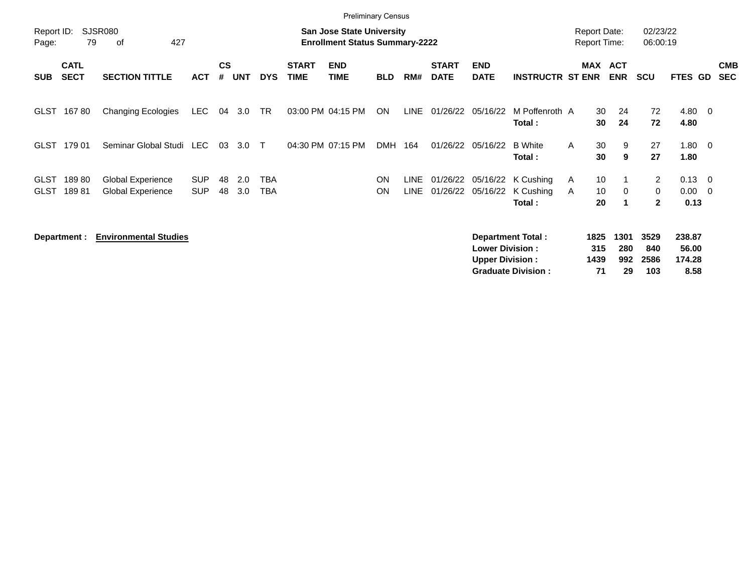|                     |                                                                                                         |                              |            |                    |            |            |                             | <b>Preliminary Census</b> |            |             |                             |                                                  |                                                       |              |                                            |                          |                            |                                   |                         |                          |
|---------------------|---------------------------------------------------------------------------------------------------------|------------------------------|------------|--------------------|------------|------------|-----------------------------|---------------------------|------------|-------------|-----------------------------|--------------------------------------------------|-------------------------------------------------------|--------------|--------------------------------------------|--------------------------|----------------------------|-----------------------------------|-------------------------|--------------------------|
| Report ID:<br>Page: | SJSR080<br><b>San Jose State University</b><br>427<br>79<br><b>Enrollment Status Summary-2222</b><br>οf |                              |            |                    |            |            |                             |                           |            |             |                             |                                                  |                                                       |              | <b>Report Date:</b><br><b>Report Time:</b> |                          | 02/23/22<br>06:00:19       |                                   |                         |                          |
| <b>SUB</b>          | <b>CATL</b><br><b>SECT</b>                                                                              | <b>SECTION TITTLE</b>        | <b>ACT</b> | $\mathsf{cs}$<br># | <b>UNT</b> | <b>DYS</b> | <b>START</b><br><b>TIME</b> | <b>END</b><br><b>TIME</b> | <b>BLD</b> | RM#         | <b>START</b><br><b>DATE</b> | <b>END</b><br><b>DATE</b>                        | <b>INSTRUCTR ST ENR</b>                               |              | MAX                                        | <b>ACT</b><br><b>ENR</b> | <b>SCU</b>                 | FTES GD                           |                         | <b>CMB</b><br><b>SEC</b> |
| GLST                | 16780                                                                                                   | <b>Changing Ecologies</b>    | <b>LEC</b> | 04                 | 3.0        | <b>TR</b>  | 03:00 PM 04:15 PM           |                           | ON         | LINE        | 01/26/22                    | 05/16/22                                         | M Poffenroth A<br>Total:                              |              | 30<br>30                                   | 24<br>24                 | 72<br>72                   | $4.80\quad 0$<br>4.80             |                         |                          |
| GLST                | 179 01                                                                                                  | Seminar Global Studi         | LEC        | 03                 | 3.0        | $\top$     | 04:30 PM 07:15 PM           |                           | <b>DMH</b> | 164         | 01/26/22                    | 05/16/22                                         | <b>B</b> White<br>Total:                              | $\mathsf{A}$ | 30<br>30                                   | 9<br>9                   | 27<br>27                   | 1.80<br>1.80                      | $\overline{\mathbf{0}}$ |                          |
| <b>GLST</b>         | 18980                                                                                                   | Global Experience            | <b>SUP</b> | 48                 | 2.0        | <b>TBA</b> |                             |                           | ON         | <b>LINE</b> | 01/26/22                    |                                                  | 05/16/22 K Cushing                                    | A            | 10                                         |                          | $\overline{2}$             | $0.13 \quad 0$                    |                         |                          |
| <b>GLST</b>         | 18981                                                                                                   | <b>Global Experience</b>     | <b>SUP</b> | 48                 | 3.0        | <b>TBA</b> |                             |                           | <b>ON</b>  | <b>LINE</b> | 01/26/22                    | 05/16/22                                         | K Cushing                                             | A            | 10                                         | 0                        | 0                          | 0.00                              | $\overline{\mathbf{0}}$ |                          |
|                     |                                                                                                         |                              |            |                    |            |            |                             |                           |            |             |                             |                                                  | Total:                                                |              | 20                                         | $\mathbf 1$              | $\mathbf{2}$               | 0.13                              |                         |                          |
|                     | Department :                                                                                            | <b>Environmental Studies</b> |            |                    |            |            |                             |                           |            |             |                             | <b>Lower Division:</b><br><b>Upper Division:</b> | <b>Department Total:</b><br><b>Graduate Division:</b> |              | 1825<br>315<br>1439<br>71                  | 1301<br>280<br>992<br>29 | 3529<br>840<br>2586<br>103 | 238.87<br>56.00<br>174.28<br>8.58 |                         |                          |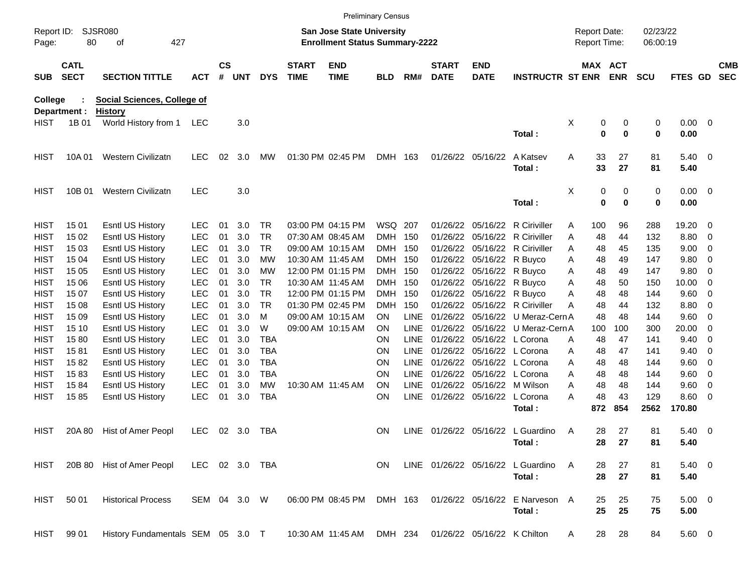|                     |                            |                                   |                |                    |        |            |                             |                                                                           | <b>Preliminary Census</b> |             |                             |                            |                                   |                                     |                       |                      |                     |                          |                          |
|---------------------|----------------------------|-----------------------------------|----------------|--------------------|--------|------------|-----------------------------|---------------------------------------------------------------------------|---------------------------|-------------|-----------------------------|----------------------------|-----------------------------------|-------------------------------------|-----------------------|----------------------|---------------------|--------------------------|--------------------------|
| Report ID:<br>Page: | 80                         | SJSR080<br>427<br>οf              |                |                    |        |            |                             | <b>San Jose State University</b><br><b>Enrollment Status Summary-2222</b> |                           |             |                             |                            |                                   | <b>Report Date:</b><br>Report Time: |                       | 02/23/22<br>06:00:19 |                     |                          |                          |
| <b>SUB</b>          | <b>CATL</b><br><b>SECT</b> | <b>SECTION TITTLE</b>             | <b>ACT</b>     | $\mathsf{cs}$<br># | UNT    | <b>DYS</b> | <b>START</b><br><b>TIME</b> | <b>END</b><br><b>TIME</b>                                                 | <b>BLD</b>                | RM#         | <b>START</b><br><b>DATE</b> | <b>END</b><br><b>DATE</b>  | <b>INSTRUCTR ST ENR</b>           |                                     | <b>MAX ACT</b><br>ENR | <b>SCU</b>           | <b>FTES GD</b>      |                          | <b>CMB</b><br><b>SEC</b> |
| College             |                            | Social Sciences, College of       |                |                    |        |            |                             |                                                                           |                           |             |                             |                            |                                   |                                     |                       |                      |                     |                          |                          |
|                     | Department :               | <b>History</b>                    |                |                    |        |            |                             |                                                                           |                           |             |                             |                            |                                   |                                     |                       |                      |                     |                          |                          |
| HIST                | 1B 01                      | World History from 1              | LEC            |                    | 3.0    |            |                             |                                                                           |                           |             |                             |                            | Total:                            | X                                   | 0<br>0<br>$\mathbf 0$ | 0<br>0<br>0          | $0.00 \t 0$<br>0.00 |                          |                          |
| <b>HIST</b>         | 10A 01                     | <b>Western Civilizatn</b>         | <b>LEC</b>     | 02                 | 3.0    | MW         |                             | 01:30 PM 02:45 PM                                                         | DMH 163                   |             |                             | 01/26/22 05/16/22          | A Katsev                          | Α                                   | 33<br>27              | 81                   | $5.40 \ 0$          |                          |                          |
|                     |                            |                                   |                |                    |        |            |                             |                                                                           |                           |             |                             |                            | Total:                            |                                     | 33<br>27              | 81                   | 5.40                |                          |                          |
| <b>HIST</b>         | 10B 01                     | <b>Western Civilizatn</b>         | <b>LEC</b>     |                    | 3.0    |            |                             |                                                                           |                           |             |                             |                            |                                   | X                                   | 0                     | 0<br>0               | $0.00 \t 0$         |                          |                          |
|                     |                            |                                   |                |                    |        |            |                             |                                                                           |                           |             |                             |                            | Total:                            |                                     | 0<br>0                | 0                    | 0.00                |                          |                          |
| <b>HIST</b>         | 15 01                      | Esntl US History                  | <b>LEC</b>     | 01                 | 3.0    | TR         |                             | 03:00 PM 04:15 PM                                                         | WSQ 207                   |             |                             |                            | 01/26/22 05/16/22 R Ciriviller    | 100<br>A                            | 96                    | 288                  | 19.20               | - 0                      |                          |
| <b>HIST</b>         | 15 02                      | <b>Esntl US History</b>           | <b>LEC</b>     | 01                 | 3.0    | <b>TR</b>  |                             | 07:30 AM 08:45 AM                                                         | <b>DMH</b>                | 150         |                             |                            | 01/26/22 05/16/22 R Ciriviller    | Α                                   | 48<br>44              | 132                  | 8.80                | - 0                      |                          |
| <b>HIST</b>         | 15 03                      | <b>Esntl US History</b>           | <b>LEC</b>     | 01                 | 3.0    | TR         |                             | 09:00 AM 10:15 AM                                                         | <b>DMH</b>                | 150         |                             |                            | 01/26/22 05/16/22 R Ciriviller    | Α                                   | 45<br>48              | 135                  | 9.00                | 0                        |                          |
| <b>HIST</b>         | 15 04                      | <b>Esntl US History</b>           | <b>LEC</b>     | 01                 | 3.0    | МW         |                             | 10:30 AM 11:45 AM                                                         | <b>DMH</b>                | 150         |                             | 01/26/22 05/16/22 R Buyco  |                                   | Α                                   | 48<br>49              | 147                  | 9.80                | - 0                      |                          |
| <b>HIST</b>         | 15 05                      | <b>Esntl US History</b>           | <b>LEC</b>     | 01                 | 3.0    | МW         |                             | 12:00 PM 01:15 PM                                                         | <b>DMH</b>                | 150         |                             | 01/26/22 05/16/22 R Buyco  |                                   | Α                                   | 48<br>49              | 147                  | 9.80                | 0                        |                          |
| <b>HIST</b>         | 15 06                      | <b>Esntl US History</b>           | <b>LEC</b>     | 01                 | 3.0    | TR         |                             | 10:30 AM 11:45 AM                                                         | <b>DMH</b>                | 150         |                             | 01/26/22 05/16/22 R Buyco  |                                   | Α                                   | 48<br>50              | 150                  | 10.00               | 0                        |                          |
| <b>HIST</b>         | 15 07                      | <b>Esntl US History</b>           | <b>LEC</b>     | 01                 | 3.0    | <b>TR</b>  |                             | 12:00 PM 01:15 PM                                                         | <b>DMH</b>                | 150         |                             | 01/26/22 05/16/22 R Buyco  |                                   | A                                   | 48<br>48              | 144                  | 9.60                | - 0                      |                          |
| <b>HIST</b>         | 15 08                      | <b>Esntl US History</b>           | <b>LEC</b>     | 01                 | 3.0    | TR         |                             | 01:30 PM 02:45 PM                                                         | DMH                       | 150         |                             |                            | 01/26/22 05/16/22 R Ciriviller    | А                                   | 48<br>44              | 132                  | 8.80                | 0                        |                          |
| <b>HIST</b>         | 15 09                      | <b>Esntl US History</b>           | <b>LEC</b>     | 01                 | 3.0    | м          |                             | 09:00 AM 10:15 AM                                                         | ON.                       | LINE        |                             |                            | 01/26/22 05/16/22 U Meraz-Cern A  |                                     | 48<br>48              | 144                  | 9.60                | 0                        |                          |
| <b>HIST</b>         | 15 10                      | <b>Esntl US History</b>           | <b>LEC</b>     | 01                 | 3.0    | W          |                             | 09:00 AM 10:15 AM                                                         | OΝ                        | <b>LINE</b> |                             |                            | 01/26/22 05/16/22 U Meraz-Cern A  | 100                                 | 100                   | 300                  | 20.00               | 0                        |                          |
| <b>HIST</b>         | 1580                       | <b>Esntl US History</b>           | <b>LEC</b>     | 01                 | 3.0    | TBA        |                             |                                                                           | <b>ON</b>                 | <b>LINE</b> |                             | 01/26/22 05/16/22 L Corona |                                   | A                                   | 48<br>47              | 141                  | 9.40                | 0                        |                          |
| <b>HIST</b>         | 1581                       | <b>Esntl US History</b>           | <b>LEC</b>     | 01                 | 3.0    | <b>TBA</b> |                             |                                                                           | <b>ON</b>                 | <b>LINE</b> |                             | 01/26/22 05/16/22 L Corona |                                   | Α                                   | 47<br>48              | 141                  | 9.40                | 0                        |                          |
| <b>HIST</b>         | 1582                       | <b>Esntl US History</b>           | <b>LEC</b>     | 01                 | 3.0    | TBA        |                             |                                                                           | <b>ON</b>                 | <b>LINE</b> |                             | 01/26/22 05/16/22 L Corona |                                   | A                                   | 48<br>48              | 144                  | 9.60                | -0                       |                          |
| <b>HIST</b>         | 1583                       | <b>Esntl US History</b>           | <b>LEC</b>     | 01                 | 3.0    | TBA        |                             |                                                                           | <b>ON</b>                 | <b>LINE</b> |                             | 01/26/22 05/16/22 L Corona |                                   | A                                   | 48<br>48              | 144                  | 9.60                | 0                        |                          |
| <b>HIST</b>         | 1584                       | <b>Esntl US History</b>           | <b>LEC</b>     | 01                 | 3.0    | MW         |                             | 10:30 AM 11:45 AM                                                         | <b>ON</b>                 | LINE        |                             | 01/26/22 05/16/22 M Wilson |                                   | A                                   | 48<br>48              | 144                  | 9.60                | 0                        |                          |
| <b>HIST</b>         | 1585                       | Esntl US History                  | <b>LEC</b>     | 01                 | 3.0    | <b>TBA</b> |                             |                                                                           | OΝ                        | <b>LINE</b> |                             | 01/26/22 05/16/22          | L Corona                          | Α                                   | 48<br>43              | 129                  | 8.60                | - 0                      |                          |
|                     |                            |                                   |                |                    |        |            |                             |                                                                           |                           |             |                             |                            | Total :                           | 872                                 | 854                   | 2562                 | 170.80              |                          |                          |
| <b>HIST</b>         | 20A 80                     | Hist of Amer Peopl                | LEC            |                    | 02 3.0 | TBA        |                             |                                                                           | <b>ON</b>                 | LINE.       |                             |                            | 01/26/22 05/16/22 L Guardino      | A                                   | 28<br>27              | 81                   | 5.40                | $\overline{\phantom{0}}$ |                          |
|                     |                            |                                   |                |                    |        |            |                             |                                                                           |                           |             |                             |                            | Total:                            |                                     | 28<br>27              | 81                   | 5.40                |                          |                          |
| HIST                |                            | 20B 80 Hist of Amer Peopl         | LEC 02 3.0 TBA |                    |        |            |                             |                                                                           | ON.                       |             |                             |                            | LINE 01/26/22 05/16/22 L Guardino | A                                   | 27<br>28              | 81                   | $5.40 \ 0$          |                          |                          |
|                     |                            |                                   |                |                    |        |            |                             |                                                                           |                           |             |                             |                            | Total:                            |                                     | 28<br>27              | 81                   | 5.40                |                          |                          |
| HIST                | 50 01                      | <b>Historical Process</b>         | SEM 04 3.0 W   |                    |        |            |                             | 06:00 PM 08:45 PM                                                         | DMH 163                   |             |                             | 01/26/22 05/16/22          | E Narveson A                      |                                     | 25<br>25              | 75                   | $5.00 \t 0$         |                          |                          |
|                     |                            |                                   |                |                    |        |            |                             |                                                                           |                           |             |                             |                            | Total:                            |                                     | 25<br>25              | 75                   | 5.00                |                          |                          |
| HIST                | 99 01                      | History Fundamentals SEM 05 3.0 T |                |                    |        |            |                             | 10:30 AM 11:45 AM DMH 234 01/26/22 05/16/22 K Chilton                     |                           |             |                             |                            |                                   | A                                   | 28<br>28              | 84                   | 5.60 0              |                          |                          |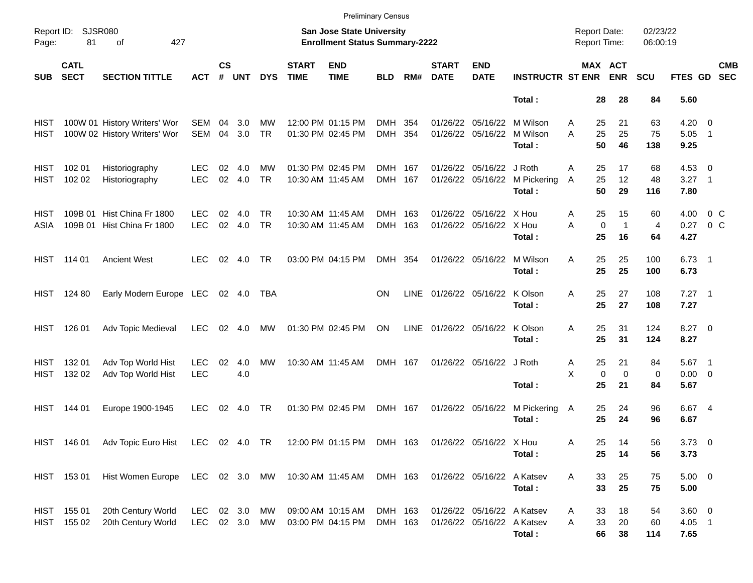|                     |                            |                                                                                                 |                          |                    |            |                  |                             | <b>Preliminary Census</b>                                                 |                    |             |                             |                                                          |                                |                                            |                                         |                            |                                 |                                                      |  |
|---------------------|----------------------------|-------------------------------------------------------------------------------------------------|--------------------------|--------------------|------------|------------------|-----------------------------|---------------------------------------------------------------------------|--------------------|-------------|-----------------------------|----------------------------------------------------------|--------------------------------|--------------------------------------------|-----------------------------------------|----------------------------|---------------------------------|------------------------------------------------------|--|
| Page:               | Report ID: SJSR080<br>81   | 427<br>of                                                                                       |                          |                    |            |                  |                             | <b>San Jose State University</b><br><b>Enrollment Status Summary-2222</b> |                    |             |                             |                                                          |                                | <b>Report Date:</b><br><b>Report Time:</b> |                                         | 02/23/22<br>06:00:19       |                                 |                                                      |  |
| <b>SUB</b>          | <b>CATL</b><br><b>SECT</b> | <b>SECTION TITTLE</b>                                                                           | <b>ACT</b>               | $\mathsf{cs}$<br># | <b>UNT</b> | <b>DYS</b>       | <b>START</b><br><b>TIME</b> | <b>END</b><br><b>TIME</b>                                                 | <b>BLD</b>         | RM#         | <b>START</b><br><b>DATE</b> | <b>END</b><br><b>DATE</b>                                | <b>INSTRUCTR ST ENR</b>        |                                            | MAX ACT<br><b>ENR</b>                   | <b>SCU</b>                 | FTES GD                         | <b>CMB</b><br><b>SEC</b>                             |  |
|                     |                            |                                                                                                 |                          |                    |            |                  |                             |                                                                           |                    |             |                             |                                                          | Total:                         | 28                                         | 28                                      | 84                         | 5.60                            |                                                      |  |
| HIST<br>HIST        |                            | 100W 01 History Writers' Wor<br>100W 02 History Writers' Wor                                    | <b>SEM</b><br><b>SEM</b> | 04<br>04           | 3.0<br>3.0 | MW<br><b>TR</b>  |                             | 12:00 PM 01:15 PM<br>01:30 PM 02:45 PM                                    | DMH 354<br>DMH 354 |             | 01/26/22                    | 05/16/22<br>01/26/22 05/16/22                            | M Wilson<br>M Wilson<br>Total: | 25<br>A<br>25<br>A<br>50                   | 21<br>25<br>46                          | 63<br>75<br>138            | 4.20<br>5.05<br>9.25            | $\overline{\phantom{0}}$<br>$\overline{\phantom{1}}$ |  |
| <b>HIST</b><br>HIST | 102 01<br>102 02           | Historiography<br>Historiography                                                                | LEC.<br><b>LEC</b>       | 02<br>02           | 4.0<br>4.0 | МW<br><b>TR</b>  |                             | 01:30 PM 02:45 PM<br>10:30 AM 11:45 AM                                    | DMH 167<br>DMH 167 |             | 01/26/22                    | 05/16/22 J Roth<br>01/26/22 05/16/22                     | M Pickering<br>Total:          | 25<br>A<br>25<br>A<br>50                   | 17<br>12<br>29                          | 68<br>48<br>116            | $4.53$ 0<br>3.27<br>7.80        | $\overline{\phantom{0}}$ 1                           |  |
| HIST<br>ASIA        |                            | 109B 01 Hist China Fr 1800<br>109B 01 Hist China Fr 1800                                        | LEC.<br><b>LEC</b>       | 02<br>02           | 4.0<br>4.0 | TR.<br><b>TR</b> |                             | 10:30 AM 11:45 AM<br>10:30 AM 11:45 AM                                    | DMH 163<br>DMH 163 |             | 01/26/22                    | 05/16/22 X Hou<br>01/26/22 05/16/22 X Hou                | Total:                         | 25<br>Α<br>A<br>25                         | 15<br>$\mathbf 0$<br>$\mathbf{1}$<br>16 | 60<br>$\overline{4}$<br>64 | 4.00<br>0.27<br>4.27            | $0\,$ C<br>$0\,C$                                    |  |
|                     | HIST 114 01                | <b>Ancient West</b>                                                                             | <b>LEC</b>               | 02                 | 4.0        | TR               |                             | 03:00 PM 04:15 PM                                                         | DMH 354            |             |                             | 01/26/22 05/16/22                                        | M Wilson<br>Total:             | 25<br>A<br>25                              | 25<br>25                                | 100<br>100                 | $6.73$ 1<br>6.73                |                                                      |  |
|                     | HIST 124 80                | Early Modern Europe LEC                                                                         |                          |                    | 02 4.0     | TBA              |                             |                                                                           | <b>ON</b>          | LINE        |                             | 01/26/22 05/16/22                                        | K Olson<br>Total:              | 25<br>A<br>25                              | 27<br>27                                | 108<br>108                 | $7.27$ 1<br>7.27                |                                                      |  |
| HIST                | 126 01                     | Adv Topic Medieval                                                                              | <b>LEC</b>               | 02                 | 4.0        | MW               |                             | 01:30 PM 02:45 PM                                                         | ON                 | <b>LINE</b> |                             | 01/26/22 05/16/22                                        | K Olson<br>Total:              | 25<br>A<br>25                              | 31<br>31                                | 124<br>124                 | $8.27$ 0<br>8.27                |                                                      |  |
| HIST<br>HIST        | 132 01<br>132 02           | Adv Top World Hist<br>Adv Top World Hist                                                        | <b>LEC</b><br><b>LEC</b> | 02                 | 4.0<br>4.0 | МW               |                             | 10:30 AM 11:45 AM                                                         | DMH 167            |             |                             | 01/26/22 05/16/22 J Roth                                 | Total:                         | 25<br>Α<br>X<br>25                         | 21<br>$\mathbf 0$<br>$\mathbf 0$<br>21  | 84<br>0<br>84              | $5.67$ 1<br>$0.00 \t 0$<br>5.67 |                                                      |  |
| HIST                | 144 01                     | Europe 1900-1945                                                                                | <b>LEC</b>               | 02                 | 4.0        | TR               |                             | 01:30 PM 02:45 PM                                                         | DMH 167            |             |                             | 01/26/22 05/16/22                                        | M Pickering<br>Total:          | 25<br>A<br>25                              | 24<br>24                                | 96<br>96                   | 6.67 4<br>6.67                  |                                                      |  |
|                     |                            | HIST 146 01 Adv Topic Euro Hist LEC 02 4.0 TR 12:00 PM 01:15 PM DMH 163 01/26/22 05/16/22 X Hou |                          |                    |            |                  |                             |                                                                           |                    |             |                             |                                                          | Total:                         | Α<br>25<br>25                              | 14<br>14                                | 56<br>56                   | $3.73$ 0<br>3.73                |                                                      |  |
|                     | HIST 15301                 | Hist Women Europe LEC 02 3.0 MW 10:30 AM 11:45 AM DMH 163                                       |                          |                    |            |                  |                             |                                                                           |                    |             |                             | 01/26/22 05/16/22 A Katsev                               | Total:                         | Α<br>33<br>33                              | 25<br>25                                | 75<br>75                   | $5.00 \t 0$<br>5.00             |                                                      |  |
|                     | HIST 155 01<br>HIST 155 02 | 20th Century World<br>20th Century World                                                        | LEC<br>LEC 02 3.0 MW     |                    | 02 3.0 MW  |                  |                             | 09:00 AM 10:15 AM<br>03:00 PM 04:15 PM                                    | DMH 163<br>DMH 163 |             |                             | 01/26/22 05/16/22 A Katsev<br>01/26/22 05/16/22 A Katsev | Total:                         | 33<br>Α<br>33<br>A<br>66                   | 18<br>20<br>38                          | 54<br>60<br>114            | 3.60 0<br>$4.05$ 1<br>7.65      |                                                      |  |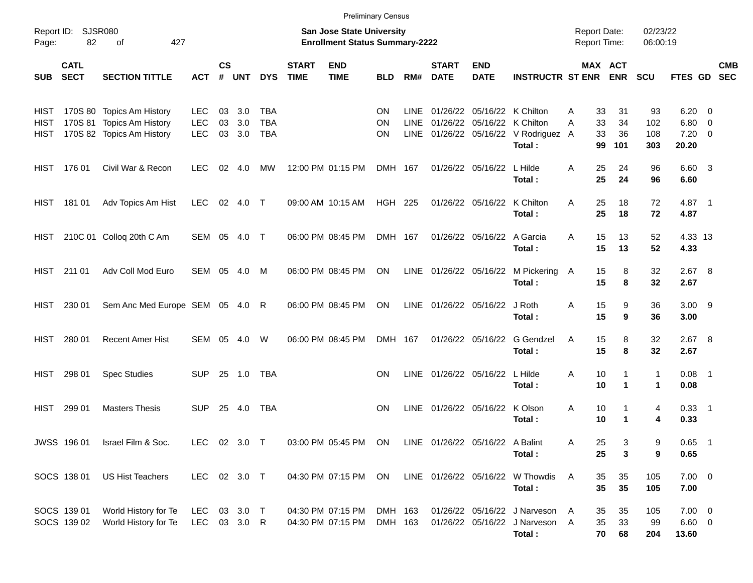|                      |                            |                                                                                     |                                 |                    |                   |                                 |                             | <b>Preliminary Census</b>                                          |                       |                                    |                             |                                                   |                                                                          |                                            |                           |                         |                                                    |            |
|----------------------|----------------------------|-------------------------------------------------------------------------------------|---------------------------------|--------------------|-------------------|---------------------------------|-----------------------------|--------------------------------------------------------------------|-----------------------|------------------------------------|-----------------------------|---------------------------------------------------|--------------------------------------------------------------------------|--------------------------------------------|---------------------------|-------------------------|----------------------------------------------------|------------|
| Page:                | Report ID: SJSR080<br>82   | 427<br>of                                                                           |                                 |                    |                   |                                 |                             | San Jose State University<br><b>Enrollment Status Summary-2222</b> |                       |                                    |                             |                                                   |                                                                          | <b>Report Date:</b><br><b>Report Time:</b> |                           | 02/23/22<br>06:00:19    |                                                    |            |
| <b>SUB</b>           | <b>CATL</b><br><b>SECT</b> | <b>SECTION TITTLE</b>                                                               | <b>ACT</b>                      | $\mathsf{cs}$<br># | <b>UNT</b>        | <b>DYS</b>                      | <b>START</b><br><b>TIME</b> | <b>END</b><br><b>TIME</b>                                          | <b>BLD</b>            | RM#                                | <b>START</b><br><b>DATE</b> | <b>END</b><br><b>DATE</b>                         | <b>INSTRUCTR ST ENR</b>                                                  |                                            | MAX ACT<br><b>ENR</b>     | <b>SCU</b>              | FTES GD SEC                                        | <b>CMB</b> |
| HIST<br>HIST<br>HIST |                            | 170S 80 Topics Am History<br>170S 81 Topics Am History<br>170S 82 Topics Am History | <b>LEC</b><br>LEC<br><b>LEC</b> | 03<br>03<br>03     | 3.0<br>3.0<br>3.0 | TBA<br><b>TBA</b><br><b>TBA</b> |                             |                                                                    | ON<br>ON<br><b>ON</b> | <b>LINE</b><br><b>LINE</b><br>LINE | 01/26/22                    | 01/26/22 05/16/22 K Chilton<br>05/16/22 K Chilton | 01/26/22 05/16/22 V Rodriguez A<br>Total:                                | 33<br>A<br>33<br>A<br>33<br>99             | 31<br>34<br>36<br>101     | 93<br>102<br>108<br>303 | $6.20 \quad 0$<br>$6.80$ 0<br>$7.20 \t 0$<br>20.20 |            |
|                      | HIST 176 01                | Civil War & Recon                                                                   | LEC.                            | 02                 | 4.0               | МW                              |                             | 12:00 PM 01:15 PM                                                  | DMH 167               |                                    |                             | 01/26/22 05/16/22                                 | L Hilde<br>Total:                                                        | 25<br>A<br>25                              | 24<br>24                  | 96<br>96                | 6.60 3<br>6.60                                     |            |
| HIST                 | 181 01                     | Adv Topics Am Hist                                                                  | <b>LEC</b>                      |                    | 02 4.0 T          |                                 |                             | 09:00 AM 10:15 AM                                                  | <b>HGH 225</b>        |                                    |                             | 01/26/22 05/16/22                                 | K Chilton<br>Total:                                                      | 25<br>A<br>25                              | 18<br>18                  | 72<br>72                | 4.87 1<br>4.87                                     |            |
| HIST                 |                            | 210C 01 Colloq 20th C Am                                                            | SEM 05 4.0 T                    |                    |                   |                                 |                             | 06:00 PM 08:45 PM                                                  | DMH 167               |                                    |                             | 01/26/22 05/16/22 A Garcia                        | Total:                                                                   | 15<br>A<br>15                              | 13<br>13                  | 52<br>52                | 4.33 13<br>4.33                                    |            |
| HIST                 | 211 01                     | Adv Coll Mod Euro                                                                   | SEM 05 4.0                      |                    |                   | M                               |                             | 06:00 PM 08:45 PM                                                  | ON                    |                                    | LINE 01/26/22 05/16/22      |                                                   | M Pickering<br>Total:                                                    | 15<br>A<br>15                              | 8<br>8                    | 32<br>32                | $2.67$ 8<br>2.67                                   |            |
| HIST                 | 230 01                     | Sem Anc Med Europe SEM 05 4.0 R                                                     |                                 |                    |                   |                                 |                             | 06:00 PM 08:45 PM                                                  | ON                    |                                    | LINE 01/26/22 05/16/22      |                                                   | J Roth<br>Total:                                                         | 15<br>Α<br>15                              | 9<br>9                    | 36<br>36                | $3.00$ 9<br>3.00                                   |            |
| HIST                 | 280 01                     | <b>Recent Amer Hist</b>                                                             | SEM 05 4.0                      |                    |                   | W                               |                             | 06:00 PM 08:45 PM                                                  | DMH 167               |                                    |                             | 01/26/22 05/16/22                                 | G Gendzel<br>Total:                                                      | 15<br>A<br>15                              | 8<br>8                    | 32<br>32                | $2.67$ 8<br>2.67                                   |            |
| HIST                 | 298 01                     | <b>Spec Studies</b>                                                                 | <b>SUP</b>                      |                    | 25 1.0            | TBA                             |                             |                                                                    | <b>ON</b>             | LINE                               | 01/26/22 05/16/22           |                                                   | L Hilde<br>Total:                                                        | 10<br>Α<br>10                              | 1<br>$\blacktriangleleft$ | $\mathbf{1}$<br>1       | $0.08$ 1<br>0.08                                   |            |
| HIST                 | 299 01                     | <b>Masters Thesis</b>                                                               | <b>SUP</b>                      | 25                 | 4.0               | TBA                             |                             |                                                                    | <b>ON</b>             | LINE                               | 01/26/22 05/16/22           |                                                   | K Olson<br>Total:                                                        | Α<br>10<br>10                              | 1<br>1                    | 4<br>4                  | $0.33$ 1<br>0.33                                   |            |
|                      | JWSS 196 01                | Israel Film & Soc.                                                                  | LEC 02 3.0 T                    |                    |                   |                                 |                             | 03:00 PM 05:45 PM ON                                               |                       |                                    |                             | LINE 01/26/22 05/16/22 A Balint                   | Total:                                                                   | Α<br>25<br>25                              | 3<br>3                    | 9<br>9                  | $0.65$ 1<br>0.65                                   |            |
|                      | SOCS 138 01                | <b>US Hist Teachers</b>                                                             | LEC 02 3.0 T                    |                    |                   |                                 |                             | 04:30 PM 07:15 PM                                                  | ON                    |                                    |                             |                                                   | LINE 01/26/22 05/16/22 W Thowdis<br>Total:                               | 35<br>A<br>35                              | 35<br>35                  | 105<br>105              | $7.00 \t 0$<br>7.00                                |            |
|                      | SOCS 139 01<br>SOCS 139 02 | World History for Te<br>World History for Te                                        | LEC<br>LEC 03 3.0 R             |                    | 03 3.0 T          |                                 |                             | 04:30 PM 07:15 PM<br>04:30 PM 07:15 PM                             | DMH 163<br>DMH 163    |                                    |                             |                                                   | 01/26/22 05/16/22 J Narveson<br>01/26/22 05/16/22 J Narveson A<br>Total: | 35<br>A<br>35<br>70                        | 35<br>33<br>68            | 105<br>99<br>204        | $7.00 \t 0$<br>$6.60$ 0<br>13.60                   |            |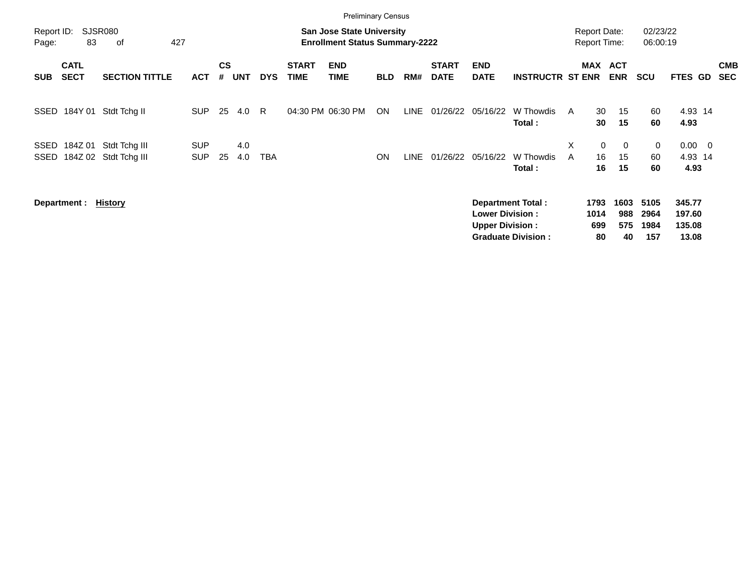|                     |                            |                                |                          |                    |            |            |                             | <b>Preliminary Census</b>                                          |            |             |                             |                                                  |                                                       |        |                                            |                            |                             |                                     |                          |
|---------------------|----------------------------|--------------------------------|--------------------------|--------------------|------------|------------|-----------------------------|--------------------------------------------------------------------|------------|-------------|-----------------------------|--------------------------------------------------|-------------------------------------------------------|--------|--------------------------------------------|----------------------------|-----------------------------|-------------------------------------|--------------------------|
| Report ID:<br>Page: | 83                         | <b>SJSR080</b><br>427<br>οf    |                          |                    |            |            |                             | San Jose State University<br><b>Enrollment Status Summary-2222</b> |            |             |                             |                                                  |                                                       |        | <b>Report Date:</b><br><b>Report Time:</b> |                            | 02/23/22<br>06:00:19        |                                     |                          |
| <b>SUB</b>          | <b>CATL</b><br><b>SECT</b> | <b>SECTION TITTLE</b>          | <b>ACT</b>               | $\mathsf{cs}$<br># | <b>UNT</b> | <b>DYS</b> | <b>START</b><br><b>TIME</b> | <b>END</b><br><b>TIME</b>                                          | <b>BLD</b> | RM#         | <b>START</b><br><b>DATE</b> | <b>END</b><br><b>DATE</b>                        | <b>INSTRUCTR ST ENR</b>                               |        | MAX ACT                                    | <b>ENR</b>                 | <b>SCU</b>                  | FTES GD                             | <b>CMB</b><br><b>SEC</b> |
| SSED                | 184Y 01                    | Stdt Tchg II                   | <b>SUP</b>               | 25                 | 4.0        | R          | 04:30 PM 06:30 PM           |                                                                    | ON         | <b>LINE</b> | 01/26/22                    | 05/16/22                                         | W Thowdis<br>Total:                                   | A      | 30<br>30                                   | 15<br>15                   | 60<br>60                    | 4.93 14<br>4.93                     |                          |
| SSED<br>SSED        | 184Z 01<br>184Z 02         | Stdt Tchg III<br>Stdt Tchg III | <b>SUP</b><br><b>SUP</b> | 25                 | 4.0<br>4.0 | TBA        |                             |                                                                    | <b>ON</b>  | LINE        | 01/26/22                    | 05/16/22                                         | W Thowdis<br>Total:                                   | X<br>A | 0<br>16<br>16                              | $\overline{0}$<br>15<br>15 | 0<br>60<br>60               | $0.00 \quad 0$<br>4.93 14<br>4.93   |                          |
|                     | Department :               | History                        |                          |                    |            |            |                             |                                                                    |            |             |                             | <b>Lower Division:</b><br><b>Upper Division:</b> | <b>Department Total:</b><br><b>Graduate Division:</b> |        | 1793<br>1014<br>699<br>80                  | 1603<br>988<br>575<br>40   | 5105<br>2964<br>1984<br>157 | 345.77<br>197.60<br>135.08<br>13.08 |                          |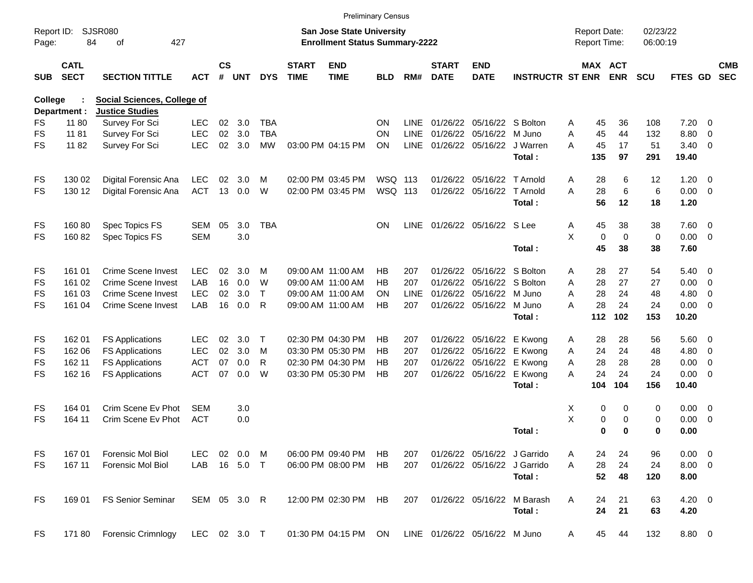|                     |                            |                                                              |              |                    |            |              |                             |                                                                    | <b>Preliminary Census</b> |             |                             |                               |                             |                                            |                      |                      |             |                |                          |
|---------------------|----------------------------|--------------------------------------------------------------|--------------|--------------------|------------|--------------|-----------------------------|--------------------------------------------------------------------|---------------------------|-------------|-----------------------------|-------------------------------|-----------------------------|--------------------------------------------|----------------------|----------------------|-------------|----------------|--------------------------|
| Report ID:<br>Page: | 84                         | <b>SJSR080</b><br>427<br>of                                  |              |                    |            |              |                             | San Jose State University<br><b>Enrollment Status Summary-2222</b> |                           |             |                             |                               |                             | <b>Report Date:</b><br><b>Report Time:</b> |                      | 02/23/22<br>06:00:19 |             |                |                          |
| <b>SUB</b>          | <b>CATL</b><br><b>SECT</b> | <b>SECTION TITTLE</b>                                        | <b>ACT</b>   | $\mathsf{cs}$<br># | <b>UNT</b> | <b>DYS</b>   | <b>START</b><br><b>TIME</b> | <b>END</b><br><b>TIME</b>                                          | <b>BLD</b>                | RM#         | <b>START</b><br><b>DATE</b> | <b>END</b><br><b>DATE</b>     | <b>INSTRUCTR ST ENR ENR</b> |                                            | <b>MAX ACT</b>       | <b>SCU</b>           | FTES GD     |                | <b>CMB</b><br><b>SEC</b> |
| <b>College</b>      | Department :               | <b>Social Sciences, College of</b><br><b>Justice Studies</b> |              |                    |            |              |                             |                                                                    |                           |             |                             |                               |                             |                                            |                      |                      |             |                |                          |
| FS                  | 11 80                      | Survey For Sci                                               | LEC.         | 02                 | 3.0        | <b>TBA</b>   |                             |                                                                    | ON                        | LINE        |                             | 01/26/22 05/16/22 S Bolton    |                             | 45                                         | 36                   | 108                  | 7.20        | $\overline{0}$ |                          |
| FS                  | 11 81                      |                                                              | <b>LEC</b>   | 02                 | 3.0        | <b>TBA</b>   |                             |                                                                    | ON                        | <b>LINE</b> |                             | 01/26/22 05/16/22 M Juno      |                             | A<br>45<br>Α                               | 44                   | 132                  | 8.80        | $\overline{0}$ |                          |
| <b>FS</b>           | 1182                       | Survey For Sci                                               | <b>LEC</b>   | 02                 | 3.0        | <b>MW</b>    |                             | 03:00 PM 04:15 PM                                                  | <b>ON</b>                 | <b>LINE</b> |                             | 01/26/22 05/16/22 J Warren    |                             | 45<br>A                                    | 17                   | 51                   | 3.40        | $\mathbf{0}$   |                          |
|                     |                            | <b>Survey For Sci</b>                                        |              |                    |            |              |                             |                                                                    |                           |             |                             |                               | Total:                      | 135                                        | 97                   | 291                  | 19.40       |                |                          |
| FS                  | 130 02                     | Digital Forensic Ana                                         | <b>LEC</b>   | 02                 | 3.0        | м            |                             | 02:00 PM 03:45 PM                                                  | WSQ 113                   |             |                             | 01/26/22 05/16/22 T Arnold    |                             | 28<br>A                                    | 6                    | 12                   | 1.20        | $\mathbf{0}$   |                          |
| FS                  | 130 12                     | Digital Forensic Ana                                         | <b>ACT</b>   | 13                 | 0.0        | W            |                             | 02:00 PM 03:45 PM                                                  | WSQ 113                   |             |                             | 01/26/22 05/16/22 T Arnold    |                             | 28<br>А                                    | 6                    | 6                    | 0.00        | $\overline{0}$ |                          |
|                     |                            |                                                              |              |                    |            |              |                             |                                                                    |                           |             |                             |                               | Total:                      | 56                                         | 12                   | 18                   | 1.20        |                |                          |
| FS                  | 16080                      | Spec Topics FS                                               | SEM          | 05                 | 3.0        | <b>TBA</b>   |                             |                                                                    | ON                        | LINE        |                             | 01/26/22 05/16/22 S Lee       |                             | 45<br>A                                    | 38                   | 38                   | 7.60        | $\overline{0}$ |                          |
| FS                  | 16082                      | Spec Topics FS                                               | <b>SEM</b>   |                    | 3.0        |              |                             |                                                                    |                           |             |                             |                               |                             | X<br>0                                     | $\Omega$             | $\mathbf 0$          | 0.00        | $\overline{0}$ |                          |
|                     |                            |                                                              |              |                    |            |              |                             |                                                                    |                           |             |                             |                               | Total:                      | 45                                         | 38                   | 38                   | 7.60        |                |                          |
| FS                  | 161 01                     | <b>Crime Scene Invest</b>                                    | <b>LEC</b>   | 02                 | 3.0        | м            |                             | 09:00 AM 11:00 AM                                                  | HВ                        | 207         |                             | 01/26/22 05/16/22 S Bolton    |                             | 28<br>A                                    | 27                   | 54                   | 5.40        | $\overline{0}$ |                          |
| FS                  | 161 02                     | <b>Crime Scene Invest</b>                                    | LAB          | 16                 | 0.0        | W            |                             | 09:00 AM 11:00 AM                                                  | НB                        | 207         |                             | 01/26/22 05/16/22 S Bolton    |                             | 28<br>A                                    | 27                   | 27                   | 0.00        | 0              |                          |
| FS                  | 161 03                     | <b>Crime Scene Invest</b>                                    | <b>LEC</b>   | 02                 | 3.0        | $\mathsf{T}$ |                             | 09:00 AM 11:00 AM                                                  | ON                        | LINE        |                             | 01/26/22 05/16/22 M Juno      |                             | 28<br>A                                    | 24                   | 48                   | 4.80        | 0              |                          |
| FS                  | 161 04                     | <b>Crime Scene Invest</b>                                    | LAB          | 16                 | 0.0        | R            |                             | 09:00 AM 11:00 AM                                                  | HВ                        | 207         |                             | 01/26/22 05/16/22 M Juno      |                             | 28<br>A                                    | 24                   | 24                   | 0.00        | $\mathbf{0}$   |                          |
|                     |                            |                                                              |              |                    |            |              |                             |                                                                    |                           |             |                             |                               | Total:                      | 112                                        | 102                  | 153                  | 10.20       |                |                          |
| FS                  | 162 01                     | <b>FS Applications</b>                                       | <b>LEC</b>   | 02                 | 3.0        | Т            |                             | 02:30 PM 04:30 PM                                                  | HВ                        | 207         |                             | 01/26/22 05/16/22 E Kwong     |                             | 28<br>A                                    | 28                   | 56                   | 5.60        | - 0            |                          |
| FS                  | 162 06                     | <b>FS Applications</b>                                       | <b>LEC</b>   | 02                 | 3.0        | м            |                             | 03:30 PM 05:30 PM                                                  | HВ                        | 207         |                             | 01/26/22 05/16/22 E Kwong     |                             | 24<br>Α                                    | 24                   | 48                   | 4.80        | 0              |                          |
| FS                  | 162 11                     | <b>FS Applications</b>                                       | <b>ACT</b>   | 07                 | 0.0        | R            |                             | 02:30 PM 04:30 PM                                                  | HВ                        | 207         |                             | 01/26/22 05/16/22 E Kwong     |                             | 28<br>A                                    | 28                   | 28                   | 0.00        | 0              |                          |
| FS                  | 162 16                     | <b>FS Applications</b>                                       | <b>ACT</b>   | 07                 | 0.0        | W            |                             | 03:30 PM 05:30 PM                                                  | HB                        | 207         |                             | 01/26/22 05/16/22             | E Kwong                     | 24<br>A                                    | 24                   | 24                   | 0.00        | $\mathbf{0}$   |                          |
|                     |                            |                                                              |              |                    |            |              |                             |                                                                    |                           |             |                             |                               | Total:                      | 104                                        | 104                  | 156                  | 10.40       |                |                          |
| FS                  | 164 01                     | Crim Scene Ev Phot                                           | SEM          |                    | 3.0        |              |                             |                                                                    |                           |             |                             |                               |                             | Х                                          | 0<br>0               | 0                    | 0.00        | $\overline{0}$ |                          |
| FS                  | 164 11                     | Crim Scene Ev Phot                                           | <b>ACT</b>   |                    | 0.0        |              |                             |                                                                    |                           |             |                             |                               |                             | X                                          | 0<br>0               | 0                    | 0.00        | 0              |                          |
|                     |                            |                                                              |              |                    |            |              |                             |                                                                    |                           |             |                             |                               | Total:                      |                                            | $\bf{0}$<br>$\bf{0}$ | 0                    | 0.00        |                |                          |
| FS                  | 167 01                     | Forensic Mol Biol                                            | LEC.         |                    | 02 0.0     | M            |                             | 06:00 PM 09:40 PM                                                  | HB                        | 207         |                             | 01/26/22 05/16/22 J Garrido   |                             | 24<br>A                                    | 24                   | 96                   | $0.00 \t 0$ |                |                          |
| FS.                 | 167 11                     | Forensic Mol Biol                                            | LAB          |                    | 16 5.0 T   |              |                             | 06:00 PM 08:00 PM                                                  | <b>HB</b>                 | 207         |                             | 01/26/22 05/16/22 J Garrido   |                             | 28<br>A                                    | 24                   | 24                   | $8.00 \t 0$ |                |                          |
|                     |                            |                                                              |              |                    |            |              |                             |                                                                    |                           |             |                             |                               | Total:                      | 52                                         | 48                   | 120                  | 8.00        |                |                          |
| <b>FS</b>           | 169 01                     | <b>FS Senior Seminar</b>                                     | SEM 05 3.0 R |                    |            |              |                             | 12:00 PM 02:30 PM                                                  | HB                        | 207         |                             | 01/26/22 05/16/22             | M Barash                    | 24<br>A                                    | 21                   | 63                   | $4.20 \ 0$  |                |                          |
|                     |                            |                                                              |              |                    |            |              |                             |                                                                    |                           |             |                             |                               | Total:                      | 24                                         | 21                   | 63                   | 4.20        |                |                          |
| <b>FS</b>           | 17180                      | Forensic Crimnlogy                                           | LEC 02 3.0 T |                    |            |              |                             | 01:30 PM 04:15 PM                                                  | ON                        |             |                             | LINE 01/26/22 05/16/22 M Juno |                             | 45<br>A                                    | 44                   | 132                  | 8.80 0      |                |                          |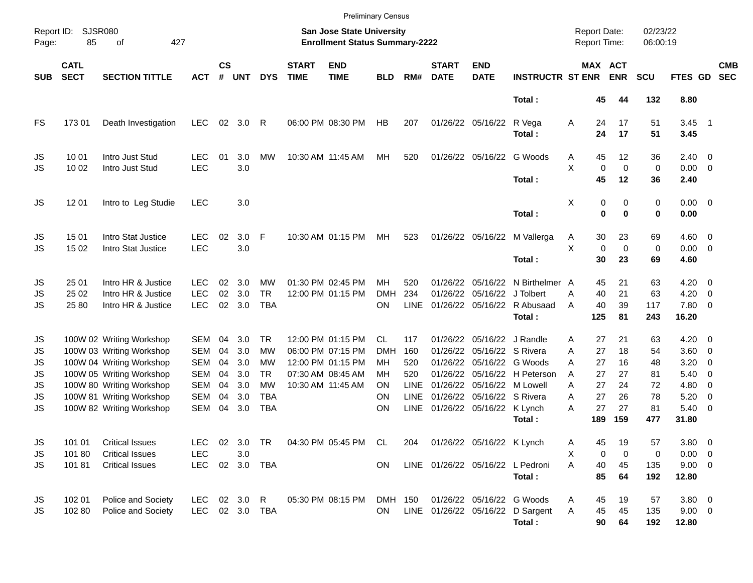|                     |                            |                                          |                          |                    |            |              |                             | <b>Preliminary Census</b>                                          |            |             |                             |                           |                                       |        |                                     |                              |                      |                           |                         |                          |
|---------------------|----------------------------|------------------------------------------|--------------------------|--------------------|------------|--------------|-----------------------------|--------------------------------------------------------------------|------------|-------------|-----------------------------|---------------------------|---------------------------------------|--------|-------------------------------------|------------------------------|----------------------|---------------------------|-------------------------|--------------------------|
| Report ID:<br>Page: | <b>SJSR080</b><br>85       | 427<br>of                                |                          |                    |            |              |                             | San Jose State University<br><b>Enrollment Status Summary-2222</b> |            |             |                             |                           |                                       |        | <b>Report Date:</b><br>Report Time: |                              | 02/23/22<br>06:00:19 |                           |                         |                          |
| <b>SUB</b>          | <b>CATL</b><br><b>SECT</b> | <b>SECTION TITTLE</b>                    | <b>ACT</b>               | $\mathsf{cs}$<br># | <b>UNT</b> | <b>DYS</b>   | <b>START</b><br><b>TIME</b> | <b>END</b><br><b>TIME</b>                                          | <b>BLD</b> | RM#         | <b>START</b><br><b>DATE</b> | <b>END</b><br><b>DATE</b> | <b>INSTRUCTR ST ENR</b>               |        |                                     | <b>MAX ACT</b><br><b>ENR</b> | <b>SCU</b>           | FTES GD                   |                         | <b>CMB</b><br><b>SEC</b> |
|                     |                            |                                          |                          |                    |            |              |                             |                                                                    |            |             |                             |                           | Total:                                |        | 45                                  | 44                           | 132                  | 8.80                      |                         |                          |
| FS                  | 17301                      | Death Investigation                      | <b>LEC</b>               | 02                 | 3.0        | $\mathsf{R}$ |                             | 06:00 PM 08:30 PM                                                  | HB         | 207         |                             | 01/26/22 05/16/22         | R Vega<br>Total:                      | Α      | 24<br>24                            | 17<br>17                     | 51<br>51             | $3.45$ 1<br>3.45          |                         |                          |
| JS<br>JS            | 10 01<br>10 02             | Intro Just Stud<br>Intro Just Stud       | <b>LEC</b><br><b>LEC</b> | 01                 | 3.0<br>3.0 | MW           |                             | 10:30 AM 11:45 AM                                                  | MН         | 520         |                             | 01/26/22 05/16/22         | G Woods                               | Α<br>X | 45<br>$\mathbf 0$                   | 12<br>$\mathbf 0$            | 36<br>$\mathbf 0$    | $2.40 \ 0$<br>$0.00 \t 0$ |                         |                          |
|                     |                            |                                          |                          |                    |            |              |                             |                                                                    |            |             |                             |                           | Total:                                |        | 45                                  | 12                           | 36                   | 2.40                      |                         |                          |
| JS                  | 12 01                      | Intro to Leg Studie                      | <b>LEC</b>               |                    | 3.0        |              |                             |                                                                    |            |             |                             |                           | Total:                                | Χ      | 0<br>$\bf{0}$                       | 0<br>0                       | 0<br>0               | $0.00 \t 0$<br>0.00       |                         |                          |
| JS<br>JS            | 15 01<br>15 02             | Intro Stat Justice<br>Intro Stat Justice | <b>LEC</b><br><b>LEC</b> | 02                 | 3.0<br>3.0 | -F           |                             | 10:30 AM 01:15 PM                                                  | МH         | 523         |                             | 01/26/22 05/16/22         | M Vallerga                            | A<br>X | 30<br>$\mathbf 0$                   | 23<br>$\mathbf 0$            | 69<br>0              | $4.60 \ 0$<br>$0.00 \t 0$ |                         |                          |
|                     |                            |                                          |                          |                    |            |              |                             |                                                                    |            |             |                             |                           | Total:                                |        | 30                                  | 23                           | 69                   | 4.60                      |                         |                          |
| JS                  | 25 01                      | Intro HR & Justice                       | <b>LEC</b>               | 02                 | 3.0        | <b>MW</b>    |                             | 01:30 PM 02:45 PM                                                  | <b>MH</b>  | 520         | 01/26/22                    | 05/16/22                  | N Birthelmer A                        |        | 45                                  | 21                           | 63                   | $4.20 \ 0$                |                         |                          |
| JS                  | 25 02                      | Intro HR & Justice                       | <b>LEC</b>               | 02                 | 3.0        | <b>TR</b>    |                             | 12:00 PM 01:15 PM                                                  | <b>DMH</b> | 234         | 01/26/22                    | 05/16/22                  | J Tolbert                             | А      | 40                                  | 21                           | 63                   | 4.20                      | $\overline{\mathbf{0}}$ |                          |
| JS                  | 25 80                      | Intro HR & Justice                       | <b>LEC</b>               | 02                 | 3.0        | <b>TBA</b>   |                             |                                                                    | ON         | <b>LINE</b> |                             |                           | 01/26/22 05/16/22 R Abusaad<br>Total: | Α      | 40<br>125                           | 39<br>81                     | 117<br>243           | 7.80 0<br>16.20           |                         |                          |
| JS                  |                            | 100W 02 Writing Workshop                 | SEM                      | 04                 | 3.0        | TR.          |                             | 12:00 PM 01:15 PM                                                  | CL         | 117         | 01/26/22                    | 05/16/22 J Randle         |                                       | A      | 27                                  | 21                           | 63                   | $4.20 \ 0$                |                         |                          |
| JS                  |                            | 100W 03 Writing Workshop                 | <b>SEM</b>               | 04                 | 3.0        | <b>MW</b>    |                             | 06:00 PM 07:15 PM                                                  | <b>DMH</b> | 160         | 01/26/22                    |                           | 05/16/22 S Rivera                     | A      | 27                                  | 18                           | 54                   | $3.60 \ 0$                |                         |                          |
| JS                  |                            | 100W 04 Writing Workshop                 | <b>SEM</b>               | 04                 | 3.0        | MW           |                             | 12:00 PM 01:15 PM                                                  | MН         | 520         | 01/26/22                    |                           | 05/16/22 G Woods                      | A      | 27                                  | 16                           | 48                   | 3.20                      | 0                       |                          |
| JS                  |                            | 100W 05 Writing Workshop                 | <b>SEM</b>               | 04                 | 3.0        | <b>TR</b>    |                             | 07:30 AM 08:45 AM                                                  | MН         | 520         | 01/26/22                    |                           | 05/16/22 H Peterson                   | A      | 27                                  | 27                           | 81                   | 5.40                      | $\overline{0}$          |                          |
| JS                  |                            | 100W 80 Writing Workshop                 | <b>SEM</b>               | 04                 | 3.0        | <b>MW</b>    |                             | 10:30 AM 11:45 AM                                                  | OΝ         | LINE        | 01/26/22                    | 05/16/22 M Lowell         |                                       | A      | 27                                  | 24                           | 72                   | 4.80                      | - 0                     |                          |
| JS                  |                            | 100W 81 Writing Workshop                 | <b>SEM</b>               | 04                 | 3.0        | <b>TBA</b>   |                             |                                                                    | ΟN         | <b>LINE</b> | 01/26/22                    | 05/16/22 S Rivera         |                                       | A      | 27                                  | 26                           | 78                   | 5.20                      | 0                       |                          |
| JS                  |                            | 100W 82 Writing Workshop                 | <b>SEM</b>               | 04                 | 3.0        | <b>TBA</b>   |                             |                                                                    | ON         | <b>LINE</b> |                             | 01/26/22 05/16/22 K Lynch |                                       | A      | 27                                  | 27                           | 81                   | $5.40 \ 0$                |                         |                          |
|                     |                            |                                          |                          |                    |            |              |                             |                                                                    |            |             |                             |                           | Total:                                |        | 189                                 | 159                          | 477                  | 31.80                     |                         |                          |
| JS                  | 101 01                     | <b>Critical Issues</b>                   | <b>LEC</b>               |                    | 02 3.0     | TR           |                             | 04:30 PM 05:45 PM CL                                               |            | 204         |                             | 01/26/22 05/16/22 K Lynch |                                       | A      | 45                                  | 19                           | 57                   | 3.80 0                    |                         |                          |
| JS                  | 101 80                     | <b>Critical Issues</b>                   | <b>LEC</b>               |                    | 3.0        |              |                             |                                                                    |            |             |                             |                           |                                       | Χ      | 0                                   | 0                            | 0                    | $0.00 \t 0$               |                         |                          |
| JS                  | 10181                      | <b>Critical Issues</b>                   | <b>LEC</b>               |                    |            | 02 3.0 TBA   |                             |                                                                    | <b>ON</b>  |             |                             |                           | LINE 01/26/22 05/16/22 L Pedroni      | A      | 40                                  | 45                           | 135                  | $9.00 \t 0$               |                         |                          |
|                     |                            |                                          |                          |                    |            |              |                             |                                                                    |            |             |                             |                           | Total:                                |        | 85                                  | 64                           | 192                  | 12.80                     |                         |                          |
| JS                  | 102 01                     | Police and Society                       | LEC.                     |                    | 02 3.0 R   |              |                             | 05:30 PM 08:15 PM                                                  | DMH 150    |             |                             |                           | 01/26/22 05/16/22 G Woods             | Α      | 45                                  | 19                           | 57                   | $3.80\ 0$                 |                         |                          |
| JS                  | 102 80                     | Police and Society                       | LEC 02 3.0 TBA           |                    |            |              |                             |                                                                    | <b>ON</b>  |             |                             |                           | LINE 01/26/22 05/16/22 D Sargent      | A      | 45                                  | 45                           | 135                  | $9.00 \t 0$               |                         |                          |
|                     |                            |                                          |                          |                    |            |              |                             |                                                                    |            |             |                             |                           | Total:                                |        | 90                                  | 64                           | 192                  | 12.80                     |                         |                          |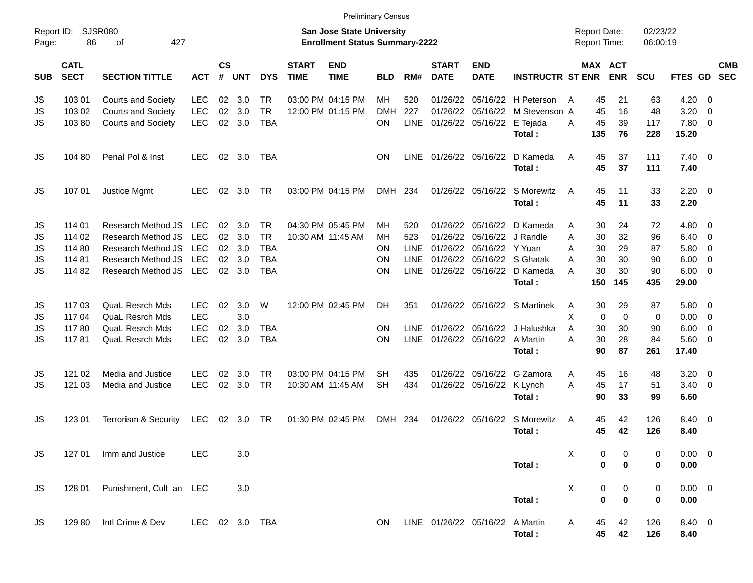|                     |                            |                             |                |                |                |            |                             |                                                                    | <b>Preliminary Census</b> |             |                             |                            |                                 |                                     |                            |                      |                |                          |            |
|---------------------|----------------------------|-----------------------------|----------------|----------------|----------------|------------|-----------------------------|--------------------------------------------------------------------|---------------------------|-------------|-----------------------------|----------------------------|---------------------------------|-------------------------------------|----------------------------|----------------------|----------------|--------------------------|------------|
| Report ID:<br>Page: | 86                         | <b>SJSR080</b><br>427<br>of |                |                |                |            |                             | San Jose State University<br><b>Enrollment Status Summary-2222</b> |                           |             |                             |                            |                                 | <b>Report Date:</b><br>Report Time: |                            | 02/23/22<br>06:00:19 |                |                          |            |
| <b>SUB</b>          | <b>CATL</b><br><b>SECT</b> | <b>SECTION TITTLE</b>       | <b>ACT</b>     | <b>CS</b><br># | <b>UNT</b>     | <b>DYS</b> | <b>START</b><br><b>TIME</b> | <b>END</b><br><b>TIME</b>                                          | BLD                       | RM#         | <b>START</b><br><b>DATE</b> | <b>END</b><br><b>DATE</b>  | <b>INSTRUCTR ST ENR</b>         |                                     | MAX ACT<br><b>ENR</b>      | <b>SCU</b>           | FTES GD SEC    |                          | <b>CMB</b> |
| JS                  | 103 01                     | <b>Courts and Society</b>   | <b>LEC</b>     | 02             | 3.0            | TR         |                             | 03:00 PM 04:15 PM                                                  | MН                        | 520         |                             |                            | 01/26/22 05/16/22 H Peterson    | A                                   | 45<br>21                   | 63                   | 4.20           | $\overline{0}$           |            |
| JS                  | 103 02                     | <b>Courts and Society</b>   | <b>LEC</b>     | 02             | 3.0            | <b>TR</b>  |                             | 12:00 PM 01:15 PM                                                  | <b>DMH</b>                | 227         |                             |                            | 01/26/22 05/16/22 M Stevenson A | 45                                  | 16                         | 48                   | 3.20           | $\overline{0}$           |            |
| JS                  | 10380                      | <b>Courts and Society</b>   | <b>LEC</b>     | 02             | 3.0            | <b>TBA</b> |                             |                                                                    | ΟN                        | <b>LINE</b> | 01/26/22 05/16/22           |                            | E Tejada                        | 45<br>A                             | 39                         | 117                  | 7.80           | - 0                      |            |
|                     |                            |                             |                |                |                |            |                             |                                                                    |                           |             |                             |                            | Total:                          | 135                                 | 76                         | 228                  | 15.20          |                          |            |
| JS                  | 104 80                     | Penal Pol & Inst            | <b>LEC</b>     |                | 02 3.0         | TBA        |                             |                                                                    | ON                        | LINE        | 01/26/22 05/16/22           |                            | D Kameda                        | A                                   | 45<br>37                   | 111                  | $7.40 \quad 0$ |                          |            |
|                     |                            |                             |                |                |                |            |                             |                                                                    |                           |             |                             |                            | Total:                          |                                     | 45<br>37                   | 111                  | 7.40           |                          |            |
| JS                  | 107 01                     | Justice Mgmt                | <b>LEC</b>     | 02             | 3.0            | TR.        |                             | 03:00 PM 04:15 PM                                                  | DMH 234                   |             |                             | 01/26/22 05/16/22          | S Morewitz                      | A                                   | 45<br>11                   | 33                   | $2.20 \t 0$    |                          |            |
|                     |                            |                             |                |                |                |            |                             |                                                                    |                           |             |                             |                            | Total:                          |                                     | 45<br>11                   | 33                   | 2.20           |                          |            |
| JS                  | 114 01                     | Research Method JS          | <b>LEC</b>     | 02             | 3.0            | <b>TR</b>  |                             | 04:30 PM 05:45 PM                                                  | MН                        | 520         |                             | 01/26/22 05/16/22          | D Kameda                        | A                                   | 30<br>24                   | 72                   | 4.80           | - 0                      |            |
| JS                  | 114 02                     | Research Method JS          | <b>LEC</b>     | 02             | 3.0            | <b>TR</b>  | 10:30 AM 11:45 AM           |                                                                    | ΜН                        | 523         |                             | 01/26/22 05/16/22 J Randle |                                 | A                                   | 30<br>32                   | 96                   | 6.40           | $\overline{0}$           |            |
| JS                  | 114 80                     | Research Method JS          | <b>LEC</b>     | 02             | 3.0            | <b>TBA</b> |                             |                                                                    | ON                        | LINE        |                             | 01/26/22 05/16/22 Y Yuan   |                                 | A                                   | 30<br>29                   | 87                   | 5.80           | 0                        |            |
| JS                  | 11481                      | Research Method JS          | <b>LEC</b>     | 02             | 3.0            | <b>TBA</b> |                             |                                                                    | ON                        | LINE        |                             |                            | 01/26/22 05/16/22 S Ghatak      | A                                   | 30<br>30                   | 90                   | 6.00           | 0                        |            |
| JS                  | 114 82                     | Research Method JS          | <b>LEC</b>     |                | $02 \quad 3.0$ | <b>TBA</b> |                             |                                                                    | <b>ON</b>                 | <b>LINE</b> |                             |                            | 01/26/22 05/16/22 D Kameda      | А                                   | 30<br>30                   | 90                   | 6.00           | - 0                      |            |
|                     |                            |                             |                |                |                |            |                             |                                                                    |                           |             |                             |                            | Total:                          | 150                                 | 145                        | 435                  | 29.00          |                          |            |
| JS                  | 117 03                     | <b>QuaL Resrch Mds</b>      | <b>LEC</b>     | 02             | 3.0            | W          |                             | 12:00 PM 02:45 PM                                                  | DH.                       | 351         |                             |                            | 01/26/22 05/16/22 S Martinek    | A                                   | 30<br>29                   | 87                   | 5.80           | - 0                      |            |
| JS                  | 117 04                     | <b>QuaL Resrch Mds</b>      | <b>LEC</b>     |                | 3.0            |            |                             |                                                                    |                           |             |                             |                            |                                 | X                                   | $\mathbf 0$<br>$\mathbf 0$ | 0                    | 0.00           | - 0                      |            |
| JS                  | 11780                      | <b>QuaL Resrch Mds</b>      | <b>LEC</b>     | 02             | 3.0            | <b>TBA</b> |                             |                                                                    | ON                        | <b>LINE</b> |                             |                            | 01/26/22 05/16/22 J Halushka    | A                                   | 30<br>30                   | 90                   | 6.00           | $\overline{0}$           |            |
| JS                  | 11781                      | <b>QuaL Resrch Mds</b>      | LEC            | 02             | 3.0            | <b>TBA</b> |                             |                                                                    | ON                        | <b>LINE</b> |                             | 01/26/22 05/16/22 A Martin |                                 | A                                   | 30<br>28                   | 84                   | 5.60           | - 0                      |            |
|                     |                            |                             |                |                |                |            |                             |                                                                    |                           |             |                             |                            | Total:                          |                                     | 90<br>87                   | 261                  | 17.40          |                          |            |
| JS                  | 121 02                     | Media and Justice           | <b>LEC</b>     | 02             | 3.0            | TR         |                             | 03:00 PM 04:15 PM                                                  | SН                        | 435         |                             |                            | 01/26/22 05/16/22 G Zamora      | A                                   | 16<br>45                   | 48                   | 3.20           | - 0                      |            |
| JS                  | 121 03                     | Media and Justice           | <b>LEC</b>     | 02             | 3.0            | <b>TR</b>  |                             | 10:30 AM 11:45 AM                                                  | <b>SH</b>                 | 434         |                             | 01/26/22 05/16/22          | K Lynch                         | 45<br>A                             | 17                         | 51                   | 3.40           | $\overline{\phantom{0}}$ |            |
|                     |                            |                             |                |                |                |            |                             |                                                                    |                           |             |                             |                            | Total:                          |                                     | 90<br>33                   | 99                   | 6.60           |                          |            |
| JS                  | 123 01                     | Terrorism & Security        | <b>LEC</b>     | 02             | 3.0            | TR         |                             | 01:30 PM 02:45 PM                                                  | <b>DMH</b>                | -234        |                             | 01/26/22 05/16/22          | S Morewitz                      | A                                   | 45<br>42                   | 126                  | 8.40 0         |                          |            |
|                     |                            |                             |                |                |                |            |                             |                                                                    |                           |             |                             |                            | Total:                          |                                     | 45<br>42                   | 126                  | 8.40           |                          |            |
| JS                  | 127 01                     | Imm and Justice             | <b>LEC</b>     |                | 3.0            |            |                             |                                                                    |                           |             |                             |                            |                                 | X                                   | 0<br>0                     | 0                    | $0.00 \quad 0$ |                          |            |
|                     |                            |                             |                |                |                |            |                             |                                                                    |                           |             |                             |                            | Total:                          |                                     | 0<br>$\bf{0}$              | 0                    | 0.00           |                          |            |
| <b>JS</b>           | 128 01                     | Punishment, Cult an LEC     |                |                | 3.0            |            |                             |                                                                    |                           |             |                             |                            |                                 | X                                   | 0<br>0                     | 0                    | $0.00 \t 0$    |                          |            |
|                     |                            |                             |                |                |                |            |                             |                                                                    |                           |             |                             |                            | Total:                          |                                     | $\bf{0}$<br>$\bf{0}$       | 0                    | 0.00           |                          |            |
| JS                  | 129 80                     | Intl Crime & Dev            | LEC 02 3.0 TBA |                |                |            |                             |                                                                    | ON.                       |             |                             | LINE 01/26/22 05/16/22     | A Martin                        | A                                   | 45<br>42                   | 126                  | 8.40 0         |                          |            |
|                     |                            |                             |                |                |                |            |                             |                                                                    |                           |             |                             |                            | Total:                          |                                     | 45<br>42                   | 126                  | 8.40           |                          |            |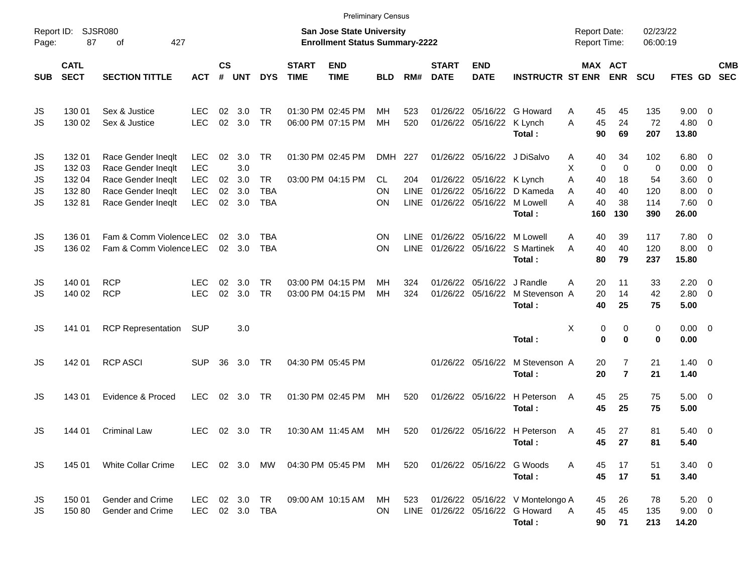|                     |                            |                                                                                                                                                                                |                                        |          |                      |                          |             | <b>Preliminary Census</b>              |            |                            |                      |                                                          |                                                                               |                              |                     |                      |                                    |                                                    |                          |
|---------------------|----------------------------|--------------------------------------------------------------------------------------------------------------------------------------------------------------------------------|----------------------------------------|----------|----------------------|--------------------------|-------------|----------------------------------------|------------|----------------------------|----------------------|----------------------------------------------------------|-------------------------------------------------------------------------------|------------------------------|---------------------|----------------------|------------------------------------|----------------------------------------------------|--------------------------|
| Report ID:<br>Page: | 87                         | SJSR080<br><b>San Jose State University</b><br>427<br><b>Enrollment Status Summary-2222</b><br>οf<br>$\mathsf{cs}$<br><b>START</b><br><b>START</b><br><b>END</b><br><b>END</b> |                                        |          |                      |                          |             |                                        |            |                            |                      |                                                          |                                                                               |                              |                     | 02/23/22<br>06:00:19 |                                    |                                                    |                          |
| <b>SUB</b>          | <b>CATL</b><br><b>SECT</b> | <b>SECTION TITTLE</b>                                                                                                                                                          | <b>ACT</b>                             | #        | <b>UNT</b>           | <b>DYS</b>               | <b>TIME</b> | <b>TIME</b>                            | <b>BLD</b> | RM#                        | <b>DATE</b>          | <b>DATE</b>                                              | <b>INSTRUCTR ST ENR</b>                                                       | MAX ACT                      | <b>ENR</b>          | <b>SCU</b>           | FTES GD                            |                                                    | <b>CMB</b><br><b>SEC</b> |
| JS<br>JS            | 130 01<br>130 02           | Sex & Justice<br>Sex & Justice                                                                                                                                                 | LEC<br><b>LEC</b>                      | 02<br>02 | 3.0<br>3.0           | <b>TR</b><br><b>TR</b>   |             | 01:30 PM 02:45 PM<br>06:00 PM 07:15 PM | MН<br>MН   | 523<br>520                 | 01/26/22<br>01/26/22 | 05/16/22<br>05/16/22                                     | G Howard<br>K Lynch<br>Total:                                                 | 45<br>A<br>45<br>A<br>90     | 45<br>24<br>69      | 135<br>72<br>207     | 9.00<br>4.80<br>13.80              | - 0<br>$\overline{\mathbf{0}}$                     |                          |
| JS<br>JS<br>JS      | 132 01<br>132 03<br>132 04 | Race Gender Ineqlt<br>Race Gender Ineqlt<br>Race Gender Ineqlt                                                                                                                 | <b>LEC</b><br><b>LEC</b><br><b>LEC</b> | 02<br>02 | 3.0<br>3.0<br>3.0    | <b>TR</b><br><b>TR</b>   |             | 01:30 PM 02:45 PM<br>03:00 PM 04:15 PM | DMH<br>CL  | 227<br>204                 |                      | 01/26/22 05/16/22 J DiSalvo<br>01/26/22 05/16/22 K Lynch |                                                                               | 40<br>Α<br>X<br>0<br>Α<br>40 | 34<br>0<br>18       | 102<br>0<br>54       | 6.80<br>0.00<br>3.60               | $\overline{\mathbf{0}}$<br>0<br>0                  |                          |
| JS<br><b>JS</b>     | 132 80<br>13281            | Race Gender Ineqlt<br>Race Gender Ineqlt                                                                                                                                       | <b>LEC</b><br><b>LEC</b>               | 02<br>02 | 3.0<br>3.0           | <b>TBA</b><br><b>TBA</b> |             |                                        | ΟN<br>ΟN   | <b>LINE</b><br><b>LINE</b> | 01/26/22             | 05/16/22<br>01/26/22 05/16/22                            | D Kameda<br>M Lowell<br>Total:                                                | 40<br>A<br>A<br>40<br>160    | 40<br>38<br>130     | 120<br>114<br>390    | 8.00<br>7.60<br>26.00              | $\mathbf 0$<br>$\overline{\mathbf{0}}$             |                          |
| JS<br>JS            | 136 01<br>136 02           | Fam & Comm Violence LEC<br>Fam & Comm Violence LEC                                                                                                                             |                                        | 02       | 3.0<br>02 3.0        | TBA<br><b>TBA</b>        |             |                                        | ΟN<br>ΟN   | <b>LINE</b><br><b>LINE</b> |                      | 01/26/22 05/16/22                                        | M Lowell<br>01/26/22 05/16/22 S Martinek<br>Total:                            | 40<br>Α<br>40<br>A<br>80     | 39<br>40<br>79      | 117<br>120<br>237    | 7.80<br>8.00<br>15.80              | $\overline{\mathbf{0}}$<br>$\overline{\mathbf{0}}$ |                          |
| JS<br>JS            | 140 01<br>140 02           | <b>RCP</b><br><b>RCP</b>                                                                                                                                                       | LEC<br><b>LEC</b>                      | 02<br>02 | 3.0<br>3.0           | <b>TR</b><br><b>TR</b>   |             | 03:00 PM 04:15 PM<br>03:00 PM 04:15 PM | MН<br>MН   | 324<br>324                 |                      | 01/26/22 05/16/22<br>01/26/22 05/16/22                   | J Randle<br>M Stevenson A<br>Total:                                           | 20<br>Α<br>20<br>40          | 11<br>14<br>25      | 33<br>42<br>75       | 2.20<br>2.80<br>5.00               | $\overline{\mathbf{0}}$<br>$\overline{\mathbf{0}}$ |                          |
| JS                  | 141 01                     | <b>RCP Representation</b>                                                                                                                                                      | <b>SUP</b>                             |          | 3.0                  |                          |             |                                        |            |                            |                      |                                                          | Total:                                                                        | X<br>0<br>$\mathbf 0$        | 0<br>0              | 0<br>$\bf{0}$        | 0.00<br>0.00                       | $\overline{\mathbf{0}}$                            |                          |
| JS                  | 142 01                     | <b>RCP ASCI</b>                                                                                                                                                                | <b>SUP</b>                             | 36       | 3.0                  | TR                       |             | 04:30 PM 05:45 PM                      |            |                            |                      | 01/26/22 05/16/22                                        | M Stevenson A<br>Total:                                                       | 20<br>20                     | 7<br>$\overline{7}$ | 21<br>21             | 1.40<br>1.40                       | - 0                                                |                          |
| JS                  | 143 01                     | Evidence & Proced                                                                                                                                                              | <b>LEC</b>                             | 02       | 3.0                  | <b>TR</b>                |             | 01:30 PM 02:45 PM                      | MН         | 520                        |                      | 01/26/22 05/16/22                                        | H Peterson<br>Total:                                                          | 45<br>A<br>45                | 25<br>25            | 75<br>75             | 5.00<br>5.00                       | $\overline{\mathbf{0}}$                            |                          |
| JS                  | 144 01                     | Criminal Law                                                                                                                                                                   | <b>LEC</b>                             |          | $02 \quad 3.0$       | <b>TR</b>                |             | 10:30 AM 11:45 AM                      | MН         | 520                        |                      |                                                          | 01/26/22 05/16/22 H Peterson<br>Total:                                        | 45<br>A<br>45                | 27<br>27            | 81<br>81             | 5.40<br>5.40                       | $\overline{\mathbf{0}}$                            |                          |
| <b>JS</b>           | 145 01                     | White Collar Crime                                                                                                                                                             | <b>LEC</b>                             |          | 02 3.0 MW            |                          |             | 04:30 PM 05:45 PM                      | MH         | 520                        |                      | 01/26/22 05/16/22                                        | G Woods<br>Total:                                                             | A<br>45<br>45                | 17<br>17            | 51<br>51             | $3.40 \ 0$<br>3.40                 |                                                    |                          |
| JS<br>JS            | 150 01<br>150 80           | Gender and Crime<br>Gender and Crime                                                                                                                                           | <b>LEC</b><br><b>LEC</b>               |          | 02 3.0<br>02 3.0 TBA | TR                       |             | 09:00 AM 10:15 AM                      | MH.<br>ON. | 523                        |                      |                                                          | 01/26/22 05/16/22 V Montelongo A<br>LINE 01/26/22 05/16/22 G Howard<br>Total: | 45<br>45<br>A<br>90          | 26<br>45<br>71      | 78<br>135<br>213     | $5.20 \ 0$<br>$9.00 \t 0$<br>14.20 |                                                    |                          |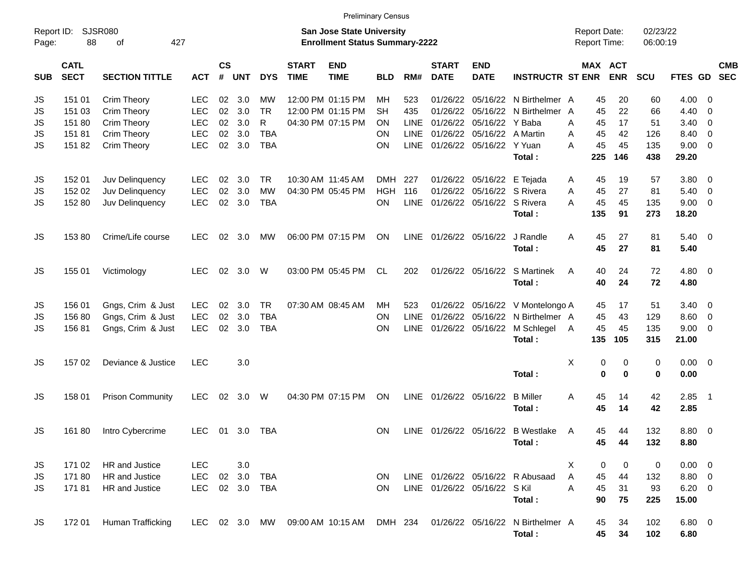|                     |                            |                             |            |                |            |            |                             |                                                                           | <b>Preliminary Census</b> |             |                             |                              |                                   |                                     |                       |                      |             |                          |                          |
|---------------------|----------------------------|-----------------------------|------------|----------------|------------|------------|-----------------------------|---------------------------------------------------------------------------|---------------------------|-------------|-----------------------------|------------------------------|-----------------------------------|-------------------------------------|-----------------------|----------------------|-------------|--------------------------|--------------------------|
| Report ID:<br>Page: | 88                         | <b>SJSR080</b><br>427<br>оf |            |                |            |            |                             | <b>San Jose State University</b><br><b>Enrollment Status Summary-2222</b> |                           |             |                             |                              |                                   | <b>Report Date:</b><br>Report Time: |                       | 02/23/22<br>06:00:19 |             |                          |                          |
| <b>SUB</b>          | <b>CATL</b><br><b>SECT</b> | <b>SECTION TITTLE</b>       | <b>ACT</b> | <b>CS</b><br># | <b>UNT</b> | <b>DYS</b> | <b>START</b><br><b>TIME</b> | <b>END</b><br><b>TIME</b>                                                 | <b>BLD</b>                | RM#         | <b>START</b><br><b>DATE</b> | <b>END</b><br><b>DATE</b>    | <b>INSTRUCTR ST ENR</b>           |                                     | MAX ACT<br><b>ENR</b> | <b>SCU</b>           | FTES GD     |                          | <b>CMB</b><br><b>SEC</b> |
| JS                  | 151 01                     | <b>Crim Theory</b>          | <b>LEC</b> | 02             | 3.0        | MW         |                             | 12:00 PM 01:15 PM                                                         | MН                        | 523         | 01/26/22                    | 05/16/22                     | N Birthelmer A                    |                                     | 45<br>20              | 60                   | 4.00        | - 0                      |                          |
| JS                  | 151 03                     | <b>Crim Theory</b>          | <b>LEC</b> | 02             | 3.0        | <b>TR</b>  |                             | 12:00 PM 01:15 PM                                                         | <b>SH</b>                 | 435         | 01/26/22                    | 05/16/22                     | N Birthelmer A                    |                                     | 22<br>45              | 66                   | 4.40        | 0                        |                          |
| JS                  | 151 80                     | <b>Crim Theory</b>          | <b>LEC</b> | 02             | 3.0        | R          |                             | 04:30 PM 07:15 PM                                                         | <b>ON</b>                 | <b>LINE</b> | 01/26/22                    | 05/16/22                     | Y Baba                            | A                                   | 17<br>45              | 51                   | 3.40        | $\overline{\mathbf{0}}$  |                          |
| JS                  | 15181                      | Crim Theory                 | <b>LEC</b> | 02             | 3.0        | <b>TBA</b> |                             |                                                                           | <b>ON</b>                 | <b>LINE</b> |                             | 01/26/22 05/16/22            | A Martin                          | A                                   | 45<br>42              | 126                  | 8.40        | $\overline{\mathbf{0}}$  |                          |
| JS                  | 15182                      | Crim Theory                 | LEC        | 02             | 3.0        | <b>TBA</b> |                             |                                                                           | <b>ON</b>                 | <b>LINE</b> |                             | 01/26/22 05/16/22 Y Yuan     |                                   | А                                   | 45<br>45              | 135                  | 9.00        | $\overline{0}$           |                          |
|                     |                            |                             |            |                |            |            |                             |                                                                           |                           |             |                             |                              | Total:                            | 225                                 | 146                   | 438                  | 29.20       |                          |                          |
| JS                  | 152 01                     | Juv Delinquency             | <b>LEC</b> | 02             | 3.0        | <b>TR</b>  |                             | 10:30 AM 11:45 AM                                                         | DMH                       | 227         |                             | 01/26/22 05/16/22            | E Tejada                          | A                                   | 19<br>45              | 57                   | 3.80        | - 0                      |                          |
| JS                  | 152 02                     | Juv Delinquency             | <b>LEC</b> | 02             | 3.0        | <b>MW</b>  |                             | 04:30 PM 05:45 PM                                                         | <b>HGH</b>                | 116         | 01/26/22                    | 05/16/22                     | S Rivera                          | A                                   | 27<br>45              | 81                   | 5.40        | $\mathbf 0$              |                          |
| JS                  | 152 80                     | Juv Delinquency             | <b>LEC</b> | 02             | 3.0        | <b>TBA</b> |                             |                                                                           | ON                        | <b>LINE</b> |                             | 01/26/22 05/16/22 S Rivera   |                                   | A                                   | 45<br>45              | 135                  | 9.00        | $\overline{\phantom{0}}$ |                          |
|                     |                            |                             |            |                |            |            |                             |                                                                           |                           |             |                             |                              | Total:                            | 135                                 | 91                    | 273                  | 18.20       |                          |                          |
| JS                  | 15380                      | Crime/Life course           | LEC        | 02             | 3.0        | MW         |                             | 06:00 PM 07:15 PM                                                         | ON                        | LINE        |                             | 01/26/22 05/16/22            | J Randle                          | A                                   | 27<br>45              | 81                   | 5.40        | $\overline{\phantom{0}}$ |                          |
|                     |                            |                             |            |                |            |            |                             |                                                                           |                           |             |                             |                              | Total:                            |                                     | 45<br>27              | 81                   | 5.40        |                          |                          |
| JS                  | 155 01                     | Victimology                 | <b>LEC</b> | 02             | 3.0        | W          |                             | 03:00 PM 05:45 PM                                                         | CL.                       | 202         |                             | 01/26/22 05/16/22            | S Martinek                        | A                                   | 40<br>24              | 72                   | 4.80        | $\overline{\mathbf{0}}$  |                          |
|                     |                            |                             |            |                |            |            |                             |                                                                           |                           |             |                             |                              | Total:                            |                                     | 40<br>24              | 72                   | 4.80        |                          |                          |
| JS                  | 156 01                     | Gngs, Crim & Just           | <b>LEC</b> | 02             | 3.0        | <b>TR</b>  |                             | 07:30 AM 08:45 AM                                                         | MН                        | 523         |                             | 01/26/22 05/16/22            | V Montelongo A                    |                                     | 17<br>45              | 51                   | 3.40        | $\overline{\mathbf{0}}$  |                          |
| JS                  | 156 80                     | Gngs, Crim & Just           | <b>LEC</b> | 02             | 3.0        | <b>TBA</b> |                             |                                                                           | ON                        | <b>LINE</b> |                             | 01/26/22 05/16/22            | N Birthelmer A                    |                                     | 45<br>43              | 129                  | 8.60        | $\overline{\mathbf{0}}$  |                          |
| JS                  | 15681                      | Gngs, Crim & Just           | <b>LEC</b> | 02             | 3.0        | <b>TBA</b> |                             |                                                                           | ON                        | <b>LINE</b> |                             | 01/26/22 05/16/22            | M Schlegel                        | A                                   | 45<br>45              | 135                  | 9.00        | $\overline{\mathbf{0}}$  |                          |
|                     |                            |                             |            |                |            |            |                             |                                                                           |                           |             |                             |                              | Total:                            | 135                                 | 105                   | 315                  | 21.00       |                          |                          |
| JS                  | 15702                      | Deviance & Justice          | <b>LEC</b> |                | 3.0        |            |                             |                                                                           |                           |             |                             |                              |                                   | X                                   | 0<br>0                | 0                    | 0.00        | $\overline{\mathbf{0}}$  |                          |
|                     |                            |                             |            |                |            |            |                             |                                                                           |                           |             |                             |                              | Total:                            |                                     | $\bf{0}$<br>0         | $\bf{0}$             | 0.00        |                          |                          |
| JS                  | 158 01                     | <b>Prison Community</b>     | <b>LEC</b> | 02             | 3.0        | W          |                             | 04:30 PM 07:15 PM                                                         | ON                        | <b>LINE</b> |                             | 01/26/22 05/16/22            | <b>B</b> Miller                   | A                                   | 45<br>14              | 42                   | 2.85        | - 1                      |                          |
|                     |                            |                             |            |                |            |            |                             |                                                                           |                           |             |                             |                              | Total:                            |                                     | 45<br>14              | 42                   | 2.85        |                          |                          |
| <b>JS</b>           | 16180                      | Intro Cybercrime            | <b>LEC</b> | 01             | 3.0        | <b>TBA</b> |                             |                                                                           | <b>ON</b>                 |             |                             |                              | LINE 01/26/22 05/16/22 B Westlake | A                                   | 45<br>44              | 132                  | 8.80        | $\overline{\phantom{0}}$ |                          |
|                     |                            |                             |            |                |            |            |                             |                                                                           |                           |             |                             |                              | Total:                            |                                     | 45<br>44              | 132                  | 8.80        |                          |                          |
| JS                  | 171 02                     | HR and Justice              | <b>LEC</b> |                | 3.0        |            |                             |                                                                           |                           |             |                             |                              |                                   | X                                   | 0<br>0                | 0                    | $0.00 \t 0$ |                          |                          |
| <b>JS</b>           | 17180                      | HR and Justice              | <b>LEC</b> | 02             | 3.0        | <b>TBA</b> |                             |                                                                           | <b>ON</b>                 |             |                             |                              | LINE 01/26/22 05/16/22 R Abusaad  | A                                   | 45<br>44              | 132                  | 8.80 0      |                          |                          |
| <b>JS</b>           | 17181                      | HR and Justice              | <b>LEC</b> |                | 02 3.0     | TBA        |                             |                                                                           | <b>ON</b>                 |             |                             | LINE 01/26/22 05/16/22 S Kil |                                   | A                                   | 31<br>45              | 93                   | $6.20 \t 0$ |                          |                          |
|                     |                            |                             |            |                |            |            |                             |                                                                           |                           |             |                             |                              | Total:                            |                                     | 90<br>75              | 225                  | 15.00       |                          |                          |
| JS                  | 172 01                     | Human Trafficking           | LEC.       |                | 02 3.0     | MW         |                             | 09:00 AM 10:15 AM                                                         | DMH 234                   |             |                             |                              | 01/26/22 05/16/22 N Birthelmer A  |                                     | 34<br>45              | 102                  | 6.80 0      |                          |                          |
|                     |                            |                             |            |                |            |            |                             |                                                                           |                           |             |                             |                              | Total:                            |                                     | 45<br>34              | 102                  | 6.80        |                          |                          |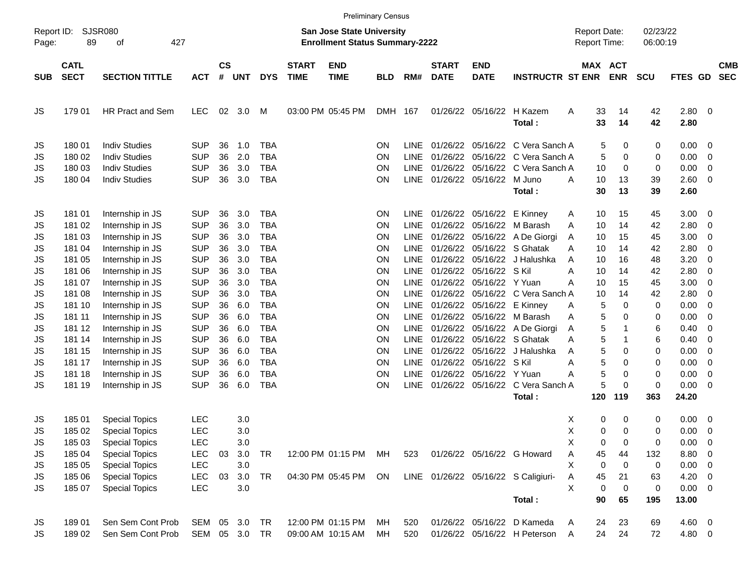|                     |                            |                       |               |                |            |            |                             |                                                                    | <b>Preliminary Census</b> |             |                             |                            |                                     |                                     |            |                      |              |                          |                          |
|---------------------|----------------------------|-----------------------|---------------|----------------|------------|------------|-----------------------------|--------------------------------------------------------------------|---------------------------|-------------|-----------------------------|----------------------------|-------------------------------------|-------------------------------------|------------|----------------------|--------------|--------------------------|--------------------------|
| Report ID:<br>Page: | 89                         | SJSR080<br>427<br>of  |               |                |            |            |                             | San Jose State University<br><b>Enrollment Status Summary-2222</b> |                           |             |                             |                            |                                     | <b>Report Date:</b><br>Report Time: |            | 02/23/22<br>06:00:19 |              |                          |                          |
| <b>SUB</b>          | <b>CATL</b><br><b>SECT</b> | <b>SECTION TITTLE</b> | <b>ACT</b>    | <b>CS</b><br># | <b>UNT</b> | <b>DYS</b> | <b>START</b><br><b>TIME</b> | <b>END</b><br><b>TIME</b>                                          | <b>BLD</b>                | RM#         | <b>START</b><br><b>DATE</b> | <b>END</b><br><b>DATE</b>  | <b>INSTRUCTR ST ENR</b>             | MAX ACT                             | <b>ENR</b> | <b>SCU</b>           | FTES GD      |                          | <b>CMB</b><br><b>SEC</b> |
| JS                  | 179 01                     | HR Pract and Sem      | <b>LEC</b>    | 02             | 3.0        | M          |                             | 03:00 PM 05:45 PM                                                  | DMH 167                   |             |                             | 01/26/22 05/16/22          | H Kazem<br>Total:                   | 33<br>Α<br>33                       | 14<br>14   | 42<br>42             | 2.80<br>2.80 | $\overline{\mathbf{0}}$  |                          |
| JS                  | 180 01                     | <b>Indiv Studies</b>  | <b>SUP</b>    | 36             | 1.0        | <b>TBA</b> |                             |                                                                    | ON                        | <b>LINE</b> |                             |                            | 01/26/22 05/16/22 C Vera Sanch A    | 5                                   | 0          | 0                    | 0.00         | $\overline{\mathbf{0}}$  |                          |
| JS                  | 180 02                     | <b>Indiv Studies</b>  | <b>SUP</b>    | 36             | 2.0        | <b>TBA</b> |                             |                                                                    | ON                        | <b>LINE</b> |                             |                            | 01/26/22 05/16/22 C Vera Sanch A    | 5                                   | 0          | 0                    | 0.00         | $\overline{0}$           |                          |
| JS                  | 180 03                     | <b>Indiv Studies</b>  | <b>SUP</b>    | 36             | 3.0        | <b>TBA</b> |                             |                                                                    | ΟN                        | <b>LINE</b> |                             |                            | 01/26/22 05/16/22 C Vera Sanch A    | 10                                  | 0          | 0                    | 0.00         | 0                        |                          |
| JS                  | 180 04                     | <b>Indiv Studies</b>  | <b>SUP</b>    | 36             | 3.0        | <b>TBA</b> |                             |                                                                    | ΟN                        | <b>LINE</b> |                             | 01/26/22 05/16/22 M Juno   | Total:                              | 10<br>A<br>30                       | 13<br>13   | 39<br>39             | 2.60<br>2.60 | 0                        |                          |
| JS                  | 181 01                     | Internship in JS      | <b>SUP</b>    | 36             | 3.0        | <b>TBA</b> |                             |                                                                    | <b>ON</b>                 | <b>LINE</b> |                             | 01/26/22 05/16/22 E Kinney |                                     | 10<br>A                             | 15         | 45                   | 3.00         | $\overline{\mathbf{0}}$  |                          |
| JS                  | 181 02                     | Internship in JS      | <b>SUP</b>    | 36             | 3.0        | <b>TBA</b> |                             |                                                                    | <b>ON</b>                 | LINE        |                             |                            | 01/26/22 05/16/22 M Barash          | 10<br>A                             | 14         | 42                   | 2.80         | 0                        |                          |
| JS                  | 181 03                     | Internship in JS      | <b>SUP</b>    | 36             | 3.0        | <b>TBA</b> |                             |                                                                    | ΟN                        | <b>LINE</b> |                             |                            | 01/26/22 05/16/22 A De Giorgi       | 10<br>A                             | 15         | 45                   | 3.00         | 0                        |                          |
| JS                  | 181 04                     | Internship in JS      | <b>SUP</b>    | 36             | 3.0        | <b>TBA</b> |                             |                                                                    | ΟN                        | <b>LINE</b> |                             |                            | 01/26/22 05/16/22 S Ghatak          | A<br>10                             | 14         | 42                   | 2.80         | 0                        |                          |
| JS                  | 181 05                     | Internship in JS      | <b>SUP</b>    | 36             | 3.0        | <b>TBA</b> |                             |                                                                    | <b>ON</b>                 | <b>LINE</b> |                             |                            | 01/26/22 05/16/22 J Halushka        | 10<br>A                             | 16         | 48                   | 3.20         | 0                        |                          |
| JS                  | 181 06                     | Internship in JS      | <b>SUP</b>    | 36             | 3.0        | <b>TBA</b> |                             |                                                                    | ΟN                        | LINE        |                             | 01/26/22 05/16/22 S Kil    |                                     | А<br>10                             | 14         | 42                   | 2.80         | 0                        |                          |
| JS                  | 181 07                     | Internship in JS      | <b>SUP</b>    | 36             | 3.0        | <b>TBA</b> |                             |                                                                    | ΟN                        | LINE        |                             | 01/26/22 05/16/22 Y Yuan   |                                     | 10<br>А                             | 15         | 45                   | 3.00         | 0                        |                          |
| JS                  | 181 08                     | Internship in JS      | <b>SUP</b>    | 36             | 3.0        | <b>TBA</b> |                             |                                                                    | <b>ON</b>                 | LINE        |                             |                            | 01/26/22 05/16/22 C Vera Sanch A    | 10                                  | 14         | 42                   | 2.80         | 0                        |                          |
| JS                  | 181 10                     | Internship in JS      | <b>SUP</b>    | 36             | 6.0        | <b>TBA</b> |                             |                                                                    | <b>ON</b>                 | <b>LINE</b> |                             | 01/26/22 05/16/22 E Kinney |                                     | 5<br>Α                              | 0          | 0                    | 0.00         | 0                        |                          |
| JS                  | 181 11                     | Internship in JS      | <b>SUP</b>    | 36             | 6.0        | <b>TBA</b> |                             |                                                                    | <b>ON</b>                 | LINE        |                             |                            | 01/26/22 05/16/22 M Barash          | 5<br>A                              | 0          | 0                    | 0.00         | 0                        |                          |
| JS                  | 181 12                     | Internship in JS      | <b>SUP</b>    | 36             | 6.0        | <b>TBA</b> |                             |                                                                    | <b>ON</b>                 | <b>LINE</b> |                             |                            | 01/26/22 05/16/22 A De Giorgi       | 5<br>A                              | 1          | 6                    | 0.40         | 0                        |                          |
| JS                  | 181 14                     | Internship in JS      | <b>SUP</b>    | 36             | 6.0        | <b>TBA</b> |                             |                                                                    | <b>ON</b>                 | LINE        |                             |                            | 01/26/22 05/16/22 S Ghatak          | 5<br>A                              | 1          | 6                    | 0.40         | 0                        |                          |
| JS                  | 181 15                     | Internship in JS      | <b>SUP</b>    | 36             | 6.0        | <b>TBA</b> |                             |                                                                    | ΟN                        | <b>LINE</b> |                             |                            | 01/26/22 05/16/22 J Halushka        | 5<br>A                              | 0          | 0                    | 0.00         | 0                        |                          |
| JS                  | 181 17                     | Internship in JS      | <b>SUP</b>    | 36             | 6.0        | <b>TBA</b> |                             |                                                                    | <b>ON</b>                 | <b>LINE</b> |                             | 01/26/22 05/16/22 SKil     |                                     | 5<br>Α                              | 0          | 0                    | 0.00         | 0                        |                          |
| JS                  | 181 18                     | Internship in JS      | <b>SUP</b>    | 36             | 6.0        | <b>TBA</b> |                             |                                                                    | <b>ON</b>                 | <b>LINE</b> |                             | 01/26/22 05/16/22 Y Yuan   |                                     | 5<br>А                              | 0          | 0                    | 0.00         | 0                        |                          |
| JS                  | 181 19                     | Internship in JS      | <b>SUP</b>    | 36             | 6.0        | <b>TBA</b> |                             |                                                                    | ΟN                        | <b>LINE</b> |                             |                            | 01/26/22 05/16/22 C Vera Sanch A    | 5                                   | $\Omega$   | $\mathbf 0$          | 0.00         | $\overline{\mathbf{0}}$  |                          |
|                     |                            |                       |               |                |            |            |                             |                                                                    |                           |             |                             |                            | Total:                              | 120                                 | 119        | 363                  | 24.20        |                          |                          |
| JS                  | 185 01                     | <b>Special Topics</b> | <b>LEC</b>    |                | 3.0        |            |                             |                                                                    |                           |             |                             |                            |                                     | х<br>0                              | 0          | 0                    | 0.00         | $\overline{\mathbf{0}}$  |                          |
| JS                  | 185 02                     | <b>Special Topics</b> | <b>LEC</b>    |                | 3.0        |            |                             |                                                                    |                           |             |                             |                            |                                     | X<br>0                              | 0          | 0                    | 0.00         | $\overline{\mathbf{0}}$  |                          |
| JS                  | 185 03                     | <b>Special Topics</b> | <b>LEC</b>    |                | 3.0        |            |                             |                                                                    |                           |             |                             |                            |                                     | X<br>0                              | 0          | 0                    | 0.00         | $\overline{\phantom{0}}$ |                          |
| JS                  | 185 04                     | <b>Special Topics</b> | <b>LEC</b>    | 03             | 3.0        | <b>TR</b>  |                             | 12:00 PM 01:15 PM                                                  | MН                        | 523         |                             |                            | 01/26/22 05/16/22 G Howard          | 45<br>Α                             | 44         | 132                  | 8.80 0       |                          |                          |
| JS                  | 185 05                     | <b>Special Topics</b> | <b>LEC</b>    |                | 3.0        |            |                             |                                                                    |                           |             |                             |                            |                                     | X<br>0                              | 0          | 0                    | $0.00 \t 0$  |                          |                          |
| JS                  | 185 06                     | <b>Special Topics</b> | <b>LEC</b>    | 03             | 3.0        | <b>TR</b>  |                             | 04:30 PM 05:45 PM                                                  | ON                        |             |                             |                            | LINE 01/26/22 05/16/22 S Caligiuri- | Α<br>45                             | 21         | 63                   | $4.20 \ 0$   |                          |                          |
| JS                  | 18507                      | <b>Special Topics</b> | <b>LEC</b>    |                | 3.0        |            |                             |                                                                    |                           |             |                             |                            |                                     | X<br>0                              | 0          | 0                    | $0.00 \t 0$  |                          |                          |
|                     |                            |                       |               |                |            |            |                             |                                                                    |                           |             |                             |                            | Total:                              | 90                                  | 65         | 195                  | 13.00        |                          |                          |
| JS                  | 18901                      | Sen Sem Cont Prob     | SEM 05 3.0    |                |            | TR         |                             | 12:00 PM 01:15 PM                                                  | МH                        | 520         |                             |                            | 01/26/22 05/16/22 D Kameda          | 24<br>A                             | 23         | 69                   | $4.60$ 0     |                          |                          |
| JS                  | 18902                      | Sen Sem Cont Prob     | SEM 05 3.0 TR |                |            |            |                             | 09:00 AM 10:15 AM                                                  | MН                        | 520         |                             |                            | 01/26/22 05/16/22 H Peterson        | 24<br>A                             | 24         | 72                   | 4.80 0       |                          |                          |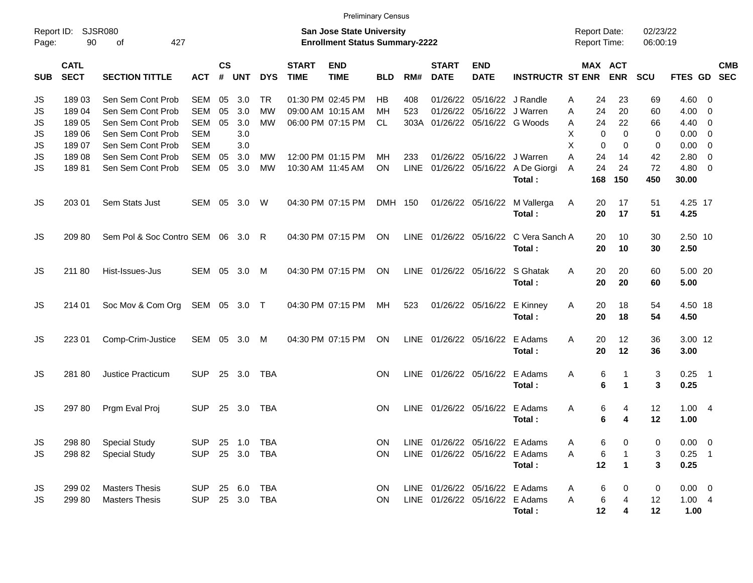|                     |                            |                                 |                |                    |            |            |                             | <b>Preliminary Census</b>                                                 |            |             |                                   |                            |                                       |                                            |                           |                      |             |                          |                          |
|---------------------|----------------------------|---------------------------------|----------------|--------------------|------------|------------|-----------------------------|---------------------------------------------------------------------------|------------|-------------|-----------------------------------|----------------------------|---------------------------------------|--------------------------------------------|---------------------------|----------------------|-------------|--------------------------|--------------------------|
| Report ID:<br>Page: | 90                         | <b>SJSR080</b><br>427<br>0f     |                |                    |            |            |                             | <b>San Jose State University</b><br><b>Enrollment Status Summary-2222</b> |            |             |                                   |                            |                                       | <b>Report Date:</b><br><b>Report Time:</b> |                           | 02/23/22<br>06:00:19 |             |                          |                          |
| <b>SUB</b>          | <b>CATL</b><br><b>SECT</b> | <b>SECTION TITTLE</b>           | <b>ACT</b>     | $\mathsf{cs}$<br># | <b>UNT</b> | <b>DYS</b> | <b>START</b><br><b>TIME</b> | <b>END</b><br><b>TIME</b>                                                 | <b>BLD</b> | RM#         | <b>START</b><br><b>DATE</b>       | <b>END</b><br><b>DATE</b>  | <b>INSTRUCTR ST ENR</b>               |                                            | MAX ACT<br><b>ENR</b>     | <b>SCU</b>           | FTES GD     |                          | <b>CMB</b><br><b>SEC</b> |
| JS                  | 18903                      | Sen Sem Cont Prob               | SEM            | 05                 | 3.0        | TR.        |                             | 01:30 PM 02:45 PM                                                         | HB         | 408         | 01/26/22                          | 05/16/22 J Randle          |                                       | 24<br>A                                    | 23                        | 69                   | $4.60 \ 0$  |                          |                          |
| JS                  | 18904                      | Sen Sem Cont Prob               | <b>SEM</b>     | 05                 | 3.0        | MW         |                             | 09:00 AM 10:15 AM                                                         | MН         | 523         | 01/26/22                          |                            | 05/16/22 J Warren                     | 24<br>A                                    | 20                        | 60                   | 4.00        | $\overline{\mathbf{0}}$  |                          |
| JS                  | 18905                      | Sen Sem Cont Prob               | SEM            | 05                 | 3.0        | <b>MW</b>  |                             | 06:00 PM 07:15 PM                                                         | CL.        |             | 303A 01/26/22 05/16/22 G Woods    |                            |                                       | 24<br>Α                                    | 22                        | 66                   | 4.40        | $\overline{\phantom{0}}$ |                          |
| JS                  | 18906                      | Sen Sem Cont Prob               | <b>SEM</b>     |                    | 3.0        |            |                             |                                                                           |            |             |                                   |                            |                                       | Х                                          | 0<br>0                    | 0                    | 0.00        | $\overline{\mathbf{0}}$  |                          |
| JS                  | 18907                      | Sen Sem Cont Prob               | <b>SEM</b>     |                    | 3.0        |            |                             |                                                                           |            |             |                                   |                            |                                       | X                                          | 0<br>0                    | 0                    | 0.00        | $\overline{0}$           |                          |
| <b>JS</b>           | 18908                      | Sen Sem Cont Prob               | <b>SEM</b>     | 05                 | 3.0        | МW         |                             | 12:00 PM 01:15 PM                                                         | MН         | 233         |                                   | 01/26/22 05/16/22 J Warren |                                       | A<br>24                                    | 14                        | 42                   | 2.80        | $\overline{0}$           |                          |
| JS                  | 18981                      | Sen Sem Cont Prob               | SEM            | 05                 | 3.0        | <b>MW</b>  |                             | 10:30 AM 11:45 AM                                                         | <b>ON</b>  | <b>LINE</b> |                                   |                            | 01/26/22 05/16/22 A De Giorgi         | 24<br>A                                    | 24                        | 72                   | 4.80        | 0                        |                          |
|                     |                            |                                 |                |                    |            |            |                             |                                                                           |            |             |                                   |                            | Total:                                | 168                                        | 150                       | 450                  | 30.00       |                          |                          |
| JS                  | 203 01                     | Sem Stats Just                  | SEM            | 05                 | 3.0        | W          |                             | 04:30 PM 07:15 PM                                                         | DMH 150    |             |                                   | 01/26/22 05/16/22          | M Vallerga                            | Α<br>20                                    | 17                        | 51                   | 4.25 17     |                          |                          |
|                     |                            |                                 |                |                    |            |            |                             |                                                                           |            |             |                                   |                            | Total:                                | 20                                         | 17                        | 51                   | 4.25        |                          |                          |
| JS                  | 20980                      | Sem Pol & Soc Contro SEM 06 3.0 |                |                    |            | R.         |                             | 04:30 PM 07:15 PM                                                         | ON         |             |                                   |                            | LINE 01/26/22 05/16/22 C Vera Sanch A | 20                                         | 10                        | 30                   | 2.50 10     |                          |                          |
|                     |                            |                                 |                |                    |            |            |                             |                                                                           |            |             |                                   |                            | Total:                                | 20                                         | 10                        | 30                   | 2.50        |                          |                          |
| JS                  | 211 80                     | Hist-Issues-Jus                 | SEM 05         |                    | 3.0        | M          |                             | 04:30 PM 07:15 PM                                                         | ON         |             |                                   |                            | LINE 01/26/22 05/16/22 S Ghatak       | 20<br>A                                    | 20                        | 60                   | 5.00 20     |                          |                          |
|                     |                            |                                 |                |                    |            |            |                             |                                                                           |            |             |                                   |                            | Total:                                | 20                                         | 20                        | 60                   | 5.00        |                          |                          |
| JS                  | 214 01                     | Soc Mov & Com Org               | SEM 05 3.0 T   |                    |            |            |                             | 04:30 PM 07:15 PM                                                         | MH         | 523         |                                   | 01/26/22 05/16/22 E Kinney |                                       | Α<br>20                                    | 18                        | 54                   | 4.50 18     |                          |                          |
|                     |                            |                                 |                |                    |            |            |                             |                                                                           |            |             |                                   |                            | Total:                                | 20                                         | 18                        | 54                   | 4.50        |                          |                          |
| JS                  | 223 01                     | Comp-Crim-Justice               | SEM 05 3.0     |                    |            | M          |                             | 04:30 PM 07:15 PM                                                         | ON         |             | LINE 01/26/22 05/16/22 E Adams    |                            |                                       | 20<br>A                                    | 12                        | 36                   | 3.00 12     |                          |                          |
|                     |                            |                                 |                |                    |            |            |                             |                                                                           |            |             |                                   |                            | Total:                                | 20                                         | 12                        | 36                   | 3.00        |                          |                          |
| JS                  | 281 80                     | Justice Practicum               | <b>SUP</b>     |                    | 25 3.0     | <b>TBA</b> |                             |                                                                           | <b>ON</b>  |             | LINE 01/26/22 05/16/22 E Adams    |                            |                                       | Α                                          | 6<br>-1                   | 3                    | 0.25        | $\overline{\phantom{0}}$ |                          |
|                     |                            |                                 |                |                    |            |            |                             |                                                                           |            |             |                                   |                            | Total:                                |                                            | 6<br>$\blacktriangleleft$ | 3                    | 0.25        |                          |                          |
| JS                  | 297 80                     | Prgm Eval Proj                  | <b>SUP</b>     |                    | 25 3.0     | <b>TBA</b> |                             |                                                                           | <b>ON</b>  |             | LINE 01/26/22 05/16/22 E Adams    |                            |                                       | Α                                          | 6<br>4                    | 12                   | 1.004       |                          |                          |
|                     |                            |                                 |                |                    |            |            |                             |                                                                           |            |             |                                   |                            | Total:                                |                                            | 6<br>4                    | 12                   | 1.00        |                          |                          |
| JS                  |                            | 298 80 Special Study            | SUP 25 1.0 TBA |                    |            |            |                             |                                                                           |            |             | ON LINE 01/26/22 05/16/22 E Adams |                            |                                       | A                                          | 6<br>$\mathbf 0$          | $\mathbf 0$          | $0.00 \t 0$ |                          |                          |
| JS                  | 298 82                     | <b>Special Study</b>            | SUP 25 3.0 TBA |                    |            |            |                             |                                                                           | ON.        |             | LINE 01/26/22 05/16/22 E Adams    |                            |                                       | A                                          | 6                         | 3                    | $0.25$ 1    |                          |                          |
|                     |                            |                                 |                |                    |            |            |                             |                                                                           |            |             |                                   |                            | Total:                                | 12                                         | $\mathbf{1}$              | 3                    | 0.25        |                          |                          |
| JS                  | 299 02                     | <b>Masters Thesis</b>           | <b>SUP</b>     |                    | 25 6.0 TBA |            |                             |                                                                           | ON.        |             | LINE 01/26/22 05/16/22 E Adams    |                            |                                       | A                                          | 6<br>0                    | 0                    | $0.00 \t 0$ |                          |                          |
| JS                  | 299 80                     | <b>Masters Thesis</b>           | <b>SUP</b>     |                    | 25 3.0 TBA |            |                             |                                                                           | ON         |             | LINE 01/26/22 05/16/22 E Adams    |                            |                                       | A                                          | 6<br>4                    | 12                   | 1.004       |                          |                          |
|                     |                            |                                 |                |                    |            |            |                             |                                                                           |            |             |                                   |                            | Total:                                |                                            | 12<br>4                   | 12                   | 1.00        |                          |                          |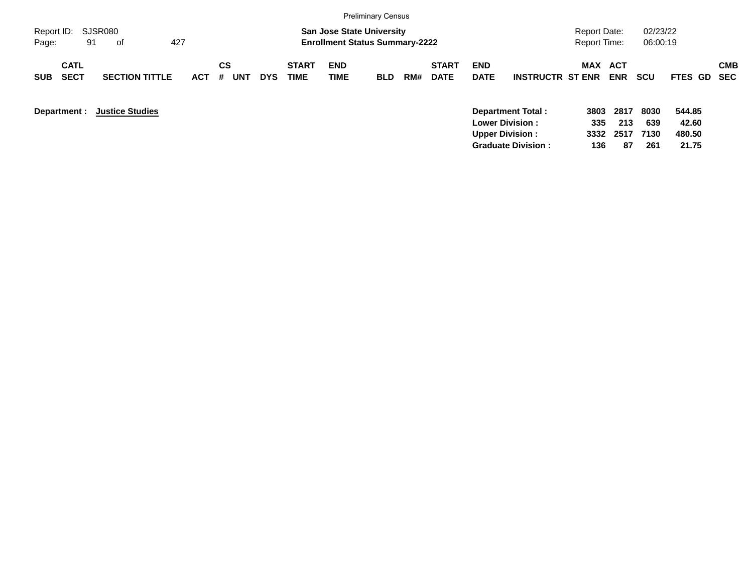|                                          |                        |                                     |            |                                                   | <b>Preliminary Census</b>                                                 |     |                             |                           |                          |                                            |             |                      |                 |            |
|------------------------------------------|------------------------|-------------------------------------|------------|---------------------------------------------------|---------------------------------------------------------------------------|-----|-----------------------------|---------------------------|--------------------------|--------------------------------------------|-------------|----------------------|-----------------|------------|
| Report ID: SJSR080<br>91<br>Page:        | 427<br>of              |                                     |            |                                                   | <b>San Jose State University</b><br><b>Enrollment Status Summary-2222</b> |     |                             |                           |                          | <b>Report Date:</b><br><b>Report Time:</b> |             | 02/23/22<br>06:00:19 |                 |            |
| <b>CATL</b><br><b>SECT</b><br><b>SUB</b> | <b>SECTION TITTLE</b>  | CS<br><b>ACT</b><br>#<br><b>UNT</b> | <b>DYS</b> | <b>START</b><br><b>END</b><br><b>TIME</b><br>TIME | <b>BLD</b>                                                                | RM# | <b>START</b><br><b>DATE</b> | <b>END</b><br><b>DATE</b> | <b>INSTRUCTR ST ENR</b>  | MAX ACT                                    | <b>ENR</b>  | <b>SCU</b>           | FTES GD SEC     | <b>CMB</b> |
| Department :                             | <b>Justice Studies</b> |                                     |            |                                                   |                                                                           |     |                             | <b>Lower Division:</b>    | <b>Department Total:</b> | 3803<br>335                                | 2817<br>213 | 8030<br>639          | 544.85<br>42.60 |            |

**Upper Division : 3332 2517 7130 480.50 Graduate Division : 136 87 261 21.75**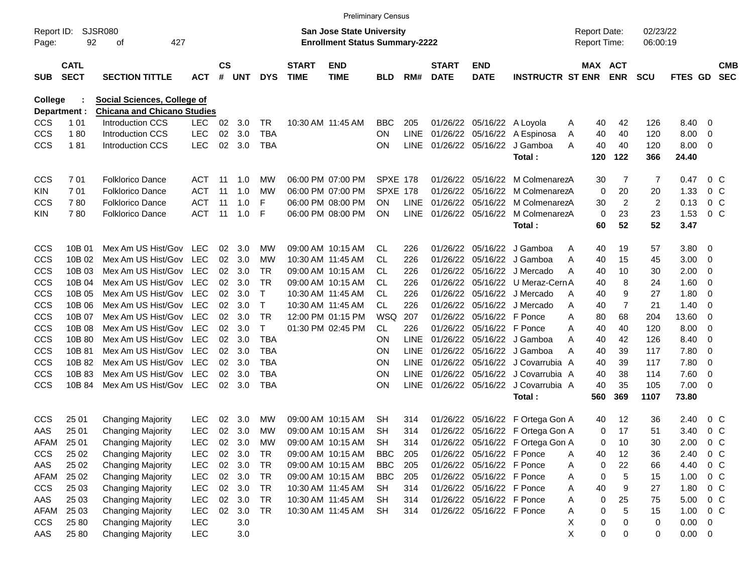|                |                            |                                    |            |           |                |              |                             |                                       | <b>Preliminary Census</b> |             |                             |                            |                                       |   |                     |                       |                |                |                |                          |
|----------------|----------------------------|------------------------------------|------------|-----------|----------------|--------------|-----------------------------|---------------------------------------|---------------------------|-------------|-----------------------------|----------------------------|---------------------------------------|---|---------------------|-----------------------|----------------|----------------|----------------|--------------------------|
| Report ID:     |                            | SJSR080                            |            |           |                |              |                             | <b>San Jose State University</b>      |                           |             |                             |                            |                                       |   | <b>Report Date:</b> |                       | 02/23/22       |                |                |                          |
| Page:          | 92                         | 427<br>οf                          |            |           |                |              |                             | <b>Enrollment Status Summary-2222</b> |                           |             |                             |                            |                                       |   | <b>Report Time:</b> |                       | 06:00:19       |                |                |                          |
| <b>SUB</b>     | <b>CATL</b><br><b>SECT</b> | <b>SECTION TITTLE</b>              | <b>ACT</b> | <b>CS</b> | # UNT          | <b>DYS</b>   | <b>START</b><br><b>TIME</b> | <b>END</b><br><b>TIME</b>             | <b>BLD</b>                | RM#         | <b>START</b><br><b>DATE</b> | END<br><b>DATE</b>         | <b>INSTRUCTR ST ENR</b>               |   |                     | MAX ACT<br><b>ENR</b> | <b>SCU</b>     | <b>FTES GD</b> |                | <b>CMB</b><br><b>SEC</b> |
| <b>College</b> |                            | <b>Social Sciences, College of</b> |            |           |                |              |                             |                                       |                           |             |                             |                            |                                       |   |                     |                       |                |                |                |                          |
| Department :   |                            | <b>Chicana and Chicano Studies</b> |            |           |                |              |                             |                                       |                           |             |                             |                            |                                       |   |                     |                       |                |                |                |                          |
| <b>CCS</b>     | 1 0 1                      | <b>Introduction CCS</b>            | <b>LEC</b> | 02        | 3.0            | TR           |                             | 10:30 AM 11:45 AM                     | <b>BBC</b>                | 205         |                             | 01/26/22 05/16/22 A Loyola |                                       | A | 40                  | 42                    | 126            | 8.40           | 0              |                          |
| <b>CCS</b>     | 180                        | <b>Introduction CCS</b>            | <b>LEC</b> | 02        | 3.0            | <b>TBA</b>   |                             |                                       | ON.                       | LINE        |                             |                            | 01/26/22 05/16/22 A Espinosa          | Α | 40                  | 40                    | 120            | 8.00           | 0              |                          |
| <b>CCS</b>     | 181                        | <b>Introduction CCS</b>            | <b>LEC</b> | 02        | 3.0            | TBA          |                             |                                       | ON.                       |             | LINE 01/26/22 05/16/22      |                            | J Gamboa                              | A | 40                  | 40                    | 120            | 8.00           | 0              |                          |
|                |                            |                                    |            |           |                |              |                             |                                       |                           |             |                             |                            | Total:                                |   | 120                 | 122                   | 366            | 24.40          |                |                          |
| CCS            | 701                        | <b>Folklorico Dance</b>            | ACT        | 11        | 1.0            | МW           |                             | 06:00 PM 07:00 PM                     | <b>SPXE 178</b>           |             | 01/26/22                    | 05/16/22                   | M ColmenarezA                         |   | 30                  | 7                     | 7              | 0.47           | 0 <sup>o</sup> |                          |
| KIN.           | 701                        | <b>Folklorico Dance</b>            | <b>ACT</b> | 11        | 1.0            | МW           |                             | 06:00 PM 07:00 PM                     | SPXE 178                  |             | 01/26/22                    | 05/16/22                   | M ColmenarezA                         |   | 0                   | 20                    | 20             | 1.33           | 0 <sup>o</sup> |                          |
| <b>CCS</b>     | 780                        | <b>Folklorico Dance</b>            | ACT        | 11        | 1.0            | F            |                             | 06:00 PM 08:00 PM                     | ON.                       | <b>LINE</b> | 01/26/22 05/16/22           |                            | M ColmenarezA                         |   | 30                  | $\overline{2}$        | $\overline{2}$ | 0.13           | 0 <sup>o</sup> |                          |
| KIN.           | 780                        | <b>Folklorico Dance</b>            | <b>ACT</b> | 11        | 1.0            | F            |                             | 06:00 PM 08:00 PM                     | <b>ON</b>                 |             | LINE 01/26/22 05/16/22      |                            | M ColmenarezA                         |   | 0                   | 23                    | 23             | 1.53           | 0 <sub>C</sub> |                          |
|                |                            |                                    |            |           |                |              |                             |                                       |                           |             |                             |                            | Total:                                |   | 60                  | 52                    | 52             | 3.47           |                |                          |
| <b>CCS</b>     | 10B 01                     | Mex Am US Hist/Gov LEC             |            | 02        | - 3.0          | МW           |                             | 09:00 AM 10:15 AM                     | CL                        | 226         | 01/26/22                    | 05/16/22                   | J Gamboa                              | Α | 40                  | 19                    | 57             | 3.80           | 0              |                          |
| <b>CCS</b>     | 10B 02                     | Mex Am US Hist/Gov                 | LEC        | 02        | 3.0            | МW           |                             | 10:30 AM 11:45 AM                     | CL                        | 226         | 01/26/22                    |                            | 05/16/22 J Gamboa                     | A | 40                  | 15                    | 45             | 3.00           | 0              |                          |
| <b>CCS</b>     | 10B 03                     | Mex Am US Hist/Gov                 | LEC        |           | $02 \quad 3.0$ | TR           |                             | 09:00 AM 10:15 AM                     | CL.                       | 226         |                             |                            | 01/26/22 05/16/22 J Mercado           | A | 40                  | 10                    | 30             | 2.00           | 0              |                          |
| <b>CCS</b>     | 10B 04                     | Mex Am US Hist/Gov                 | LEC        | 02        | 3.0            | TR           |                             | 09:00 AM 10:15 AM                     | CL.                       | 226         |                             | 01/26/22 05/16/22          | U Meraz-Cern A                        |   | 40                  | 8                     | 24             | 1.60           | 0              |                          |
| <b>CCS</b>     | 10B 05                     | Mex Am US Hist/Gov                 | LEC        | 02        | 3.0            | Т            |                             | 10:30 AM 11:45 AM                     | <b>CL</b>                 | 226         |                             |                            | 01/26/22 05/16/22 J Mercado           | A | 40                  | 9                     | 27             | 1.80           | 0              |                          |
| <b>CCS</b>     | 10B 06                     | Mex Am US Hist/Gov                 | LEC        | 02        | 3.0            | $\mathsf{T}$ |                             | 10:30 AM 11:45 AM                     | <b>CL</b>                 | 226         |                             |                            | 01/26/22 05/16/22 J Mercado           | Α | 40                  | 7                     | 21             | 1.40           | 0              |                          |
| <b>CCS</b>     | 10B 07                     | Mex Am US Hist/Gov                 | LEC        |           | 02 3.0         | <b>TR</b>    |                             | 12:00 PM 01:15 PM                     | <b>WSQ</b>                | 207         |                             | 01/26/22 05/16/22 F Ponce  |                                       | A | 80                  | 68                    | 204            | 13.60          | 0              |                          |
| CCS            | 10B 08                     | Mex Am US Hist/Gov                 | LEC        | 02        | 3.0            | T            |                             | 01:30 PM 02:45 PM                     | CL                        | 226         |                             | 01/26/22 05/16/22 F Ponce  |                                       | A | 40                  | 40                    | 120            | 8.00           | 0              |                          |
| CCS            | 10B 80                     | Mex Am US Hist/Gov                 | LEC        |           | 02 3.0         | <b>TBA</b>   |                             |                                       | ΟN                        | <b>LINE</b> |                             |                            | 01/26/22 05/16/22 J Gamboa            | A | 40                  | 42                    | 126            | 8.40           | 0              |                          |
| <b>CCS</b>     | 10B 81                     | Mex Am US Hist/Gov                 | LEC        |           | $02 \quad 3.0$ | <b>TBA</b>   |                             |                                       | ΟN                        | <b>LINE</b> |                             |                            | 01/26/22 05/16/22 J Gamboa            | Α | 40                  | 39                    | 117            | 7.80           | 0              |                          |
| CCS            | 10B 82                     | Mex Am US Hist/Gov                 | LEC        | 02        | - 3.0          | TBA          |                             |                                       | ON                        | <b>LINE</b> |                             |                            | 01/26/22 05/16/22 J Covarrubia A      |   | 40                  | 39                    | 117            | 7.80           | 0              |                          |
| <b>CCS</b>     | 10B 83                     | Mex Am US Hist/Gov                 | LEC        | 02        | - 3.0          | TBA          |                             |                                       | ON                        | <b>LINE</b> |                             |                            | 01/26/22 05/16/22 J Covarrubia A      |   | 40                  | 38                    | 114            | 7.60           | 0              |                          |
| <b>CCS</b>     | 10B 84                     | Mex Am US Hist/Gov                 | LEC        |           | $02 \quad 3.0$ | <b>TBA</b>   |                             |                                       | ΟN                        |             |                             |                            | LINE 01/26/22 05/16/22 J Covarrubia A |   | 40                  | 35                    | 105            | 7.00           | 0              |                          |
|                |                            |                                    |            |           |                |              |                             |                                       |                           |             |                             |                            | Total:                                |   | 560                 | 369                   | 1107           | 73.80          |                |                          |
| CCS            | 25 01                      | <b>Changing Majority</b>           | <b>LEC</b> | 02        | 3.0            | МW           |                             | 09:00 AM 10:15 AM                     | SH                        | 314         |                             | 01/26/22 05/16/22          | F Ortega Gon A                        |   | 40                  | 12                    | 36             | 2.40           | 0 <sup>o</sup> |                          |
| AAS            | 25 01                      | <b>Changing Majority</b>           | <b>LEC</b> |           | 02 3.0         | MW           |                             | 09:00 AM 10:15 AM                     | <b>SH</b>                 | 314         |                             |                            | 01/26/22 05/16/22 F Ortega Gon A      |   | 0                   | 17                    | 51             | 3.40           | 0 <sup>o</sup> |                          |
| <b>AFAM</b>    | 25 01                      | <b>Changing Majority</b>           | LEC        | 02        | 3.0            | MW           |                             | 09:00 AM 10:15 AM                     | <b>SH</b>                 | 314         |                             |                            | 01/26/22 05/16/22 F Ortega Gon A      |   | 0                   | 10                    | 30             | 2.00           | 0 <sup>o</sup> |                          |
| <b>CCS</b>     | 25 02                      | <b>Changing Majority</b>           | LEC        | 02        | 3.0            | TR           |                             | 09:00 AM 10:15 AM                     | <b>BBC</b>                | 205         |                             | 01/26/22 05/16/22 F Ponce  |                                       | Α | 40                  | 12                    | 36             | 2.40           | 0 <sup>o</sup> |                          |
| AAS            | 25 02                      | <b>Changing Majority</b>           | LEC        |           | 02 3.0         | TR           |                             | 09:00 AM 10:15 AM                     | <b>BBC</b>                | 205         |                             | 01/26/22 05/16/22 F Ponce  |                                       | Α | 0                   | 22                    | 66             | 4.40           | 0 <sup>C</sup> |                          |
| AFAM           | 25 02                      | <b>Changing Majority</b>           | LEC        |           | 02 3.0         | TR           |                             | 09:00 AM 10:15 AM                     | <b>BBC</b>                | 205         |                             | 01/26/22 05/16/22 F Ponce  |                                       | Α | 0                   | 5                     | 15             | 1.00           | 0 <sup>C</sup> |                          |
| <b>CCS</b>     | 25 03                      | <b>Changing Majority</b>           | LEC        |           | 02 3.0         | TR           |                             | 10:30 AM 11:45 AM                     | <b>SH</b>                 | 314         |                             | 01/26/22 05/16/22 F Ponce  |                                       | Α | 40                  | 9                     | 27             | 1.80           | 0 <sup>C</sup> |                          |
| AAS            | 25 03                      | <b>Changing Majority</b>           | LEC        |           | 02 3.0         | TR           |                             | 10:30 AM 11:45 AM                     | <b>SH</b>                 | 314         |                             | 01/26/22 05/16/22 F Ponce  |                                       | Α | 0                   | 25                    | 75             | 5.00           | 0 <sup>C</sup> |                          |
| AFAM           | 25 03                      | <b>Changing Majority</b>           | LEC        |           | 02 3.0         | <b>TR</b>    |                             | 10:30 AM 11:45 AM                     | <b>SH</b>                 | 314         |                             | 01/26/22 05/16/22 F Ponce  |                                       | Α | 0                   | 5                     | 15             | 1.00           | 0 <sup>C</sup> |                          |
| <b>CCS</b>     | 25 80                      | <b>Changing Majority</b>           | <b>LEC</b> |           | 3.0            |              |                             |                                       |                           |             |                             |                            |                                       | х | 0                   | $\mathbf 0$           | 0              | 0.00           | 0              |                          |
| AAS            | 25 80                      | <b>Changing Majority</b>           | <b>LEC</b> |           | $3.0\,$        |              |                             |                                       |                           |             |                             |                            |                                       | X | 0                   | 0                     | 0              | $0.00 \t 0$    |                |                          |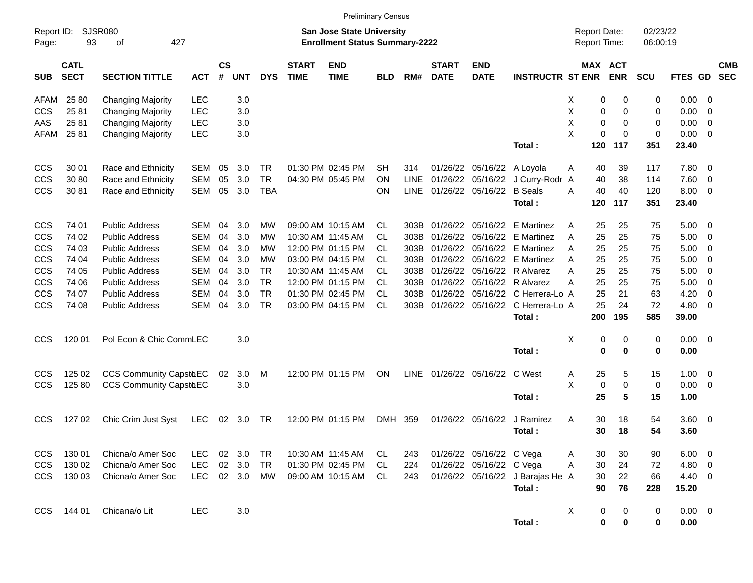|                     |                            |                               |            |                |            |            |                             | <b>Preliminary Census</b>                                                 |            |             |                             |                           |                                  |                                     |                          |                      |             |                         |                          |
|---------------------|----------------------------|-------------------------------|------------|----------------|------------|------------|-----------------------------|---------------------------------------------------------------------------|------------|-------------|-----------------------------|---------------------------|----------------------------------|-------------------------------------|--------------------------|----------------------|-------------|-------------------------|--------------------------|
| Report ID:<br>Page: | 93                         | <b>SJSR080</b><br>427<br>οf   |            |                |            |            |                             | <b>San Jose State University</b><br><b>Enrollment Status Summary-2222</b> |            |             |                             |                           |                                  | <b>Report Date:</b><br>Report Time: |                          | 02/23/22<br>06:00:19 |             |                         |                          |
| <b>SUB</b>          | <b>CATL</b><br><b>SECT</b> | <b>SECTION TITTLE</b>         | <b>ACT</b> | <b>CS</b><br># | <b>UNT</b> | <b>DYS</b> | <b>START</b><br><b>TIME</b> | <b>END</b><br><b>TIME</b>                                                 | <b>BLD</b> | RM#         | <b>START</b><br><b>DATE</b> | <b>END</b><br><b>DATE</b> | <b>INSTRUCTR ST ENR</b>          | <b>MAX</b>                          | <b>ACT</b><br><b>ENR</b> | <b>SCU</b>           | FTES GD     |                         | <b>CMB</b><br><b>SEC</b> |
| AFAM                | 25 80                      | <b>Changing Majority</b>      | LEC        |                | 3.0        |            |                             |                                                                           |            |             |                             |                           |                                  | 0<br>X                              | 0                        | 0                    | 0.00        | - 0                     |                          |
| <b>CCS</b>          | 2581                       | <b>Changing Majority</b>      | LEC        |                | 3.0        |            |                             |                                                                           |            |             |                             |                           |                                  | X<br>0                              | 0                        | 0                    | 0.00        | - 0                     |                          |
| AAS                 | 2581                       | <b>Changing Majority</b>      | LEC        |                | 3.0        |            |                             |                                                                           |            |             |                             |                           |                                  | X<br>0                              | 0                        | 0                    | 0.00        | 0                       |                          |
| AFAM                | 2581                       | <b>Changing Majority</b>      | <b>LEC</b> |                | 3.0        |            |                             |                                                                           |            |             |                             |                           |                                  | X<br>0                              | 0                        | 0                    | 0.00        | 0                       |                          |
|                     |                            |                               |            |                |            |            |                             |                                                                           |            |             |                             |                           | Total:                           | 120                                 | 117                      | 351                  | 23.40       |                         |                          |
| CCS                 | 30 01                      | Race and Ethnicity            | <b>SEM</b> | 05             | 3.0        | TR         |                             | 01:30 PM 02:45 PM                                                         | SН         | 314         | 01/26/22                    | 05/16/22 A Loyola         |                                  | 40<br>Α                             | 39                       | 117                  | 7.80        | 0                       |                          |
| CCS                 | 30 80                      | Race and Ethnicity            | <b>SEM</b> | 05             | 3.0        | <b>TR</b>  |                             | 04:30 PM 05:45 PM                                                         | <b>ON</b>  | <b>LINE</b> | 01/26/22                    | 05/16/22                  | J Curry-Rodr A                   | 40                                  | 38                       | 114                  | 7.60        | 0                       |                          |
| CCS                 | 30 81                      | Race and Ethnicity            | <b>SEM</b> | 05             | 3.0        | <b>TBA</b> |                             |                                                                           | <b>ON</b>  | <b>LINE</b> | 01/26/22                    | 05/16/22                  | <b>B</b> Seals                   | 40<br>A                             | 40                       | 120                  | 8.00        | 0                       |                          |
|                     |                            |                               |            |                |            |            |                             |                                                                           |            |             |                             |                           | Total:                           | 120                                 | 117                      | 351                  | 23.40       |                         |                          |
| CCS                 | 74 01                      | <b>Public Address</b>         | SEM        | 04             | 3.0        | мw         |                             | 09:00 AM 10:15 AM                                                         | CL         | 303B        | 01/26/22                    |                           | 05/16/22 E Martinez              | 25<br>Α                             | 25                       | 75                   | 5.00        | 0                       |                          |
| CCS                 | 74 02                      | <b>Public Address</b>         | <b>SEM</b> | 04             | 3.0        | мw         |                             | 10:30 AM 11:45 AM                                                         | CL         | 303B        | 01/26/22                    |                           | 05/16/22 E Martinez              | 25<br>Α                             | 25                       | 75                   | 5.00        | 0                       |                          |
| CCS                 | 74 03                      | <b>Public Address</b>         | <b>SEM</b> | 04             | 3.0        | МW         |                             | 12:00 PM 01:15 PM                                                         | CL         | 303B        | 01/26/22                    |                           | 05/16/22 E Martinez              | 25<br>Α                             | 25                       | 75                   | 5.00        | 0                       |                          |
| CCS                 | 74 04                      | <b>Public Address</b>         | <b>SEM</b> | 04             | 3.0        | МW         |                             | 03:00 PM 04:15 PM                                                         | CL         | 303B        | 01/26/22                    |                           | 05/16/22 E Martinez              | 25<br>Α                             | 25                       | 75                   | 5.00        | 0                       |                          |
| CCS                 | 74 05                      | <b>Public Address</b>         | <b>SEM</b> | 04             | 3.0        | TR.        |                             | 10:30 AM 11:45 AM                                                         | CL         | 303B        | 01/26/22                    |                           | 05/16/22 R Alvarez               | 25<br>Α                             | 25                       | 75                   | 5.00        | 0                       |                          |
| CCS                 | 74 06                      | <b>Public Address</b>         | <b>SEM</b> | 04             | 3.0        | <b>TR</b>  |                             | 12:00 PM 01:15 PM                                                         | CL         | 303B        | 01/26/22                    |                           | 05/16/22 R Alvarez               | 25<br>Α                             | 25                       | 75                   | 5.00        | 0                       |                          |
| CCS                 | 74 07                      | <b>Public Address</b>         | <b>SEM</b> | 04             | 3.0        | <b>TR</b>  |                             | 01:30 PM 02:45 PM                                                         | CL         | 303B        | 01/26/22                    |                           | 05/16/22 C Herrera-Lo A          | 25                                  | 21                       | 63                   | 4.20        | 0                       |                          |
| CCS                 | 74 08                      | <b>Public Address</b>         | <b>SEM</b> | 04             | 3.0        | <b>TR</b>  |                             | 03:00 PM 04:15 PM                                                         | <b>CL</b>  | 303B        | 01/26/22                    |                           | 05/16/22 C Herrera-Lo A          | 25                                  | 24                       | 72                   | 4.80        | 0                       |                          |
|                     |                            |                               |            |                |            |            |                             |                                                                           |            |             |                             |                           | Total:                           | 200                                 | 195                      | 585                  | 39.00       |                         |                          |
| CCS                 | 120 01                     | Pol Econ & Chic CommLEC       |            |                | 3.0        |            |                             |                                                                           |            |             |                             |                           |                                  | Χ<br>0                              | 0                        | 0                    | 0.00        | - 0                     |                          |
|                     |                            |                               |            |                |            |            |                             |                                                                           |            |             |                             |                           | Total:                           | 0                                   | 0                        | 0                    | 0.00        |                         |                          |
| CCS                 | 125 02                     | CCS Community CapstoEC        |            | 02             | 3.0        | M          |                             | 12:00 PM 01:15 PM                                                         | ON         | <b>LINE</b> |                             | 01/26/22 05/16/22 C West  |                                  | 25<br>Α                             | 5                        | 15                   | 1.00        | $\overline{\mathbf{0}}$ |                          |
| CCS                 | 125 80                     | <b>CCS Community CapstbEC</b> |            |                | 3.0        |            |                             |                                                                           |            |             |                             |                           |                                  | X<br>$\pmb{0}$                      | 0                        | 0                    | 0.00        | 0                       |                          |
|                     |                            |                               |            |                |            |            |                             |                                                                           |            |             |                             |                           | Total:                           | 25                                  | 5                        | 15                   | 1.00        |                         |                          |
| CCS                 | 127 02                     | Chic Crim Just Syst           | LEC        | 02             | 3.0        | TR         |                             | 12:00 PM 01:15 PM                                                         | DMH 359    |             | 01/26/22                    | 05/16/22                  | J Ramirez                        | Α<br>30                             | 18                       | 54                   | 3.60        | - 0                     |                          |
|                     |                            |                               |            |                |            |            |                             |                                                                           |            |             |                             |                           | Total:                           | 30                                  | 18                       | 54                   | 3.60        |                         |                          |
| <b>CCS</b>          | 130 01                     | Chicna/o Amer Soc             | <b>LEC</b> |                | 02 3.0     | TR         |                             | 10:30 AM 11:45 AM                                                         | CL.        | 243         |                             | 01/26/22 05/16/22 C Vega  |                                  | 30<br>Α                             | 30                       | 90                   | $6.00 \t 0$ |                         |                          |
| <b>CCS</b>          | 130 02                     | Chicna/o Amer Soc             | LEC        | $02\,$         | 3.0        | TR         |                             | 01:30 PM 02:45 PM                                                         | CL         | 224         |                             | 01/26/22 05/16/22 C Vega  |                                  | A<br>30                             | 24                       | 72                   | 4.80 0      |                         |                          |
| <b>CCS</b>          | 130 03                     | Chicna/o Amer Soc             | <b>LEC</b> |                | 02 3.0     | <b>MW</b>  |                             | 09:00 AM 10:15 AM                                                         | CL         | 243         |                             |                           | 01/26/22 05/16/22 J Barajas He A | 30                                  | 22                       | 66                   | 4.40 0      |                         |                          |
|                     |                            |                               |            |                |            |            |                             |                                                                           |            |             |                             |                           | Total:                           | 90                                  | 76                       | 228                  | 15.20       |                         |                          |
| <b>CCS</b>          | 144 01                     | Chicana/o Lit                 | <b>LEC</b> |                | 3.0        |            |                             |                                                                           |            |             |                             |                           |                                  | X<br>0                              | 0                        | $\mathbf 0$          | $0.00 \t 0$ |                         |                          |
|                     |                            |                               |            |                |            |            |                             |                                                                           |            |             |                             |                           | Total:                           | $\mathbf 0$                         | $\mathbf 0$              | $\pmb{0}$            | 0.00        |                         |                          |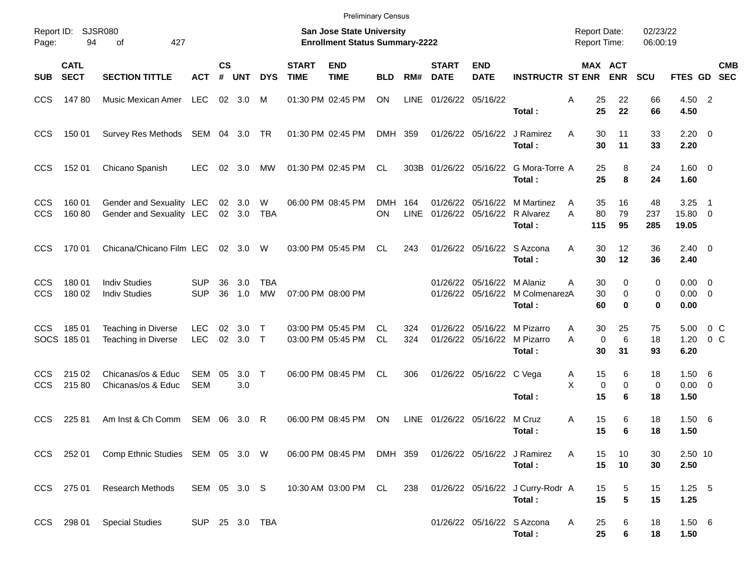|                          |                            |                                                      |                          |                |                  |                  |                             | <b>Preliminary Census</b>                                          |                  |             |                             |                           |                                                              |                                            |                       |                      |                                       |                           |
|--------------------------|----------------------------|------------------------------------------------------|--------------------------|----------------|------------------|------------------|-----------------------------|--------------------------------------------------------------------|------------------|-------------|-----------------------------|---------------------------|--------------------------------------------------------------|--------------------------------------------|-----------------------|----------------------|---------------------------------------|---------------------------|
| Report ID:<br>Page:      | 94                         | SJSR080<br>427<br>οf                                 |                          |                |                  |                  |                             | San Jose State University<br><b>Enrollment Status Summary-2222</b> |                  |             |                             |                           |                                                              | <b>Report Date:</b><br><b>Report Time:</b> |                       | 02/23/22<br>06:00:19 |                                       |                           |
| <b>SUB</b>               | <b>CATL</b><br><b>SECT</b> | <b>SECTION TITTLE</b>                                | <b>ACT</b>               | <b>CS</b><br># | <b>UNT</b>       | <b>DYS</b>       | <b>START</b><br><b>TIME</b> | <b>END</b><br><b>TIME</b>                                          | <b>BLD</b>       | RM#         | <b>START</b><br><b>DATE</b> | <b>END</b><br><b>DATE</b> | <b>INSTRUCTR ST ENR</b>                                      |                                            | MAX ACT<br><b>ENR</b> | <b>SCU</b>           |                                       | <b>CMB</b><br>FTES GD SEC |
| <b>CCS</b>               | 14780                      | Music Mexican Amer                                   | LEC                      |                | $02 \quad 3.0$   | M                |                             | 01:30 PM 02:45 PM                                                  | <b>ON</b>        | <b>LINE</b> | 01/26/22 05/16/22           |                           | Total:                                                       | Α<br>25<br>25                              | 22<br>22              | 66<br>66             | 4.50 2<br>4.50                        |                           |
| <b>CCS</b>               | 150 01                     | Survey Res Methods SEM 04 3.0 TR                     |                          |                |                  |                  |                             | 01:30 PM 02:45 PM                                                  | DMH 359          |             |                             | 01/26/22 05/16/22         | J Ramirez<br>Total:                                          | A<br>30<br>30                              | 11<br>11              | 33<br>33             | $2.20 \t 0$<br>2.20                   |                           |
| <b>CCS</b>               | 152 01                     | Chicano Spanish                                      | <b>LEC</b>               | 02             | 3.0              | МW               |                             | 01:30 PM 02:45 PM                                                  | CL               |             |                             |                           | 303B 01/26/22 05/16/22 G Mora-Torre A<br>Total:              | 25<br>25                                   | 8<br>8                | 24<br>24             | $1.60 \t 0$<br>1.60                   |                           |
| <b>CCS</b><br><b>CCS</b> | 160 01<br>160 80           | Gender and Sexuality LEC<br>Gender and Sexuality LEC |                          |                | 02 3.0<br>02 3.0 | W<br><b>TBA</b>  |                             | 06:00 PM 08:45 PM                                                  | <b>DMH</b><br>ΟN | 164<br>LINE | 01/26/22                    |                           | 05/16/22 M Martinez<br>01/26/22 05/16/22 R Alvarez<br>Total: | 35<br>A<br>80<br>Α<br>115                  | 16<br>79<br>95        | 48<br>237<br>285     | 3.25<br>15.80 0<br>19.05              | $\overline{\phantom{1}}$  |
| <b>CCS</b>               | 170 01                     | Chicana/Chicano Film LEC                             |                          |                | 02 3.0           | W                |                             | 03:00 PM 05:45 PM                                                  | CL               | 243         |                             |                           | 01/26/22 05/16/22 S Azcona<br>Total:                         | 30<br>A<br>30                              | 12<br>12              | 36<br>36             | $2.40 \ 0$<br>2.40                    |                           |
| <b>CCS</b><br><b>CCS</b> | 180 01<br>180 02           | <b>Indiv Studies</b><br><b>Indiv Studies</b>         | <b>SUP</b><br><b>SUP</b> | 36<br>36       | 3.0<br>1.0       | <b>TBA</b><br>MW |                             | 07:00 PM 08:00 PM                                                  |                  |             | 01/26/22                    | 05/16/22 M Alaniz         | 01/26/22 05/16/22 M ColmenarezA<br>Total:                    | 30<br>A<br>30<br>60                        | 0<br>0<br>0           | 0<br>0<br>0          | $0.00 \quad 0$<br>$0.00 \t 0$<br>0.00 |                           |
| CCS.                     | 18501<br>SOCS 185 01       | Teaching in Diverse<br>Teaching in Diverse           | <b>LEC</b><br><b>LEC</b> | 02             | 3.0<br>02 3.0 T  | $\top$           |                             | 03:00 PM 05:45 PM<br>03:00 PM 05:45 PM                             | CL.<br><b>CL</b> | 324<br>324  | 01/26/22                    |                           | 05/16/22 M Pizarro<br>01/26/22 05/16/22 M Pizarro<br>Total:  | 30<br>Α<br>A<br>$\mathbf 0$<br>30          | 25<br>6<br>31         | 75<br>18<br>93       | 5.00<br>1.20<br>6.20                  | $0\,$ C<br>$0\,C$         |
| <b>CCS</b><br><b>CCS</b> | 215 02<br>215 80           | Chicanas/os & Educ<br>Chicanas/os & Educ             | <b>SEM</b><br><b>SEM</b> | 05             | 3.0<br>3.0       | $\top$           |                             | 06:00 PM 08:45 PM                                                  | CL               | 306         |                             | 01/26/22 05/16/22 C Vega  | Total:                                                       | 15<br>A<br>X<br>0<br>15                    | 6<br>0<br>6           | 18<br>0<br>18        | $1.50\quad 6$<br>$0.00 \t 0$<br>1.50  |                           |
| <b>CCS</b>               | 225 81                     | Am Inst & Ch Comm                                    | SEM                      | 06             | 3.0              | R                |                             | 06:00 PM 08:45 PM                                                  | ON               | <b>LINE</b> |                             | 01/26/22 05/16/22         | M Cruz<br>Total:                                             | 15<br>A<br>15                              | 6<br>6                | 18<br>18             | 1.506<br>1.50                         |                           |
|                          |                            | CCS 252 01 Comp Ethnic Studies SEM 05 3.0 W          |                          |                |                  |                  |                             | 06:00 PM 08:45 PM DMH 359 01/26/22 05/16/22 J Ramirez              |                  |             |                             |                           | Total:                                                       | A<br>15<br>15                              | 10<br>10              | 30<br>30             | 2.50 10<br>2.50                       |                           |
| CCS                      | 275 01                     | <b>Research Methods</b>                              | SEM 05 3.0 S             |                |                  |                  |                             | 10:30 AM 03:00 PM CL                                               |                  | 238         |                             |                           | 01/26/22 05/16/22 J Curry-Rodr A<br>Total:                   | 15<br>15                                   | 5<br>$5\phantom{.0}$  | 15<br>15             | $1.25 - 5$<br>1.25                    |                           |
| <b>CCS</b>               |                            | 298 01 Special Studies                               | SUP 25 3.0 TBA           |                |                  |                  |                             |                                                                    |                  |             |                             |                           | 01/26/22 05/16/22 S Azcona<br>Total:                         | 25<br>A<br>25                              | 6<br>6                | 18<br>18             | 1.506<br>1.50                         |                           |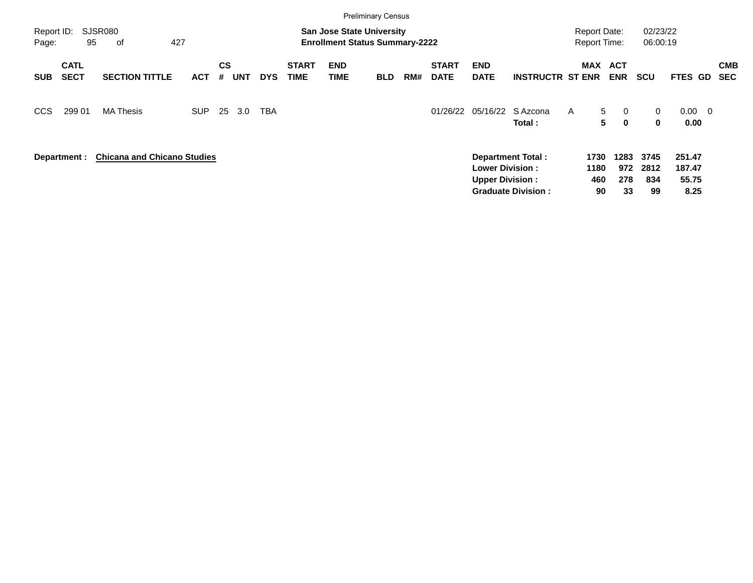|                     |                            |                                    |            |                |            |            |                             |                                                                           | <b>Preliminary Census</b> |     |                             |                                                  |                                                       |                                            |                                         |                           |                                   |                          |
|---------------------|----------------------------|------------------------------------|------------|----------------|------------|------------|-----------------------------|---------------------------------------------------------------------------|---------------------------|-----|-----------------------------|--------------------------------------------------|-------------------------------------------------------|--------------------------------------------|-----------------------------------------|---------------------------|-----------------------------------|--------------------------|
| Report ID:<br>Page: | 95                         | <b>SJSR080</b><br>427<br>оf        |            |                |            |            |                             | <b>San Jose State University</b><br><b>Enrollment Status Summary-2222</b> |                           |     |                             |                                                  |                                                       | <b>Report Date:</b><br><b>Report Time:</b> |                                         | 02/23/22<br>06:00:19      |                                   |                          |
| <b>SUB</b>          | <b>CATL</b><br><b>SECT</b> | <b>SECTION TITTLE</b>              | <b>ACT</b> | <b>CS</b><br># | <b>UNT</b> | <b>DYS</b> | <b>START</b><br><b>TIME</b> | <b>END</b><br><b>TIME</b>                                                 | <b>BLD</b>                | RM# | <b>START</b><br><b>DATE</b> | <b>END</b><br><b>DATE</b>                        | <b>INSTRUCTR ST ENR</b>                               | <b>MAX ACT</b>                             | <b>ENR</b>                              | <b>SCU</b>                | FTES GD                           | <b>CMB</b><br><b>SEC</b> |
| <b>CCS</b>          | 299 01                     | <b>MA Thesis</b>                   | <b>SUP</b> | 25             | 3.0        | <b>TBA</b> |                             |                                                                           |                           |     | 01/26/22                    | 05/16/22                                         | S Azcona<br>Total :                                   | A                                          | 5<br>$\overline{0}$<br>5<br>$\mathbf 0$ | 0<br>$\bf{0}$             | $0.00 \quad 0$<br>0.00            |                          |
|                     | Department :               | <b>Chicana and Chicano Studies</b> |            |                |            |            |                             |                                                                           |                           |     |                             | <b>Lower Division:</b><br><b>Upper Division:</b> | <b>Department Total:</b><br><b>Graduate Division:</b> | 1730<br>1180<br>460<br>90                  | 1283<br>972<br>278<br>33                | 3745<br>2812<br>834<br>99 | 251.47<br>187.47<br>55.75<br>8.25 |                          |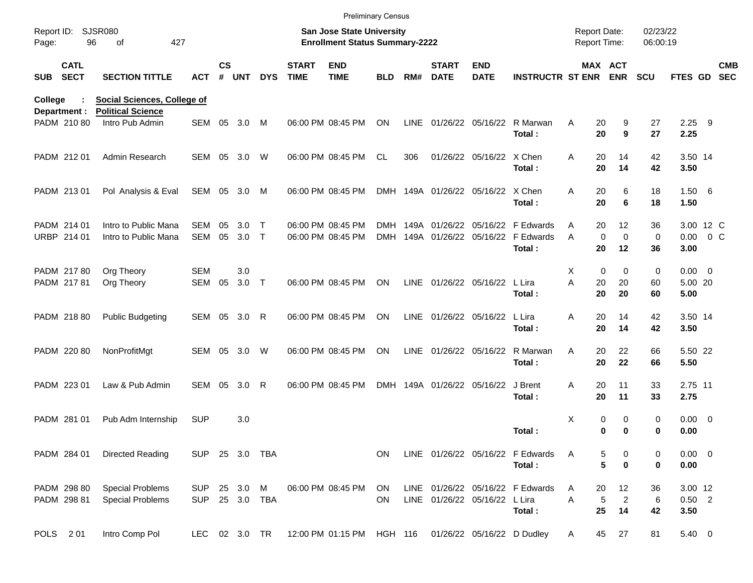|                     |                            |                                                                |                          |               |            |                   |                             | <b>Preliminary Census</b>                                                 |                    |      |                             |                                   |                                                                                |                                            |                            |                         |                                    |                          |
|---------------------|----------------------------|----------------------------------------------------------------|--------------------------|---------------|------------|-------------------|-----------------------------|---------------------------------------------------------------------------|--------------------|------|-----------------------------|-----------------------------------|--------------------------------------------------------------------------------|--------------------------------------------|----------------------------|-------------------------|------------------------------------|--------------------------|
| Report ID:<br>Page: |                            | <b>SJSR080</b><br>96<br>427<br>of                              |                          |               |            |                   |                             | <b>San Jose State University</b><br><b>Enrollment Status Summary-2222</b> |                    |      |                             |                                   |                                                                                | <b>Report Date:</b><br><b>Report Time:</b> |                            | 02/23/22<br>06:00:19    |                                    |                          |
| <b>SUB</b>          | <b>CATL</b><br><b>SECT</b> | <b>SECTION TITTLE</b>                                          | <b>ACT</b>               | $\mathsf{cs}$ | # UNT      | <b>DYS</b>        | <b>START</b><br><b>TIME</b> | <b>END</b><br><b>TIME</b>                                                 | <b>BLD</b>         | RM#  | <b>START</b><br><b>DATE</b> | <b>END</b><br><b>DATE</b>         | <b>INSTRUCTR ST ENR ENR</b>                                                    | MAX ACT                                    |                            | <b>SCU</b>              | FTES GD                            | <b>CMB</b><br><b>SEC</b> |
| College             | Department :               | <b>Social Sciences, College of</b><br><b>Political Science</b> |                          |               |            |                   |                             |                                                                           |                    |      |                             |                                   |                                                                                |                                            |                            |                         |                                    |                          |
|                     | PADM 210 80                | Intro Pub Admin                                                | SEM 05                   |               | 3.0        | M                 |                             | 06:00 PM 08:45 PM                                                         | ON                 | LINE |                             | 01/26/22 05/16/22                 | R Marwan<br>Total:                                                             | A<br>20<br>20                              | 9<br>9                     | 27<br>27                | $2.25$ 9<br>2.25                   |                          |
|                     | PADM 212 01                | Admin Research                                                 | SEM 05                   |               | 3.0        | W                 |                             | 06:00 PM 08:45 PM                                                         | <b>CL</b>          | 306  |                             | 01/26/22 05/16/22 X Chen          | Total:                                                                         | 20<br>Α<br>20                              | 14<br>14                   | 42<br>42                | 3.50 14<br>3.50                    |                          |
|                     | PADM 213 01                | Pol Analysis & Eval                                            | SEM 05 3.0               |               |            | M                 |                             | 06:00 PM 08:45 PM                                                         |                    |      |                             | DMH 149A 01/26/22 05/16/22 X Chen | Total:                                                                         | Α<br>20<br>20                              | 6<br>6                     | 18<br>18                | 1.50 6<br>1.50                     |                          |
|                     | PADM 214 01<br>URBP 214 01 | Intro to Public Mana<br>Intro to Public Mana                   | <b>SEM</b><br>SEM        | 05<br>05      | 3.0<br>3.0 | Т<br>$\mathsf{T}$ |                             | 06:00 PM 08:45 PM<br>06:00 PM 08:45 PM                                    | DMH.<br><b>DMH</b> |      |                             |                                   | 149A 01/26/22 05/16/22 F Edwards<br>149A 01/26/22 05/16/22 F Edwards<br>Total: | 20<br>A<br>$\mathbf 0$<br>A<br>20          | 12<br>$\mathbf 0$<br>12    | 36<br>$\mathbf 0$<br>36 | 3.00 12 C<br>$0.00 \t 0 C$<br>3.00 |                          |
|                     | PADM 217 80<br>PADM 21781  | Org Theory<br>Org Theory                                       | <b>SEM</b><br>SEM        | 05            | 3.0<br>3.0 | $\top$            |                             | 06:00 PM 08:45 PM                                                         | ON.                |      |                             | LINE 01/26/22 05/16/22            | L Lira<br>Total:                                                               | 0<br>Χ<br>A<br>20<br>20                    | $\mathbf 0$<br>20<br>20    | 0<br>60<br>60           | $0.00 \t 0$<br>5.00 20<br>5.00     |                          |
|                     | PADM 218 80                | <b>Public Budgeting</b>                                        | SEM 05                   |               | 3.0        | R                 |                             | 06:00 PM 08:45 PM                                                         | ON                 |      |                             | LINE 01/26/22 05/16/22            | L Lira<br>Total:                                                               | 20<br>Α<br>20                              | 14<br>14                   | 42<br>42                | 3.50 14<br>3.50                    |                          |
|                     | PADM 220 80                | NonProfitMgt                                                   | SEM 05                   |               | 3.0        | W                 |                             | 06:00 PM 08:45 PM                                                         | ON                 |      |                             | LINE 01/26/22 05/16/22            | R Marwan<br>Total:                                                             | 20<br>A<br>20                              | 22<br>22                   | 66<br>66                | 5.50 22<br>5.50                    |                          |
|                     | PADM 223 01                | Law & Pub Admin                                                | SEM                      | 05            | 3.0        | R                 |                             | 06:00 PM 08:45 PM                                                         |                    |      |                             | DMH 149A 01/26/22 05/16/22        | J Brent<br>Total:                                                              | 20<br>A<br>20                              | 11<br>11                   | 33<br>33                | 2.75 11<br>2.75                    |                          |
|                     | PADM 281 01                | Pub Adm Internship                                             | <b>SUP</b>               |               | 3.0        |                   |                             |                                                                           |                    |      |                             |                                   | Total:                                                                         | Χ<br>0<br>0                                | 0<br>$\mathbf 0$           | 0<br>0                  | $0.00 \t 0$<br>0.00                |                          |
|                     | PADM 284 01                | Directed Reading                                               | SUP 25 3.0 TBA           |               |            |                   |                             |                                                                           | ON.                |      |                             |                                   | LINE 01/26/22 05/16/22 F Edwards<br>Total:                                     | A<br>5<br>5                                | 0<br>$\bf{0}$              | 0<br>0                  | $0.00 \t 0$<br>0.00                |                          |
|                     | PADM 298 80<br>PADM 298 81 | <b>Special Problems</b><br><b>Special Problems</b>             | <b>SUP</b><br><b>SUP</b> |               | 25 3.0     | M<br>25 3.0 TBA   |                             | 06:00 PM 08:45 PM                                                         | ON<br>ON.          |      |                             | LINE 01/26/22 05/16/22 L Lira     | LINE 01/26/22 05/16/22 F Edwards<br>Total:                                     | 20<br>A<br>$\mathbf 5$<br>Α<br>25          | 12<br>$\overline{c}$<br>14 | 36<br>6<br>42           | 3.00 12<br>$0.50$ 2<br>3.50        |                          |
|                     | POLS 201                   | Intro Comp Pol                                                 | LEC                      |               | 02 3.0 TR  |                   |                             | 12:00 PM 01:15 PM HGH 116                                                 |                    |      |                             |                                   | 01/26/22 05/16/22 D Dudley                                                     | 45<br>A                                    | 27                         | 81                      | 5.40 0                             |                          |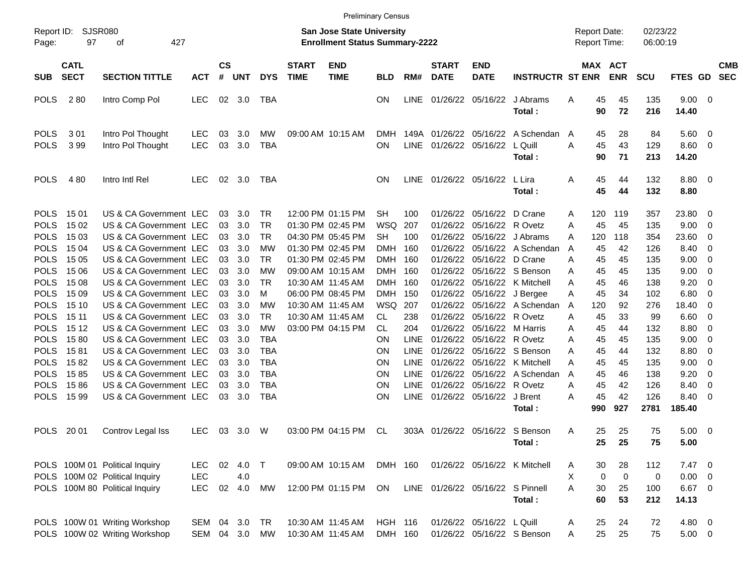|                                                                                                                                                                                                                                                             |                                                                                                                                                  |                                                                                                                                                                                                                                                                                                                                                                                                                                                        |                                        |                                                                                                    |                                                                                                                     |                                                                                                                                                                                             |                             |                                                                                                                                                                                                                                     | <b>Preliminary Census</b>                                                                                                                                           |                                                                                                                                                                     |                                                                                                                                                                                              |                                                                                                                                                                                           |                                                                                                                                                                                                                                         |                                                                                   |                                                                                                              |                                                                                                             |                                                                                                                            |                                                                                                                                                   |                                                                                                                   |                          |
|-------------------------------------------------------------------------------------------------------------------------------------------------------------------------------------------------------------------------------------------------------------|--------------------------------------------------------------------------------------------------------------------------------------------------|--------------------------------------------------------------------------------------------------------------------------------------------------------------------------------------------------------------------------------------------------------------------------------------------------------------------------------------------------------------------------------------------------------------------------------------------------------|----------------------------------------|----------------------------------------------------------------------------------------------------|---------------------------------------------------------------------------------------------------------------------|---------------------------------------------------------------------------------------------------------------------------------------------------------------------------------------------|-----------------------------|-------------------------------------------------------------------------------------------------------------------------------------------------------------------------------------------------------------------------------------|---------------------------------------------------------------------------------------------------------------------------------------------------------------------|---------------------------------------------------------------------------------------------------------------------------------------------------------------------|----------------------------------------------------------------------------------------------------------------------------------------------------------------------------------------------|-------------------------------------------------------------------------------------------------------------------------------------------------------------------------------------------|-----------------------------------------------------------------------------------------------------------------------------------------------------------------------------------------------------------------------------------------|-----------------------------------------------------------------------------------|--------------------------------------------------------------------------------------------------------------|-------------------------------------------------------------------------------------------------------------|----------------------------------------------------------------------------------------------------------------------------|---------------------------------------------------------------------------------------------------------------------------------------------------|-------------------------------------------------------------------------------------------------------------------|--------------------------|
| Report ID:<br>Page:                                                                                                                                                                                                                                         | SJSR080<br>97                                                                                                                                    | 427<br>оf                                                                                                                                                                                                                                                                                                                                                                                                                                              |                                        |                                                                                                    |                                                                                                                     |                                                                                                                                                                                             |                             | <b>San Jose State University</b><br><b>Enrollment Status Summary-2222</b>                                                                                                                                                           |                                                                                                                                                                     |                                                                                                                                                                     |                                                                                                                                                                                              |                                                                                                                                                                                           |                                                                                                                                                                                                                                         | <b>Report Date:</b><br>Report Time:                                               |                                                                                                              |                                                                                                             | 02/23/22<br>06:00:19                                                                                                       |                                                                                                                                                   |                                                                                                                   |                          |
| <b>SUB</b>                                                                                                                                                                                                                                                  | <b>CATL</b><br><b>SECT</b>                                                                                                                       | <b>SECTION TITTLE</b>                                                                                                                                                                                                                                                                                                                                                                                                                                  | <b>ACT</b>                             | $\mathsf{cs}$<br>#                                                                                 | <b>UNT</b>                                                                                                          | <b>DYS</b>                                                                                                                                                                                  | <b>START</b><br><b>TIME</b> | <b>END</b><br><b>TIME</b>                                                                                                                                                                                                           | <b>BLD</b>                                                                                                                                                          | RM#                                                                                                                                                                 | <b>START</b><br><b>DATE</b>                                                                                                                                                                  | <b>END</b><br><b>DATE</b>                                                                                                                                                                 | <b>INSTRUCTR ST ENR</b>                                                                                                                                                                                                                 |                                                                                   |                                                                                                              | <b>MAX ACT</b><br><b>ENR</b>                                                                                | <b>SCU</b>                                                                                                                 | FTES GD                                                                                                                                           |                                                                                                                   | <b>CMB</b><br><b>SEC</b> |
| <b>POLS</b>                                                                                                                                                                                                                                                 | 280                                                                                                                                              | Intro Comp Pol                                                                                                                                                                                                                                                                                                                                                                                                                                         | <b>LEC</b>                             | 02                                                                                                 | 3.0                                                                                                                 | TBA                                                                                                                                                                                         |                             |                                                                                                                                                                                                                                     | ON                                                                                                                                                                  | <b>LINE</b>                                                                                                                                                         |                                                                                                                                                                                              | 01/26/22 05/16/22                                                                                                                                                                         | J Abrams<br>Total:                                                                                                                                                                                                                      | Α                                                                                 | 45<br>90                                                                                                     | 45<br>72                                                                                                    | 135<br>216                                                                                                                 | $9.00 \t 0$<br>14.40                                                                                                                              |                                                                                                                   |                          |
| <b>POLS</b><br><b>POLS</b>                                                                                                                                                                                                                                  | 301<br>399                                                                                                                                       | Intro Pol Thought<br>Intro Pol Thought                                                                                                                                                                                                                                                                                                                                                                                                                 | <b>LEC</b><br><b>LEC</b>               | 03<br>03                                                                                           | 3.0<br>3.0                                                                                                          | MW<br><b>TBA</b>                                                                                                                                                                            |                             | 09:00 AM 10:15 AM                                                                                                                                                                                                                   | <b>DMH</b><br>ΟN                                                                                                                                                    | 149A<br><b>LINE</b>                                                                                                                                                 | 01/26/22<br>01/26/22                                                                                                                                                                         | 05/16/22<br>05/16/22                                                                                                                                                                      | A Schendan<br>L Quill<br>Total:                                                                                                                                                                                                         | $\overline{A}$<br>A                                                               | 45<br>45<br>90                                                                                               | 28<br>43<br>71                                                                                              | 84<br>129<br>213                                                                                                           | 5.60<br>8.60<br>14.20                                                                                                                             | - 0<br>- 0                                                                                                        |                          |
| <b>POLS</b>                                                                                                                                                                                                                                                 | 480                                                                                                                                              | Intro Intl Rel                                                                                                                                                                                                                                                                                                                                                                                                                                         | <b>LEC</b>                             | 02                                                                                                 | 3.0                                                                                                                 | TBA                                                                                                                                                                                         |                             |                                                                                                                                                                                                                                     | OΝ                                                                                                                                                                  | <b>LINE</b>                                                                                                                                                         |                                                                                                                                                                                              | 01/26/22 05/16/22                                                                                                                                                                         | L Lira<br>Total:                                                                                                                                                                                                                        | Α                                                                                 | 45<br>45                                                                                                     | 44<br>44                                                                                                    | 132<br>132                                                                                                                 | $8.80\ 0$<br>8.80                                                                                                                                 |                                                                                                                   |                          |
| <b>POLS</b><br><b>POLS</b><br><b>POLS</b><br><b>POLS</b><br><b>POLS</b><br><b>POLS</b><br><b>POLS</b><br><b>POLS</b><br><b>POLS</b><br><b>POLS</b><br><b>POLS</b><br><b>POLS</b><br><b>POLS</b><br><b>POLS</b><br><b>POLS</b><br><b>POLS</b><br><b>POLS</b> | 15 01<br>15 02<br>15 03<br>15 04<br>15 05<br>15 06<br>15 08<br>15 09<br>15 10<br>15 11<br>15 12<br>1580<br>1581<br>1582<br>1585<br>1586<br>15 99 | US & CA Government LEC<br>US & CA Government LEC<br>US & CA Government LEC<br>US & CA Government LEC<br>US & CA Government LEC<br>US & CA Government LEC<br>US & CA Government LEC<br>US & CA Government LEC<br>US & CA Government LEC<br>US & CA Government LEC<br>US & CA Government LEC<br>US & CA Government LEC<br>US & CA Government LEC<br>US & CA Government LEC<br>US & CA Government LEC<br>US & CA Government LEC<br>US & CA Government LEC |                                        | 03<br>03<br>03<br>03<br>03<br>03<br>03<br>03<br>03<br>03<br>03<br>03<br>03<br>03<br>03<br>03<br>03 | 3.0<br>3.0<br>3.0<br>3.0<br>3.0<br>3.0<br>3.0<br>3.0<br>3.0<br>3.0<br>3.0<br>3.0<br>3.0<br>3.0<br>3.0<br>3.0<br>3.0 | <b>TR</b><br><b>TR</b><br><b>TR</b><br>МW<br><b>TR</b><br>МW<br><b>TR</b><br>M<br>МW<br><b>TR</b><br>МW<br><b>TBA</b><br><b>TBA</b><br><b>TBA</b><br><b>TBA</b><br><b>TBA</b><br><b>TBA</b> |                             | 12:00 PM 01:15 PM<br>01:30 PM 02:45 PM<br>04:30 PM 05:45 PM<br>01:30 PM 02:45 PM<br>01:30 PM 02:45 PM<br>09:00 AM 10:15 AM<br>10:30 AM 11:45 AM<br>06:00 PM 08:45 PM<br>10:30 AM 11:45 AM<br>10:30 AM 11:45 AM<br>03:00 PM 04:15 PM | <b>SH</b><br>WSQ<br><b>SH</b><br><b>DMH</b><br><b>DMH</b><br><b>DMH</b><br><b>DMH</b><br><b>DMH</b><br><b>WSQ</b><br>CL.<br>CL.<br>ΟN<br>ΟN<br>ΟN<br>ΟN<br>ΟN<br>ΟN | 100<br>207<br>100<br>160<br>160<br>160<br>160<br>150<br>207<br>238<br>204<br><b>LINE</b><br><b>LINE</b><br><b>LINE</b><br><b>LINE</b><br><b>LINE</b><br><b>LINE</b> | 01/26/22<br>01/26/22<br>01/26/22<br>01/26/22<br>01/26/22<br>01/26/22<br>01/26/22<br>01/26/22<br>01/26/22<br>01/26/22<br>01/26/22<br>01/26/22<br>01/26/22<br>01/26/22<br>01/26/22<br>01/26/22 | 05/16/22<br>05/16/22<br>05/16/22<br>05/16/22<br>05/16/22<br>05/16/22<br>05/16/22<br>05/16/22<br>05/16/22<br>05/16/22<br>05/16/22<br>05/16/22<br>05/16/22<br>05/16/22<br>01/26/22 05/16/22 | D Crane<br>R Ovetz<br>J Abrams<br>A Schendan<br>D Crane<br>05/16/22 S Benson<br>K Mitchell<br>05/16/22 J Bergee<br>A Schendan<br>R Ovetz<br>M Harris<br>R Ovetz<br>S Benson<br>K Mitchell<br>A Schendan<br>R Ovetz<br>J Brent<br>Total: | Α<br>A<br>A<br>A<br>Α<br>Α<br>A<br>A<br>A<br>Α<br>A<br>Α<br>Α<br>Α<br>A<br>A<br>A | 120<br>45<br>120<br>45<br>45<br>45<br>45<br>45<br>120<br>45<br>45<br>45<br>45<br>45<br>45<br>45<br>45<br>990 | 119<br>45<br>118<br>42<br>45<br>45<br>46<br>34<br>92<br>33<br>44<br>45<br>44<br>45<br>46<br>42<br>42<br>927 | 357<br>135<br>354<br>126<br>135<br>135<br>138<br>102<br>276<br>99<br>132<br>135<br>132<br>135<br>138<br>126<br>126<br>2781 | 23.80<br>9.00<br>23.60<br>8.40<br>9.00<br>9.00<br>9.20<br>6.80<br>18.40<br>6.60<br>8.80<br>9.00<br>8.80<br>9.00<br>9.20<br>8.40<br>8.40<br>185.40 | - 0<br>- 0<br>- 0<br>- 0<br>- 0<br>- 0<br>- 0<br>- 0<br>- 0<br>- 0<br>- 0<br>- 0<br>- 0<br>- 0<br>- 0<br>0<br>- 0 |                          |
| <b>POLS</b>                                                                                                                                                                                                                                                 | 20 01                                                                                                                                            | Controv Legal Iss                                                                                                                                                                                                                                                                                                                                                                                                                                      | <b>LEC</b>                             | 03                                                                                                 | 3.0                                                                                                                 | W                                                                                                                                                                                           |                             | 03:00 PM 04:15 PM                                                                                                                                                                                                                   | CL.                                                                                                                                                                 |                                                                                                                                                                     |                                                                                                                                                                                              |                                                                                                                                                                                           | 303A 01/26/22 05/16/22 S Benson<br>Total:                                                                                                                                                                                               | A                                                                                 | 25<br>25                                                                                                     | 25<br>25                                                                                                    | 75<br>75                                                                                                                   | 5.00<br>5.00                                                                                                                                      | - 0                                                                                                               |                          |
|                                                                                                                                                                                                                                                             |                                                                                                                                                  | POLS 100M 01 Political Inquiry<br>POLS 100M 02 Political Inquiry<br>POLS 100M 80 Political Inquiry                                                                                                                                                                                                                                                                                                                                                     | <b>LEC</b><br><b>LEC</b><br><b>LEC</b> | 02<br>02                                                                                           | 4.0<br>4.0<br>4.0                                                                                                   | $\top$<br>MW                                                                                                                                                                                |                             | 09:00 AM 10:15 AM<br>12:00 PM 01:15 PM                                                                                                                                                                                              | DMH 160<br>ON                                                                                                                                                       |                                                                                                                                                                     |                                                                                                                                                                                              | LINE 01/26/22 05/16/22 S Pinnell                                                                                                                                                          | 01/26/22 05/16/22 K Mitchell<br>Total:                                                                                                                                                                                                  | A<br>X.<br>A                                                                      | 30<br>0<br>30<br>60                                                                                          | 28<br>$\mathbf 0$<br>25<br>53                                                                               | 112<br>0<br>100<br>212                                                                                                     | $7.47$ 0<br>$0.00 \t 0$<br>6.67 0<br>14.13                                                                                                        |                                                                                                                   |                          |
|                                                                                                                                                                                                                                                             |                                                                                                                                                  | POLS 100W 01 Writing Workshop<br>POLS 100W 02 Writing Workshop                                                                                                                                                                                                                                                                                                                                                                                         | SEM 04<br>SEM 04 3.0                   |                                                                                                    | 3.0                                                                                                                 | TR<br>MW                                                                                                                                                                                    |                             | 10:30 AM 11:45 AM<br>10:30 AM 11:45 AM                                                                                                                                                                                              | <b>HGH 116</b><br>DMH 160                                                                                                                                           |                                                                                                                                                                     |                                                                                                                                                                                              | 01/26/22 05/16/22 L Quill                                                                                                                                                                 | 01/26/22 05/16/22 S Benson                                                                                                                                                                                                              | Α<br>A                                                                            | 25<br>25                                                                                                     | 24<br>25                                                                                                    | 72<br>75                                                                                                                   | 4.80 0<br>$5.00 \t 0$                                                                                                                             |                                                                                                                   |                          |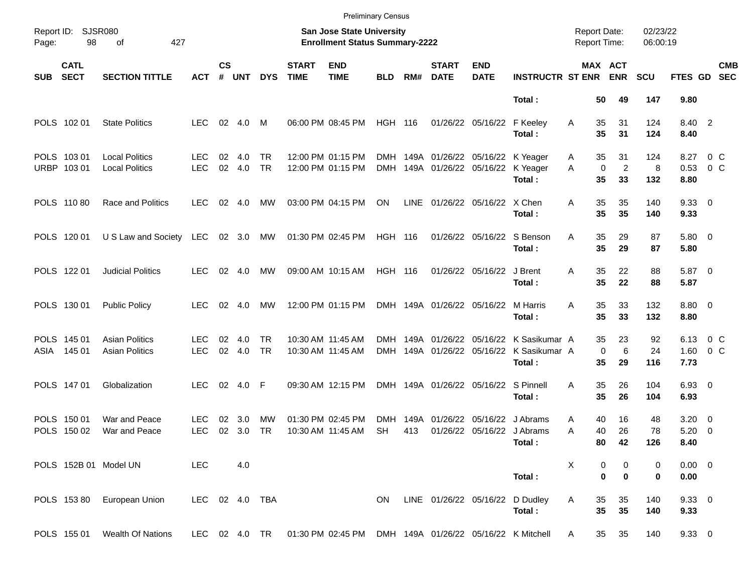|            |                            |                                                |                          |                    |               |                        |                             | <b>Preliminary Census</b>                                                    |                          |             |                                                      |                                        |                                          |                                            |                                                 |                      |                                  |                           |
|------------|----------------------------|------------------------------------------------|--------------------------|--------------------|---------------|------------------------|-----------------------------|------------------------------------------------------------------------------|--------------------------|-------------|------------------------------------------------------|----------------------------------------|------------------------------------------|--------------------------------------------|-------------------------------------------------|----------------------|----------------------------------|---------------------------|
| Page:      | Report ID: SJSR080<br>98   | 427<br>of                                      |                          |                    |               |                        |                             | San Jose State University<br><b>Enrollment Status Summary-2222</b>           |                          |             |                                                      |                                        |                                          | <b>Report Date:</b><br><b>Report Time:</b> |                                                 | 02/23/22<br>06:00:19 |                                  |                           |
| <b>SUB</b> | <b>CATL</b><br><b>SECT</b> | <b>SECTION TITTLE</b>                          | <b>ACT</b>               | $\mathsf{cs}$<br># | <b>UNT</b>    | <b>DYS</b>             | <b>START</b><br><b>TIME</b> | <b>END</b><br><b>TIME</b>                                                    | <b>BLD</b>               | RM#         | <b>START</b><br><b>DATE</b>                          | <b>END</b><br><b>DATE</b>              | <b>INSTRUCTR ST ENR</b>                  |                                            | MAX ACT<br><b>ENR</b>                           | <b>SCU</b>           | <b>FTES GD</b>                   | <b>CMB</b><br><b>SEC</b>  |
|            |                            |                                                |                          |                    |               |                        |                             |                                                                              |                          |             |                                                      |                                        | Total:                                   |                                            | 50<br>49                                        | 147                  | 9.80                             |                           |
|            | POLS 102 01                | <b>State Politics</b>                          | LEC.                     | 02                 | 4.0           | M                      |                             | 06:00 PM 08:45 PM                                                            | <b>HGH 116</b>           |             |                                                      | 01/26/22 05/16/22                      | F Keeley<br>Total:                       | 35<br>A<br>35                              | 31<br>31                                        | 124<br>124           | 8.40 2<br>8.40                   |                           |
|            | POLS 103 01<br>URBP 103 01 | <b>Local Politics</b><br><b>Local Politics</b> | LEC.<br><b>LEC</b>       | 02<br>02           | 4.0<br>4.0    | <b>TR</b><br><b>TR</b> |                             | 12:00 PM 01:15 PM<br>12:00 PM 01:15 PM                                       | DMH                      |             | DMH 149A 01/26/22 05/16/22<br>149A 01/26/22 05/16/22 |                                        | K Yeager<br>K Yeager<br>Total:           | A<br>A<br>35                               | 31<br>35<br>$\mathbf 0$<br>$\overline{2}$<br>33 | 124<br>8<br>132      | 8.27<br>0.53<br>8.80             | $0\,$ C<br>0 <sup>o</sup> |
|            | POLS 11080                 | Race and Politics                              | LEC.                     | 02                 | 4.0           | МW                     |                             | 03:00 PM 04:15 PM                                                            | ON                       | LINE        |                                                      | 01/26/22 05/16/22 X Chen               | Total:                                   | 35<br>A<br>35                              | 35<br>35                                        | 140<br>140           | 9.3300<br>9.33                   |                           |
|            | POLS 120 01                | U S Law and Society LEC                        |                          |                    | 02 3.0        | МW                     |                             | 01:30 PM 02:45 PM                                                            | <b>HGH 116</b>           |             |                                                      | 01/26/22 05/16/22                      | S Benson<br>Total:                       | 35<br>Α<br>35                              | 29<br>29                                        | 87<br>87             | 5.80 0<br>5.80                   |                           |
|            | POLS 122 01                | <b>Judicial Politics</b>                       | LEC.                     | 02                 | 4.0           | МW                     |                             | 09:00 AM 10:15 AM                                                            | <b>HGH 116</b>           |             |                                                      | 01/26/22 05/16/22                      | J Brent<br>Total:                        | 35<br>A<br>35                              | 22<br>22                                        | 88<br>88             | 5.87 0<br>5.87                   |                           |
|            | POLS 130 01                | <b>Public Policy</b>                           | <b>LEC</b>               | 02                 | -4.0          | МW                     |                             | 12:00 PM 01:15 PM                                                            |                          |             | DMH 149A 01/26/22 05/16/22                           |                                        | M Harris<br>Total:                       | 35<br>A<br>35                              | 33<br>33                                        | 132<br>132           | 8.80 0<br>8.80                   |                           |
|            | POLS 145 01<br>ASIA 145 01 | <b>Asian Politics</b><br><b>Asian Politics</b> | <b>LEC</b><br><b>LEC</b> | 02                 | 4.0<br>02 4.0 | <b>TR</b><br><b>TR</b> |                             | 10:30 AM 11:45 AM<br>10:30 AM 11:45 AM                                       | <b>DMH</b><br><b>DMH</b> |             | 149A 01/26/22<br>149A 01/26/22 05/16/22              | 05/16/22                               | K Sasikumar A<br>K Sasikumar A<br>Total: | 35                                         | 35<br>23<br>$\mathbf 0$<br>6<br>29              | 92<br>24<br>116      | 6.13<br>7.73                     | $0\,$ C<br>$1.60 \t 0 C$  |
|            | POLS 147 01                | Globalization                                  | <b>LEC</b>               |                    | 02 4.0 F      |                        |                             | 09:30 AM 12:15 PM                                                            |                          |             | DMH 149A 01/26/22 05/16/22                           |                                        | S Pinnell<br>Total:                      | Α<br>35                                    | 35<br>26<br>26                                  | 104<br>104           | $6.93$ 0<br>6.93                 |                           |
|            | POLS 150 01<br>POLS 150 02 | War and Peace<br>War and Peace                 | <b>LEC</b><br><b>LEC</b> | 02<br>02           | 3.0<br>3.0    | MW<br>TR               |                             | 01:30 PM 02:45 PM<br>10:30 AM 11:45 AM                                       | <b>DMH</b><br><b>SH</b>  | 149A<br>413 | 01/26/22                                             | 05/16/22<br>01/26/22 05/16/22 J Abrams | J Abrams<br>Total:                       | A<br>40<br>Α                               | 40<br>16<br>26<br>80<br>42                      | 48<br>78<br>126      | $3.20 \ 0$<br>$5.20 \ 0$<br>8.40 |                           |
|            |                            | POLS 152B 01 Model UN                          | <b>LEC</b>               |                    | 4.0           |                        |                             |                                                                              |                          |             |                                                      |                                        | Total:                                   | X                                          | 0<br>0<br>$\bf{0}$<br>$\bf{0}$                  | 0<br>0               | $0.00 \t 0$<br>0.00              |                           |
|            |                            | POLS 153 80 European Union                     | LEC 02 4.0 TBA           |                    |               |                        |                             |                                                                              | ON.                      |             | LINE 01/26/22 05/16/22                               |                                        | D Dudley<br>Total:                       | Α                                          | 35<br>35<br>35<br>35                            | 140<br>140           | 9.3300<br>9.33                   |                           |
|            | POLS 155 01                | Wealth Of Nations                              |                          |                    |               |                        |                             | LEC 02 4.0 TR  01:30 PM 02:45 PM  DMH  149A  01/26/22  05/16/22  K  Mitchell |                          |             |                                                      |                                        |                                          | A                                          | 35<br>35                                        | 140                  | 9.3300                           |                           |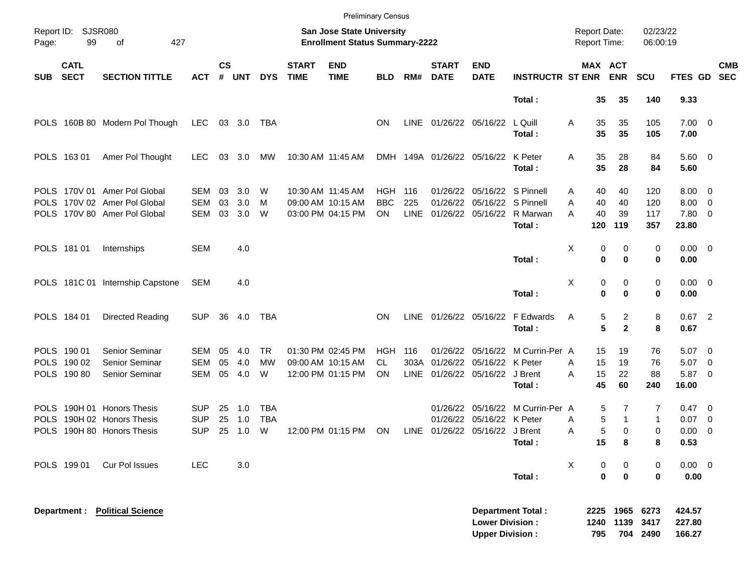|             |                                           |                                                                                              |                                        |                    |                   |                        |                             | <b>Preliminary Census</b>                                          |                         |                     |                                                   |                                                  |                                                                |             |                                     |                       |                          |                                           |                                                      |
|-------------|-------------------------------------------|----------------------------------------------------------------------------------------------|----------------------------------------|--------------------|-------------------|------------------------|-----------------------------|--------------------------------------------------------------------|-------------------------|---------------------|---------------------------------------------------|--------------------------------------------------|----------------------------------------------------------------|-------------|-------------------------------------|-----------------------|--------------------------|-------------------------------------------|------------------------------------------------------|
| Page:       | Report ID: SJSR080<br>99                  | 427<br>οf                                                                                    |                                        |                    |                   |                        |                             | San Jose State University<br><b>Enrollment Status Summary-2222</b> |                         |                     |                                                   |                                                  |                                                                |             | <b>Report Date:</b><br>Report Time: |                       | 02/23/22<br>06:00:19     |                                           |                                                      |
| <b>SUB</b>  | <b>CATL</b><br><b>SECT</b>                | <b>SECTION TITTLE</b>                                                                        | <b>ACT</b>                             | $\mathsf{cs}$<br># | <b>UNT</b>        | <b>DYS</b>             | <b>START</b><br><b>TIME</b> | <b>END</b><br><b>TIME</b>                                          | <b>BLD</b>              | RM#                 | <b>START</b><br><b>DATE</b>                       | <b>END</b><br><b>DATE</b>                        | <b>INSTRUCTR ST ENR</b>                                        |             | <b>MAX ACT</b>                      | <b>ENR</b>            | <b>SCU</b>               | <b>FTES GD</b>                            | <b>CMB</b><br><b>SEC</b>                             |
|             |                                           |                                                                                              |                                        |                    |                   |                        |                             |                                                                    |                         |                     |                                                   |                                                  | Total:                                                         |             | 35                                  | 35                    | 140                      | 9.33                                      |                                                      |
|             |                                           | POLS 160B 80 Modern Pol Though                                                               | LEC                                    |                    | 03 3.0            | TBA                    |                             |                                                                    | <b>ON</b>               | LINE                | 01/26/22 05/16/22                                 |                                                  | L Quill<br>Total:                                              | Α           | 35<br>35                            | 35<br>35              | 105<br>105               | $7.00 \t 0$<br>7.00                       |                                                      |
|             | POLS 163 01                               | Amer Pol Thought                                                                             | <b>LEC</b>                             | 03                 | 3.0               | MW                     |                             | 10:30 AM 11:45 AM                                                  |                         |                     | DMH 149A 01/26/22 05/16/22                        |                                                  | K Peter<br>Total:                                              | Α           | 35<br>35                            | 28<br>28              | 84<br>84                 | 5.60 0<br>5.60                            |                                                      |
|             |                                           | POLS 170V 01 Amer Pol Global<br>POLS 170V 02 Amer Pol Global<br>POLS 170V 80 Amer Pol Global | SEM<br><b>SEM</b><br>SEM               | 03<br>03<br>03     | 3.0<br>3.0<br>3.0 | W<br>м<br>W            |                             | 10:30 AM 11:45 AM<br>09:00 AM 10:15 AM<br>03:00 PM 04:15 PM        | HGH<br><b>BBC</b><br>ON | 116<br>225<br>LINE  | 01/26/22<br>01/26/22<br>01/26/22 05/16/22         |                                                  | 05/16/22 S Pinnell<br>05/16/22 S Pinnell<br>R Marwan<br>Total: | A<br>Α<br>А | 40<br>40<br>40<br>120               | 40<br>40<br>39<br>119 | 120<br>120<br>117<br>357 | $8.00 \quad 0$<br>8.00<br>7.80 0<br>23.80 | $\overline{\phantom{0}}$                             |
|             | POLS 181 01                               | Internships                                                                                  | <b>SEM</b>                             |                    | 4.0               |                        |                             |                                                                    |                         |                     |                                                   |                                                  | Total:                                                         | X           | 0<br>0                              | 0<br>0                | 0<br>0                   | $0.00 \t 0$<br>0.00                       |                                                      |
|             |                                           | POLS 181C 01 Internship Capstone                                                             | <b>SEM</b>                             |                    | 4.0               |                        |                             |                                                                    |                         |                     |                                                   |                                                  | Total:                                                         | X           | 0<br>$\bf{0}$                       | 0<br>0                | 0<br>0                   | $0.00 \t 0$<br>0.00                       |                                                      |
|             | POLS 184 01                               | Directed Reading                                                                             | <b>SUP</b>                             | 36                 | 4.0               | <b>TBA</b>             |                             |                                                                    | <b>ON</b>               | LINE                | 01/26/22 05/16/22                                 |                                                  | F Edwards<br>Total:                                            | Α           | 5<br>5                              | 2<br>$\mathbf{2}$     | 8<br>8                   | $0.67$ 2<br>0.67                          |                                                      |
|             | POLS 190 01<br>POLS 190 02<br>POLS 190 80 | Senior Seminar<br>Senior Seminar<br><b>Senior Seminar</b>                                    | SEM<br><b>SEM</b><br><b>SEM</b>        | 05<br>05<br>05     | 4.0<br>4.0<br>4.0 | <b>TR</b><br>МW<br>W   |                             | 01:30 PM 02:45 PM<br>09:00 AM 10:15 AM<br>12:00 PM 01:15 PM        | HGH<br>CL<br>ON         | 116<br>303A<br>LINE | 01/26/22<br>01/26/22<br>01/26/22 05/16/22 J Brent | 05/16/22<br>05/16/22 K Peter                     | M Currin-Per A<br>Total:                                       | A<br>A      | 15<br>15<br>15<br>45                | 19<br>19<br>22<br>60  | 76<br>76<br>88<br>240    | $5.07 \quad 0$<br>5.07<br>5.87 0<br>16.00 | $\overline{\phantom{0}}$                             |
| <b>POLS</b> |                                           | POLS 190H 01 Honors Thesis<br>190H 02 Honors Thesis<br>POLS 190H 80 Honors Thesis            | <b>SUP</b><br><b>SUP</b><br><b>SUP</b> | 25<br>25<br>25     | 1.0<br>1.0<br>1.0 | TBA<br><b>TBA</b><br>W |                             | 12:00 PM 01:15 PM                                                  | ON                      | LINE                | 01/26/22<br>01/26/22<br>01/26/22 05/16/22 J Brent | 05/16/22 K Peter                                 | 05/16/22 M Currin-Per A<br>Total:                              | Α<br>A      | 5<br>5<br>5<br>15                   | 7<br>1<br>0<br>8      | 7<br>1<br>0<br>8         | $0.47 \quad 0$<br>0.07<br>0.00<br>0.53    | $\overline{\phantom{0}}$<br>$\overline{\phantom{0}}$ |
|             | POLS 199 01                               | Cur Pol Issues                                                                               | <b>LEC</b>                             |                    | 3.0               |                        |                             |                                                                    |                         |                     |                                                   |                                                  | Total:                                                         | X           | 0<br>$\mathbf 0$                    | 0<br>$\mathbf 0$      | 0<br>0                   | $0.00 \t 0$<br>0.00                       |                                                      |
|             | Department :                              | <b>Political Science</b>                                                                     |                                        |                    |                   |                        |                             |                                                                    |                         |                     |                                                   | <b>Lower Division:</b><br><b>Upper Division:</b> | <b>Department Total:</b>                                       |             | 2225<br>1240<br>795                 | 1965<br>1139<br>704   | 6273<br>3417<br>2490     | 424.57<br>227.80<br>166.27                |                                                      |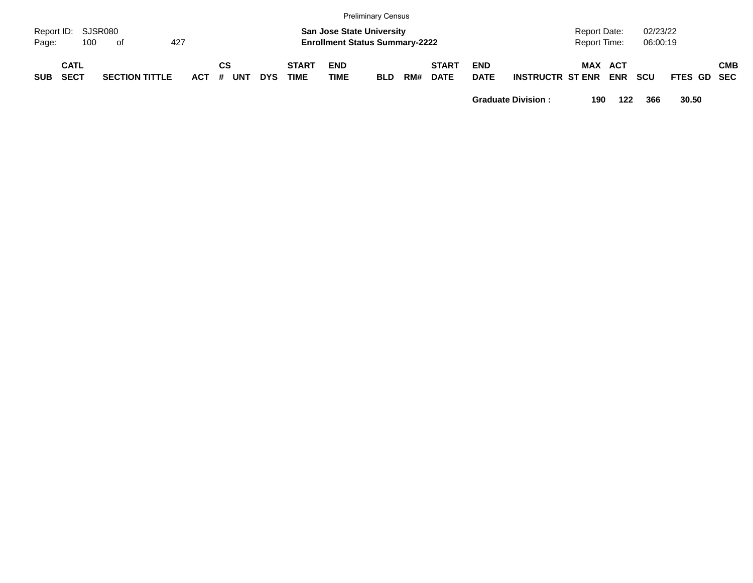|            |                     |     |                       |     |       |    |            |            |                             |                                                                           | Preliminary Census |     |                             |                           |                         |                              |                     |                      |                    |            |
|------------|---------------------|-----|-----------------------|-----|-------|----|------------|------------|-----------------------------|---------------------------------------------------------------------------|--------------------|-----|-----------------------------|---------------------------|-------------------------|------------------------------|---------------------|----------------------|--------------------|------------|
| Page:      | Report ID: SJSR080  | 100 | of                    | 427 |       |    |            |            |                             | <b>San Jose State University</b><br><b>Enrollment Status Summary-2222</b> |                    |     |                             |                           |                         | Report Date:<br>Report Time: |                     | 02/23/22<br>06:00:19 |                    |            |
| <b>SUB</b> | CATL<br><b>SECT</b> |     | <b>SECTION TITTLE</b> |     | ACT # | СS | <b>UNT</b> | <b>DYS</b> | <b>START</b><br><b>TIME</b> | <b>END</b><br><b>TIME</b>                                                 | <b>BLD</b>         | RM# | <b>START</b><br><b>DATE</b> | <b>END</b><br><b>DATE</b> | <b>INSTRUCTR ST ENR</b> | MAX                          | : ACT<br><b>ENR</b> | <b>SCU</b>           | <b>FTES GD SEC</b> | <b>CMB</b> |

**Graduate Division : 190 122 366 30.50**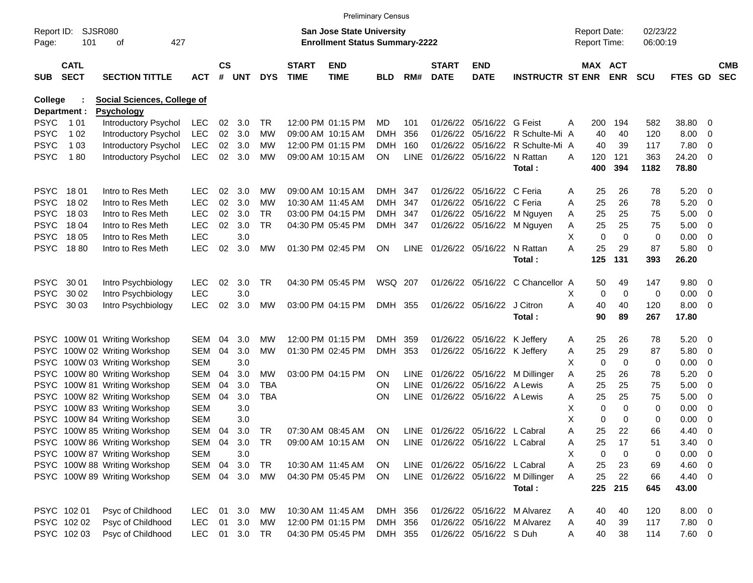|                     |                            |                                    |            |                    |            |            |                             | <b>Preliminary Census</b>                                          |            |             |                             |                                 |                                    |   |                                     |                       |                      |                |                         |                          |
|---------------------|----------------------------|------------------------------------|------------|--------------------|------------|------------|-----------------------------|--------------------------------------------------------------------|------------|-------------|-----------------------------|---------------------------------|------------------------------------|---|-------------------------------------|-----------------------|----------------------|----------------|-------------------------|--------------------------|
| Report ID:<br>Page: | SJSR080<br>101             | 427<br>оf                          |            |                    |            |            |                             | San Jose State University<br><b>Enrollment Status Summary-2222</b> |            |             |                             |                                 |                                    |   | <b>Report Date:</b><br>Report Time: |                       | 02/23/22<br>06:00:19 |                |                         |                          |
| <b>SUB</b>          | <b>CATL</b><br><b>SECT</b> | <b>SECTION TITTLE</b>              | <b>ACT</b> | $\mathsf{cs}$<br># | <b>UNT</b> | <b>DYS</b> | <b>START</b><br><b>TIME</b> | <b>END</b><br><b>TIME</b>                                          | <b>BLD</b> | RM#         | <b>START</b><br><b>DATE</b> | <b>END</b><br><b>DATE</b>       | <b>INSTRUCTR ST ENR</b>            |   |                                     | MAX ACT<br><b>ENR</b> | <b>SCU</b>           | <b>FTES GD</b> |                         | <b>CMB</b><br><b>SEC</b> |
| College             |                            | <b>Social Sciences, College of</b> |            |                    |            |            |                             |                                                                    |            |             |                             |                                 |                                    |   |                                     |                       |                      |                |                         |                          |
|                     | Department :               | <b>Psychology</b>                  |            |                    |            |            |                             |                                                                    |            |             |                             |                                 |                                    |   |                                     |                       |                      |                |                         |                          |
| PSYC                | 1 0 1                      | Introductory Psychol               | LEC        | 02                 | 3.0        | TR         |                             | 12:00 PM 01:15 PM                                                  | MD         | 101         |                             | 01/26/22 05/16/22 G Feist       |                                    | A | 200                                 | 194                   | 582                  | 38.80          | 0                       |                          |
| <b>PSYC</b>         | 1 0 2                      | Introductory Psychol               | LEC        | $02\,$             | 3.0        | МW         | 09:00 AM 10:15 AM           |                                                                    | <b>DMH</b> | 356         |                             |                                 | 01/26/22 05/16/22 R Schulte-Mi A   |   | 40                                  | 40                    | 120                  | 8.00           | 0                       |                          |
| PSYC                | 1 0 3                      | Introductory Psychol               | <b>LEC</b> | 02                 | 3.0        | МW         |                             | 12:00 PM 01:15 PM                                                  | <b>DMH</b> | 160         |                             |                                 | 01/26/22 05/16/22 R Schulte-Mi A   |   | 40                                  | 39                    | 117                  | 7.80           | 0                       |                          |
| <b>PSYC</b>         | 180                        | Introductory Psychol               | <b>LEC</b> | $02\,$             | 3.0        | МW         |                             | 09:00 AM 10:15 AM                                                  | ON         | <b>LINE</b> |                             | 01/26/22 05/16/22               | N Rattan<br>Total:                 | A | 120<br>400                          | 121<br>394            | 363<br>1182          | 24.20<br>78.80 | $\overline{0}$          |                          |
| <b>PSYC</b>         | 1801                       | Intro to Res Meth                  | <b>LEC</b> | 02                 | 3.0        | МW         |                             | 09:00 AM 10:15 AM                                                  | DMH        | 347         |                             | 01/26/22 05/16/22 C Feria       |                                    | Α | 25                                  | 26                    | 78                   | 5.20           | $\overline{\mathbf{0}}$ |                          |
| PSYC                | 18 02                      | Intro to Res Meth                  | <b>LEC</b> | 02                 | 3.0        | МW         | 10:30 AM 11:45 AM           |                                                                    | <b>DMH</b> | 347         |                             | 01/26/22 05/16/22 C Feria       |                                    | Α | 25                                  | 26                    | 78                   | 5.20           | - 0                     |                          |
| PSYC                | 18 03                      | Intro to Res Meth                  | <b>LEC</b> | 02                 | 3.0        | <b>TR</b>  |                             | 03:00 PM 04:15 PM                                                  | <b>DMH</b> | 347         |                             |                                 | 01/26/22 05/16/22 M Nguyen         | A | 25                                  | 25                    | 75                   | 5.00           | $\overline{0}$          |                          |
| PSYC                | 18 04                      | Intro to Res Meth                  | <b>LEC</b> | 02                 | 3.0        | <b>TR</b>  |                             | 04:30 PM 05:45 PM                                                  | <b>DMH</b> | 347         |                             |                                 | 01/26/22 05/16/22 M Nguyen         | A | 25                                  | 25                    | 75                   | 5.00           | 0                       |                          |
| <b>PSYC</b>         | 18 05                      | Intro to Res Meth                  | <b>LEC</b> |                    | 3.0        |            |                             |                                                                    |            |             |                             |                                 |                                    | х | 0                                   | $\mathbf 0$           | 0                    | 0.00           | 0                       |                          |
| <b>PSYC</b>         | 1880                       | Intro to Res Meth                  | <b>LEC</b> | 02                 | 3.0        | MW         |                             | 01:30 PM 02:45 PM                                                  | <b>ON</b>  | <b>LINE</b> | 01/26/22 05/16/22           |                                 | N Rattan                           | А | 25                                  | 29                    | 87                   | 5.80           | $\overline{\mathbf{0}}$ |                          |
|                     |                            |                                    |            |                    |            |            |                             |                                                                    |            |             |                             |                                 | Total:                             |   | 125                                 | 131                   | 393                  | 26.20          |                         |                          |
| <b>PSYC</b>         | 30 01                      | Intro Psychbiology                 | <b>LEC</b> | 02                 | 3.0        | <b>TR</b>  |                             | 04:30 PM 05:45 PM                                                  | WSQ 207    |             |                             |                                 | 01/26/22 05/16/22 C Chancellor A   |   | 50                                  | 49                    | 147                  | 9.80           | $\overline{\mathbf{0}}$ |                          |
| <b>PSYC</b>         | 30 02                      | Intro Psychbiology                 | <b>LEC</b> |                    | 3.0        |            |                             |                                                                    |            |             |                             |                                 |                                    | х | 0                                   | 0                     | 0                    | 0.00           | 0                       |                          |
| <b>PSYC</b>         | 30 03                      | Intro Psychbiology                 | <b>LEC</b> | 02                 | 3.0        | MW         |                             | 03:00 PM 04:15 PM                                                  | DMH 355    |             |                             | 01/26/22 05/16/22               | J Citron                           | Α | 40                                  | 40                    | 120                  | 8.00           | $\overline{\mathbf{0}}$ |                          |
|                     |                            |                                    |            |                    |            |            |                             |                                                                    |            |             |                             |                                 | Total:                             |   | 90                                  | 89                    | 267                  | 17.80          |                         |                          |
|                     |                            | PSYC 100W 01 Writing Workshop      | <b>SEM</b> | 04                 | 3.0        | МW         |                             | 12:00 PM 01:15 PM                                                  | <b>DMH</b> | 359         |                             | 01/26/22 05/16/22 K Jeffery     |                                    | Α | 25                                  | 26                    | 78                   | 5.20           | - 0                     |                          |
| <b>PSYC</b>         |                            | 100W 02 Writing Workshop           | <b>SEM</b> | 04                 | 3.0        | МW         |                             | 01:30 PM 02:45 PM                                                  | <b>DMH</b> | 353         |                             | 01/26/22 05/16/22 K Jeffery     |                                    | A | 25                                  | 29                    | 87                   | 5.80           | - 0                     |                          |
| <b>PSYC</b>         |                            | 100W 03 Writing Workshop           | <b>SEM</b> |                    | 3.0        |            |                             |                                                                    |            |             |                             |                                 |                                    | х | 0                                   | 0                     | 0                    | 0.00           | 0                       |                          |
| <b>PSYC</b>         |                            | 100W 80 Writing Workshop           | <b>SEM</b> | 04                 | 3.0        | MW         |                             | 03:00 PM 04:15 PM                                                  | <b>ON</b>  | LINE        |                             |                                 | 01/26/22 05/16/22 M Dillinger      | Α | 25                                  | 26                    | 78                   | 5.20           | 0                       |                          |
| <b>PSYC</b>         |                            | 100W 81 Writing Workshop           | <b>SEM</b> | 04                 | 3.0        | TBA        |                             |                                                                    | <b>ON</b>  | <b>LINE</b> |                             | 01/26/22 05/16/22 A Lewis       |                                    | Α | 25                                  | 25                    | 75                   | 5.00           | $\overline{0}$          |                          |
| <b>PSYC</b>         |                            | 100W 82 Writing Workshop           | <b>SEM</b> | 04                 | 3.0        | <b>TBA</b> |                             |                                                                    | <b>ON</b>  | LINE        |                             | 01/26/22 05/16/22 A Lewis       |                                    | Α | 25                                  | 25                    | 75                   | 5.00           | 0                       |                          |
| <b>PSYC</b>         |                            | 100W 83 Writing Workshop           | <b>SEM</b> |                    | 3.0        |            |                             |                                                                    |            |             |                             |                                 |                                    | х | 0                                   | $\mathbf 0$           | 0                    | 0.00           | 0                       |                          |
| <b>PSYC</b>         |                            | 100W 84 Writing Workshop           | <b>SEM</b> |                    | 3.0        |            |                             |                                                                    |            |             |                             |                                 |                                    | X | 0                                   | 0                     | 0                    | 0.00           | 0                       |                          |
|                     |                            | PSYC 100W 85 Writing Workshop      | SEM        | 04                 | 3.0        | TR         |                             | 07:30 AM 08:45 AM                                                  | ON         |             |                             | LINE 01/26/22 05/16/22 L Cabral |                                    | Α | 25                                  | 22                    | 66                   | 4.40           | 0                       |                          |
|                     |                            | PSYC 100W 86 Writing Workshop      | SEM        | 04                 | 3.0        | TR         |                             | 09:00 AM 10:15 AM ON                                               |            |             |                             | LINE 01/26/22 05/16/22 L Cabral |                                    | A | 25                                  | 17                    | 51                   | 3.40           | $\overline{\mathbf{0}}$ |                          |
|                     |                            | PSYC 100W 87 Writing Workshop      | <b>SEM</b> |                    | 3.0        |            |                             |                                                                    |            |             |                             |                                 |                                    | х | 0                                   | 0                     | 0                    | $0.00 \t 0$    |                         |                          |
|                     |                            | PSYC 100W 88 Writing Workshop      | SEM        | 04                 | 3.0        | TR         |                             | 10:30 AM 11:45 AM                                                  | ON         |             |                             | LINE 01/26/22 05/16/22 L Cabral |                                    | Α | 25                                  | 23                    | 69                   | $4.60$ 0       |                         |                          |
|                     |                            | PSYC 100W 89 Writing Workshop      | SEM        | 04                 | 3.0        | МW         |                             | 04:30 PM 05:45 PM                                                  | ON         |             |                             |                                 | LINE 01/26/22 05/16/22 M Dillinger | A | 25                                  | 22                    | 66                   | 4.40 0         |                         |                          |
|                     |                            |                                    |            |                    |            |            |                             |                                                                    |            |             |                             |                                 | Total:                             |   | 225                                 | 215                   | 645                  | 43.00          |                         |                          |
|                     | PSYC 102 01                | Psyc of Childhood                  | <b>LEC</b> | 01                 | 3.0        | МW         |                             | 10:30 AM 11:45 AM                                                  | DMH 356    |             |                             |                                 | 01/26/22 05/16/22 M Alvarez        | A | 40                                  | 40                    | 120                  | $8.00 \t 0$    |                         |                          |
|                     | PSYC 102 02                | Psyc of Childhood                  | <b>LEC</b> | 01                 | 3.0        | МW         |                             | 12:00 PM 01:15 PM                                                  | DMH 356    |             |                             |                                 | 01/26/22 05/16/22 M Alvarez        | A | 40                                  | 39                    | 117                  | $7.80\ 0$      |                         |                          |
|                     | PSYC 10203                 | Psyc of Childhood                  | <b>LEC</b> |                    | 01 3.0 TR  |            |                             | 04:30 PM 05:45 PM                                                  | DMH 355    |             |                             | 01/26/22 05/16/22 S Duh         |                                    | A | 40                                  | 38                    | 114                  | 7.60 0         |                         |                          |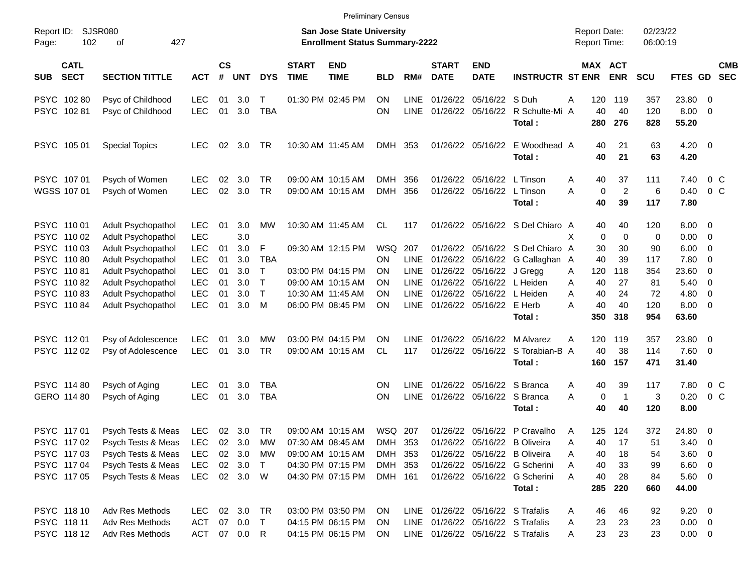|                     |                                           |                                                                       |                                        |                    |                                  |                          |                             | <b>Preliminary Census</b>                                                 |                               |                                           |                             |                                                          |                                                                                                             |             |                                     |                            |                        |                                          |                                                    |                          |
|---------------------|-------------------------------------------|-----------------------------------------------------------------------|----------------------------------------|--------------------|----------------------------------|--------------------------|-----------------------------|---------------------------------------------------------------------------|-------------------------------|-------------------------------------------|-----------------------------|----------------------------------------------------------|-------------------------------------------------------------------------------------------------------------|-------------|-------------------------------------|----------------------------|------------------------|------------------------------------------|----------------------------------------------------|--------------------------|
| Report ID:<br>Page: | 102                                       | <b>SJSR080</b><br>427<br>οf                                           |                                        |                    |                                  |                          |                             | <b>San Jose State University</b><br><b>Enrollment Status Summary-2222</b> |                               |                                           |                             |                                                          |                                                                                                             |             | <b>Report Date:</b><br>Report Time: |                            | 02/23/22<br>06:00:19   |                                          |                                                    |                          |
| <b>SUB</b>          | <b>CATL</b><br><b>SECT</b>                | <b>SECTION TITTLE</b>                                                 | <b>ACT</b>                             | $\mathsf{cs}$<br># | <b>UNT</b>                       | <b>DYS</b>               | <b>START</b><br><b>TIME</b> | <b>END</b><br><b>TIME</b>                                                 | <b>BLD</b>                    | RM#                                       | <b>START</b><br><b>DATE</b> | <b>END</b><br><b>DATE</b>                                | <b>INSTRUCTR ST ENR</b>                                                                                     |             |                                     | MAX ACT<br><b>ENR</b>      | <b>SCU</b>             | <b>FTES GD</b>                           |                                                    | <b>CMB</b><br><b>SEC</b> |
|                     | PSYC 102 80<br>PSYC 10281                 | Psyc of Childhood<br>Psyc of Childhood                                | <b>LEC</b><br><b>LEC</b>               | 01<br>01           | 3.0<br>3.0                       | T<br><b>TBA</b>          |                             | 01:30 PM 02:45 PM                                                         | ΟN<br>ON                      | <b>LINE</b><br><b>LINE</b>                | 01/26/22<br>01/26/22        | 05/16/22 S Duh<br>05/16/22                               | R Schulte-Mi A<br>Total:                                                                                    | Α           | 120<br>40<br>280                    | 119<br>40<br>276           | 357<br>120<br>828      | 23.80<br>8.00<br>55.20                   | $\overline{\mathbf{0}}$<br>$\overline{0}$          |                          |
|                     | PSYC 105 01                               | <b>Special Topics</b>                                                 | <b>LEC</b>                             | 02                 | 3.0                              | TR                       |                             | 10:30 AM 11:45 AM                                                         | DMH 353                       |                                           |                             | 01/26/22 05/16/22                                        | E Woodhead A<br>Total:                                                                                      |             | 40<br>40                            | 21<br>21                   | 63<br>63               | 4.20<br>4.20                             | $\overline{\mathbf{0}}$                            |                          |
|                     | PSYC 107 01<br>WGSS 107 01                | Psych of Women<br>Psych of Women                                      | <b>LEC</b><br><b>LEC</b>               | 02<br>02           | 3.0<br>3.0                       | TR<br><b>TR</b>          |                             | 09:00 AM 10:15 AM<br>09:00 AM 10:15 AM                                    | <b>DMH</b><br><b>DMH</b>      | 356<br>356                                | 01/26/22                    | 01/26/22 05/16/22<br>05/16/22                            | L Tinson<br>L Tinson<br>Total:                                                                              | Α<br>Α      | 40<br>0<br>40                       | 37<br>$\overline{2}$<br>39 | 111<br>6<br>117        | 7.40<br>0.40<br>7.80                     | 0 <sup>C</sup><br>0 <sup>o</sup>                   |                          |
| <b>PSYC</b>         | PSYC 110 01<br>110 02<br>PSYC 110 03      | Adult Psychopathol<br>Adult Psychopathol<br><b>Adult Psychopathol</b> | <b>LEC</b><br><b>LEC</b><br><b>LEC</b> | 01<br>01           | 3.0<br>3.0<br>3.0                | МW<br>F                  |                             | 10:30 AM 11:45 AM<br>09:30 AM 12:15 PM                                    | CL<br><b>WSQ</b>              | 117<br>207                                |                             |                                                          | 01/26/22 05/16/22 S Del Chiaro A<br>01/26/22 05/16/22 S Del Chiaro A                                        | X           | 40<br>$\mathbf 0$<br>30             | 40<br>$\mathbf 0$<br>30    | 120<br>0<br>90         | 8.00<br>0.00<br>6.00                     | $\overline{\mathbf{0}}$<br>$\overline{0}$<br>0     |                          |
|                     | PSYC 110 80<br>PSYC 11081                 | Adult Psychopathol<br>Adult Psychopathol                              | <b>LEC</b><br><b>LEC</b>               | 01<br>01           | 3.0<br>3.0                       | <b>TBA</b><br>$\top$     |                             | 03:00 PM 04:15 PM                                                         | <b>ON</b><br>ON               | <b>LINE</b><br><b>LINE</b>                | 01/26/22<br>01/26/22        | 05/16/22<br>05/16/22                                     | G Callaghan A<br>J Gregg                                                                                    | Α           | 40<br>120                           | 39<br>118                  | 117<br>354             | 7.80<br>23.60                            | $\mathbf 0$<br>$\mathbf 0$                         |                          |
|                     | PSYC 11082<br>PSYC 11083<br>PSYC 11084    | Adult Psychopathol<br>Adult Psychopathol<br>Adult Psychopathol        | <b>LEC</b><br><b>LEC</b><br><b>LEC</b> | 01<br>01<br>01     | 3.0<br>3.0<br>3.0                | $\top$<br>$\top$<br>M    |                             | 09:00 AM 10:15 AM<br>10:30 AM 11:45 AM<br>06:00 PM 08:45 PM               | ΟN<br>ON<br>ON                | <b>LINE</b><br><b>LINE</b><br><b>LINE</b> | 01/26/22<br>01/26/22        | 05/16/22<br>05/16/22<br>01/26/22 05/16/22 E Herb         | L Heiden<br>L Heiden<br>Total:                                                                              | Α<br>Α<br>А | 40<br>40<br>40<br>350               | 27<br>24<br>40<br>318      | 81<br>72<br>120<br>954 | 5.40<br>4.80<br>8.00<br>63.60            | $\overline{0}$<br>$\overline{0}$<br>$\overline{0}$ |                          |
|                     | PSYC 11201<br>PSYC 112 02                 | Psy of Adolescence<br>Psy of Adolescence                              | <b>LEC</b><br><b>LEC</b>               | 01<br>01           | 3.0<br>3.0                       | <b>MW</b><br><b>TR</b>   |                             | 03:00 PM 04:15 PM<br>09:00 AM 10:15 AM                                    | ΟN<br><b>CL</b>               | <b>LINE</b><br>117                        | 01/26/22                    | 05/16/22<br>01/26/22 05/16/22                            | M Alvarez<br>S Torabian-B A<br>Total:                                                                       | Α           | 120<br>40<br>160                    | 119<br>38<br>157           | 357<br>114<br>471      | 23.80<br>7.60<br>31.40                   | $\overline{\mathbf{0}}$<br>$\overline{\mathbf{0}}$ |                          |
|                     | PSYC 114 80<br>GERO 114 80                | Psych of Aging<br>Psych of Aging                                      | LEC<br><b>LEC</b>                      | 01<br>01           | 3.0<br>3.0                       | <b>TBA</b><br><b>TBA</b> |                             |                                                                           | ΟN<br>ON                      | <b>LINE</b><br><b>LINE</b>                |                             | 01/26/22 05/16/22 S Branca<br>01/26/22 05/16/22 S Branca | Total:                                                                                                      | Α<br>А      | 40<br>$\mathbf 0$<br>40             | 39<br>$\overline{1}$<br>40 | 117<br>3<br>120        | 7.80<br>0.20<br>8.00                     | 0 <sup>o</sup><br>0 <sup>o</sup>                   |                          |
|                     | PSYC 117 01<br>PSYC 11702                 | Psych Tests & Meas<br>Psych Tests & Meas                              | <b>LEC</b><br><b>LEC</b>               | 02<br>02           | 3.0<br>3.0                       | <b>TR</b><br>МW          |                             | 09:00 AM 10:15 AM<br>07:30 AM 08:45 AM                                    | WSQ 207<br>DMH 353            |                                           |                             |                                                          | 01/26/22 05/16/22 P Cravalho<br>01/26/22 05/16/22 B Oliveira                                                | A<br>Α      | 125<br>40                           | 124<br>17                  | 372<br>51              | 24.80<br>$3.40 \ 0$                      | $\overline{\mathbf{0}}$                            |                          |
|                     | PSYC 11703<br>PSYC 11704<br>PSYC 117 05   | Psych Tests & Meas<br>Psych Tests & Meas<br>Psych Tests & Meas        | <b>LEC</b><br>LEC<br>LEC               | $02\,$             | 3.0<br>02 3.0<br>02 3.0 W        | МW<br>$\top$             |                             | 09:00 AM 10:15 AM<br>04:30 PM 07:15 PM<br>04:30 PM 07:15 PM               | DMH 353<br>DMH 353<br>DMH 161 |                                           |                             |                                                          | 01/26/22 05/16/22 B Oliveira<br>01/26/22 05/16/22 G Scherini<br>01/26/22 05/16/22 G Scherini<br>Total:      | Α<br>A<br>A | 40<br>40<br>40<br>285               | 18<br>33<br>28<br>220      | 54<br>99<br>84<br>660  | 3.60 0<br>$6.60 \t 0$<br>5.60 0<br>44.00 |                                                    |                          |
|                     | PSYC 118 10<br>PSYC 118 11<br>PSYC 118 12 | Adv Res Methods<br>Adv Res Methods<br>Adv Res Methods                 | <b>LEC</b><br>ACT                      |                    | 02 3.0<br>07 0.0<br>ACT 07 0.0 R | TR<br>$\top$             |                             | 03:00 PM 03:50 PM<br>04:15 PM 06:15 PM<br>04:15 PM 06:15 PM               | <b>ON</b><br>ON.<br>ON        |                                           |                             |                                                          | LINE 01/26/22 05/16/22 S Trafalis<br>LINE 01/26/22 05/16/22 S Trafalis<br>LINE 01/26/22 05/16/22 S Trafalis | A<br>A<br>A | 46<br>23<br>23                      | 46<br>23<br>23             | 92<br>23<br>23         | $9.20 \ 0$<br>$0.00 \t 0$<br>$0.00 \t 0$ |                                                    |                          |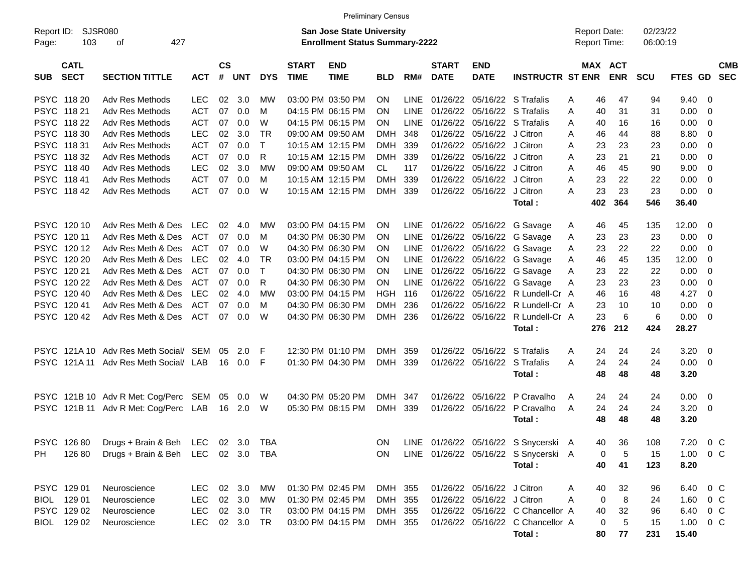|                     |                            |                                       |            |                    |            |            |                             | <b>Preliminary Census</b>                                                 |            |             |                             |                            |                                      |                                     |     |                       |                      |             |                |                          |
|---------------------|----------------------------|---------------------------------------|------------|--------------------|------------|------------|-----------------------------|---------------------------------------------------------------------------|------------|-------------|-----------------------------|----------------------------|--------------------------------------|-------------------------------------|-----|-----------------------|----------------------|-------------|----------------|--------------------------|
| Report ID:<br>Page: | SJSR080<br>103             | 427<br>οf                             |            |                    |            |            |                             | <b>San Jose State University</b><br><b>Enrollment Status Summary-2222</b> |            |             |                             |                            |                                      | <b>Report Date:</b><br>Report Time: |     |                       | 02/23/22<br>06:00:19 |             |                |                          |
| <b>SUB</b>          | <b>CATL</b><br><b>SECT</b> | <b>SECTION TITTLE</b>                 | <b>ACT</b> | $\mathsf{cs}$<br># | <b>UNT</b> | <b>DYS</b> | <b>START</b><br><b>TIME</b> | <b>END</b><br><b>TIME</b>                                                 | <b>BLD</b> | RM#         | <b>START</b><br><b>DATE</b> | <b>END</b><br><b>DATE</b>  | <b>INSTRUCTR ST ENR</b>              |                                     |     | MAX ACT<br><b>ENR</b> | <b>SCU</b>           | <b>FTES</b> | <b>GD</b>      | <b>CMB</b><br><b>SEC</b> |
|                     | PSYC 118 20                | Adv Res Methods                       | <b>LEC</b> | 02                 | 3.0        | МW         |                             | 03:00 PM 03:50 PM                                                         | <b>ON</b>  | <b>LINE</b> | 01/26/22                    |                            | 05/16/22 S Trafalis                  | A                                   | 46  | 47                    | 94                   | 9.40        | 0              |                          |
| <b>PSYC</b>         | 118 21                     | <b>Adv Res Methods</b>                | <b>ACT</b> | 07                 | 0.0        | M          |                             | 04:15 PM 06:15 PM                                                         | <b>ON</b>  | <b>LINE</b> | 01/26/22                    | 05/16/22                   | S Trafalis                           | A                                   | 40  | 31                    | 31                   | 0.00        | 0              |                          |
| <b>PSYC</b>         | 118 22                     | Adv Res Methods                       | <b>ACT</b> | 07                 | 0.0        | W          |                             | 04:15 PM 06:15 PM                                                         | <b>ON</b>  | <b>LINE</b> | 01/26/22                    | 05/16/22                   | S Trafalis                           | A                                   | 40  | 16                    | 16                   | 0.00        | 0              |                          |
| <b>PSYC</b>         | 118 30                     | Adv Res Methods                       | <b>LEC</b> | 02                 | 3.0        | TR         |                             | 09:00 AM 09:50 AM                                                         | <b>DMH</b> | 348         | 01/26/22                    | 05/16/22                   | J Citron                             | A                                   | 46  | 44                    | 88                   | 8.80        | 0              |                          |
| <b>PSYC</b>         | 118 31                     | <b>Adv Res Methods</b>                | <b>ACT</b> | 07                 | 0.0        | т          |                             | 10:15 AM 12:15 PM                                                         | <b>DMH</b> | 339         | 01/26/22                    | 05/16/22                   | J Citron                             | A                                   | 23  | 23                    | 23                   | 0.00        | 0              |                          |
| <b>PSYC</b>         | 118 32                     | Adv Res Methods                       | <b>ACT</b> | 07                 | 0.0        | R          |                             | 10:15 AM 12:15 PM                                                         | <b>DMH</b> | 339         | 01/26/22                    | 05/16/22                   | J Citron                             | A                                   | 23  | 21                    | 21                   | 0.00        | 0              |                          |
| <b>PSYC</b>         | 11840                      | Adv Res Methods                       | <b>LEC</b> | 02                 | 3.0        | МW         |                             | 09:00 AM 09:50 AM                                                         | CL.        | 117         | 01/26/22                    | 05/16/22                   | J Citron                             | A                                   | 46  | 45                    | 90                   | 9.00        | 0              |                          |
| <b>PSYC</b>         | 118 41                     | Adv Res Methods                       | <b>ACT</b> | 07                 | 0.0        | м          |                             | 10:15 AM 12:15 PM                                                         | <b>DMH</b> | 339         | 01/26/22                    | 05/16/22                   | J Citron                             | A                                   | 23  | 22                    | 22                   | 0.00        | 0              |                          |
|                     | PSYC 11842                 | Adv Res Methods                       | <b>ACT</b> | 07                 | 0.0        | W          |                             | 10:15 AM 12:15 PM                                                         | <b>DMH</b> | 339         | 01/26/22                    | 05/16/22                   | J Citron                             | A                                   | 23  | 23                    | 23                   | 0.00        | 0              |                          |
|                     |                            |                                       |            |                    |            |            |                             |                                                                           |            |             |                             |                            | Total:                               |                                     | 402 | 364                   | 546                  | 36.40       |                |                          |
|                     | PSYC 120 10                | Adv Res Meth & Des                    | <b>LEC</b> | 02                 | 4.0        | МW         |                             | 03:00 PM 04:15 PM                                                         | <b>ON</b>  | <b>LINE</b> | 01/26/22                    | 05/16/22                   | G Savage                             | A                                   | 46  | 45                    | 135                  | 12.00       | 0              |                          |
| <b>PSYC</b>         | 120 11                     | Adv Res Meth & Des                    | <b>ACT</b> | 07                 | 0.0        | M          |                             | 04:30 PM 06:30 PM                                                         | <b>ON</b>  | <b>LINE</b> | 01/26/22                    | 05/16/22                   | G Savage                             | A                                   | 23  | 23                    | 23                   | 0.00        | 0              |                          |
| <b>PSYC</b>         | 120 12                     | Adv Res Meth & Des                    | <b>ACT</b> | 07                 | 0.0        | W          |                             | 04:30 PM 06:30 PM                                                         | <b>ON</b>  | <b>LINE</b> | 01/26/22                    | 05/16/22                   | G Savage                             | A                                   | 23  | 22                    | 22                   | 0.00        | 0              |                          |
| <b>PSYC</b>         | 120 20                     | Adv Res Meth & Des                    | <b>LEC</b> | 02                 | 4.0        | TR         |                             | 03:00 PM 04:15 PM                                                         | <b>ON</b>  | <b>LINE</b> | 01/26/22                    | 05/16/22                   | G Savage                             | Α                                   | 46  | 45                    | 135                  | 12.00       | 0              |                          |
| <b>PSYC</b>         | 120 21                     | Adv Res Meth & Des                    | <b>ACT</b> | 07                 | 0.0        | т          |                             | 04:30 PM 06:30 PM                                                         | <b>ON</b>  | <b>LINE</b> | 01/26/22                    | 05/16/22                   | G Savage                             | A                                   | 23  | 22                    | 22                   | 0.00        | 0              |                          |
| <b>PSYC</b>         | 120 22                     | Adv Res Meth & Des                    | <b>ACT</b> | 07                 | 0.0        | R          |                             | 04:30 PM 06:30 PM                                                         | <b>ON</b>  | <b>LINE</b> | 01/26/22                    | 05/16/22                   | G Savage                             | A                                   | 23  | 23                    | 23                   | 0.00        | 0              |                          |
| <b>PSYC</b>         | 120 40                     | Adv Res Meth & Des                    | <b>LEC</b> | 02                 | 4.0        | МW         |                             | 03:00 PM 04:15 PM                                                         | HGH        | 116         | 01/26/22                    | 05/16/22                   | R Lundell-Cr A                       |                                     | 46  | 16                    | 48                   | 4.27        | 0              |                          |
| <b>PSYC</b>         | 120 41                     | Adv Res Meth & Des                    | <b>ACT</b> | 07                 | 0.0        | м          |                             | 04:30 PM 06:30 PM                                                         | <b>DMH</b> | 236         | 01/26/22                    | 05/16/22                   | R Lundell-Cr A                       |                                     | 23  | 10                    | 10                   | 0.00        | 0              |                          |
| <b>PSYC</b>         | 120 42                     | Adv Res Meth & Des                    | <b>ACT</b> | 07                 | 0.0        | W          |                             | 04:30 PM 06:30 PM                                                         | <b>DMH</b> | 236         |                             | 01/26/22 05/16/22          | R Lundell-Cr A                       |                                     | 23  | 6                     | 6                    | 0.00        | 0              |                          |
|                     |                            |                                       |            |                    |            |            |                             |                                                                           |            |             |                             |                            | Total:                               |                                     | 276 | 212                   | 424                  | 28.27       |                |                          |
|                     |                            | PSYC 121A 10 Adv Res Meth Social/ SEM |            | 05                 | 2.0        | F          |                             | 12:30 PM 01:10 PM                                                         | <b>DMH</b> | 359         | 01/26/22                    | 05/16/22                   | S Trafalis                           | A                                   | 24  | 24                    | 24                   | 3.20        | 0              |                          |
| <b>PSYC</b>         | 121A 11                    | Adv Res Meth Social/                  | LAB        | 16                 | 0.0        | F          |                             | 01:30 PM 04:30 PM                                                         | <b>DMH</b> | 339         | 01/26/22                    | 05/16/22                   | S Trafalis                           | A                                   | 24  | 24                    | 24                   | 0.00        | 0              |                          |
|                     |                            |                                       |            |                    |            |            |                             |                                                                           |            |             |                             |                            | Total:                               |                                     | 48  | 48                    | 48                   | 3.20        |                |                          |
|                     |                            | PSYC 121B 10 Adv R Met: Cog/Perc      | SEM        | 05                 | 0.0        | W          |                             | 04:30 PM 05:20 PM                                                         | <b>DMH</b> | 347         | 01/26/22                    | 05/16/22                   | P Cravalho                           | A                                   | 24  | 24                    | 24                   | 0.00        | 0              |                          |
| <b>PSYC</b>         |                            | 121B 11 Adv R Met: Cog/Perc           | LAB        | 16                 | 2.0        | W          |                             | 05:30 PM 08:15 PM                                                         | <b>DMH</b> | 339         | 01/26/22                    | 05/16/22                   | P Cravalho                           | A                                   | 24  | 24                    | 24                   | 3.20        | 0              |                          |
|                     |                            |                                       |            |                    |            |            |                             |                                                                           |            |             |                             |                            | Total:                               |                                     | 48  | 48                    | 48                   | 3.20        |                |                          |
|                     | PSYC 126 80                | Drugs + Brain & Beh LEC 02 3.0        |            |                    |            | TBA        |                             |                                                                           | 0N         |             |                             |                            | LINE 01/26/22 05/16/22 S Snycerski A |                                     | 40  | 36                    | 108                  | 7.20        | $0\,C$         |                          |
| PH.                 | 126 80                     | Drugs + Brain & Beh LEC 02 3.0        |            |                    |            | TBA        |                             |                                                                           | <b>ON</b>  |             |                             |                            | LINE 01/26/22 05/16/22 S Snycerski A |                                     | 0   | 5                     | 15                   | 1.00        | $0\,C$         |                          |
|                     |                            |                                       |            |                    |            |            |                             |                                                                           |            |             |                             |                            | Total:                               |                                     | 40  | 41                    | 123                  | 8.20        |                |                          |
|                     | PSYC 129 01                | Neuroscience                          | <b>LEC</b> |                    | 02 3.0     | <b>MW</b>  |                             | 01:30 PM 02:45 PM                                                         | DMH 355    |             |                             | 01/26/22 05/16/22 J Citron |                                      | A                                   | 40  | 32                    | 96                   | 6.40        | 0 <sup>o</sup> |                          |
|                     | BIOL 129 01                | Neuroscience                          | <b>LEC</b> |                    | 02 3.0     | МW         |                             | 01:30 PM 02:45 PM                                                         | DMH 355    |             |                             | 01/26/22 05/16/22 J Citron |                                      | Α                                   | 0   | 8                     | 24                   | 1.60        | $0\,C$         |                          |
|                     | PSYC 129 02                | Neuroscience                          | <b>LEC</b> |                    | 02 3.0     | TR         |                             | 03:00 PM 04:15 PM                                                         | DMH 355    |             |                             |                            | 01/26/22 05/16/22 C Chancellor A     |                                     | 40  | 32                    | 96                   | 6.40        | 0 C            |                          |
|                     | BIOL 129 02                | Neuroscience                          | <b>LEC</b> |                    | 02 3.0     | TR         |                             | 03:00 PM 04:15 PM                                                         | DMH 355    |             |                             |                            | 01/26/22 05/16/22 C Chancellor A     |                                     | 0   | 5                     | 15                   | 1.00        | $0\,C$         |                          |
|                     |                            |                                       |            |                    |            |            |                             |                                                                           |            |             |                             |                            | Total:                               |                                     | 80  | 77                    | 231                  | 15.40       |                |                          |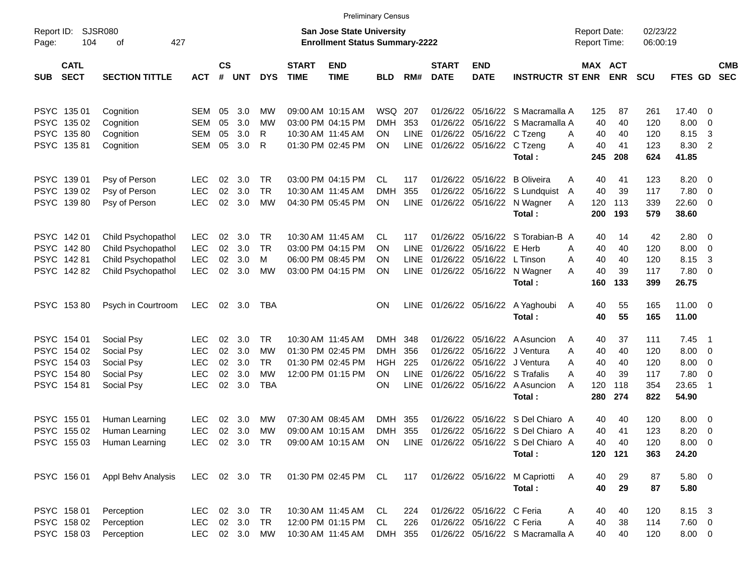|                     |                            |                             |               |                    |                |            |                             |                                                                    | <b>Preliminary Census</b> |             |                             |                           |                                       |                                            |            |                      |              |                          |                          |
|---------------------|----------------------------|-----------------------------|---------------|--------------------|----------------|------------|-----------------------------|--------------------------------------------------------------------|---------------------------|-------------|-----------------------------|---------------------------|---------------------------------------|--------------------------------------------|------------|----------------------|--------------|--------------------------|--------------------------|
| Report ID:<br>Page: | 104                        | <b>SJSR080</b><br>427<br>οf |               |                    |                |            |                             | San Jose State University<br><b>Enrollment Status Summary-2222</b> |                           |             |                             |                           |                                       | <b>Report Date:</b><br><b>Report Time:</b> |            | 02/23/22<br>06:00:19 |              |                          |                          |
| <b>SUB</b>          | <b>CATL</b><br><b>SECT</b> | <b>SECTION TITTLE</b>       | <b>ACT</b>    | $\mathsf{cs}$<br># | <b>UNT</b>     | <b>DYS</b> | <b>START</b><br><b>TIME</b> | <b>END</b><br><b>TIME</b>                                          | <b>BLD</b>                | RM#         | <b>START</b><br><b>DATE</b> | <b>END</b><br><b>DATE</b> | <b>INSTRUCTR ST ENR</b>               | MAX ACT                                    | <b>ENR</b> | <b>SCU</b>           | FTES GD      |                          | <b>CMB</b><br><b>SEC</b> |
|                     | PSYC 135 01                | Cognition                   | SEM           | 05                 | 3.0            | МW         |                             | 09:00 AM 10:15 AM                                                  | WSQ                       | 207         | 01/26/22                    |                           | 05/16/22 S Macramalla A               | 125                                        | 87         | 261                  | 17.40 0      |                          |                          |
|                     | PSYC 135 02                | Cognition                   | <b>SEM</b>    | 05                 | 3.0            | МW         |                             | 03:00 PM 04:15 PM                                                  | <b>DMH</b>                | 353         | 01/26/22                    |                           | 05/16/22 S Macramalla A               | 40                                         | 40         | 120                  | 8.00         | $\overline{\mathbf{0}}$  |                          |
|                     | PSYC 13580                 | Cognition                   | <b>SEM</b>    | 05                 | 3.0            | R          |                             | 10:30 AM 11:45 AM                                                  | ON                        | <b>LINE</b> | 01/26/22                    | 05/16/22 C Tzeng          |                                       | 40<br>A                                    | 40         | 120                  | 8.15         | -3                       |                          |
|                     | PSYC 13581                 | Cognition                   | <b>SEM</b>    | 05                 | 3.0            | R          |                             | 01:30 PM 02:45 PM                                                  | OΝ                        | LINE        |                             | 01/26/22 05/16/22 C Tzeng |                                       | 40<br>А                                    | 41         | 123                  | 8.30         | -2                       |                          |
|                     |                            |                             |               |                    |                |            |                             |                                                                    |                           |             |                             |                           | Total:                                | 245                                        | 208        | 624                  | 41.85        |                          |                          |
|                     | PSYC 139 01                | Psy of Person               | <b>LEC</b>    | 02                 | 3.0            | <b>TR</b>  |                             | 03:00 PM 04:15 PM                                                  | CL                        | 117         | 01/26/22                    | 05/16/22                  | B Oliveira                            | 40<br>A                                    | 41         | 123                  | 8.20         | $\overline{\phantom{0}}$ |                          |
|                     | PSYC 139 02                | Psy of Person               | <b>LEC</b>    | 02                 | 3.0            | <b>TR</b>  | 10:30 AM 11:45 AM           |                                                                    | DMH                       | 355         | 01/26/22                    | 05/16/22                  | S Lundquist                           | 40<br>A                                    | 39         | 117                  | 7.80         | $\overline{\phantom{0}}$ |                          |
|                     | PSYC 13980                 | Psy of Person               | <b>LEC</b>    | 02                 | 3.0            | MW         |                             | 04:30 PM 05:45 PM                                                  | OΝ                        | LINE        | 01/26/22                    | 05/16/22                  | N Wagner                              | 120<br>A                                   | 113        | 339                  | 22.60 0      |                          |                          |
|                     |                            |                             |               |                    |                |            |                             |                                                                    |                           |             |                             |                           | Total:                                | 200                                        | 193        | 579                  | 38.60        |                          |                          |
|                     | PSYC 142 01                | Child Psychopathol          | <b>LEC</b>    | 02                 | 3.0            | TR         |                             | 10:30 AM 11:45 AM                                                  | CL                        | 117         | 01/26/22                    |                           | 05/16/22 S Torabian-B A               | 40                                         | 14         | 42                   | 2.80 0       |                          |                          |
|                     | PSYC 14280                 | Child Psychopathol          | <b>LEC</b>    | 02                 | 3.0            | <b>TR</b>  |                             | 03:00 PM 04:15 PM                                                  | ΟN                        | <b>LINE</b> | 01/26/22                    | 05/16/22 E Herb           |                                       | 40<br>А                                    | 40         | 120                  | 8.00         | $\overline{\phantom{0}}$ |                          |
|                     | PSYC 14281                 | Child Psychopathol          | <b>LEC</b>    | 02                 | 3.0            | м          |                             | 06:00 PM 08:45 PM                                                  | ΟN                        | <b>LINE</b> | 01/26/22                    | 05/16/22                  | L Tinson                              | 40<br>A                                    | 40         | 120                  | 8.15         | -3                       |                          |
|                     | PSYC 14282                 | Child Psychopathol          | <b>LEC</b>    | 02                 | 3.0            | MW         |                             | 03:00 PM 04:15 PM                                                  | ΟN                        | LINE        |                             | 01/26/22 05/16/22         | N Wagner                              | 40<br>А                                    | 39         | 117                  | 7.80 0       |                          |                          |
|                     |                            |                             |               |                    |                |            |                             |                                                                    |                           |             |                             |                           | Total:                                | 160                                        | 133        | 399                  | 26.75        |                          |                          |
|                     | PSYC 15380                 | Psych in Courtroom          | <b>LEC</b>    |                    | $02 \quad 3.0$ | TBA        |                             |                                                                    | OΝ                        | LINE        |                             | 01/26/22 05/16/22         | A Yaghoubi                            | 40<br>A                                    | 55         | 165                  | $11.00 \t 0$ |                          |                          |
|                     |                            |                             |               |                    |                |            |                             |                                                                    |                           |             |                             |                           | Total:                                | 40                                         | 55         | 165                  | 11.00        |                          |                          |
|                     | PSYC 154 01                | Social Psy                  | <b>LEC</b>    | 02                 | 3.0            | <b>TR</b>  |                             | 10:30 AM 11:45 AM                                                  | <b>DMH</b>                | 348         | 01/26/22                    |                           | 05/16/22 A Asuncion                   | 40<br>A                                    | 37         | 111                  | 7.45         | $\overline{\phantom{1}}$ |                          |
|                     | PSYC 154 02                | Social Psy                  | <b>LEC</b>    | 02                 | 3.0            | МW         |                             | 01:30 PM 02:45 PM                                                  | DMH                       | 356         | 01/26/22                    |                           | 05/16/22 J Ventura                    | 40<br>A                                    | 40         | 120                  | $8.00 \t 0$  |                          |                          |
|                     | PSYC 154 03                | Social Psy                  | <b>LEC</b>    | 02                 | 3.0            | <b>TR</b>  |                             | 01:30 PM 02:45 PM                                                  | HGH                       | 225         | 01/26/22                    |                           | 05/16/22 J Ventura                    | 40<br>A                                    | 40         | 120                  | 8.00         | $\overline{\phantom{0}}$ |                          |
|                     | PSYC 154 80                | Social Psy                  | <b>LEC</b>    | 02                 | 3.0            | МW         |                             | 12:00 PM 01:15 PM                                                  | OΝ                        | <b>LINE</b> | 01/26/22                    |                           | 05/16/22 S Trafalis                   | 40<br>А                                    | 39         | 117                  | 7.80         | $\overline{\phantom{0}}$ |                          |
|                     | PSYC 154 81                | Social Psy                  | <b>LEC</b>    | 02                 | 3.0            | <b>TBA</b> |                             |                                                                    | OΝ                        | <b>LINE</b> |                             |                           | 01/26/22 05/16/22 A Asuncion          | 120<br>A                                   | 118        | 354                  | 23.65        | $\overline{1}$           |                          |
|                     |                            |                             |               |                    |                |            |                             |                                                                    |                           |             |                             |                           | Total:                                | 280                                        | 274        | 822                  | 54.90        |                          |                          |
|                     | PSYC 155 01                | Human Learning              | <b>LEC</b>    | 02                 | 3.0            | МW         |                             | 07:30 AM 08:45 AM                                                  | <b>DMH</b>                | 355         | 01/26/22                    |                           | 05/16/22 S Del Chiaro A               | 40                                         | 40         | 120                  | 8.00         | $\overline{\phantom{0}}$ |                          |
|                     | PSYC 155 02                | Human Learning              | <b>LEC</b>    | 02                 | 3.0            | MW         |                             | 09:00 AM 10:15 AM                                                  | <b>DMH</b>                | 355         |                             |                           | 01/26/22 05/16/22 S Del Chiaro A      | 40                                         | 41         | 123                  | 8.20         | $\overline{\phantom{0}}$ |                          |
|                     |                            | PSYC 155 03 Human Learning  | LEC 02 3.0 TR |                    |                |            |                             | 09:00 AM 10:15 AM ON                                               |                           |             |                             |                           | LINE 01/26/22 05/16/22 S Del Chiaro A | 40                                         | 40         | 120                  | $8.00 \ 0$   |                          |                          |
|                     |                            |                             |               |                    |                |            |                             |                                                                    |                           |             |                             |                           | Total:                                |                                            | 120 121    | 363                  | 24.20        |                          |                          |
|                     | PSYC 156 01                | Appl Behv Analysis          | LEC 02 3.0 TR |                    |                |            |                             | 01:30 PM 02:45 PM CL                                               |                           | 117         |                             |                           | 01/26/22 05/16/22 M Capriotti         | 40<br>A                                    | 29         | 87                   | 5.80 0       |                          |                          |
|                     |                            |                             |               |                    |                |            |                             |                                                                    |                           |             |                             |                           | Total:                                | 40                                         | 29         | 87                   | 5.80         |                          |                          |
|                     | PSYC 158 01                | Perception                  | LEC.          |                    | 02 3.0 TR      |            |                             | 10:30 AM 11:45 AM                                                  | CL.                       | 224         |                             | 01/26/22 05/16/22 C Feria |                                       | 40<br>A                                    | 40         | 120                  | 8.15 3       |                          |                          |
|                     | PSYC 158 02                | Perception                  | <b>LEC</b>    |                    | 02 3.0 TR      |            |                             | 12:00 PM 01:15 PM                                                  | CL                        | 226         |                             | 01/26/22 05/16/22 C Feria |                                       | 40<br>A                                    | 38         | 114                  | $7.60 \t 0$  |                          |                          |
|                     | PSYC 158 03                | Perception                  | <b>LEC</b>    |                    | 02 3.0 MW      |            |                             | 10:30 AM 11:45 AM                                                  | DMH                       | 355         |                             |                           | 01/26/22 05/16/22 S Macramalla A      | 40                                         | 40         | 120                  | $8.00 \t 0$  |                          |                          |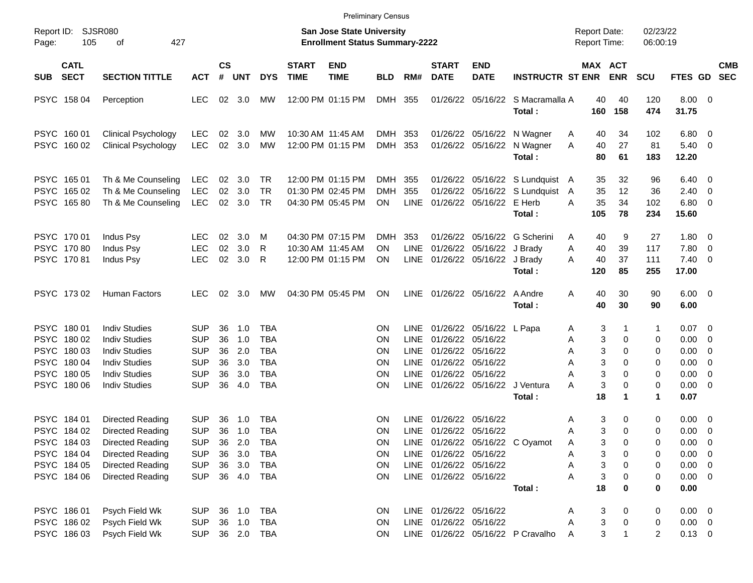|                                                                                        |                                                                                                                                                  |                                                                                  |                                  |                                                 |                                                                                  |                             |                                                                           | <b>Preliminary Census</b>        |                                                                    |                                                                                                      |                                                                                         |                                                                   |                                     |                                                                                            |                                 |                                                                           |                                                                                |            |
|----------------------------------------------------------------------------------------|--------------------------------------------------------------------------------------------------------------------------------------------------|----------------------------------------------------------------------------------|----------------------------------|-------------------------------------------------|----------------------------------------------------------------------------------|-----------------------------|---------------------------------------------------------------------------|----------------------------------|--------------------------------------------------------------------|------------------------------------------------------------------------------------------------------|-----------------------------------------------------------------------------------------|-------------------------------------------------------------------|-------------------------------------|--------------------------------------------------------------------------------------------|---------------------------------|---------------------------------------------------------------------------|--------------------------------------------------------------------------------|------------|
| Report ID:<br>105<br>Page:                                                             | SJSR080<br>427<br>οf                                                                                                                             |                                                                                  |                                  |                                                 |                                                                                  |                             | <b>San Jose State University</b><br><b>Enrollment Status Summary-2222</b> |                                  |                                                                    |                                                                                                      |                                                                                         |                                                                   | <b>Report Date:</b><br>Report Time: |                                                                                            | 02/23/22<br>06:00:19            |                                                                           |                                                                                |            |
| <b>CATL</b><br><b>SECT</b><br><b>SUB</b>                                               | <b>SECTION TITTLE</b>                                                                                                                            | <b>ACT</b>                                                                       | <b>CS</b><br>#                   | <b>UNT</b>                                      | <b>DYS</b>                                                                       | <b>START</b><br><b>TIME</b> | <b>END</b><br><b>TIME</b>                                                 | <b>BLD</b>                       | RM#                                                                | <b>START</b><br><b>DATE</b>                                                                          | <b>END</b><br><b>DATE</b>                                                               | <b>INSTRUCTR ST ENR</b>                                           |                                     | MAX ACT<br><b>ENR</b>                                                                      | <b>SCU</b>                      | FTES GD SEC                                                               |                                                                                | <b>CMB</b> |
| PSYC 158 04                                                                            | Perception                                                                                                                                       | <b>LEC</b>                                                                       |                                  | 02 3.0                                          | МW                                                                               |                             | 12:00 PM 01:15 PM                                                         | DMH 355                          |                                                                    |                                                                                                      |                                                                                         | 01/26/22 05/16/22 S Macramalla A<br>Total:                        | 160                                 | 40<br>40<br>158                                                                            | 120<br>474                      | $8.00 \t 0$<br>31.75                                                      |                                                                                |            |
| PSYC 160 01<br>PSYC 160 02                                                             | <b>Clinical Psychology</b><br><b>Clinical Psychology</b>                                                                                         | <b>LEC</b><br><b>LEC</b>                                                         | 02<br>02                         | - 3.0<br>3.0                                    | МW<br>MW                                                                         |                             | 10:30 AM 11:45 AM<br>12:00 PM 01:15 PM                                    | DMH<br>DMH 353                   | 353                                                                |                                                                                                      | 01/26/22 05/16/22<br>01/26/22 05/16/22                                                  | N Wagner<br>N Wagner<br>Total:                                    | A<br>A                              | 34<br>40<br>40<br>27<br>80<br>61                                                           | 102<br>81<br>183                | 6.80<br>5.40<br>12.20                                                     | - 0<br>$\overline{\mathbf{0}}$                                                 |            |
| PSYC 165 01<br>PSYC 165 02<br>PSYC 16580                                               | Th & Me Counseling<br>Th & Me Counseling<br>Th & Me Counseling                                                                                   | <b>LEC</b><br><b>LEC</b><br><b>LEC</b>                                           | 02<br>02                         | 3.0<br>3.0<br>02 3.0                            | TR<br>TR<br>TR                                                                   |                             | 12:00 PM 01:15 PM<br>01:30 PM 02:45 PM<br>04:30 PM 05:45 PM               | DMH<br><b>DMH</b><br><b>ON</b>   | 355<br>355<br><b>LINE</b>                                          | 01/26/22                                                                                             | 01/26/22 05/16/22 E Herb                                                                | 01/26/22 05/16/22 S Lundquist A<br>05/16/22 S Lundquist<br>Total: | A<br>А<br>105                       | 35<br>32<br>12<br>35<br>35<br>34<br>78                                                     | 96<br>36<br>102<br>234          | 6.40<br>2.40<br>6.80<br>15.60                                             | $\overline{0}$<br>0<br>$\overline{0}$                                          |            |
| PSYC 170 01<br>PSYC 170 80<br>PSYC 17081                                               | Indus Psy<br>Indus Psy<br>Indus Psy                                                                                                              | <b>LEC</b><br><b>LEC</b><br><b>LEC</b>                                           | 02<br>02<br>02                   | 3.0<br>3.0<br>3.0                               | M<br>R<br>R                                                                      |                             | 04:30 PM 07:15 PM<br>10:30 AM 11:45 AM<br>12:00 PM 01:15 PM               | <b>DMH</b><br>ΟN<br><b>ON</b>    | 353<br><b>LINE</b>                                                 |                                                                                                      | 01/26/22 05/16/22 J Brady<br>LINE 01/26/22 05/16/22 J Brady                             | 01/26/22 05/16/22 G Scherini<br>Total:                            | A<br>A<br>А<br>120                  | 9<br>40<br>40<br>39<br>40<br>37<br>85                                                      | 27<br>117<br>111<br>255         | 1.80<br>7.80<br>7.40<br>17.00                                             | $\overline{\phantom{0}}$<br>$\overline{0}$<br>$\overline{0}$                   |            |
| PSYC 173 02                                                                            | Human Factors                                                                                                                                    | <b>LEC</b>                                                                       | 02                               | 3.0                                             | МW                                                                               |                             | 04:30 PM 05:45 PM                                                         | <b>ON</b>                        |                                                                    |                                                                                                      | LINE 01/26/22 05/16/22                                                                  | A Andre<br>Total:                                                 | A                                   | 30<br>40<br>40<br>30                                                                       | 90<br>90                        | $6.00 \quad 0$<br>6.00                                                    |                                                                                |            |
| PSYC 180 01<br>PSYC 180 02<br>PSYC 180 03<br>PSYC 180 04<br>PSYC 180 05<br>PSYC 180 06 | <b>Indiv Studies</b><br><b>Indiv Studies</b><br><b>Indiv Studies</b><br><b>Indiv Studies</b><br><b>Indiv Studies</b><br><b>Indiv Studies</b>     | <b>SUP</b><br><b>SUP</b><br><b>SUP</b><br><b>SUP</b><br><b>SUP</b><br><b>SUP</b> | 36<br>36<br>36<br>36<br>36<br>36 | 1.0<br>1.0<br>2.0<br>3.0<br>3.0<br>4.0          | <b>TBA</b><br><b>TBA</b><br><b>TBA</b><br><b>TBA</b><br><b>TBA</b><br><b>TBA</b> |                             |                                                                           | ΟN<br>ΟN<br>ΟN<br>ΟN<br>ΟN<br>ΟN | LINE.<br><b>LINE</b><br><b>LINE</b><br><b>LINE</b><br>LINE<br>LINE | 01/26/22 05/16/22<br>01/26/22 05/16/22                                                               | 01/26/22 05/16/22 L Papa<br>01/26/22 05/16/22<br>01/26/22 05/16/22<br>01/26/22 05/16/22 | J Ventura<br>Total:                                               | A<br>Α<br>Α<br>Α<br>А<br>А          | 3<br>3<br>0<br>3<br>$\Omega$<br>3<br>$\Omega$<br>3<br>$\Omega$<br>3<br>$\Omega$<br>18<br>1 | 1<br>0<br>0<br>0<br>0<br>0<br>1 | 0.07<br>0.00<br>0.00<br>0.00<br>0.00<br>0.00<br>0.07                      | $\overline{\phantom{0}}$<br>0<br>0<br>0<br>$\overline{0}$<br>0                 |            |
| PSYC 184 01<br>PSYC 184 02<br>PSYC 184 03<br>PSYC 184 04<br>PSYC 184 05<br>PSYC 184 06 | <b>Directed Reading</b><br>Directed Reading<br><b>Directed Reading</b><br><b>Directed Reading</b><br><b>Directed Reading</b><br>Directed Reading | <b>SUP</b><br><b>SUP</b><br><b>SUP</b><br><b>SUP</b><br><b>SUP</b><br><b>SUP</b> | 36<br>36<br>36                   | 1.0<br>1.0<br>2.0<br>36 3.0<br>36 3.0<br>36 4.0 | TBA<br><b>TBA</b><br>TBA<br>TBA<br><b>TBA</b><br>TBA                             |                             |                                                                           | ON<br>ΟN<br>0N<br>ON<br>ON<br>ON | <b>LINE</b>                                                        | LINE 01/26/22 05/16/22<br>LINE 01/26/22 05/16/22<br>LINE 01/26/22 05/16/22<br>LINE 01/26/22 05/16/22 | 01/26/22 05/16/22                                                                       | LINE 01/26/22 05/16/22 C Oyamot<br>Total:                         | Α<br>Α<br>A<br>Α<br>А               | 3<br>0<br>3<br>$\Omega$<br>3<br>0<br>3<br>0<br>3<br>0<br>3<br>0<br>18<br>0                 | 0<br>0<br>0<br>0<br>0<br>0<br>0 | 0.00<br>0.00<br>0.00<br>$0.00 \t 0$<br>$0.00 \t 0$<br>$0.00 \t 0$<br>0.00 | $\overline{\mathbf{0}}$<br>$\overline{\mathbf{0}}$<br>$\overline{\phantom{0}}$ |            |
| PSYC 186 01<br>PSYC 186 02<br>PSYC 18603                                               | Psych Field Wk<br>Psych Field Wk<br>Psych Field Wk                                                                                               | <b>SUP</b><br><b>SUP</b><br><b>SUP</b>                                           |                                  | 36 1.0<br>36 1.0                                | TBA<br>TBA<br>36 2.0 TBA                                                         |                             |                                                                           | <b>ON</b><br>ON<br>ON.           |                                                                    | LINE 01/26/22 05/16/22<br>LINE 01/26/22 05/16/22                                                     |                                                                                         | LINE 01/26/22 05/16/22 P Cravalho                                 | Α<br>A                              | 3<br>0<br>3<br>0<br>3                                                                      | 0<br>0<br>2                     | $0.00 \t 0$<br>$0.00 \t 0$<br>$0.13 \ 0$                                  |                                                                                |            |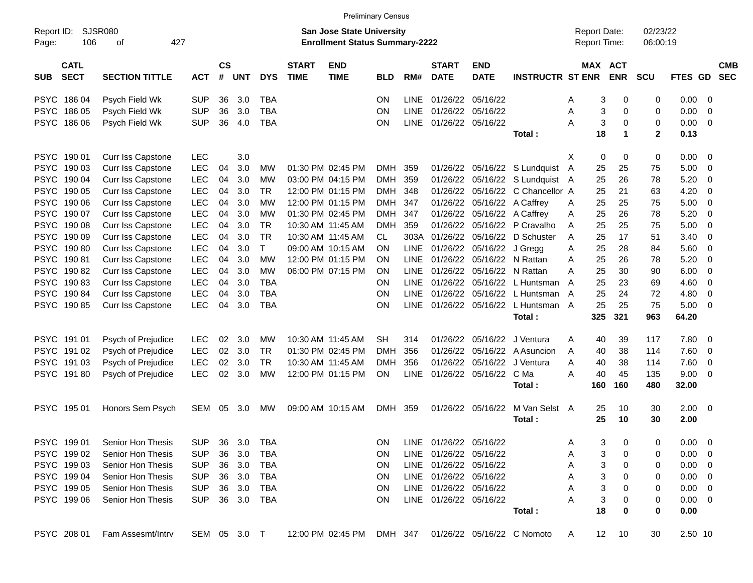|                     |                            |                                          |            |                |              |              |                             |                                                                           | <b>Preliminary Census</b> |             |                             |                           |                            |                                     |                          |                      |              |                         |                          |
|---------------------|----------------------------|------------------------------------------|------------|----------------|--------------|--------------|-----------------------------|---------------------------------------------------------------------------|---------------------------|-------------|-----------------------------|---------------------------|----------------------------|-------------------------------------|--------------------------|----------------------|--------------|-------------------------|--------------------------|
| Report ID:<br>Page: | 106                        | SJSR080<br>οf                            | 427        |                |              |              |                             | <b>San Jose State University</b><br><b>Enrollment Status Summary-2222</b> |                           |             |                             |                           |                            | <b>Report Date:</b><br>Report Time: |                          | 02/23/22<br>06:00:19 |              |                         |                          |
| <b>SUB</b>          | <b>CATL</b><br><b>SECT</b> | <b>SECTION TITTLE</b>                    | <b>ACT</b> | <b>CS</b><br># | <b>UNT</b>   | <b>DYS</b>   | <b>START</b><br><b>TIME</b> | <b>END</b><br><b>TIME</b>                                                 | <b>BLD</b>                | RM#         | <b>START</b><br><b>DATE</b> | <b>END</b><br><b>DATE</b> | <b>INSTRUCTR ST ENR</b>    | <b>MAX</b>                          | <b>ACT</b><br><b>ENR</b> | <b>SCU</b>           | FTES GD      |                         | <b>CMB</b><br><b>SEC</b> |
| <b>PSYC</b>         | 186 04                     | Psych Field Wk                           | <b>SUP</b> | 36             | 3.0          | <b>TBA</b>   |                             |                                                                           | <b>ON</b>                 | LINE        | 01/26/22                    | 05/16/22                  |                            | Α                                   | 3<br>0                   | 0                    | 0.00         | - 0                     |                          |
|                     | PSYC 186 05                | Psych Field Wk                           | <b>SUP</b> | 36             | 3.0          | <b>TBA</b>   |                             |                                                                           | ON                        | LINE        | 01/26/22                    | 05/16/22                  |                            | Α                                   | 3<br>0                   | 0                    | 0.00         | 0                       |                          |
|                     | PSYC 186 06                | Psych Field Wk                           | <b>SUP</b> | 36             | 4.0          | <b>TBA</b>   |                             |                                                                           | ON                        | <b>LINE</b> | 01/26/22                    | 05/16/22                  |                            | A                                   | 3<br>$\mathbf 0$         | 0                    | 0.00         | - 0                     |                          |
|                     |                            |                                          |            |                |              |              |                             |                                                                           |                           |             |                             |                           | Total:                     | 18                                  | $\mathbf{1}$             | $\mathbf{2}$         | 0.13         |                         |                          |
|                     | PSYC 190 01                | Curr Iss Capstone                        | LEC        |                | 3.0          |              |                             |                                                                           |                           |             |                             |                           |                            | Χ                                   | 0<br>0                   | 0                    | 0.00         | 0                       |                          |
|                     | PSYC 190 03                | Curr Iss Capstone                        | LEC        | 04             | 3.0          | MW           |                             | 01:30 PM 02:45 PM                                                         | DMH                       | 359         | 01/26/22                    | 05/16/22                  | S Lundquist A              | 25                                  | 25                       | 75                   | 5.00         | 0                       |                          |
|                     | PSYC 190 04                | Curr Iss Capstone                        | LEC        | 04             | 3.0          | <b>MW</b>    |                             | 03:00 PM 04:15 PM                                                         | DMH                       | 359         | 01/26/22                    | 05/16/22                  | S Lundquist A              | 25                                  | 26                       | 78                   | 5.20         | 0                       |                          |
|                     | PSYC 190 05                | Curr Iss Capstone                        | <b>LEC</b> | 04             | 3.0          | <b>TR</b>    |                             | 12:00 PM 01:15 PM                                                         | DMH                       | 348         | 01/26/22                    | 05/16/22                  | C Chancellor A             | 25                                  | 21                       | 63                   | 4.20         | 0                       |                          |
|                     | PSYC 190 06                | Curr Iss Capstone                        | LEC        | 04             | 3.0          | <b>MW</b>    |                             | 12:00 PM 01:15 PM                                                         | DMH                       | 347         | 01/26/22                    | 05/16/22                  | A Caffrey                  | 25<br>Α                             | 25                       | 75                   | 5.00         | 0                       |                          |
|                     | PSYC 190 07                | Curr Iss Capstone                        | LEC        | 04             | 3.0          | <b>MW</b>    |                             | 01:30 PM 02:45 PM                                                         | <b>DMH</b>                | 347         | 01/26/22                    | 05/16/22                  | A Caffrey                  | 25<br>Α                             | 26                       | 78                   | 5.20         | 0                       |                          |
|                     | PSYC 190 08                | Curr Iss Capstone                        | <b>LEC</b> | 04             | 3.0          | <b>TR</b>    |                             | 10:30 AM 11:45 AM                                                         | <b>DMH</b>                | 359         | 01/26/22                    | 05/16/22                  | P Cravalho                 | 25<br>Α                             | 25                       | 75                   | 5.00         | 0                       |                          |
|                     | PSYC 190 09                | Curr Iss Capstone                        | <b>LEC</b> | 04             | 3.0          | <b>TR</b>    |                             | 10:30 AM 11:45 AM                                                         | CL.                       |             | 303A 01/26/22               | 05/16/22                  | D Schuster                 | 25<br>Α                             | 17                       | 51                   | 3.40         | 0                       |                          |
|                     | PSYC 190 80                | Curr Iss Capstone                        | LEC        | 04             | 3.0          | $\mathsf{T}$ |                             | 09:00 AM 10:15 AM                                                         | ΟN                        | <b>LINE</b> | 01/26/22                    | 05/16/22                  | J Gregg                    | 25<br>Α                             | 28                       | 84                   | 5.60         | 0                       |                          |
|                     | PSYC 190 81                | Curr Iss Capstone                        | <b>LEC</b> | 04             | 3.0          | <b>MW</b>    |                             | 12:00 PM 01:15 PM                                                         | ON.                       | LINE        | 01/26/22                    | 05/16/22                  | N Rattan                   | 25<br>Α                             | 26                       | 78                   | 5.20         | 0                       |                          |
|                     | PSYC 190 82                | Curr Iss Capstone                        | <b>LEC</b> | 04             | 3.0          | <b>MW</b>    |                             | 06:00 PM 07:15 PM                                                         | ON                        | <b>LINE</b> | 01/26/22                    | 05/16/22                  | N Rattan                   | 25<br>Α                             | 30                       | 90                   | 6.00         | 0                       |                          |
|                     | PSYC 190 83                | Curr Iss Capstone                        | LEC        | 04             | 3.0          | <b>TBA</b>   |                             |                                                                           | ΟN                        | LINE        | 01/26/22                    | 05/16/22                  | L Huntsman                 | 25<br>A                             | 23                       | 69                   | 4.60         | 0                       |                          |
|                     | PSYC 19084                 | Curr Iss Capstone                        | <b>LEC</b> | 04             | 3.0          | <b>TBA</b>   |                             |                                                                           | ON                        | LINE        | 01/26/22                    | 05/16/22                  | L Huntsman A               | 25                                  | 24                       | 72                   | 4.80         | 0                       |                          |
|                     | PSYC 190 85                | Curr Iss Capstone                        | LEC        | 04             | 3.0          | <b>TBA</b>   |                             |                                                                           | ON                        | <b>LINE</b> | 01/26/22                    | 05/16/22                  | L Huntsman A               | 25                                  | 25                       | 75                   | 5.00         | 0                       |                          |
|                     |                            |                                          |            |                |              |              |                             |                                                                           |                           |             |                             |                           | Total:                     | 325                                 | 321                      | 963                  | 64.20        |                         |                          |
|                     | PSYC 191 01                | Psych of Prejudice                       | LEC        | 02             | 3.0          | MW           |                             | 10:30 AM 11:45 AM                                                         | <b>SH</b>                 | 314         | 01/26/22                    | 05/16/22                  | J Ventura                  | 40<br>Α                             | 39                       | 117                  | 7.80         | 0                       |                          |
|                     | PSYC 191 02                | Psych of Prejudice                       | <b>LEC</b> | 02             | 3.0          | <b>TR</b>    |                             | 01:30 PM 02:45 PM                                                         | <b>DMH</b>                | 356         | 01/26/22                    | 05/16/22                  | A Asuncion                 | 40<br>A                             | 38                       | 114                  | 7.60         | 0                       |                          |
|                     | PSYC 191 03                | Psych of Prejudice                       | <b>LEC</b> | 02             | 3.0          | <b>TR</b>    |                             | 10:30 AM 11:45 AM                                                         | <b>DMH</b>                | 356         | 01/26/22                    | 05/16/22                  | J Ventura                  | 40<br>Α                             | 38                       | 114                  | 7.60         | 0                       |                          |
|                     | PSYC 19180                 | Psych of Prejudice                       | <b>LEC</b> | 02             | 3.0          | <b>MW</b>    |                             | 12:00 PM 01:15 PM                                                         | ON                        | <b>LINE</b> | 01/26/22                    | 05/16/22                  | C Ma                       | 40<br>Α                             | 45                       | 135                  | 9.00         | 0                       |                          |
|                     |                            |                                          |            |                |              |              |                             |                                                                           |                           |             |                             |                           | Total:                     | 160                                 | 160                      | 480                  | 32.00        |                         |                          |
|                     | PSYC 195 01                | Honors Sem Psych                         | SEM        | 05             | 3.0          | MW           |                             | 09:00 AM 10:15 AM                                                         | DMH 359                   |             | 01/26/22                    | 05/16/22                  | M Van Selst A<br>Total:    | 25<br>25                            | 10<br>10                 | 30<br>30             | 2.00<br>2.00 | $\overline{\mathbf{0}}$ |                          |
|                     |                            | PSYC 199 01 Senior Hon Thesis SUP 36 3.0 |            |                |              | <b>TBA</b>   |                             |                                                                           |                           |             | ON LINE 01/26/22 05/16/22   |                           |                            | Α                                   | $\sim$<br>0<br>J         | 0                    | $0.00 \t 0$  |                         |                          |
|                     | PSYC 199 02                | Senior Hon Thesis                        | <b>SUP</b> | 36             | 3.0          | TBA          |                             |                                                                           | ON.                       |             | LINE 01/26/22 05/16/22      |                           |                            | Α                                   | 3<br>0                   | 0                    | 0.00         | - 0                     |                          |
|                     | PSYC 199 03                | Senior Hon Thesis                        | <b>SUP</b> |                | 36 3.0       | TBA          |                             |                                                                           | ON.                       |             | LINE 01/26/22 05/16/22      |                           |                            | Α                                   | 3<br>0                   | 0                    | 0.00         | - 0                     |                          |
|                     | PSYC 199 04                | Senior Hon Thesis                        | <b>SUP</b> |                | 36 3.0       | TBA          |                             |                                                                           | ON.                       |             | LINE 01/26/22 05/16/22      |                           |                            | Α                                   | 3<br>0                   | 0                    | 0.00         | - 0                     |                          |
|                     | PSYC 199 05                | Senior Hon Thesis                        | <b>SUP</b> |                | 36 3.0       | TBA          |                             |                                                                           | ON.                       |             | LINE 01/26/22 05/16/22      |                           |                            | Α                                   | 3<br>0                   | 0                    | 0.00         | - 0                     |                          |
|                     | PSYC 199 06                | Senior Hon Thesis                        | <b>SUP</b> |                | 36 3.0       | TBA          |                             |                                                                           | ON.                       |             | LINE 01/26/22 05/16/22      |                           |                            | Α                                   | 3<br>0                   | 0                    | $0.00 \t 0$  |                         |                          |
|                     |                            |                                          |            |                |              |              |                             |                                                                           |                           |             |                             |                           | Total:                     | 18                                  | 0                        | 0                    | 0.00         |                         |                          |
|                     | PSYC 208 01                | Fam Assesmt/Intrv                        |            |                | SEM 05 3.0 T |              |                             | 12:00 PM 02:45 PM DMH 347                                                 |                           |             |                             |                           | 01/26/22 05/16/22 C Nomoto | A                                   | 12 <sub>2</sub><br>10    | 30                   | 2.50 10      |                         |                          |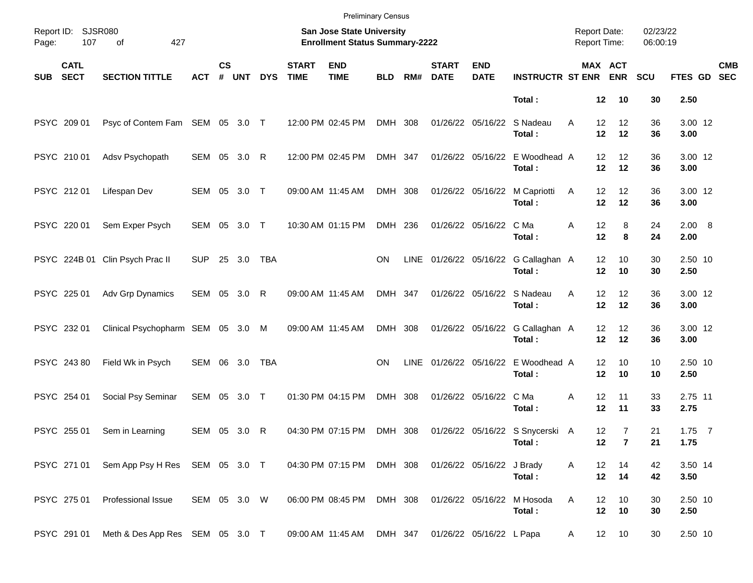|            |                            |                                            |              |                    |            |            |                             | <b>Preliminary Census</b>                                          |            |             |                             |                           |                                           |                                     |                                  |                      |                       |            |
|------------|----------------------------|--------------------------------------------|--------------|--------------------|------------|------------|-----------------------------|--------------------------------------------------------------------|------------|-------------|-----------------------------|---------------------------|-------------------------------------------|-------------------------------------|----------------------------------|----------------------|-----------------------|------------|
| Page:      | Report ID: SJSR080<br>107  | 427<br>of                                  |              |                    |            |            |                             | San Jose State University<br><b>Enrollment Status Summary-2222</b> |            |             |                             |                           |                                           | <b>Report Date:</b><br>Report Time: |                                  | 02/23/22<br>06:00:19 |                       |            |
| <b>SUB</b> | <b>CATL</b><br><b>SECT</b> | <b>SECTION TITTLE</b>                      | <b>ACT</b>   | $\mathsf{cs}$<br># | <b>UNT</b> | <b>DYS</b> | <b>START</b><br><b>TIME</b> | <b>END</b><br><b>TIME</b>                                          | <b>BLD</b> | RM#         | <b>START</b><br><b>DATE</b> | <b>END</b><br><b>DATE</b> | <b>INSTRUCTR ST ENR</b>                   |                                     | MAX ACT<br><b>ENR</b>            | <b>SCU</b>           | FTES GD SEC           | <b>CMB</b> |
|            |                            |                                            |              |                    |            |            |                             |                                                                    |            |             |                             |                           | Total:                                    | 12                                  | 10                               | 30                   | 2.50                  |            |
|            | PSYC 209 01                | Psyc of Contem Fam SEM 05 3.0 T            |              |                    |            |            |                             | 12:00 PM 02:45 PM                                                  | DMH 308    |             |                             | 01/26/22 05/16/22         | S Nadeau<br>Total:                        | 12<br>A<br>12                       | 12<br>12                         | 36<br>36             | 3.00 12<br>3.00       |            |
|            | PSYC 210 01                | Adsv Psychopath                            | SEM 05 3.0 R |                    |            |            |                             | 12:00 PM 02:45 PM                                                  | DMH 347    |             |                             | 01/26/22 05/16/22         | E Woodhead A<br>Total:                    | 12<br>12                            | 12<br>12                         | 36<br>36             | 3.00 12<br>3.00       |            |
|            | PSYC 212 01                | Lifespan Dev                               | SEM 05 3.0 T |                    |            |            |                             | 09:00 AM 11:45 AM                                                  | DMH 308    |             |                             | 01/26/22 05/16/22         | M Capriotti<br>Total:                     | 12<br>Α<br>12                       | 12<br>12                         | 36<br>36             | 3.00 12<br>3.00       |            |
|            | PSYC 220 01                | Sem Exper Psych                            | SEM 05       |                    | 3.0 T      |            |                             | 10:30 AM 01:15 PM                                                  | DMH 236    |             |                             | 01/26/22 05/16/22         | C Ma<br>Total:                            | 12<br>Α<br>12                       | 8<br>8                           | 24<br>24             | $2.00\quad 8$<br>2.00 |            |
|            |                            | PSYC 224B 01 Clin Psych Prac II            | <b>SUP</b>   |                    | 25 3.0     | TBA        |                             |                                                                    | <b>ON</b>  | LINE        |                             |                           | 01/26/22 05/16/22 G Callaghan A<br>Total: | 12<br>12                            | 10<br>10                         | 30<br>30             | 2.50 10<br>2.50       |            |
|            | PSYC 225 01                | Adv Grp Dynamics                           | SEM 05 3.0 R |                    |            |            |                             | 09:00 AM 11:45 AM                                                  | DMH 347    |             |                             | 01/26/22 05/16/22         | S Nadeau<br>Total:                        | 12<br>A<br>12                       | 12<br>12                         | 36<br>36             | 3.00 12<br>3.00       |            |
|            | PSYC 232 01                | Clinical Psychopharm SEM 05 3.0 M          |              |                    |            |            |                             | 09:00 AM 11:45 AM                                                  | DMH 308    |             |                             | 01/26/22 05/16/22         | G Callaghan A<br>Total:                   | 12<br>12                            | 12<br>12                         | 36<br>36             | 3.00 12<br>3.00       |            |
|            | PSYC 243 80                | Field Wk in Psych                          | SEM 06 3.0   |                    |            | TBA        |                             |                                                                    | <b>ON</b>  | <b>LINE</b> |                             | 01/26/22 05/16/22         | E Woodhead A<br>Total:                    | 12<br>12                            | 10<br>10                         | 10<br>10             | 2.50 10<br>2.50       |            |
|            | PSYC 254 01                | Social Psy Seminar                         | SEM          |                    | 05 3.0 T   |            |                             | 01:30 PM 04:15 PM                                                  | DMH 308    |             |                             | 01/26/22 05/16/22         | C Ma<br>Total:                            | 12<br>Α<br>12                       | 11<br>11                         | 33<br>33             | 2.75 11<br>2.75       |            |
|            | PSYC 255 01                | Sem in Learning                            | SEM 05 3.0 R |                    |            |            |                             | 04:30 PM 07:15 PM                                                  | DMH 308    |             |                             |                           | 01/26/22 05/16/22 S Snycerski A<br>Total: | 12<br>12 <sub>2</sub>               | $\overline{7}$<br>$\overline{7}$ | 21<br>21             | $1.75$ 7<br>1.75      |            |
|            |                            | PSYC 271 01 Sem App Psy H Res SEM 05 3.0 T |              |                    |            |            |                             | 04:30 PM 07:15 PM DMH 308                                          |            |             |                             | 01/26/22 05/16/22 J Brady | Total:                                    | 12<br>Α                             | 14<br>12 14                      | 42<br>42             | 3.50 14<br>3.50       |            |
|            | PSYC 275 01                | Professional Issue                         | SEM 05 3.0 W |                    |            |            |                             | 06:00 PM 08:45 PM                                                  | DMH 308    |             |                             | 01/26/22 05/16/22         | M Hosoda<br>Total:                        | Α<br>12<br>12                       | 10<br>10                         | $30\,$<br>30         | 2.50 10<br>2.50       |            |
|            | PSYC 291 01                | Meth & Des App Res SEM 05 3.0 T            |              |                    |            |            |                             | 09:00 AM 11:45 AM                                                  | DMH 347    |             |                             | 01/26/22 05/16/22 L Papa  |                                           | A                                   | 10<br>12                         | 30                   | 2.50 10               |            |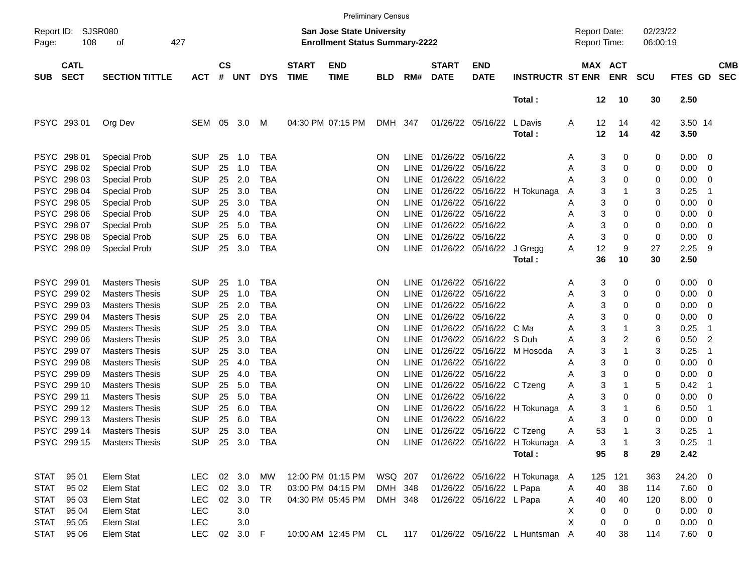|                                                          |                                      |                                                                                          |                                                      |                             |                              |                                                      |                             |                                                                           | <b>Preliminary Census</b> |                                                          |                                                             |                                                      |                                     |                  |                                     |              |                      |                                           |                                 |                          |
|----------------------------------------------------------|--------------------------------------|------------------------------------------------------------------------------------------|------------------------------------------------------|-----------------------------|------------------------------|------------------------------------------------------|-----------------------------|---------------------------------------------------------------------------|---------------------------|----------------------------------------------------------|-------------------------------------------------------------|------------------------------------------------------|-------------------------------------|------------------|-------------------------------------|--------------|----------------------|-------------------------------------------|---------------------------------|--------------------------|
| Report ID:<br>Page:                                      | 108                                  | SJSR080<br>427<br>οf                                                                     |                                                      |                             |                              |                                                      |                             | <b>San Jose State University</b><br><b>Enrollment Status Summary-2222</b> |                           |                                                          |                                                             |                                                      |                                     |                  | <b>Report Date:</b><br>Report Time: |              | 02/23/22<br>06:00:19 |                                           |                                 |                          |
| <b>SUB</b>                                               | <b>CATL</b><br><b>SECT</b>           | <b>SECTION TITTLE</b>                                                                    | <b>ACT</b>                                           | $\mathsf{cs}$<br>$\pmb{\#}$ | <b>UNT</b>                   | <b>DYS</b>                                           | <b>START</b><br><b>TIME</b> | <b>END</b><br><b>TIME</b>                                                 | <b>BLD</b>                | RM#                                                      | <b>START</b><br><b>DATE</b>                                 | <b>END</b><br><b>DATE</b>                            | <b>INSTRUCTR ST ENR</b>             |                  | MAX ACT                             | <b>ENR</b>   | <b>SCU</b>           | FTES GD                                   |                                 | <b>CMB</b><br><b>SEC</b> |
|                                                          |                                      |                                                                                          |                                                      |                             |                              |                                                      |                             |                                                                           |                           |                                                          |                                                             |                                                      | Total:                              |                  | 12                                  | 10           | 30                   | 2.50                                      |                                 |                          |
|                                                          | PSYC 293 01                          | Org Dev                                                                                  | SEM                                                  | - 05                        | 3.0                          | M                                                    |                             | 04:30 PM 07:15 PM                                                         | DMH 347                   |                                                          |                                                             | 01/26/22 05/16/22                                    | L Davis<br>Total:                   | A                | 12<br>12                            | 14<br>14     | 42<br>42             | 3.50 14<br>3.50                           |                                 |                          |
| <b>PSYC</b><br><b>PSYC</b>                               | PSYC 298 01<br>298 02<br>298 03      | <b>Special Prob</b><br><b>Special Prob</b><br><b>Special Prob</b>                        | <b>SUP</b><br><b>SUP</b><br><b>SUP</b>               | 25<br>25<br>25              | 1.0<br>1.0<br>2.0            | <b>TBA</b><br><b>TBA</b><br><b>TBA</b>               |                             |                                                                           | ΟN<br>ΟN<br>ΟN            | LINE<br><b>LINE</b><br><b>LINE</b>                       | 01/26/22 05/16/22<br>01/26/22<br>01/26/22                   | 05/16/22<br>05/16/22                                 |                                     | Α<br>Α<br>А      | 3<br>3<br>3                         | 0<br>0<br>0  | 0<br>0<br>0          | $0.00 \t 0$<br>0.00<br>0.00               | - 0<br>- 0                      |                          |
| <b>PSYC</b><br><b>PSYC</b><br><b>PSYC</b><br><b>PSYC</b> | 298 04<br>298 05<br>298 06<br>298 07 | <b>Special Prob</b><br><b>Special Prob</b><br><b>Special Prob</b><br><b>Special Prob</b> | <b>SUP</b><br><b>SUP</b><br><b>SUP</b><br><b>SUP</b> | 25<br>25<br>25<br>25        | 3.0<br>3.0<br>4.0<br>5.0     | <b>TBA</b><br><b>TBA</b><br><b>TBA</b><br><b>TBA</b> |                             |                                                                           | ON<br>ΟN<br>ΟN<br>ΟN      | <b>LINE</b><br><b>LINE</b><br><b>LINE</b><br><b>LINE</b> | 01/26/22 05/16/22<br>01/26/22 05/16/22<br>01/26/22 05/16/22 |                                                      | 01/26/22 05/16/22 H Tokunaga        | A<br>Α<br>Α<br>Α | 3<br>3<br>3<br>3                    | 0<br>0<br>0  | 3<br>0<br>0<br>0     | 0.25<br>0.00<br>0.00<br>0.00              | -1<br>- 0<br>- 0<br>- 0         |                          |
| <b>PSYC</b><br><b>PSYC</b>                               | 298 08<br>298 09                     | Special Prob<br>Special Prob                                                             | <b>SUP</b><br><b>SUP</b>                             | 25<br>25                    | 6.0<br>3.0                   | <b>TBA</b><br><b>TBA</b>                             |                             |                                                                           | ON<br>ON                  | <b>LINE</b><br><b>LINE</b>                               | 01/26/22 05/16/22                                           | 01/26/22 05/16/22                                    | J Gregg<br>Total:                   | Α<br>Α           | 3<br>12<br>36                       | 0<br>9<br>10 | 0<br>27<br>30        | 0.00<br>2.25<br>2.50                      | 0<br>-9                         |                          |
| <b>PSYC</b><br><b>PSYC</b>                               | 299 01<br>299 02                     | <b>Masters Thesis</b><br><b>Masters Thesis</b>                                           | <b>SUP</b><br><b>SUP</b>                             | 25<br>25                    | 1.0<br>1.0                   | <b>TBA</b><br><b>TBA</b>                             |                             |                                                                           | ΟN<br>ΟN                  | LINE<br><b>LINE</b>                                      | 01/26/22 05/16/22<br>01/26/22                               | 05/16/22                                             |                                     | Α<br>Α           | 3<br>3                              | 0<br>0       | 0<br>0               | 0.00<br>0.00                              | $\overline{\phantom{0}}$<br>- 0 |                          |
| <b>PSYC</b><br><b>PSYC</b>                               | 299 03<br>299 04                     | <b>Masters Thesis</b><br><b>Masters Thesis</b>                                           | <b>SUP</b><br><b>SUP</b>                             | 25<br>25                    | 2.0<br>2.0                   | <b>TBA</b><br><b>TBA</b>                             |                             |                                                                           | ΟN<br>ΟN                  | <b>LINE</b><br><b>LINE</b>                               | 01/26/22 05/16/22<br>01/26/22                               | 05/16/22                                             |                                     | Α<br>А           | 3<br>3                              | 0<br>0       | 0<br>0               | 0.00<br>0.00                              | - 0<br>- 0                      |                          |
| <b>PSYC</b><br><b>PSYC</b>                               | 299 05<br>299 06                     | <b>Masters Thesis</b><br><b>Masters Thesis</b>                                           | <b>SUP</b><br><b>SUP</b>                             | 25<br>25                    | 3.0<br>3.0                   | <b>TBA</b><br><b>TBA</b>                             |                             |                                                                           | ΟN<br>ΟN                  | <b>LINE</b><br><b>LINE</b>                               | 01/26/22                                                    | 01/26/22 05/16/22<br>05/16/22                        | C Ma<br>S Duh                       | А<br>Α           | 3<br>3                              | 2            | 3<br>6               | 0.25<br>0.50                              | -1<br>$\overline{c}$            |                          |
| <b>PSYC</b><br><b>PSYC</b>                               | 299 07<br>299 08                     | <b>Masters Thesis</b><br><b>Masters Thesis</b>                                           | <b>SUP</b><br><b>SUP</b>                             | 25<br>25                    | 3.0<br>4.0                   | <b>TBA</b><br><b>TBA</b>                             |                             |                                                                           | ON<br>ΟN                  | <b>LINE</b><br><b>LINE</b>                               | 01/26/22<br>01/26/22 05/16/22                               |                                                      | 05/16/22 M Hosoda                   | Α<br>Α           | 3<br>3                              | 0            | 3<br>0               | 0.25<br>0.00                              | -1<br>- 0                       |                          |
| <b>PSYC</b><br><b>PSYC</b>                               | 299 09<br>299 10                     | <b>Masters Thesis</b><br><b>Masters Thesis</b>                                           | <b>SUP</b><br><b>SUP</b>                             | 25<br>25                    | 4.0<br>5.0                   | <b>TBA</b><br><b>TBA</b>                             |                             |                                                                           | ΟN<br>ON                  | <b>LINE</b><br><b>LINE</b>                               | 01/26/22 05/16/22                                           | 01/26/22 05/16/22 C Tzeng                            |                                     | Α<br>Α           | 3<br>3                              | 0            | 0<br>5               | 0.00<br>0.42                              | - 0<br>-1                       |                          |
| <b>PSYC</b><br><b>PSYC</b>                               | 299 11<br>299 12                     | <b>Masters Thesis</b><br><b>Masters Thesis</b>                                           | <b>SUP</b><br><b>SUP</b>                             | 25<br>25                    | 5.0<br>6.0                   | <b>TBA</b><br><b>TBA</b>                             |                             |                                                                           | ON<br>ON                  | <b>LINE</b><br><b>LINE</b>                               | 01/26/22 05/16/22                                           | 01/26/22 05/16/22                                    | H Tokunaga                          | Α<br>A           | 3<br>3                              | 0            | 0<br>6               | 0.00<br>0.50                              | $\overline{\phantom{0}}$<br>- 1 |                          |
| <b>PSYC</b>                                              | 299 13<br>PSYC 299 14<br>PSYC 299 15 | <b>Masters Thesis</b><br><b>Masters Thesis</b><br><b>Masters Thesis</b>                  | <b>SUP</b><br><b>SUP</b>                             | 25<br>25                    | 6.0<br>3.0<br>SUP 25 3.0 TBA | <b>TBA</b><br><b>TBA</b>                             |                             |                                                                           | ON<br>ΟN<br>ON.           | <b>LINE</b>                                              | 01/26/22                                                    | 05/16/22<br>LINE 01/26/22 05/16/22 C Tzeng           | LINE 01/26/22 05/16/22 H Tokunaga A | А<br>Α           | 3<br>53<br>3<br>95                  | 0<br>-1<br>1 | 0<br>3<br>3          | 0.00<br>0.25<br>$0.25$ 1<br>2.42          | - 0<br>$\overline{1}$           |                          |
|                                                          |                                      |                                                                                          |                                                      |                             |                              |                                                      |                             |                                                                           |                           |                                                          |                                                             |                                                      | Total:                              |                  |                                     | 8            | 29                   |                                           |                                 |                          |
| STAT<br><b>STAT</b>                                      | 95 01<br>95 02                       | Elem Stat<br>Elem Stat                                                                   | <b>LEC</b><br><b>LEC</b><br><b>LEC</b>               |                             | 02 3.0<br>02 3.0             | MW<br>TR                                             |                             | 12:00 PM 01:15 PM<br>03:00 PM 04:15 PM                                    | WSQ 207<br>DMH 348        |                                                          |                                                             | 01/26/22 05/16/22 L Papa<br>01/26/22 05/16/22 L Papa | 01/26/22 05/16/22 H Tokunaga        | A<br>Α           | 125<br>40                           | 121<br>38    | 363<br>114           | 24.20 0<br>$7.60$ 0                       |                                 |                          |
| <b>STAT</b><br><b>STAT</b><br><b>STAT</b>                | 95 03<br>95 04<br>95 05              | Elem Stat<br>Elem Stat<br>Elem Stat                                                      | <b>LEC</b><br>LEC                                    |                             | 02 3.0<br>3.0<br>3.0         | TR                                                   |                             | 04:30 PM 05:45 PM                                                         | DMH 348                   |                                                          |                                                             |                                                      |                                     | A<br>х<br>X      | 40<br>0<br>0                        | 40<br>0<br>0 | 120<br>0<br>0        | $8.00 \t 0$<br>$0.00 \t 0$<br>$0.00 \t 0$ |                                 |                          |
| <b>STAT</b>                                              | 95 06                                | Elem Stat                                                                                | <b>LEC</b>                                           |                             | 02 3.0 F                     |                                                      |                             | 10:00 AM 12:45 PM CL                                                      |                           | 117                                                      |                                                             |                                                      | 01/26/22 05/16/22 L Huntsman A      |                  | 40                                  | 38           | 114                  | $7.60\ 0$                                 |                                 |                          |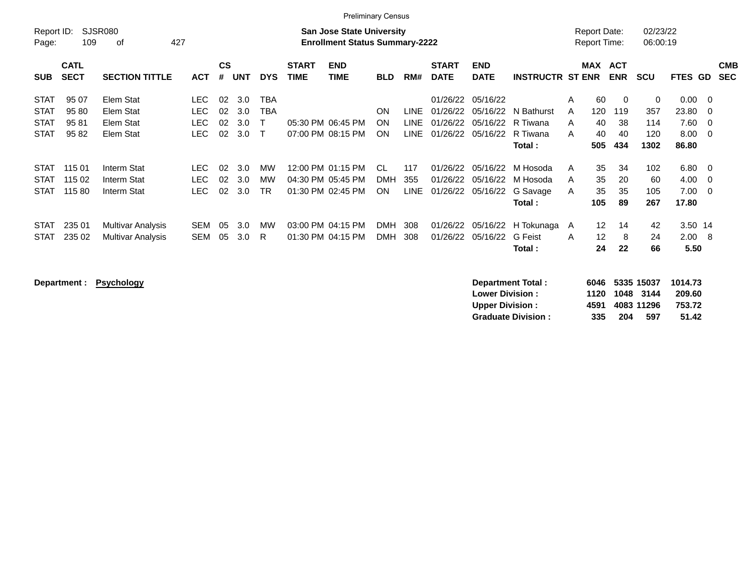|                                                                        | <b>Preliminary Census</b>                                                                                |                            |                             |                   |                                     |                             |                                                             |                               |                      |                                  |                                  |                                                |                    |                                     |                           |                                          |                |                          |
|------------------------------------------------------------------------|----------------------------------------------------------------------------------------------------------|----------------------------|-----------------------------|-------------------|-------------------------------------|-----------------------------|-------------------------------------------------------------|-------------------------------|----------------------|----------------------------------|----------------------------------|------------------------------------------------|--------------------|-------------------------------------|---------------------------|------------------------------------------|----------------|--------------------------|
| Report ID:<br>Page:                                                    | SJSR080<br><b>San Jose State University</b><br><b>Enrollment Status Summary-2222</b><br>109<br>427<br>οf |                            |                             |                   |                                     |                             |                                                             |                               |                      |                                  |                                  |                                                |                    | <b>Report Date:</b><br>Report Time: | 02/23/22<br>06:00:19      |                                          |                |                          |
| <b>CATL</b><br><b>SECT</b><br><b>SUB</b>                               | <b>SECTION TITTLE</b>                                                                                    | <b>ACT</b>                 | <b>CS</b><br>#              | UNT               | <b>DYS</b>                          | <b>START</b><br><b>TIME</b> | <b>END</b><br><b>TIME</b>                                   | <b>BLD</b>                    | RM#                  | <b>START</b><br><b>DATE</b>      | <b>END</b><br><b>DATE</b>        | <b>INSTRUCTR ST ENR</b>                        | <b>MAX</b>         | <b>ACT</b><br><b>ENR</b>            | <b>SCU</b>                | <b>FTES GD</b>                           |                | <b>CMB</b><br><b>SEC</b> |
| 95 07<br><b>STAT</b><br><b>STAT</b><br>95 80<br><b>STAT</b><br>9581    | Elem Stat<br>Elem Stat<br>Elem Stat                                                                      | LEC.<br><b>LEC</b><br>LEC. | 02 <sup>°</sup><br>02<br>02 | 3.0<br>3.0<br>3.0 | <b>TBA</b><br><b>TBA</b>            |                             | 05:30 PM 06:45 PM                                           | ON<br>ON                      | <b>LINE</b><br>LINE. | 01/26/22<br>01/26/22<br>01/26/22 | 05/16/22<br>05/16/22<br>05/16/22 | N Bathurst<br>R Tiwana                         | A<br>120<br>A<br>A | 60<br>$\Omega$<br>119<br>38<br>40   | $\mathbf 0$<br>357<br>114 | $0.00 \quad 0$<br>23.80<br>7.60          | - 0<br>- 0     |                          |
| <b>STAT</b><br>95 82                                                   | Elem Stat                                                                                                | LEC.                       | 02                          | 3.0               | $\top$                              |                             | 07:00 PM 08:15 PM                                           | ON                            | LINE                 | 01/26/22                         | 05/16/22                         | R Tiwana<br>Total:                             | A<br>505           | 40<br>40<br>434                     | 120<br>1302               | $8.00 \t 0$<br>86.80                     |                |                          |
| 115 01<br><b>STAT</b><br><b>STAT</b><br>115 02<br><b>STAT</b><br>11580 | Interm Stat<br>Interm Stat<br>Interm Stat                                                                | LEC.<br>LEC.<br><b>LEC</b> | 02<br>02<br>02 <sup>°</sup> | 3.0<br>3.0<br>3.0 | <b>MW</b><br><b>MW</b><br><b>TR</b> |                             | 12:00 PM 01:15 PM<br>04:30 PM 05:45 PM<br>01:30 PM 02:45 PM | CL<br><b>DMH</b><br><b>ON</b> | 117<br>355<br>LINE   | 01/26/22<br>01/26/22<br>01/26/22 | 05/16/22<br>05/16/22<br>05/16/22 | M Hosoda<br>M Hosoda<br>G Savage               | A<br>A<br>A        | 35<br>34<br>35<br>20<br>35<br>35    | 102<br>60<br>105          | $6.80 \quad 0$<br>$4.00 \quad 0$<br>7.00 | $\overline{0}$ |                          |
| 235 01<br><b>STAT</b><br><b>STAT</b><br>235 02                         | Multivar Analysis                                                                                        | SEM<br>SEM                 | 05<br>05                    | 3.0<br>3.0        | MW<br>R.                            |                             | 03:00 PM 04:15 PM<br>01:30 PM 04:15 PM                      | <b>DMH</b><br><b>DMH</b>      | 308<br>308           | 01/26/22<br>01/26/22             | 05/16/22<br>05/16/22             | <b>Total</b> :<br>H Tokunaga<br><b>G</b> Feist | 105<br>A<br>A      | 89<br>12<br>14<br>12<br>8           | 267<br>42<br>24           | 17.80<br>3.50 14<br>$2.00 \quad 8$       |                |                          |
|                                                                        | <b>Multivar Analysis</b>                                                                                 |                            |                             |                   |                                     |                             |                                                             |                               |                      |                                  |                                  | Total :                                        |                    | 24<br>22                            | 66                        | 5.50                                     |                |                          |

**Department : Psychology Department Total : 6046 5335 15037 1014.73 Lower Division : 1120 1048 3144 209.60 Upper Division : 4591 4083 11296 753.72<br>
Graduate Division : 335 204 597 51.42 Graduate Division :**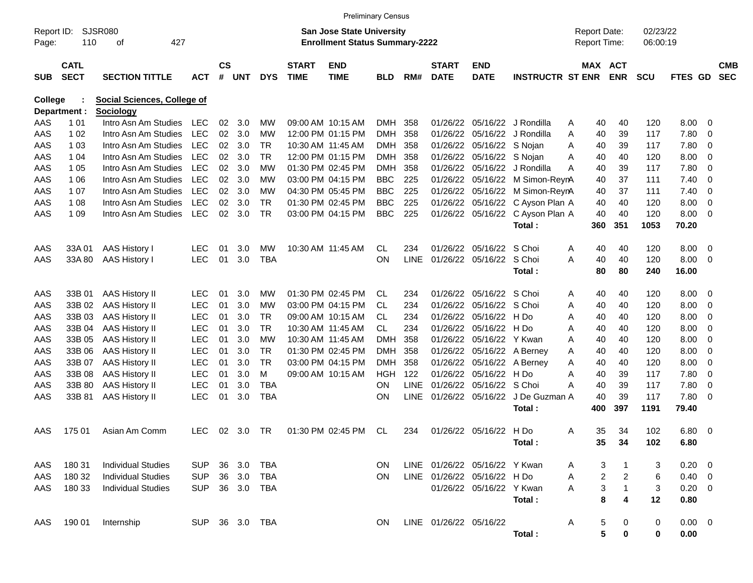|                     |                            |                                    |                |                    |            |            |                             | <b>Preliminary Census</b>                                                 |            |             |                             |                               |                         |   |                                            |                |                      |                |                |                          |
|---------------------|----------------------------|------------------------------------|----------------|--------------------|------------|------------|-----------------------------|---------------------------------------------------------------------------|------------|-------------|-----------------------------|-------------------------------|-------------------------|---|--------------------------------------------|----------------|----------------------|----------------|----------------|--------------------------|
| Report ID:<br>Page: | 110                        | <b>SJSR080</b><br>427<br>οf        |                |                    |            |            |                             | <b>San Jose State University</b><br><b>Enrollment Status Summary-2222</b> |            |             |                             |                               |                         |   | <b>Report Date:</b><br><b>Report Time:</b> |                | 02/23/22<br>06:00:19 |                |                |                          |
| <b>SUB</b>          | <b>CATL</b><br><b>SECT</b> | <b>SECTION TITTLE</b>              | <b>ACT</b>     | $\mathsf{cs}$<br># | <b>UNT</b> | <b>DYS</b> | <b>START</b><br><b>TIME</b> | <b>END</b><br><b>TIME</b>                                                 | <b>BLD</b> | RM#         | <b>START</b><br><b>DATE</b> | <b>END</b><br><b>DATE</b>     | <b>INSTRUCTR ST ENR</b> |   | MAX ACT                                    | <b>ENR</b>     | <b>SCU</b>           | FTES GD        |                | <b>CMB</b><br><b>SEC</b> |
| <b>College</b>      |                            | <b>Social Sciences, College of</b> |                |                    |            |            |                             |                                                                           |            |             |                             |                               |                         |   |                                            |                |                      |                |                |                          |
|                     | Department :               | Sociology                          |                |                    |            |            |                             |                                                                           |            |             |                             |                               |                         |   |                                            |                |                      |                |                |                          |
| AAS                 | 1 0 1                      | Intro Asn Am Studies               | <b>LEC</b>     | 02                 | 3.0        | МW         |                             | 09:00 AM 10:15 AM                                                         | <b>DMH</b> | 358         | 01/26/22                    |                               | 05/16/22 J Rondilla     | A | 40                                         | 40             | 120                  | 8.00           | - 0            |                          |
| AAS                 | 1 0 2                      | Intro Asn Am Studies               | <b>LEC</b>     | 02                 | 3.0        | <b>MW</b>  |                             | 12:00 PM 01:15 PM                                                         | <b>DMH</b> | 358         | 01/26/22                    | 05/16/22                      | J Rondilla              | A | 40                                         | 39             | 117                  | 7.80           | $\mathbf 0$    |                          |
| AAS                 | 1 0 3                      | Intro Asn Am Studies               | <b>LEC</b>     | 02                 | 3.0        | <b>TR</b>  |                             | 10:30 AM 11:45 AM                                                         | <b>DMH</b> | 358         | 01/26/22                    | 05/16/22 S Nojan              |                         | A | 40                                         | 39             | 117                  | 7.80           | $\mathbf 0$    |                          |
| AAS                 | 1 04                       | Intro Asn Am Studies               | <b>LEC</b>     | 02                 | 3.0        | <b>TR</b>  |                             | 12:00 PM 01:15 PM                                                         | <b>DMH</b> | 358         | 01/26/22                    | 05/16/22 S Nojan              |                         | A | 40                                         | 40             | 120                  | 8.00           | $\overline{0}$ |                          |
| AAS                 | 1 0 5                      | Intro Asn Am Studies               | <b>LEC</b>     | 02                 | 3.0        | <b>MW</b>  |                             | 01:30 PM 02:45 PM                                                         | <b>DMH</b> | 358         | 01/26/22                    | 05/16/22                      | J Rondilla              | A | 40                                         | 39             | 117                  | 7.80           | $\overline{0}$ |                          |
| AAS                 | 1 0 6                      | Intro Asn Am Studies               | <b>LEC</b>     | 02                 | 3.0        | МW         |                             | 03:00 PM 04:15 PM                                                         | <b>BBC</b> | 225         | 01/26/22                    |                               | 05/16/22 M Simon-ReynA  |   | 40                                         | 37             | 111                  | 7.40           | $\mathbf 0$    |                          |
| AAS                 | 1 0 7                      | Intro Asn Am Studies               | <b>LEC</b>     | 02                 | 3.0        | <b>MW</b>  |                             | 04:30 PM 05:45 PM                                                         | <b>BBC</b> | 225         | 01/26/22                    | 05/16/22                      | M Simon-ReynA           |   | 40                                         | 37             | 111                  | 7.40           | $\overline{0}$ |                          |
| AAS                 | 1 0 8                      | Intro Asn Am Studies               | <b>LEC</b>     | 02                 | 3.0        | <b>TR</b>  |                             | 01:30 PM 02:45 PM                                                         | <b>BBC</b> | 225         | 01/26/22                    | 05/16/22                      | C Ayson Plan A          |   | 40                                         | 40             | 120                  | 8.00           | $\overline{0}$ |                          |
| AAS                 | 1 0 9                      | Intro Asn Am Studies               | <b>LEC</b>     | 02                 | 3.0        | <b>TR</b>  |                             | 03:00 PM 04:15 PM                                                         | <b>BBC</b> | 225         | 01/26/22                    |                               | 05/16/22 C Ayson Plan A |   | 40                                         | 40             | 120                  | 8.00           | - 0            |                          |
|                     |                            |                                    |                |                    |            |            |                             |                                                                           |            |             |                             |                               | Total:                  |   | 360                                        | 351            | 1053                 | 70.20          |                |                          |
| AAS                 | 33A 01                     | AAS History I                      | <b>LEC</b>     | 01                 | 3.0        | MW         |                             | 10:30 AM 11:45 AM                                                         | CL.        | 234         | 01/26/22                    | 05/16/22                      | S Choi                  | A | 40                                         | 40             | 120                  | 8.00           | - 0            |                          |
| AAS                 | 33A 80                     | AAS History I                      | <b>LEC</b>     | 01                 | 3.0        | <b>TBA</b> |                             |                                                                           | <b>ON</b>  | <b>LINE</b> | 01/26/22                    | 05/16/22                      | S Choi                  | A | 40                                         | 40             | 120                  | 8.00           | 0              |                          |
|                     |                            |                                    |                |                    |            |            |                             |                                                                           |            |             |                             |                               | Total:                  |   | 80                                         | 80             | 240                  | 16.00          |                |                          |
| AAS                 | 33B 01                     | <b>AAS History II</b>              | <b>LEC</b>     | 01                 | 3.0        | МW         |                             | 01:30 PM 02:45 PM                                                         | CL         | 234         | 01/26/22                    | 05/16/22                      | S Choi                  | A | 40                                         | 40             | 120                  | 8.00           | - 0            |                          |
| AAS                 | 33B 02                     | <b>AAS History II</b>              | <b>LEC</b>     | 01                 | 3.0        | МW         |                             | 03:00 PM 04:15 PM                                                         | CL         | 234         | 01/26/22                    | 05/16/22                      | S Choi                  | A | 40                                         | 40             | 120                  | 8.00           | $\overline{0}$ |                          |
| AAS                 | 33B03                      | <b>AAS History II</b>              | <b>LEC</b>     | 01                 | 3.0        | <b>TR</b>  |                             | 09:00 AM 10:15 AM                                                         | CL         | 234         | 01/26/22                    | 05/16/22                      | H Do                    | A | 40                                         | 40             | 120                  | 8.00           | 0              |                          |
| AAS                 | 33B 04                     | <b>AAS History II</b>              | <b>LEC</b>     | 01                 | 3.0        | <b>TR</b>  |                             | 10:30 AM 11:45 AM                                                         | <b>CL</b>  | 234         | 01/26/22                    | 05/16/22                      | H Do                    | A | 40                                         | 40             | 120                  | 8.00           | 0              |                          |
| AAS                 | 33B 05                     | <b>AAS History II</b>              | <b>LEC</b>     | 01                 | 3.0        | <b>MW</b>  |                             | 10:30 AM 11:45 AM                                                         | <b>DMH</b> | 358         | 01/26/22                    | 05/16/22                      | Y Kwan                  | A | 40                                         | 40             | 120                  | 8.00           | $\mathbf 0$    |                          |
| AAS                 | 33B 06                     | <b>AAS History II</b>              | <b>LEC</b>     | 01                 | 3.0        | <b>TR</b>  |                             | 01:30 PM 02:45 PM                                                         | <b>DMH</b> | 358         | 01/26/22                    | 05/16/22                      | A Berney                | A | 40                                         | 40             | 120                  | 8.00           | 0              |                          |
| AAS                 | 33B 07                     | <b>AAS History II</b>              | <b>LEC</b>     | 01                 | 3.0        | <b>TR</b>  |                             | 03:00 PM 04:15 PM                                                         | <b>DMH</b> | 358         | 01/26/22                    | 05/16/22                      | A Berney                | A | 40                                         | 40             | 120                  | 8.00           | 0              |                          |
| AAS                 | 33B 08                     | <b>AAS History II</b>              | <b>LEC</b>     | 01                 | 3.0        | M          |                             | 09:00 AM 10:15 AM                                                         | <b>HGH</b> | 122         | 01/26/22                    | 05/16/22                      | H Do                    | A | 40                                         | 39             | 117                  | 7.80           | $\overline{0}$ |                          |
| AAS                 | 33B 80                     | <b>AAS History II</b>              | <b>LEC</b>     | 01                 | 3.0        | <b>TBA</b> |                             |                                                                           | <b>ON</b>  | <b>LINE</b> | 01/26/22                    | 05/16/22                      | S Choi                  | A | 40                                         | 39             | 117                  | 7.80           | $\mathbf 0$    |                          |
| AAS                 | 33B 81                     | <b>AAS History II</b>              | <b>LEC</b>     | 01                 | 3.0        | <b>TBA</b> |                             |                                                                           | <b>ON</b>  | <b>LINE</b> | 01/26/22                    | 05/16/22                      | J De Guzman A           |   | 40                                         | 39             | 117                  | 7.80           | 0              |                          |
|                     |                            |                                    |                |                    |            |            |                             |                                                                           |            |             |                             |                               | Total:                  |   | 400                                        | 397            | 1191                 | 79.40          |                |                          |
| AAS                 | 175 01                     | Asian Am Comm                      | <b>LEC</b>     | 02                 | 3.0        | <b>TR</b>  |                             | 01:30 PM 02:45 PM                                                         | CL         | 234         |                             | 01/26/22 05/16/22 H Do        |                         | A | 35                                         | 34             | 102                  | 6.80           | - 0            |                          |
|                     |                            |                                    |                |                    |            |            |                             |                                                                           |            |             |                             |                               | Total:                  |   | 35                                         | 34             | 102                  | 6.80           |                |                          |
| AAS                 | 180 31                     | <b>Individual Studies</b>          | <b>SUP</b>     | 36                 | 3.0        | TBA        |                             |                                                                           | ON.        |             |                             | LINE 01/26/22 05/16/22 Y Kwan |                         | A | 3                                          | $\overline{1}$ | 3                    | $0.20 \ 0$     |                |                          |
| AAS                 | 180 32                     | <b>Individual Studies</b>          | <b>SUP</b>     |                    | 36 3.0     | TBA        |                             |                                                                           | <b>ON</b>  |             |                             | LINE 01/26/22 05/16/22 H Do   |                         | A | 2                                          | $\overline{a}$ | 6                    | $0.40 \quad 0$ |                |                          |
| AAS                 | 180 33                     | <b>Individual Studies</b>          | <b>SUP</b>     |                    | 36 3.0     | TBA        |                             |                                                                           |            |             |                             | 01/26/22 05/16/22 Y Kwan      |                         | A | 3                                          | $\overline{1}$ | 3                    | $0.20 \ 0$     |                |                          |
|                     |                            |                                    |                |                    |            |            |                             |                                                                           |            |             |                             |                               | Total:                  |   | 8                                          | 4              | 12                   | 0.80           |                |                          |
|                     |                            |                                    |                |                    |            |            |                             |                                                                           |            |             |                             |                               |                         |   |                                            |                |                      |                |                |                          |
| AAS                 | 190 01                     | Internship                         | SUP 36 3.0 TBA |                    |            |            |                             |                                                                           | ON.        |             | LINE 01/26/22 05/16/22      |                               |                         | A | 5<br>5                                     | 0              | 0                    | $0.00 \t 0$    |                |                          |
|                     |                            |                                    |                |                    |            |            |                             |                                                                           |            |             |                             |                               | Total:                  |   |                                            | $\bf{0}$       | 0                    | 0.00           |                |                          |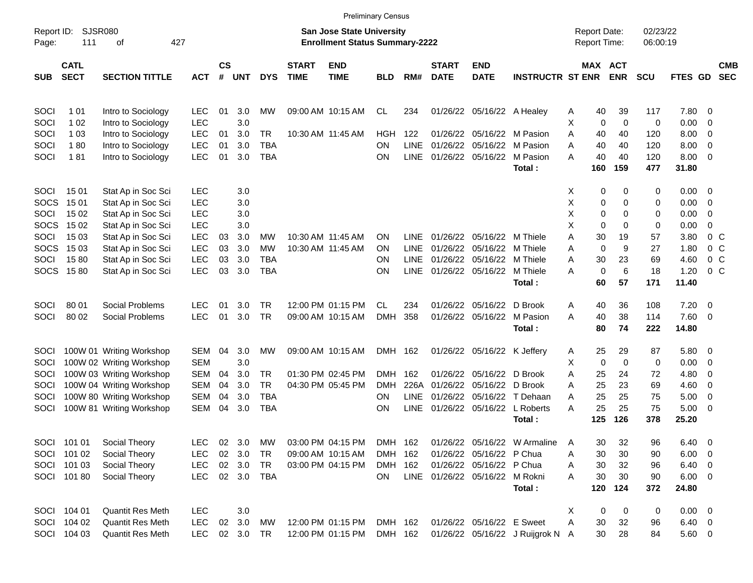|                     |                            |                          |            |                |            |            |                             |                                                                    | <b>Preliminary Census</b> |             |                             |                                |                                  |                                     |             |                 |                      |                |                          |                          |
|---------------------|----------------------------|--------------------------|------------|----------------|------------|------------|-----------------------------|--------------------------------------------------------------------|---------------------------|-------------|-----------------------------|--------------------------------|----------------------------------|-------------------------------------|-------------|-----------------|----------------------|----------------|--------------------------|--------------------------|
| Report ID:<br>Page: | <b>SJSR080</b><br>111      | οf                       | 427        |                |            |            |                             | San Jose State University<br><b>Enrollment Status Summary-2222</b> |                           |             |                             |                                |                                  | <b>Report Date:</b><br>Report Time: |             |                 | 02/23/22<br>06:00:19 |                |                          |                          |
| <b>SUB</b>          | <b>CATL</b><br><b>SECT</b> | <b>SECTION TITTLE</b>    | <b>ACT</b> | <b>CS</b><br># | <b>UNT</b> | <b>DYS</b> | <b>START</b><br><b>TIME</b> | <b>END</b><br><b>TIME</b>                                          | <b>BLD</b>                | RM#         | <b>START</b><br><b>DATE</b> | <b>END</b><br><b>DATE</b>      | <b>INSTRUCTR ST ENR</b>          | MAX ACT                             |             | <b>ENR</b>      | <b>SCU</b>           | FTES GD        |                          | <b>CMB</b><br><b>SEC</b> |
| SOCI                | 1 0 1                      | Intro to Sociology       | <b>LEC</b> | 01             | 3.0        | MW         |                             | 09:00 AM 10:15 AM                                                  | CL                        | 234         |                             | 01/26/22 05/16/22 A Healey     |                                  | Α                                   | 40          | 39              | 117                  | 7.80           | - 0                      |                          |
| SOCI                | 1 0 2                      | Intro to Sociology       | <b>LEC</b> |                | 3.0        |            |                             |                                                                    |                           |             |                             |                                |                                  | Χ                                   | 0           | $\mathbf 0$     | 0                    | 0.00           | $\overline{0}$           |                          |
| SOCI                | 1 0 3                      | Intro to Sociology       | <b>LEC</b> | 01             | 3.0        | TR         |                             | 10:30 AM 11:45 AM                                                  | HGH                       | 122         | 01/26/22                    |                                | 05/16/22 M Pasion                | A                                   | 40          | 40              | 120                  | 8.00           | $\overline{0}$           |                          |
| SOCI                | 180                        | Intro to Sociology       | <b>LEC</b> | 01             | 3.0        | <b>TBA</b> |                             |                                                                    | ON                        | <b>LINE</b> | 01/26/22                    | 05/16/22                       | M Pasion                         | Α                                   | 40          | 40              | 120                  | 8.00           | $\overline{0}$           |                          |
| SOCI                | 181                        | Intro to Sociology       | <b>LEC</b> | 01             | 3.0        | <b>TBA</b> |                             |                                                                    | ON                        | <b>LINE</b> |                             | 01/26/22 05/16/22              | M Pasion                         | A                                   | 40          | 40              | 120                  | 8.00           | $\overline{\phantom{0}}$ |                          |
|                     |                            |                          |            |                |            |            |                             |                                                                    |                           |             |                             |                                | Total:                           |                                     | 160         | 159             | 477                  | 31.80          |                          |                          |
| SOCI                | 15 01                      | Stat Ap in Soc Sci       | <b>LEC</b> |                | 3.0        |            |                             |                                                                    |                           |             |                             |                                |                                  | X                                   | 0           | 0               | 0                    | $0.00 \t 0$    |                          |                          |
| <b>SOCS</b>         | 15 01                      | Stat Ap in Soc Sci       | <b>LEC</b> |                | 3.0        |            |                             |                                                                    |                           |             |                             |                                |                                  | х                                   | 0           | 0               | 0                    | 0.00           | - 0                      |                          |
| SOCI                | 15 02                      | Stat Ap in Soc Sci       | <b>LEC</b> |                | 3.0        |            |                             |                                                                    |                           |             |                             |                                |                                  | X                                   | 0           | $\Omega$        | 0                    | 0.00           | $\overline{0}$           |                          |
| <b>SOCS</b>         | 15 02                      | Stat Ap in Soc Sci       | <b>LEC</b> |                | 3.0        |            |                             |                                                                    |                           |             |                             |                                |                                  | Х                                   | $\mathbf 0$ | $\Omega$        | 0                    | 0.00           | $\overline{0}$           |                          |
| SOCI                | 15 03                      | Stat Ap in Soc Sci       | <b>LEC</b> | 03             | 3.0        | MW         |                             | 10:30 AM 11:45 AM                                                  | ΟN                        | <b>LINE</b> | 01/26/22                    | 05/16/22 M Thiele              |                                  | Α                                   | 30          | 19              | 57                   | 3.80           | 0 <sup>o</sup>           |                          |
| <b>SOCS</b>         | 15 03                      | Stat Ap in Soc Sci       | <b>LEC</b> | 03             | 3.0        | <b>MW</b>  |                             | 10:30 AM 11:45 AM                                                  | OΝ                        | <b>LINE</b> | 01/26/22                    | 05/16/22                       | M Thiele                         | Α                                   | $\mathbf 0$ | 9               | 27                   | 1.80           | $0\,C$                   |                          |
| SOCI                | 1580                       | Stat Ap in Soc Sci       | <b>LEC</b> | 03             | 3.0        | TBA        |                             |                                                                    | ΟN                        | LINE.       | 01/26/22                    | 05/16/22                       | M Thiele                         | A                                   | 30          | 23              | 69                   | 4.60           | 0 <sup>o</sup>           |                          |
|                     | SOCS 1580                  | Stat Ap in Soc Sci       | <b>LEC</b> | 03             | 3.0        | <b>TBA</b> |                             |                                                                    | ON                        | <b>LINE</b> |                             | 01/26/22 05/16/22              | M Thiele                         | A                                   | $\mathbf 0$ | $6\phantom{1}6$ | 18                   | 1.20           | $0\,C$                   |                          |
|                     |                            |                          |            |                |            |            |                             |                                                                    |                           |             |                             |                                | Total:                           |                                     | 60          | 57              | 171                  | 11.40          |                          |                          |
| SOCI                | 80 01                      | Social Problems          | LEC        | 01             | 3.0        | TR.        |                             | 12:00 PM 01:15 PM                                                  | СL                        | 234         |                             | 01/26/22 05/16/22              | D Brook                          | Α                                   | 40          | 36              | 108                  | 7.20           | $\overline{\phantom{0}}$ |                          |
| SOCI                | 80 02                      | Social Problems          | <b>LEC</b> | 01             | 3.0        | <b>TR</b>  |                             | 09:00 AM 10:15 AM                                                  | <b>DMH</b>                | 358         |                             | 01/26/22 05/16/22              | M Pasion                         | A                                   | 40          | 38              | 114                  | 7.60 0         |                          |                          |
|                     |                            |                          |            |                |            |            |                             |                                                                    |                           |             |                             |                                | Total:                           |                                     | 80          | 74              | 222                  | 14.80          |                          |                          |
| SOCI                |                            | 100W 01 Writing Workshop | SEM        | 04             | 3.0        | MW         |                             | 09:00 AM 10:15 AM                                                  | DMH 162                   |             |                             | 01/26/22 05/16/22 K Jeffery    |                                  | Α                                   | 25          | 29              | 87                   | 5.80 0         |                          |                          |
| SOCI                |                            | 100W 02 Writing Workshop | <b>SEM</b> |                | 3.0        |            |                             |                                                                    |                           |             |                             |                                |                                  | X                                   | 0           | $\mathbf 0$     | 0                    | 0.00           | $\overline{\mathbf{0}}$  |                          |
| SOCI                |                            | 100W 03 Writing Workshop | <b>SEM</b> | 04             | 3.0        | TR         |                             | 01:30 PM 02:45 PM                                                  | DMH                       | 162         | 01/26/22                    | 05/16/22                       | D Brook                          | A                                   | 25          | 24              | 72                   | 4.80           | $\overline{0}$           |                          |
| SOCI                |                            | 100W 04 Writing Workshop | <b>SEM</b> | 04             | 3.0        | <b>TR</b>  |                             | 04:30 PM 05:45 PM                                                  | <b>DMH</b>                | 226A        | 01/26/22                    | 05/16/22 D Brook               |                                  | Α                                   | 25          | 23              | 69                   | 4.60           | $\overline{0}$           |                          |
| SOCI                |                            | 100W 80 Writing Workshop | <b>SEM</b> | 04             | 3.0        | <b>TBA</b> |                             |                                                                    | OΝ                        | LINE.       | 01/26/22                    | 05/16/22                       | T Dehaan                         | Α                                   | 25          | 25              | 75                   | 5.00           | $\overline{\mathbf{0}}$  |                          |
| SOCI                |                            | 100W 81 Writing Workshop | <b>SEM</b> | 04             | 3.0        | <b>TBA</b> |                             |                                                                    | ON                        | <b>LINE</b> |                             |                                | 01/26/22 05/16/22 L Roberts      | A                                   | 25          | 25              | 75                   | $5.00 \t 0$    |                          |                          |
|                     |                            |                          |            |                |            |            |                             |                                                                    |                           |             |                             |                                | Total:                           |                                     | 125         | 126             | 378                  | 25.20          |                          |                          |
|                     | SOCI 101 01                | Social Theory            | <b>LEC</b> |                | 02 3.0     | MW         |                             | 03:00 PM 04:15 PM                                                  | DMH 162                   |             |                             |                                | 01/26/22 05/16/22 W Armaline     | A                                   | 30          | 32              | 96                   | 6.40           | $\overline{\phantom{0}}$ |                          |
|                     | SOCI 101 02                | Social Theory            | <b>LEC</b> |                | 02 3.0     | TR         |                             | 09:00 AM 10:15 AM                                                  | DMH 162                   |             |                             | 01/26/22 05/16/22 P Chua       |                                  | Α                                   | 30          | 30              | 90                   | $6.00 \quad 0$ |                          |                          |
|                     | SOCI 101 03                | Social Theory            | <b>LEC</b> |                | 02 3.0     | TR         |                             | 03:00 PM 04:15 PM                                                  | DMH 162                   |             |                             | 01/26/22 05/16/22 P Chua       |                                  | Α                                   | 30          | 32              | 96                   | $6.40\ 0$      |                          |                          |
|                     | SOCI 101 80                | Social Theory            | <b>LEC</b> |                |            | 02 3.0 TBA |                             |                                                                    | <b>ON</b>                 |             |                             | LINE 01/26/22 05/16/22 M Rokni |                                  | Α                                   | 30          | 30              | 90                   | $6.00 \t 0$    |                          |                          |
|                     |                            |                          |            |                |            |            |                             |                                                                    |                           |             |                             |                                | Total:                           |                                     | 120         | 124             | 372                  | 24.80          |                          |                          |
|                     | SOCI 104 01                | Quantit Res Meth         | <b>LEC</b> |                | 3.0        |            |                             |                                                                    |                           |             |                             |                                |                                  | X                                   | 0           | 0               | 0                    | $0.00 \t 0$    |                          |                          |
|                     | SOCI 104 02                | Quantit Res Meth         | <b>LEC</b> |                | 02 3.0     | МW         |                             | 12:00 PM 01:15 PM                                                  | DMH 162                   |             |                             | 01/26/22 05/16/22 E Sweet      |                                  | A                                   | 30          | 32              | 96                   | $6.40\ 0$      |                          |                          |
|                     | SOCI 104 03                | Quantit Res Meth         | <b>LEC</b> |                | 02 3.0 TR  |            |                             | 12:00 PM 01:15 PM                                                  | DMH 162                   |             |                             |                                | 01/26/22 05/16/22 J Ruijgrok N A |                                     | 30          | 28              | 84                   | 5.60 0         |                          |                          |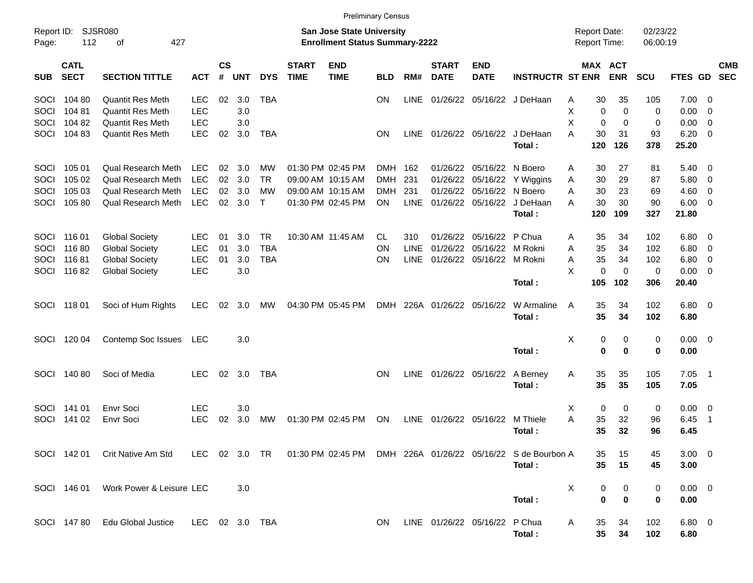|                     |                            |                                                                                                          |                |                    |            |              |                             |                                                                    | <b>Preliminary Census</b> |             |                               |                           |                         |                                            |             |                      |                       |                          |
|---------------------|----------------------------|----------------------------------------------------------------------------------------------------------|----------------|--------------------|------------|--------------|-----------------------------|--------------------------------------------------------------------|---------------------------|-------------|-------------------------------|---------------------------|-------------------------|--------------------------------------------|-------------|----------------------|-----------------------|--------------------------|
| Report ID:<br>Page: | 112                        | SJSR080<br>427<br>οf                                                                                     |                |                    |            |              |                             | San Jose State University<br><b>Enrollment Status Summary-2222</b> |                           |             |                               |                           |                         | <b>Report Date:</b><br><b>Report Time:</b> |             | 02/23/22<br>06:00:19 |                       |                          |
| <b>SUB</b>          | <b>CATL</b><br><b>SECT</b> | <b>SECTION TITTLE</b>                                                                                    | <b>ACT</b>     | $\mathsf{cs}$<br># | <b>UNT</b> | <b>DYS</b>   | <b>START</b><br><b>TIME</b> | <b>END</b><br><b>TIME</b>                                          | <b>BLD</b>                | RM#         | <b>START</b><br><b>DATE</b>   | <b>END</b><br><b>DATE</b> | <b>INSTRUCTR ST ENR</b> | MAX ACT                                    | <b>ENR</b>  | <b>SCU</b>           | <b>FTES GD</b>        | <b>CMB</b><br><b>SEC</b> |
| <b>SOCI</b>         | 104 80                     | <b>Quantit Res Meth</b>                                                                                  | LEC.           | 02                 | 3.0        | TBA          |                             |                                                                    | <b>ON</b>                 | <b>LINE</b> | 01/26/22                      |                           | 05/16/22 J DeHaan       | 30<br>A                                    | 35          | 105                  | 7.00                  | - 0                      |
| SOCI                | 10481                      | <b>Quantit Res Meth</b>                                                                                  | <b>LEC</b>     |                    | 3.0        |              |                             |                                                                    |                           |             |                               |                           |                         | X<br>0                                     | $\mathbf 0$ | 0                    | 0.00                  | - 0                      |
| SOCI                | 104 82                     | <b>Quantit Res Meth</b>                                                                                  | <b>LEC</b>     |                    | 3.0        |              |                             |                                                                    |                           |             |                               |                           |                         | X<br>0                                     | 0           | 0                    | 0.00                  | 0                        |
| SOCI                | 10483                      | <b>Quantit Res Meth</b>                                                                                  | <b>LEC</b>     | 02                 | 3.0        | TBA          |                             |                                                                    | <b>ON</b>                 | LINE        |                               | 01/26/22 05/16/22         | J DeHaan<br>Total:      | A<br>30<br>120                             | 31<br>126   | 93<br>378            | 6.20<br>25.20         | - 0                      |
| <b>SOCI</b>         | 105 01                     | <b>Qual Research Meth</b>                                                                                | <b>LEC</b>     | 02                 | 3.0        | MW           |                             | 01:30 PM 02:45 PM                                                  | <b>DMH</b>                | 162         | 01/26/22                      | 05/16/22                  | N Boero                 | 30                                         | 27          | 81                   | 5.40                  | $\overline{\phantom{0}}$ |
| SOCI                | 105 02                     | Qual Research Meth                                                                                       | <b>LEC</b>     | 02                 | 3.0        | <b>TR</b>    |                             | 09:00 AM 10:15 AM                                                  | <b>DMH</b>                | 231         | 01/26/22                      | 05/16/22                  | Y Wiggins               | A<br>30<br>A                               | 29          | 87                   | 5.80                  | $\overline{\mathbf{0}}$  |
| SOCI                | 105 03                     | Qual Research Meth                                                                                       | <b>LEC</b>     | 02                 | 3.0        | МW           |                             | 09:00 AM 10:15 AM                                                  | <b>DMH</b>                | 231         | 01/26/22                      | 05/16/22                  | N Boero                 | Α<br>30                                    | 23          | 69                   | 4.60                  | 0                        |
| SOCI                | 10580                      | <b>Qual Research Meth</b>                                                                                | <b>LEC</b>     | 02                 | 3.0        | $\mathsf{T}$ |                             | 01:30 PM 02:45 PM                                                  | OΝ                        | <b>LINE</b> | 01/26/22                      | 05/16/22                  | J DeHaan                | 30<br>A                                    | 30          | 90                   | 6.00                  | - 0                      |
|                     |                            |                                                                                                          |                |                    |            |              |                             |                                                                    |                           |             |                               |                           | Total:                  | 120                                        | 109         | 327                  | 21.80                 |                          |
| <b>SOCI</b>         | 116 01                     | <b>Global Society</b>                                                                                    | <b>LEC</b>     | 01                 | 3.0        | <b>TR</b>    |                             | 10:30 AM 11:45 AM                                                  | CL                        | 310         | 01/26/22                      | 05/16/22                  | P Chua                  | 35<br>A                                    | 34          | 102                  | 6.80                  | - 0                      |
| SOCI                | 11680                      | <b>Global Society</b>                                                                                    | <b>LEC</b>     | 01                 | 3.0        | <b>TBA</b>   |                             |                                                                    | ΟN                        | <b>LINE</b> | 01/26/22                      | 05/16/22                  | M Rokni                 | 35<br>A                                    | 34          | 102                  | 6.80                  | $\overline{\mathbf{0}}$  |
| SOCI                | 11681                      | <b>Global Society</b>                                                                                    | <b>LEC</b>     | 01                 | 3.0        | <b>TBA</b>   |                             |                                                                    | ΟN                        | <b>LINE</b> |                               | 01/26/22 05/16/22         | M Rokni                 | 35<br>Α                                    | 34          | 102                  | 6.80                  | 0                        |
| SOCI                | 11682                      | <b>Global Society</b>                                                                                    | <b>LEC</b>     |                    | 3.0        |              |                             |                                                                    |                           |             |                               |                           |                         | X<br>0                                     | $\mathbf 0$ | 0                    | 0.00                  | - 0                      |
|                     |                            |                                                                                                          |                |                    |            |              |                             |                                                                    |                           |             |                               |                           | Total:                  | 105                                        | 102         | 306                  | 20.40                 |                          |
| SOCI                | 11801                      | Soci of Hum Rights                                                                                       | <b>LEC</b>     | 02                 | 3.0        | MW           |                             | 04:30 PM 05:45 PM                                                  | <b>DMH</b>                |             | 226A 01/26/22 05/16/22        |                           | W Armaline<br>Total:    | 35<br>A<br>35                              | 34<br>34    | 102<br>102           | $6.80\quad 0$<br>6.80 |                          |
| <b>SOCI</b>         | 120 04                     | Contemp Soc Issues                                                                                       | <b>LEC</b>     |                    | 3.0        |              |                             |                                                                    |                           |             |                               |                           |                         | X<br>0                                     | 0           | 0                    | $0.00 \quad 0$        |                          |
|                     |                            |                                                                                                          |                |                    |            |              |                             |                                                                    |                           |             |                               |                           | Total:                  | 0                                          | $\bf{0}$    | 0                    | 0.00                  |                          |
| SOCI                | 140 80                     | Soci of Media                                                                                            | <b>LEC</b>     | 02                 | 3.0        | TBA          |                             |                                                                    | ON                        | LINE        |                               | 01/26/22 05/16/22         | A Berney<br>Total:      | 35<br>A<br>35                              | 35<br>35    | 105<br>105           | 7.05<br>7.05          | - 1                      |
| <b>SOCI</b>         | 141 01                     | Envr Soci                                                                                                | <b>LEC</b>     |                    | 3.0        |              |                             |                                                                    |                           |             |                               |                           |                         | Х<br>0                                     | 0           | 0                    | 0.00                  | $\overline{\phantom{0}}$ |
| SOCI                | 141 02                     | <b>Envr Soci</b>                                                                                         | <b>LEC</b>     | 02                 | 3.0        | MW           |                             | 01:30 PM 02:45 PM                                                  | ON                        | <b>LINE</b> |                               | 01/26/22 05/16/22         | M Thiele                | A<br>35                                    | 32          | 96                   | 6.45                  | $\overline{1}$           |
|                     |                            |                                                                                                          |                |                    |            |              |                             |                                                                    |                           |             |                               |                           | Total:                  | 35                                         | 32          | 96                   | 6.45                  |                          |
|                     |                            | SOCI 142 01 Crit Native Am Std LEC 02 3.0 TR 01:30 PM 02:45 PM DMH 226A 01/26/22 05/16/22 S de Bourbon A |                |                    |            |              |                             |                                                                    |                           |             |                               |                           |                         | 35                                         | 15          | 45                   | $3.00 \ 0$            |                          |
|                     |                            |                                                                                                          |                |                    |            |              |                             |                                                                    |                           |             |                               |                           | Total:                  | 35                                         | 15          | 45                   | 3.00                  |                          |
|                     |                            | SOCI 146 01 Work Power & Leisure LEC                                                                     |                |                    | 3.0        |              |                             |                                                                    |                           |             |                               |                           |                         | X<br>0                                     | 0           | 0                    | $0.00 \t 0$           |                          |
|                     |                            |                                                                                                          |                |                    |            |              |                             |                                                                    |                           |             |                               |                           | Total:                  | $\pmb{0}$                                  | $\bf{0}$    | 0                    | 0.00                  |                          |
|                     |                            | SOCI 147 80 Edu Global Justice                                                                           | LEC 02 3.0 TBA |                    |            |              |                             |                                                                    | <b>ON</b>                 |             | LINE 01/26/22 05/16/22 P Chua |                           | Total:                  | A<br>35<br>35 <sup>5</sup>                 | 34<br>34    | 102<br>102           | $6.80\quad 0$<br>6.80 |                          |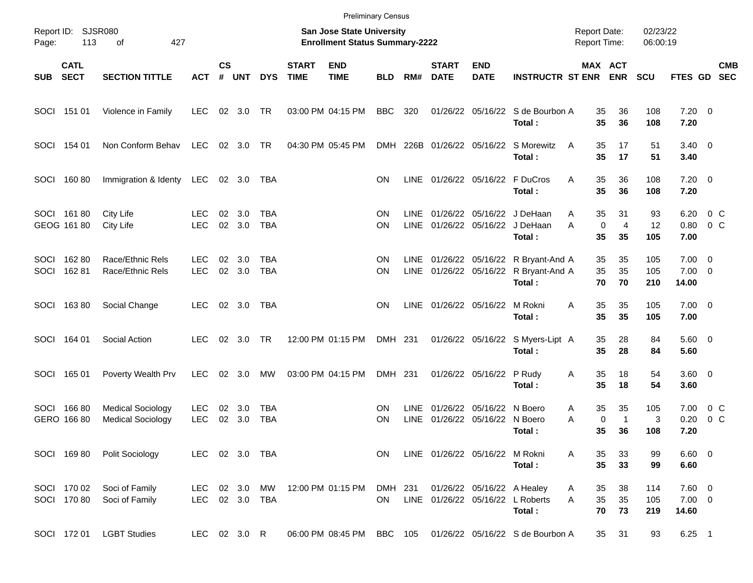|              |                            |                                                      |                          |                |                  |                   |                             | <b>Preliminary Census</b>                                                 |                      |                     |                             |                                                      |                                                              |                                     |                            |                      |                                  |                                                     |                          |
|--------------|----------------------------|------------------------------------------------------|--------------------------|----------------|------------------|-------------------|-----------------------------|---------------------------------------------------------------------------|----------------------|---------------------|-----------------------------|------------------------------------------------------|--------------------------------------------------------------|-------------------------------------|----------------------------|----------------------|----------------------------------|-----------------------------------------------------|--------------------------|
| Page:        | Report ID: SJSR080<br>113  | 427<br>of                                            |                          |                |                  |                   |                             | <b>San Jose State University</b><br><b>Enrollment Status Summary-2222</b> |                      |                     |                             |                                                      |                                                              | <b>Report Date:</b><br>Report Time: |                            | 02/23/22<br>06:00:19 |                                  |                                                     |                          |
| <b>SUB</b>   | <b>CATL</b><br><b>SECT</b> | <b>SECTION TITTLE</b>                                | <b>ACT</b>               | <b>CS</b><br># | <b>UNT</b>       | <b>DYS</b>        | <b>START</b><br><b>TIME</b> | <b>END</b><br><b>TIME</b>                                                 | <b>BLD</b>           | RM#                 | <b>START</b><br><b>DATE</b> | <b>END</b><br><b>DATE</b>                            | <b>INSTRUCTR ST ENR</b>                                      |                                     | MAX ACT<br><b>ENR</b>      | <b>SCU</b>           | FTES GD                          |                                                     | <b>CMB</b><br><b>SEC</b> |
| SOCI         | 151 01                     | Violence in Family                                   | <b>LEC</b>               | 02             | 3.0              | TR                |                             | 03:00 PM 04:15 PM                                                         | <b>BBC</b>           | 320                 |                             |                                                      | 01/26/22 05/16/22 S de Bourbon A<br>Total:                   | 35<br>35                            | 36<br>36                   | 108<br>108           | $7.20 \t 0$<br>7.20              |                                                     |                          |
| SOCI         | 154 01                     | Non Conform Behav                                    | <b>LEC</b>               |                | 02 3.0           | TR                |                             | 04:30 PM 05:45 PM                                                         | DMH                  |                     |                             | 226B 01/26/22 05/16/22                               | S Morewitz<br>Total:                                         | 35<br>A<br>35                       | 17<br>17                   | 51<br>51             | $3.40 \quad 0$<br>3.40           |                                                     |                          |
| SOCI         | 16080                      | Immigration & Identy                                 | <b>LEC</b>               |                | 02 3.0           | TBA               |                             |                                                                           | <b>ON</b>            | LINE                |                             | 01/26/22 05/16/22                                    | F DuCros<br>Total:                                           | Α<br>35<br>35                       | 36<br>36                   | 108<br>108           | $7.20 \t 0$<br>7.20              |                                                     |                          |
|              | SOCI 16180<br>GEOG 161 80  | City Life<br>City Life                               | <b>LEC</b><br><b>LEC</b> | 02<br>02       | 3.0<br>3.0       | TBA<br><b>TBA</b> |                             |                                                                           | ΟN<br>ON             | LINE<br><b>LINE</b> | 01/26/22                    | 01/26/22 05/16/22<br>05/16/22                        | J DeHaan<br>J DeHaan<br>Total:                               | 35<br>Α<br>0<br>A<br>35             | 31<br>$\overline{4}$<br>35 | 93<br>12<br>105      | 6.20<br>0.80<br>7.00             | $0\,C$<br>0 <sup>o</sup>                            |                          |
| SOCI<br>SOCI | 16280<br>162 81            | Race/Ethnic Rels<br>Race/Ethnic Rels                 | <b>LEC</b><br><b>LEC</b> | 02<br>02       | 3.0<br>3.0       | TBA<br><b>TBA</b> |                             |                                                                           | ΟN<br>ON             | LINE<br><b>LINE</b> |                             | 01/26/22 05/16/22                                    | 01/26/22 05/16/22 R Bryant-And A<br>R Bryant-And A<br>Total: | 35<br>35<br>70                      | 35<br>35<br>70             | 105<br>105<br>210    | 7.00<br>7.00<br>14.00            | $\overline{\phantom{0}}$<br>$\overline{\mathbf{0}}$ |                          |
| SOCI         | 16380                      | Social Change                                        | <b>LEC</b>               |                | 02 3.0           | TBA               |                             |                                                                           | ΟN                   | LINE                |                             | 01/26/22 05/16/22                                    | M Rokni<br>Total:                                            | A<br>35<br>35                       | 35<br>35                   | 105<br>105           | $7.00 \t 0$<br>7.00              |                                                     |                          |
| SOCI         | 164 01                     | Social Action                                        | LEC.                     |                | 02 3.0           | <b>TR</b>         |                             | 12:00 PM 01:15 PM                                                         | DMH 231              |                     |                             |                                                      | 01/26/22 05/16/22 S Myers-Lipt A<br>Total:                   | 35<br>35                            | 28<br>28                   | 84<br>84             | $5.60 \quad 0$<br>5.60           |                                                     |                          |
| SOCI         | 165 01                     | Poverty Wealth Prv                                   | <b>LEC</b>               | 02             | 3.0              | МW                |                             | 03:00 PM 04:15 PM                                                         | DMH 231              |                     |                             | 01/26/22 05/16/22                                    | P Rudy<br>Total:                                             | Α<br>35<br>35                       | 18<br>18                   | 54<br>54             | 3.60 0<br>3.60                   |                                                     |                          |
| SOCI         | 16680<br>GERO 166 80       | <b>Medical Sociology</b><br><b>Medical Sociology</b> | <b>LEC</b><br><b>LEC</b> | 02<br>02       | 3.0<br>3.0       | TBA<br><b>TBA</b> |                             |                                                                           | <b>ON</b><br>ΟN      | <b>LINE</b><br>LINE | 01/26/22                    | 01/26/22 05/16/22<br>05/16/22                        | N Boero<br>N Boero<br>Total:                                 | 35<br>Α<br>0<br>A<br>35             | 35<br>$\mathbf{1}$<br>36   | 105<br>3<br>108      | 7.00<br>0.20<br>7.20             | $0\,$ C<br>0 <sup>o</sup>                           |                          |
|              | SOCI 16980                 | Polit Sociology                                      | LEC.                     |                |                  | 02 3.0 TBA        |                             |                                                                           | <b>ON</b>            |                     |                             | LINE 01/26/22 05/16/22 M Rokni                       | Total:                                                       | 35<br>Α<br>35                       | 33<br>33                   | 99<br>99             | $6.60$ 0<br>6.60                 |                                                     |                          |
|              | SOCI 170 02<br>SOCI 170 80 | Soci of Family<br>Soci of Family                     | <b>LEC</b><br><b>LEC</b> |                | 02 3.0<br>02 3.0 | МW<br><b>TBA</b>  |                             | 12:00 PM 01:15 PM                                                         | DMH 231<br><b>ON</b> |                     |                             | 01/26/22 05/16/22 A Healey<br>LINE 01/26/22 05/16/22 | L Roberts<br>Total:                                          | A<br>35<br>A<br>35<br>70            | 38<br>35<br>73             | 114<br>105<br>219    | $7.60$ 0<br>$7.00 \t 0$<br>14.60 |                                                     |                          |
|              | SOCI 172 01                | <b>LGBT Studies</b>                                  | LEC 02 3.0 R             |                |                  |                   |                             | 06:00 PM 08:45 PM                                                         | BBC 105              |                     |                             |                                                      | 01/26/22 05/16/22 S de Bourbon A                             | 35                                  | 31                         | 93                   | $6.25$ 1                         |                                                     |                          |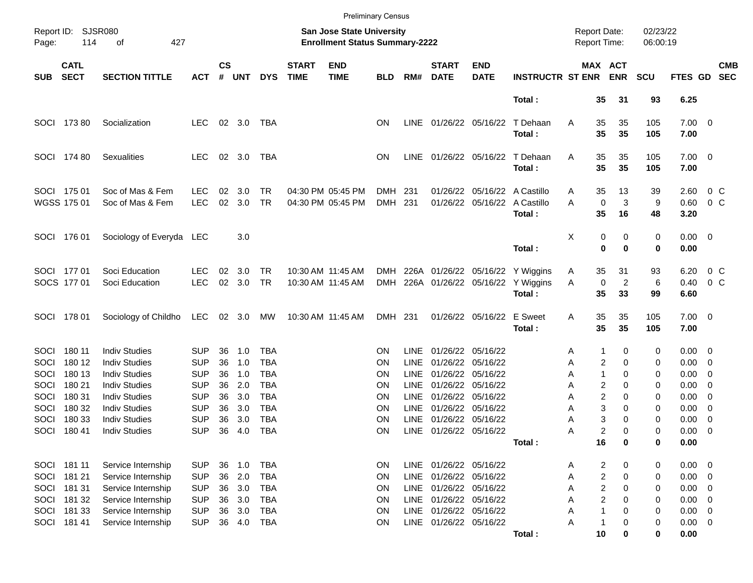|                                             |                                                                              | <b>Preliminary Census</b><br>San Jose State University                                                                           |                                                                                  |                                  |                                        |                                                                           |                             |                                        |                                         |                                                                         |                                                                                                                                 |                                                          |                                             |                                                       |                                                     |                                 |                                                                                  |                                                                                |                          |
|---------------------------------------------|------------------------------------------------------------------------------|----------------------------------------------------------------------------------------------------------------------------------|----------------------------------------------------------------------------------|----------------------------------|----------------------------------------|---------------------------------------------------------------------------|-----------------------------|----------------------------------------|-----------------------------------------|-------------------------------------------------------------------------|---------------------------------------------------------------------------------------------------------------------------------|----------------------------------------------------------|---------------------------------------------|-------------------------------------------------------|-----------------------------------------------------|---------------------------------|----------------------------------------------------------------------------------|--------------------------------------------------------------------------------|--------------------------|
| Page:                                       | Report ID: SJSR080<br>114                                                    | 427<br>οf                                                                                                                        |                                                                                  |                                  |                                        |                                                                           |                             | <b>Enrollment Status Summary-2222</b>  |                                         |                                                                         |                                                                                                                                 |                                                          |                                             | <b>Report Date:</b><br><b>Report Time:</b>            |                                                     | 02/23/22<br>06:00:19            |                                                                                  |                                                                                |                          |
| <b>SUB</b>                                  | <b>CATL</b><br><b>SECT</b>                                                   | <b>SECTION TITTLE</b>                                                                                                            | <b>ACT</b>                                                                       | $\mathsf{cs}$<br>#               | <b>UNT</b>                             | <b>DYS</b>                                                                | <b>START</b><br><b>TIME</b> | <b>END</b><br><b>TIME</b>              | <b>BLD</b>                              | RM#                                                                     | <b>START</b><br><b>DATE</b>                                                                                                     | <b>END</b><br><b>DATE</b>                                | <b>INSTRUCTR ST ENR</b>                     |                                                       | MAX ACT<br><b>ENR</b>                               | <b>SCU</b>                      | FTES GD                                                                          |                                                                                | <b>CMB</b><br><b>SEC</b> |
|                                             |                                                                              |                                                                                                                                  |                                                                                  |                                  |                                        |                                                                           |                             |                                        |                                         |                                                                         |                                                                                                                                 |                                                          | Total:                                      | 35                                                    | 31                                                  | 93                              | 6.25                                                                             |                                                                                |                          |
|                                             | SOCI 173 80                                                                  | Socialization                                                                                                                    | <b>LEC</b>                                                                       |                                  | 02 3.0                                 | TBA                                                                       |                             |                                        | OΝ                                      | LINE                                                                    | 01/26/22 05/16/22                                                                                                               |                                                          | T Dehaan<br>Total:                          | Α<br>35<br>35                                         | 35<br>35                                            | 105<br>105                      | $7.00 \t 0$<br>7.00                                                              |                                                                                |                          |
|                                             | SOCI 174 80                                                                  | <b>Sexualities</b>                                                                                                               | <b>LEC</b>                                                                       |                                  | 02 3.0                                 | TBA                                                                       |                             |                                        | <b>ON</b>                               | <b>LINE</b>                                                             |                                                                                                                                 | 01/26/22 05/16/22                                        | T Dehaan<br>Total:                          | 35<br>Α<br>35                                         | 35<br>35                                            | 105<br>105                      | $7.00 \t 0$<br>7.00                                                              |                                                                                |                          |
|                                             | SOCI 175 01<br>WGSS 175 01                                                   | Soc of Mas & Fem<br>Soc of Mas & Fem                                                                                             | <b>LEC</b><br><b>LEC</b>                                                         | 02<br>02                         | 3.0<br>3.0                             | TR<br>TR                                                                  |                             | 04:30 PM 05:45 PM<br>04:30 PM 05:45 PM | DMH<br>DMH 231                          | 231                                                                     | 01/26/22<br>01/26/22                                                                                                            | 05/16/22                                                 | 05/16/22 A Castillo<br>A Castillo<br>Total: | 35<br>A<br>A<br>35                                    | 13<br>$\mathbf 0$<br>3<br>16                        | 39<br>9<br>48                   | 2.60<br>0.60<br>3.20                                                             | 0 C<br>$0\,C$                                                                  |                          |
|                                             | SOCI 176 01                                                                  | Sociology of Everyda LEC                                                                                                         |                                                                                  |                                  | 3.0                                    |                                                                           |                             |                                        |                                         |                                                                         |                                                                                                                                 |                                                          | Total:                                      | х                                                     | 0<br>0<br>0<br>0                                    | 0<br>0                          | $0.00 \t 0$<br>0.00                                                              |                                                                                |                          |
|                                             | SOCI 177 01<br>SOCS 177 01                                                   | Soci Education<br>Soci Education                                                                                                 | <b>LEC</b><br><b>LEC</b>                                                         | 02<br>02                         | 3.0<br>3.0                             | TR<br><b>TR</b>                                                           |                             | 10:30 AM 11:45 AM<br>10:30 AM 11:45 AM | DMH<br><b>DMH</b>                       |                                                                         | 226A 01/26/22 05/16/22<br>226A 01/26/22 05/16/22                                                                                |                                                          | Y Wiggins<br>Y Wiggins<br>Total:            | 35<br>A<br>A<br>35                                    | 31<br>0<br>2<br>33                                  | 93<br>6<br>99                   | 6.20<br>0.40<br>6.60                                                             | 0 C<br>$0\,C$                                                                  |                          |
|                                             | SOCI 178 01                                                                  | Sociology of Childho                                                                                                             | LEC                                                                              |                                  | 02 3.0                                 | MW                                                                        |                             | 10:30 AM 11:45 AM                      | DMH 231                                 |                                                                         |                                                                                                                                 | 01/26/22 05/16/22                                        | <b>E</b> Sweet<br>Total:                    | 35<br>A<br>35                                         | 35<br>35                                            | 105<br>105                      | $7.00 \t 0$<br>7.00                                                              |                                                                                |                          |
| <b>SOCI</b><br>SOCI<br>SOCI<br>SOCI<br>SOCI | 180 11<br>180 12<br>180 13<br>180 21<br>180 31                               | <b>Indiv Studies</b><br><b>Indiv Studies</b><br><b>Indiv Studies</b><br><b>Indiv Studies</b><br><b>Indiv Studies</b>             | <b>SUP</b><br><b>SUP</b><br><b>SUP</b><br><b>SUP</b><br><b>SUP</b>               | 36<br>36<br>36<br>36<br>36       | 1.0<br>1.0<br>1.0<br>2.0<br>3.0        | <b>TBA</b><br><b>TBA</b><br><b>TBA</b><br><b>TBA</b><br><b>TBA</b>        |                             |                                        | ΟN<br>ΟN<br>ΟN<br>ΟN<br>ΟN              | <b>LINE</b><br><b>LINE</b><br><b>LINE</b><br><b>LINE</b><br><b>LINE</b> | 01/26/22<br>01/26/22<br>01/26/22<br>01/26/22<br>01/26/22                                                                        | 05/16/22<br>05/16/22<br>05/16/22<br>05/16/22<br>05/16/22 |                                             | 1<br>Α<br>Α<br>1<br>Α<br>Α<br>Α                       | 0<br>2<br>0<br>0<br>2<br>0<br>2<br>0                | 0<br>0<br>0<br>0<br>0           | $0.00 \quad 0$<br>$0.00 \t 0$<br>0.00<br>0.00<br>0.00                            | $\overline{\mathbf{0}}$<br>$\overline{\phantom{0}}$<br>$\overline{\mathbf{0}}$ |                          |
| SOCI<br>SOCI<br>SOCI                        | 180 32<br>180 33<br>18041                                                    | <b>Indiv Studies</b><br><b>Indiv Studies</b><br><b>Indiv Studies</b>                                                             | <b>SUP</b><br>SUP<br><b>SUP</b>                                                  | 36<br>36<br>36                   | 3.0<br>3.0<br>4.0                      | <b>TBA</b><br><b>TBA</b><br><b>TBA</b>                                    |                             |                                        | ΟN<br>ΟN<br>ΟN                          | <b>LINE</b><br><b>LINE</b>                                              | 01/26/22<br>01/26/22<br>LINE 01/26/22 05/16/22                                                                                  | 05/16/22<br>05/16/22                                     | Total:                                      | Α<br>Α<br>Α<br>16                                     | 3<br>0<br>3<br>0<br>2<br>0<br>0                     | 0<br>0<br>0<br>0                | 0.00<br>0.00<br>0.00<br>0.00                                                     | $\overline{\mathbf{0}}$<br>0<br>$\overline{\phantom{0}}$                       |                          |
| SOCI<br>SOCI                                | SOCI 181 11<br>181 21<br>181 31<br>SOCI 181 32<br>SOCI 181 33<br>SOCI 181 41 | Service Internship<br>Service Internship<br>Service Internship<br>Service Internship<br>Service Internship<br>Service Internship | <b>SUP</b><br><b>SUP</b><br><b>SUP</b><br><b>SUP</b><br><b>SUP</b><br><b>SUP</b> | 36<br>36<br>36<br>36<br>36<br>36 | 1.0<br>2.0<br>3.0<br>3.0<br>3.0<br>4.0 | <b>TBA</b><br><b>TBA</b><br><b>TBA</b><br><b>TBA</b><br><b>TBA</b><br>TBA |                             |                                        | ON<br>ON<br>ON<br>ON<br>ON<br><b>ON</b> | LINE<br><b>LINE</b><br>LINE<br><b>LINE</b><br><b>LINE</b>               | 01/26/22 05/16/22<br>01/26/22 05/16/22<br>01/26/22 05/16/22<br>01/26/22 05/16/22<br>01/26/22 05/16/22<br>LINE 01/26/22 05/16/22 |                                                          | Total:                                      | A<br>Α<br>Α<br>Α<br>1<br>Α<br>Α<br>$\mathbf{1}$<br>10 | 2<br>0<br>2<br>0<br>2<br>0<br>2<br>0<br>0<br>0<br>0 | 0<br>0<br>0<br>0<br>0<br>0<br>0 | $0.00 \t 0$<br>$0.00 \t 0$<br>0.00<br>0.00<br>$0.00 \t 0$<br>$0.00 \t 0$<br>0.00 | $\overline{\phantom{0}}$<br>$\overline{\phantom{0}}$                           |                          |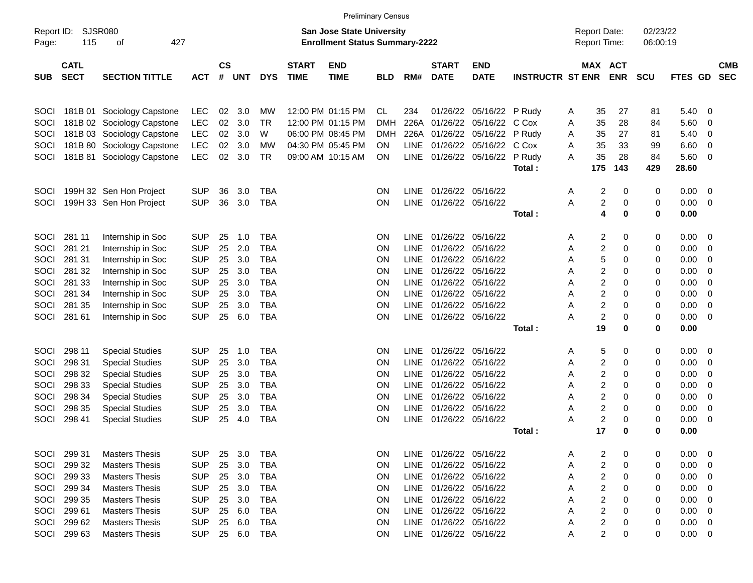|                     |                            | <b>Preliminary Census</b>                      |                          |                |            |                   |                             |                                                                           |                        |             |                                             |                           |                         |                                            |                              |                              |                      |               |        |                          |
|---------------------|----------------------------|------------------------------------------------|--------------------------|----------------|------------|-------------------|-----------------------------|---------------------------------------------------------------------------|------------------------|-------------|---------------------------------------------|---------------------------|-------------------------|--------------------------------------------|------------------------------|------------------------------|----------------------|---------------|--------|--------------------------|
| Report ID:<br>Page: | 115                        | <b>SJSR080</b><br>427<br>οf                    |                          |                |            |                   |                             | <b>San Jose State University</b><br><b>Enrollment Status Summary-2222</b> |                        |             |                                             |                           |                         | <b>Report Date:</b><br><b>Report Time:</b> |                              |                              | 02/23/22<br>06:00:19 |               |        |                          |
| <b>SUB</b>          | <b>CATL</b><br><b>SECT</b> | <b>SECTION TITTLE</b>                          | <b>ACT</b>               | <b>CS</b><br># | <b>UNT</b> | <b>DYS</b>        | <b>START</b><br><b>TIME</b> | <b>END</b><br><b>TIME</b>                                                 | <b>BLD</b>             | RM#         | <b>START</b><br><b>DATE</b>                 | <b>END</b><br><b>DATE</b> | <b>INSTRUCTR ST ENR</b> |                                            |                              | <b>MAX ACT</b><br><b>ENR</b> | <b>SCU</b>           | FTES GD       |        | <b>CMB</b><br><b>SEC</b> |
| SOCI                |                            | 181B 01 Sociology Capstone                     | <b>LEC</b>               | 02             | 3.0        | МW                |                             | 12:00 PM 01:15 PM                                                         | <b>CL</b>              | 234         | 01/26/22                                    | 05/16/22 P Rudy           |                         | A                                          | 35                           | 27                           | 81                   | 5.40          | 0      |                          |
| SOCI                |                            | 181B 02 Sociology Capstone                     | <b>LEC</b>               | 02             | 3.0        | TR                |                             | 12:00 PM 01:15 PM                                                         | <b>DMH</b>             | 226A        | 01/26/22                                    | 05/16/22                  | C Cox                   | Α                                          | 35                           | 28                           | 84                   | 5.60          | 0      |                          |
| SOCI                |                            | 181B 03 Sociology Capstone                     | <b>LEC</b>               | 02             | 3.0        | W                 |                             | 06:00 PM 08:45 PM                                                         | <b>DMH</b>             | 226A        | 01/26/22                                    | 05/16/22                  | P Rudy                  | A                                          | 35                           | 27                           | 81                   | 5.40          | 0      |                          |
| SOCI                |                            | 181B 80 Sociology Capstone                     | <b>LEC</b>               | 02             | 3.0        | МW                |                             | 04:30 PM 05:45 PM                                                         | ON.                    | <b>LINE</b> | 01/26/22                                    | 05/16/22                  | C Cox                   | Α                                          | 35                           | 33                           | 99                   | 6.60          | 0      |                          |
| SOCI                |                            | 181B 81 Sociology Capstone                     | <b>LEC</b>               | 02             | 3.0        | TR                |                             | 09:00 AM 10:15 AM                                                         | ON                     |             |                                             | LINE 01/26/22 05/16/22    | P Rudy                  | A                                          | 35<br>175                    | 28<br>143                    | 84<br>429            | 5.60<br>28.60 | 0      |                          |
|                     |                            |                                                |                          |                |            |                   |                             |                                                                           |                        |             |                                             |                           | Total :                 |                                            |                              |                              |                      |               |        |                          |
| SOCI                |                            | 199H 32 Sen Hon Project                        | <b>SUP</b>               | 36             | 3.0        | TBA               |                             |                                                                           | <b>ON</b>              | <b>LINE</b> | 01/26/22 05/16/22                           |                           |                         | Α                                          | 2                            | 0                            | 0                    | 0.00          | 0      |                          |
| SOCI                |                            | 199H 33 Sen Hon Project                        | <b>SUP</b>               | 36             | 3.0        | <b>TBA</b>        |                             |                                                                           | <b>ON</b>              | <b>LINE</b> | 01/26/22 05/16/22                           |                           |                         | Α                                          | $\overline{\mathbf{c}}$<br>4 | 0                            | 0                    | 0.00          | 0      |                          |
|                     |                            |                                                |                          |                |            |                   |                             |                                                                           |                        |             |                                             |                           | Total:                  |                                            |                              | $\bf{0}$                     | 0                    | 0.00          |        |                          |
| SOCI                | 281 11                     | Internship in Soc                              | <b>SUP</b>               | 25             | 1.0        | TBA               |                             |                                                                           | <b>ON</b>              | <b>LINE</b> | 01/26/22                                    | 05/16/22                  |                         | Α                                          | 2                            | 0                            | 0                    | 0.00          | 0      |                          |
| SOCI                | 281 21                     | Internship in Soc                              | <b>SUP</b>               | 25             | 2.0        | <b>TBA</b>        |                             |                                                                           | <b>ON</b>              | LINE.       | 01/26/22                                    | 05/16/22                  |                         | Α                                          | 2                            | 0                            | 0                    | 0.00          | 0      |                          |
| SOCI                | 281 31                     | Internship in Soc                              | <b>SUP</b>               | 25             | 3.0        | <b>TBA</b>        |                             |                                                                           | <b>ON</b>              | LINE.       | 01/26/22 05/16/22                           |                           |                         | Α                                          | 5                            | 0                            | 0                    | 0.00          | 0      |                          |
| SOCI                | 281 32                     | Internship in Soc                              | <b>SUP</b>               | 25             | 3.0        | TBA               |                             |                                                                           | <b>ON</b>              | LINE.       | 01/26/22 05/16/22                           |                           |                         | Α                                          | 2                            | 0                            | 0                    | 0.00          | 0      |                          |
| SOCI                | 281 33                     | Internship in Soc                              | <b>SUP</b>               | 25             | 3.0        | <b>TBA</b>        |                             |                                                                           | <b>ON</b>              | LINE.       | 01/26/22 05/16/22                           |                           |                         | Α                                          | $\overline{c}$               | $\mathbf 0$                  | 0                    | 0.00          | 0      |                          |
| SOCI                | 281 34                     | Internship in Soc                              | <b>SUP</b>               | 25             | 3.0        | <b>TBA</b>        |                             |                                                                           | ON                     | LINE.       | 01/26/22 05/16/22                           |                           |                         | Α                                          | $\overline{c}$               | $\mathbf 0$                  | 0                    | 0.00          | 0      |                          |
| SOCI                | 281 35                     | Internship in Soc                              | <b>SUP</b>               | 25             | 3.0        | <b>TBA</b>        |                             |                                                                           | ON                     | <b>LINE</b> | 01/26/22 05/16/22                           |                           |                         | Α                                          | $\overline{c}$               | $\mathbf 0$                  | 0                    | 0.00          | 0      |                          |
| SOCI                | 281 61                     | Internship in Soc                              | <b>SUP</b>               | 25             | 6.0        | <b>TBA</b>        |                             |                                                                           | ON                     | <b>LINE</b> | 01/26/22 05/16/22                           |                           |                         | Α                                          | $\overline{c}$               | $\mathbf 0$                  | 0                    | 0.00          | 0      |                          |
|                     |                            |                                                |                          |                |            |                   |                             |                                                                           |                        |             |                                             |                           | Total:                  |                                            | 19                           | 0                            | 0                    | 0.00          |        |                          |
| SOCI                | 298 11                     | <b>Special Studies</b>                         | <b>SUP</b>               | 25             | 1.0        | TBA               |                             |                                                                           | <b>ON</b>              | LINE.       | 01/26/22 05/16/22                           |                           |                         | Α                                          | 5                            | 0                            | 0                    | 0.00          | 0      |                          |
| SOCI                | 298 31                     | <b>Special Studies</b>                         | <b>SUP</b>               | 25             | 3.0        | <b>TBA</b>        |                             |                                                                           | <b>ON</b>              | LINE.       | 01/26/22                                    | 05/16/22                  |                         | Α                                          | 2                            | 0                            | 0                    | 0.00          | 0      |                          |
| SOCI                | 298 32                     | <b>Special Studies</b>                         | <b>SUP</b>               | 25             | 3.0        | TBA               |                             |                                                                           | <b>ON</b>              | LINE.       | 01/26/22 05/16/22                           |                           |                         | Α                                          | 2                            | 0                            | 0                    | 0.00          | 0      |                          |
| SOCI                | 298 33                     | <b>Special Studies</b>                         | <b>SUP</b>               | 25             | 3.0        | <b>TBA</b>        |                             |                                                                           | <b>ON</b>              | <b>LINE</b> | 01/26/22 05/16/22                           |                           |                         | Α                                          | 2                            | 0                            | 0                    | 0.00          | 0      |                          |
| SOCI                | 298 34                     | <b>Special Studies</b>                         | <b>SUP</b>               | 25             | 3.0        | <b>TBA</b>        |                             |                                                                           | <b>ON</b>              | <b>LINE</b> | 01/26/22 05/16/22                           |                           |                         | Α                                          | $\overline{c}$               | $\mathbf 0$                  | 0                    | 0.00          | 0      |                          |
| SOCI                | 298 35                     | <b>Special Studies</b>                         | <b>SUP</b>               | 25             | 3.0        | <b>TBA</b>        |                             |                                                                           | ON                     | <b>LINE</b> | 01/26/22 05/16/22                           |                           |                         | Α                                          | 2                            | 0                            | 0                    | 0.00          | 0      |                          |
| SOCI                | 298 41                     | <b>Special Studies</b>                         | <b>SUP</b>               | 25             | 4.0        | <b>TBA</b>        |                             |                                                                           | ON                     | <b>LINE</b> | 01/26/22 05/16/22                           |                           |                         | Α                                          | $\overline{c}$               | 0                            | 0                    | 0.00          | 0      |                          |
|                     |                            |                                                |                          |                |            |                   |                             |                                                                           |                        |             |                                             |                           | Total :                 |                                            | 17                           | 0                            | 0                    | 0.00          |        |                          |
|                     |                            |                                                |                          |                |            |                   |                             |                                                                           |                        |             |                                             |                           |                         |                                            |                              |                              |                      |               |        |                          |
| SOCI<br>SOCI        | 299 31<br>299 32           | <b>Masters Thesis</b><br><b>Masters Thesis</b> | <b>SUP</b><br><b>SUP</b> | 25<br>25       | 3.0<br>3.0 | TBA<br><b>TBA</b> |                             |                                                                           | <b>ON</b><br><b>ON</b> | <b>LINE</b> | LINE 01/26/22 05/16/22<br>01/26/22 05/16/22 |                           |                         | Α                                          | 2<br>2                       | 0<br>0                       | 0<br>0               | 0.00<br>0.00  | 0<br>0 |                          |
| SOCI                | 299 33                     | <b>Masters Thesis</b>                          | <b>SUP</b>               | 25             | 3.0        | TBA               |                             |                                                                           | <b>ON</b>              | <b>LINE</b> | 01/26/22 05/16/22                           |                           |                         | Α<br>Α                                     | 2                            | 0                            | 0                    | 0.00          | 0      |                          |
| SOCI                | 299 34                     | <b>Masters Thesis</b>                          | <b>SUP</b>               | 25             | 3.0        | TBA               |                             |                                                                           | <b>ON</b>              | LINE        | 01/26/22 05/16/22                           |                           |                         | Α                                          | 2                            | 0                            | 0                    | 0.00          | 0      |                          |
| SOCI                | 299 35                     | <b>Masters Thesis</b>                          | <b>SUP</b>               | 25             | 3.0        | TBA               |                             |                                                                           | <b>ON</b>              | LINE        | 01/26/22 05/16/22                           |                           |                         | Α                                          | 2                            | 0                            | 0                    | 0.00          | 0      |                          |
| SOCI                | 299 61                     | <b>Masters Thesis</b>                          | <b>SUP</b>               | 25             | 6.0        | TBA               |                             |                                                                           | <b>ON</b>              | LINE        | 01/26/22 05/16/22                           |                           |                         | Α                                          | 2                            | 0                            | 0                    | 0.00          | 0      |                          |
| SOCI                | 299 62                     | <b>Masters Thesis</b>                          | <b>SUP</b>               | 25             | 6.0        | TBA               |                             |                                                                           | <b>ON</b>              | LINE        | 01/26/22 05/16/22                           |                           |                         | Α                                          | 2                            | 0                            | 0                    | 0.00          | 0      |                          |
| SOCI                | 299 63                     | <b>Masters Thesis</b>                          | <b>SUP</b>               |                | 25 6.0     | TBA               |                             |                                                                           | <b>ON</b>              |             | LINE 01/26/22 05/16/22                      |                           |                         | Α                                          | $\overline{c}$               | 0                            | 0                    | 0.00          | 0      |                          |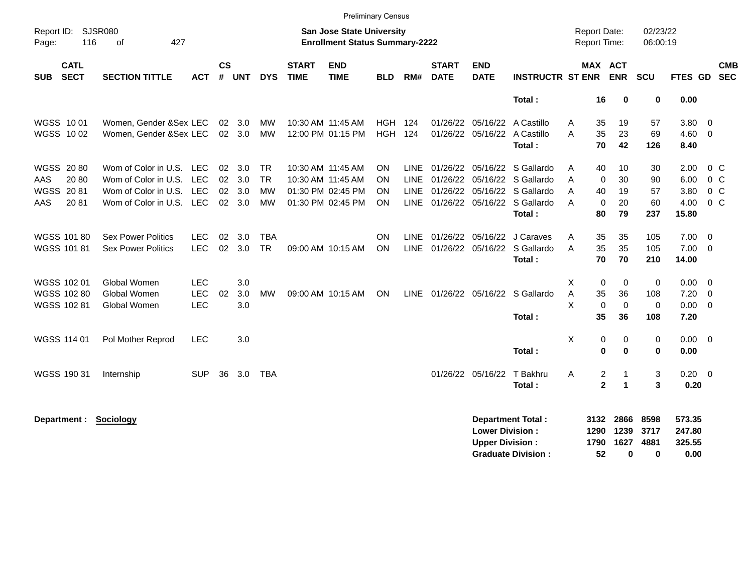|                                          |                           |            |                |                |            |                             |                                                                           | <b>Preliminary Census</b> |             |                             |                                                  |                                        |                                     |                         |                           |                      |                            |                          |                          |
|------------------------------------------|---------------------------|------------|----------------|----------------|------------|-----------------------------|---------------------------------------------------------------------------|---------------------------|-------------|-----------------------------|--------------------------------------------------|----------------------------------------|-------------------------------------|-------------------------|---------------------------|----------------------|----------------------------|--------------------------|--------------------------|
| Report ID: SJSR080<br>116<br>Page:       | 427<br>0f                 |            |                |                |            |                             | <b>San Jose State University</b><br><b>Enrollment Status Summary-2222</b> |                           |             |                             |                                                  |                                        | <b>Report Date:</b><br>Report Time: |                         |                           | 02/23/22<br>06:00:19 |                            |                          |                          |
| <b>CATL</b><br><b>SECT</b><br><b>SUB</b> | <b>SECTION TITTLE</b>     | <b>ACT</b> | <b>CS</b><br># | <b>UNT</b>     | <b>DYS</b> | <b>START</b><br><b>TIME</b> | <b>END</b><br><b>TIME</b>                                                 | BLD                       | RM#         | <b>START</b><br><b>DATE</b> | <b>END</b><br><b>DATE</b>                        | <b>INSTRUCTR ST ENR</b>                |                                     | MAX ACT                 | <b>ENR</b>                | SCU                  | FTES GD                    |                          | <b>CMB</b><br><b>SEC</b> |
|                                          |                           |            |                |                |            |                             |                                                                           |                           |             |                             |                                                  | Total:                                 |                                     | 16                      | 0                         | 0                    | 0.00                       |                          |                          |
| WGSS 10 01                               | Women, Gender &Sex LEC    |            |                | 02 3.0         | МW         |                             | 10:30 AM 11:45 AM                                                         | <b>HGH 124</b>            |             |                             |                                                  | 01/26/22 05/16/22 A Castillo           | A                                   | 35                      | 19                        | 57                   | 3.80                       | $\overline{\phantom{0}}$ |                          |
| WGSS 1002                                | Women, Gender &Sex LEC    |            |                | 02 3.0         | MW         |                             | 12:00 PM 01:15 PM                                                         | <b>HGH 124</b>            |             |                             |                                                  | 01/26/22 05/16/22 A Castillo<br>Total: | A                                   | 35<br>70                | 23<br>42                  | 69<br>126            | 4.60<br>8.40               | $\overline{\phantom{0}}$ |                          |
| WGSS 2080                                | Wom of Color in U.S. LEC  |            |                | $02 \quad 3.0$ | <b>TR</b>  |                             | 10:30 AM 11:45 AM                                                         | ΟN                        | LINE        |                             |                                                  | 01/26/22 05/16/22 S Gallardo           | A                                   | 40                      | 10                        | 30                   | 2.00                       | 0 <sup>o</sup>           |                          |
| AAS<br>20 80                             | Wom of Color in U.S. LEC  |            | 02             | 3.0            | <b>TR</b>  |                             | 10:30 AM 11:45 AM                                                         | ΟN                        | LINE        |                             |                                                  | 01/26/22 05/16/22 S Gallardo           | A                                   | 0                       | 30                        | 90                   | 6.00                       | 0 <sup>o</sup>           |                          |
| WGSS 20 81                               | Wom of Color in U.S.      | <b>LEC</b> | 02             | 3.0            | MW         |                             | 01:30 PM 02:45 PM                                                         | ON                        | LINE        |                             |                                                  | 01/26/22 05/16/22 S Gallardo           | A                                   | 40                      | 19                        | 57                   | 3.80                       | 0 <sup>o</sup>           |                          |
| AAS<br>2081                              | Wom of Color in U.S. LEC  |            |                | $02 \quad 3.0$ | MW         |                             | 01:30 PM 02:45 PM                                                         | ON                        | <b>LINE</b> |                             |                                                  | 01/26/22 05/16/22 S Gallardo<br>Total: | A                                   | $\mathbf 0$<br>80       | 20<br>79                  | 60<br>237            | 4.00<br>15.80              | $0\,C$                   |                          |
| WGSS 101 80                              | <b>Sex Power Politics</b> | <b>LEC</b> | 02             | 3.0            | <b>TBA</b> |                             |                                                                           | ON                        | <b>LINE</b> |                             |                                                  | 01/26/22 05/16/22 J Caraves            | Α                                   | 35                      | 35                        | 105                  | 7.00                       | $\overline{0}$           |                          |
| WGSS 101 81                              | <b>Sex Power Politics</b> | <b>LEC</b> | 02             | 3.0            | <b>TR</b>  |                             | 09:00 AM 10:15 AM                                                         | <b>ON</b>                 | <b>LINE</b> |                             |                                                  | 01/26/22 05/16/22 S Gallardo           | A                                   | 35                      | 35                        | 105                  | 7.00                       | $\overline{\mathbf{0}}$  |                          |
|                                          |                           |            |                |                |            |                             |                                                                           |                           |             |                             |                                                  | Total:                                 |                                     | 70                      | 70                        | 210                  | 14.00                      |                          |                          |
| WGSS 102 01                              | Global Women              | <b>LEC</b> |                | 3.0            |            |                             |                                                                           |                           |             |                             |                                                  |                                        | X                                   | 0                       | $\mathbf 0$               | 0                    | 0.00                       | $\overline{\phantom{0}}$ |                          |
| WGSS 102 80                              | Global Women              | <b>LEC</b> | 02             | 3.0            | <b>MW</b>  |                             | 09:00 AM 10:15 AM                                                         | <b>ON</b>                 |             |                             |                                                  | LINE 01/26/22 05/16/22 S Gallardo      | Α                                   | 35                      | 36                        | 108                  | 7.20                       | $\overline{0}$           |                          |
| WGSS 102 81                              | Global Women              | <b>LEC</b> |                | 3.0            |            |                             |                                                                           |                           |             |                             |                                                  |                                        | X                                   | $\mathbf 0$             | $\mathbf 0$               | 0                    | 0.00                       | $\overline{0}$           |                          |
|                                          |                           |            |                |                |            |                             |                                                                           |                           |             |                             |                                                  | Total:                                 |                                     | 35                      | 36                        | 108                  | 7.20                       |                          |                          |
| WGSS 114 01                              | Pol Mother Reprod         | <b>LEC</b> |                | 3.0            |            |                             |                                                                           |                           |             |                             |                                                  |                                        | X                                   | $\mathbf 0$             | 0                         | $\pmb{0}$            | 0.00                       | $\overline{\phantom{0}}$ |                          |
|                                          |                           |            |                |                |            |                             |                                                                           |                           |             |                             |                                                  | Total:                                 |                                     | $\bf{0}$                | $\bf{0}$                  | $\bf{0}$             | 0.00                       |                          |                          |
| WGSS 190 31                              | Internship                | <b>SUP</b> | 36             | 3.0            | TBA        |                             |                                                                           |                           |             |                             | 01/26/22 05/16/22                                | T Bakhru                               | Α                                   | $\overline{\mathbf{c}}$ | -1                        | 3                    | $0.20 \ 0$                 |                          |                          |
|                                          |                           |            |                |                |            |                             |                                                                           |                           |             |                             |                                                  | Total:                                 |                                     | $\mathbf{2}$            | $\mathbf{1}$              | 3                    | 0.20                       |                          |                          |
| Department :                             | <b>Sociology</b>          |            |                |                |            |                             |                                                                           |                           |             |                             | <b>Lower Division:</b><br><b>Upper Division:</b> | <b>Department Total:</b>               |                                     | 1290<br>1790            | 3132 2866<br>1239<br>1627 | 8598<br>3717<br>4881 | 573.35<br>247.80<br>325.55 |                          |                          |
|                                          |                           |            |                |                |            |                             |                                                                           |                           |             |                             |                                                  | <b>Graduate Division:</b>              |                                     | 52                      | O                         | $\bf{0}$             | 0.00                       |                          |                          |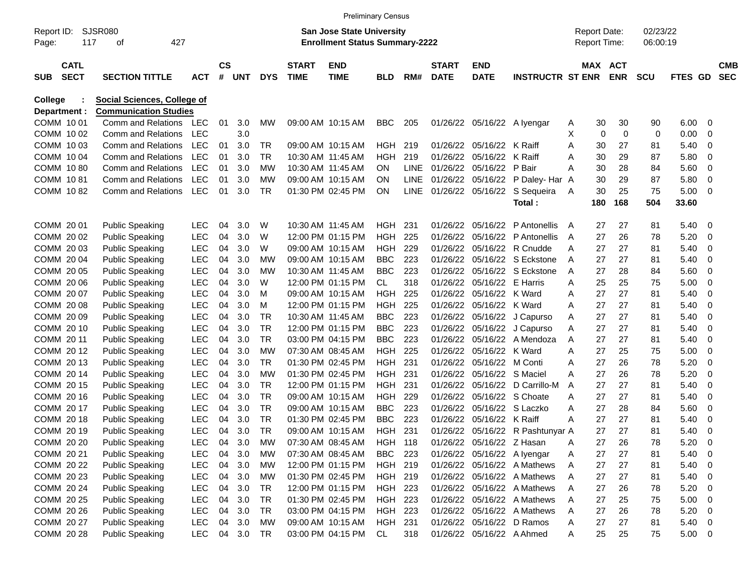|                     |                            |                                    |            |                    |            |            |                             | <b>Preliminary Census</b>                                                 |                |             |                             |                           |                         |              |                                            |            |                      |             |                         |                          |
|---------------------|----------------------------|------------------------------------|------------|--------------------|------------|------------|-----------------------------|---------------------------------------------------------------------------|----------------|-------------|-----------------------------|---------------------------|-------------------------|--------------|--------------------------------------------|------------|----------------------|-------------|-------------------------|--------------------------|
| Report ID:<br>Page: |                            | <b>SJSR080</b><br>427<br>117<br>οf |            |                    |            |            |                             | <b>San Jose State University</b><br><b>Enrollment Status Summary-2222</b> |                |             |                             |                           |                         |              | <b>Report Date:</b><br><b>Report Time:</b> |            | 02/23/22<br>06:00:19 |             |                         |                          |
| <b>SUB</b>          | <b>CATL</b><br><b>SECT</b> | <b>SECTION TITTLE</b>              | <b>ACT</b> | $\mathsf{cs}$<br># | <b>UNT</b> | <b>DYS</b> | <b>START</b><br><b>TIME</b> | <b>END</b><br><b>TIME</b>                                                 | <b>BLD</b>     | RM#         | <b>START</b><br><b>DATE</b> | <b>END</b><br><b>DATE</b> | <b>INSTRUCTR ST ENR</b> |              | MAX ACT                                    | <b>ENR</b> | <b>SCU</b>           | FTES GD     |                         | <b>CMB</b><br><b>SEC</b> |
| <b>College</b>      |                            | Social Sciences, College of        |            |                    |            |            |                             |                                                                           |                |             |                             |                           |                         |              |                                            |            |                      |             |                         |                          |
| Department :        |                            | <b>Communication Studies</b>       |            |                    |            |            |                             |                                                                           |                |             |                             |                           |                         |              |                                            |            |                      |             |                         |                          |
| COMM 10 01          |                            | Comm and Relations                 | LEC        | 01                 | 3.0        | MW         |                             | 09:00 AM 10:15 AM                                                         | <b>BBC</b>     | 205         | 01/26/22                    |                           | 05/16/22 A Iyengar      | A            | 30                                         | 30         | 90                   | 6.00        | - 0                     |                          |
| COMM 10 02          |                            | Comm and Relations                 | <b>LEC</b> |                    | 3.0        |            |                             |                                                                           |                |             |                             |                           |                         | X            | 0                                          | 0          | $\mathbf 0$          | 0.00        | $\mathbf 0$             |                          |
| COMM 1003           |                            | <b>Comm and Relations</b>          | <b>LEC</b> | 01                 | 3.0        | <b>TR</b>  |                             | 09:00 AM 10:15 AM                                                         | HGH.           | 219         | 01/26/22                    | 05/16/22                  | K Raiff                 | A            | 30                                         | 27         | 81                   | 5.40        | $\mathbf 0$             |                          |
| COMM 1004           |                            | <b>Comm and Relations</b>          | <b>LEC</b> | 01                 | 3.0        | <b>TR</b>  |                             | 10:30 AM 11:45 AM                                                         | <b>HGH</b>     | 219         | 01/26/22                    | 05/16/22                  | K Raiff                 | A            | 30                                         | 29         | 87                   | 5.80        | 0                       |                          |
| COMM 1080           |                            | <b>Comm and Relations</b>          | <b>LEC</b> | 01                 | 3.0        | МW         |                             | 10:30 AM 11:45 AM                                                         | ON.            | <b>LINE</b> | 01/26/22                    | 05/16/22                  | P Bair                  | A            | 30                                         | 28         | 84                   | 5.60        | $\mathbf 0$             |                          |
| COMM 1081           |                            | <b>Comm and Relations</b>          | <b>LEC</b> | 01                 | 3.0        | MW         |                             | 09:00 AM 10:15 AM                                                         | ON             | LINE        | 01/26/22                    | 05/16/22                  | P Daley- Har A          |              | 30                                         | 29         | 87                   | 5.80        | $\mathbf 0$             |                          |
| COMM 1082           |                            | Comm and Relations                 | <b>LEC</b> | 01                 | 3.0        | <b>TR</b>  |                             | 01:30 PM 02:45 PM                                                         | ΟN             | <b>LINE</b> | 01/26/22                    | 05/16/22                  | S Sequeira              | A            | 30                                         | 25         | 75                   | 5.00        | $\overline{0}$          |                          |
|                     |                            |                                    |            |                    |            |            |                             |                                                                           |                |             |                             |                           | Total:                  |              | 180                                        | 168        | 504                  | 33.60       |                         |                          |
| COMM 20 01          |                            | <b>Public Speaking</b>             | <b>LEC</b> | 04                 | 3.0        | W          |                             | 10:30 AM 11:45 AM                                                         | <b>HGH</b>     | 231         | 01/26/22                    | 05/16/22                  | P Antonellis            | $\mathsf{A}$ | 27                                         | 27         | 81                   | 5.40        | - 0                     |                          |
| COMM 20 02          |                            | <b>Public Speaking</b>             | <b>LEC</b> | 04                 | 3.0        | W          |                             | 12:00 PM 01:15 PM                                                         | <b>HGH</b>     | 225         | 01/26/22                    | 05/16/22                  | P Antonellis            | A            | 27                                         | 26         | 78                   | 5.20        | 0                       |                          |
| COMM 2003           |                            | <b>Public Speaking</b>             | LEC        | 04                 | 3.0        | W          |                             | 09:00 AM 10:15 AM                                                         | <b>HGH</b>     | 229         | 01/26/22                    | 05/16/22                  | R Cnudde                | A            | 27                                         | 27         | 81                   | 5.40        | $\mathbf 0$             |                          |
| COMM 2004           |                            | <b>Public Speaking</b>             | <b>LEC</b> | 04                 | 3.0        | МW         |                             | 09:00 AM 10:15 AM                                                         | <b>BBC</b>     | 223         | 01/26/22                    | 05/16/22                  | S Eckstone              | A            | 27                                         | 27         | 81                   | 5.40        | 0                       |                          |
| COMM 20 05          |                            | <b>Public Speaking</b>             | <b>LEC</b> | 04                 | 3.0        | МW         |                             | 10:30 AM 11:45 AM                                                         | <b>BBC</b>     | 223         | 01/26/22                    |                           | 05/16/22 S Eckstone     | A            | 27                                         | 28         | 84                   | 5.60        | $\mathbf 0$             |                          |
| COMM 20 06          |                            | <b>Public Speaking</b>             | <b>LEC</b> | 04                 | 3.0        | W          |                             | 12:00 PM 01:15 PM                                                         | CL             | 318         | 01/26/22                    | 05/16/22                  | E Harris                | A            | 25                                         | 25         | 75                   | 5.00        | $\mathbf 0$             |                          |
| COMM 2007           |                            | <b>Public Speaking</b>             | <b>LEC</b> | 04                 | 3.0        | M          |                             | 09:00 AM 10:15 AM                                                         | <b>HGH</b>     | 225         | 01/26/22                    | 05/16/22                  | K Ward                  | A            | 27                                         | 27         | 81                   | 5.40        | $\mathbf 0$             |                          |
| COMM 2008           |                            | <b>Public Speaking</b>             | <b>LEC</b> | 04                 | 3.0        | м          |                             | 12:00 PM 01:15 PM                                                         | <b>HGH</b>     | 225         | 01/26/22                    | 05/16/22                  | K Ward                  | A            | 27                                         | 27         | 81                   | 5.40        | $\mathbf 0$             |                          |
| COMM 20 09          |                            | <b>Public Speaking</b>             | <b>LEC</b> | 04                 | 3.0        | TR         |                             | 10:30 AM 11:45 AM                                                         | <b>BBC</b>     | 223         | 01/26/22                    | 05/16/22                  | J Capurso               | A            | 27                                         | 27         | 81                   | 5.40        | $\mathbf 0$             |                          |
| COMM 20 10          |                            | <b>Public Speaking</b>             | <b>LEC</b> | 04                 | 3.0        | <b>TR</b>  |                             | 12:00 PM 01:15 PM                                                         | <b>BBC</b>     | 223         | 01/26/22                    | 05/16/22                  | J Capurso               | A            | 27                                         | 27         | 81                   | 5.40        | $\mathbf 0$             |                          |
| COMM 20 11          |                            | <b>Public Speaking</b>             | <b>LEC</b> | 04                 | 3.0        | <b>TR</b>  |                             | 03:00 PM 04:15 PM                                                         | <b>BBC</b>     | 223         | 01/26/22                    | 05/16/22                  | A Mendoza               | A            | 27                                         | 27         | 81                   | 5.40        | $\mathbf 0$             |                          |
| COMM 2012           |                            | <b>Public Speaking</b>             | <b>LEC</b> | 04                 | 3.0        | MW         |                             | 07:30 AM 08:45 AM                                                         | <b>HGH</b>     | 225         | 01/26/22                    | 05/16/22                  | K Ward                  | A            | 27                                         | 25         | 75                   | 5.00        | $\mathbf 0$             |                          |
| COMM 2013           |                            | <b>Public Speaking</b>             | <b>LEC</b> | 04                 | 3.0        | <b>TR</b>  |                             | 01:30 PM 02:45 PM                                                         | <b>HGH</b>     | 231         | 01/26/22                    | 05/16/22                  | M Conti                 | A            | 27                                         | 26         | 78                   | 5.20        | $\mathbf 0$             |                          |
| COMM 2014           |                            | <b>Public Speaking</b>             | <b>LEC</b> | 04                 | 3.0        | МW         |                             | 01:30 PM 02:45 PM                                                         | <b>HGH</b>     | 231         | 01/26/22                    | 05/16/22                  | S Maciel                | A            | 27                                         | 26         | 78                   | 5.20        | $\mathbf 0$             |                          |
| COMM 20 15          |                            | <b>Public Speaking</b>             | LEC        | 04                 | 3.0        | <b>TR</b>  |                             | 12:00 PM 01:15 PM                                                         | <b>HGH</b>     | 231         | 01/26/22                    | 05/16/22                  | D Carrillo-M            | A            | 27                                         | 27         | 81                   | 5.40        | $\mathbf 0$             |                          |
| COMM 2016           |                            | <b>Public Speaking</b>             | LEC        | 04                 | 3.0        | <b>TR</b>  |                             | 09:00 AM 10:15 AM                                                         | <b>HGH</b>     | 229         | 01/26/22                    | 05/16/22                  | S Choate                | A            | 27                                         | 27         | 81                   | 5.40        | 0                       |                          |
| COMM 20 17          |                            | <b>Public Speaking</b>             | LEC        | 04                 | 3.0        | TR         |                             | 09:00 AM 10:15 AM                                                         | <b>BBC</b>     | 223         | 01/26/22                    | 05/16/22                  | S Laczko                | A            | 27                                         | 28         | 84                   | 5.60        | 0                       |                          |
| COMM 2018           |                            | <b>Public Speaking</b>             | <b>LEC</b> | 04                 | 3.0        | TR         |                             | 01:30 PM 02:45 PM                                                         | <b>BBC</b>     | 223         | 01/26/22                    | 05/16/22                  | K Raiff                 | A            | 27                                         | 27         | 81                   | 5.40        | 0                       |                          |
| COMM 2019           |                            | <b>Public Speaking</b>             | <b>LEC</b> | 04                 | 3.0        | <b>TR</b>  |                             | 09:00 AM 10:15 AM                                                         | <b>HGH</b>     | 231         | 01/26/22                    |                           | 05/16/22 R Pashtunyar A |              | 27                                         | 27         | 81                   | 5.40        | $\mathbf 0$             |                          |
| COMM 20 20          |                            | <b>Public Speaking</b>             | <b>LEC</b> | 04                 | 3.0        | МW         |                             | 07:30 AM 08:45 AM                                                         | <b>HGH 118</b> |             | 01/26/22                    | 05/16/22 Z Hasan          |                         | Α            | 27                                         | 26         | 78                   | 5.20        | $\overline{0}$          |                          |
| COMM 20 21          |                            | <b>Public Speaking</b>             | <b>LEC</b> | 04                 | 3.0        | MW         |                             | 07:30 AM 08:45 AM                                                         | <b>BBC</b>     | 223         | 01/26/22                    |                           | 05/16/22 A lyengar      | A            | 27                                         | 27         | 81                   | 5.40        | $\overline{0}$          |                          |
| COMM 20 22          |                            | <b>Public Speaking</b>             | <b>LEC</b> | 04                 | 3.0        | MW         |                             | 12:00 PM 01:15 PM                                                         | HGH 219        |             | 01/26/22                    |                           | 05/16/22 A Mathews      | A            | 27                                         | 27         | 81                   | 5.40        | $\overline{\mathbf{0}}$ |                          |
| COMM 20 23          |                            | <b>Public Speaking</b>             | <b>LEC</b> | 04                 | 3.0        | MW         |                             | 01:30 PM 02:45 PM                                                         | HGH 219        |             | 01/26/22                    |                           | 05/16/22 A Mathews      | A            | 27                                         | 27         | 81                   | 5.40        | $\overline{\mathbf{0}}$ |                          |
| COMM 20 24          |                            | <b>Public Speaking</b>             | <b>LEC</b> | 04                 | 3.0        | <b>TR</b>  |                             | 12:00 PM 01:15 PM                                                         | HGH 223        |             | 01/26/22                    |                           | 05/16/22 A Mathews      | A            | 27                                         | 26         | 78                   | 5.20        | $\overline{\mathbf{0}}$ |                          |
| COMM 20 25          |                            | <b>Public Speaking</b>             | <b>LEC</b> | 04                 | 3.0        | <b>TR</b>  |                             | 01:30 PM 02:45 PM                                                         | HGH 223        |             | 01/26/22                    |                           | 05/16/22 A Mathews      | A            | 27                                         | 25         | 75                   | 5.00        | $\overline{\mathbf{0}}$ |                          |
| COMM 20 26          |                            | <b>Public Speaking</b>             | <b>LEC</b> | 04                 | 3.0        | <b>TR</b>  |                             | 03:00 PM 04:15 PM                                                         | HGH 223        |             | 01/26/22                    |                           | 05/16/22 A Mathews      | A            | 27                                         | 26         | 78                   | 5.20        | $\overline{\mathbf{0}}$ |                          |
| COMM 20 27          |                            | <b>Public Speaking</b>             | <b>LEC</b> | 04                 | 3.0        | MW         |                             | 09:00 AM 10:15 AM                                                         | HGH 231        |             | 01/26/22                    |                           | 05/16/22 D Ramos        | A            | 27                                         | 27         | 81                   | 5.40        | $\overline{\mathbf{0}}$ |                          |
| COMM 20 28          |                            | <b>Public Speaking</b>             | <b>LEC</b> |                    | 04 3.0     | TR         |                             | 03:00 PM 04:15 PM                                                         | CL             | 318         |                             | 01/26/22 05/16/22 A Ahmed |                         | A            | 25                                         | 25         | 75                   | $5.00 \t 0$ |                         |                          |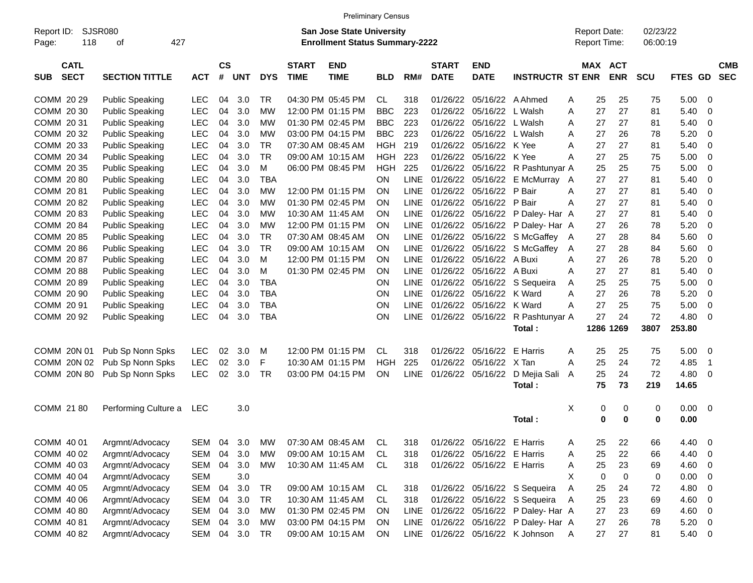|                                          |                             |            |                |            |            |                             | <b>Preliminary Census</b>                                                 |            |             |                             |                            |                                       |   |                                     |                          |                      |                |             |                          |
|------------------------------------------|-----------------------------|------------|----------------|------------|------------|-----------------------------|---------------------------------------------------------------------------|------------|-------------|-----------------------------|----------------------------|---------------------------------------|---|-------------------------------------|--------------------------|----------------------|----------------|-------------|--------------------------|
| Report ID:<br>118<br>Page:               | <b>SJSR080</b><br>427<br>of |            |                |            |            |                             | <b>San Jose State University</b><br><b>Enrollment Status Summary-2222</b> |            |             |                             |                            |                                       |   | <b>Report Date:</b><br>Report Time: |                          | 02/23/22<br>06:00:19 |                |             |                          |
| <b>CATL</b><br><b>SECT</b><br><b>SUB</b> | <b>SECTION TITTLE</b>       | <b>ACT</b> | <b>CS</b><br># | <b>UNT</b> | <b>DYS</b> | <b>START</b><br><b>TIME</b> | <b>END</b><br><b>TIME</b>                                                 | <b>BLD</b> | RM#         | <b>START</b><br><b>DATE</b> | <b>END</b><br><b>DATE</b>  | <b>INSTRUCTR ST ENR</b>               |   | <b>MAX</b>                          | <b>ACT</b><br><b>ENR</b> | <b>SCU</b>           | <b>FTES GD</b> |             | <b>CMB</b><br><b>SEC</b> |
| COMM 20 29                               | <b>Public Speaking</b>      | <b>LEC</b> | 04             | 3.0        | TR         |                             | 04:30 PM 05:45 PM                                                         | CL         | 318         | 01/26/22                    | 05/16/22 A Ahmed           |                                       | A | 25                                  | 25                       | 75                   | 5.00           | 0           |                          |
| COMM 20 30                               | <b>Public Speaking</b>      | <b>LEC</b> | 04             | 3.0        | МW         |                             | 12:00 PM 01:15 PM                                                         | <b>BBC</b> | 223         | 01/26/22                    | 05/16/22 L Walsh           |                                       | A | 27                                  | 27                       | 81                   | 5.40           | 0           |                          |
| COMM 20 31                               | <b>Public Speaking</b>      | LEC        | 04             | 3.0        | MW         |                             | 01:30 PM 02:45 PM                                                         | <b>BBC</b> | 223         | 01/26/22                    | 05/16/22 L Walsh           |                                       | A | 27                                  | 27                       | 81                   | 5.40           | 0           |                          |
| COMM 20 32                               | <b>Public Speaking</b>      | LEC        | 04             | 3.0        | MW         |                             | 03:00 PM 04:15 PM                                                         | <b>BBC</b> | 223         | 01/26/22                    | 05/16/22 L Walsh           |                                       | A | 27                                  | 26                       | 78                   | 5.20           | 0           |                          |
| COMM 20 33                               | <b>Public Speaking</b>      | LEC        | 04             | 3.0        | <b>TR</b>  |                             | 07:30 AM 08:45 AM                                                         | <b>HGH</b> | 219         | 01/26/22                    | 05/16/22                   | K Yee                                 | A | 27                                  | 27                       | 81                   | 5.40           | 0           |                          |
| COMM 20 34                               | <b>Public Speaking</b>      | LEC        | 04             | 3.0        | <b>TR</b>  |                             | 09:00 AM 10:15 AM                                                         | <b>HGH</b> | 223         | 01/26/22                    | 05/16/22                   | K Yee                                 | A | 27                                  | 25                       | 75                   | 5.00           | 0           |                          |
| COMM 20 35                               | <b>Public Speaking</b>      | LEC        | 04             | 3.0        | M          |                             | 06:00 PM 08:45 PM                                                         | <b>HGH</b> | 225         | 01/26/22                    | 05/16/22                   | R Pashtunyar A                        |   | 25                                  | 25                       | 75                   | 5.00           | 0           |                          |
| COMM 2080                                | <b>Public Speaking</b>      | LEC        | 04             | 3.0        | <b>TBA</b> |                             |                                                                           | ON         | LINE        | 01/26/22                    |                            | 05/16/22 E McMurray A                 |   | 27                                  | 27                       | 81                   | 5.40           | 0           |                          |
| COMM 2081                                | <b>Public Speaking</b>      | LEC        | 04             | 3.0        | MW         |                             | 12:00 PM 01:15 PM                                                         | ON         | <b>LINE</b> |                             | 01/26/22 05/16/22          | P Bair                                | A | 27                                  | 27                       | 81                   | 5.40           | 0           |                          |
| COMM 2082                                | <b>Public Speaking</b>      | LEC        | 04             | 3.0        | <b>MW</b>  |                             | 01:30 PM 02:45 PM                                                         | ON         | <b>LINE</b> | 01/26/22                    | 05/16/22 P Bair            |                                       | A | 27                                  | 27                       | 81                   | 5.40           | 0           |                          |
| COMM 2083                                | <b>Public Speaking</b>      | LEC        | 04             | 3.0        | <b>MW</b>  |                             | 10:30 AM 11:45 AM                                                         | ON         | <b>LINE</b> | 01/26/22                    |                            | 05/16/22 P Daley- Har A               |   | 27                                  | 27                       | 81                   | 5.40           | 0           |                          |
| COMM 2084                                | <b>Public Speaking</b>      | LEC        | 04             | 3.0        | MW         |                             | 12:00 PM 01:15 PM                                                         | ON         | <b>LINE</b> |                             |                            | 01/26/22 05/16/22 P Daley- Har A      |   | 27                                  | 26                       | 78                   | 5.20           | 0           |                          |
| COMM 20 85                               | <b>Public Speaking</b>      | LEC        | 04             | 3.0        | <b>TR</b>  |                             | 07:30 AM 08:45 AM                                                         | ON         | <b>LINE</b> |                             |                            | 01/26/22 05/16/22 S McGaffey          | A | 27                                  | 28                       | 84                   | 5.60           | 0           |                          |
| COMM 20 86                               | <b>Public Speaking</b>      | LEC        | 04             | 3.0        | <b>TR</b>  |                             | 09:00 AM 10:15 AM                                                         | ON         | <b>LINE</b> |                             | 01/26/22 05/16/22          | S McGaffey                            | A | 27                                  | 28                       | 84                   | 5.60           | 0           |                          |
| COMM 20 87                               | <b>Public Speaking</b>      | LEC        | 04             | 3.0        | м          |                             | 12:00 PM 01:15 PM                                                         | ON         | <b>LINE</b> | 01/26/22                    | 05/16/22                   | A Buxi                                | A | 27                                  | 26                       | 78                   | 5.20           | 0           |                          |
| COMM 2088                                | <b>Public Speaking</b>      | LEC        | 04             | 3.0        | м          |                             | 01:30 PM 02:45 PM                                                         | ON         | <b>LINE</b> | 01/26/22                    | 05/16/22                   | A Buxi                                | A | 27                                  | 27                       | 81                   | 5.40           | 0           |                          |
| COMM 2089                                | <b>Public Speaking</b>      | LEC        | 04             | 3.0        | <b>TBA</b> |                             |                                                                           | ON         | <b>LINE</b> |                             | 01/26/22 05/16/22          | S Sequeira                            | A | 25                                  | 25                       | 75                   | 5.00           | 0           |                          |
| COMM 20 90                               | <b>Public Speaking</b>      | LEC        | 04             | 3.0        | TBA        |                             |                                                                           | ON         | <b>LINE</b> |                             | 01/26/22 05/16/22 K Ward   |                                       | Α | 27                                  | 26                       | 78                   | 5.20           | 0           |                          |
| COMM 20 91                               | <b>Public Speaking</b>      | LEC        | 04             | 3.0        | <b>TBA</b> |                             |                                                                           | ON         | <b>LINE</b> | 01/26/22                    | 05/16/22                   | K Ward                                | A | 27                                  | 25                       | 75                   | 5.00           | 0           |                          |
| COMM 20 92                               | <b>Public Speaking</b>      | <b>LEC</b> | 04             | 3.0        | <b>TBA</b> |                             |                                                                           | ON         | LINE        |                             | 01/26/22 05/16/22          | R Pashtunyar A                        |   | 27                                  | 24                       | 72                   | 4.80           | 0           |                          |
|                                          |                             |            |                |            |            |                             |                                                                           |            |             |                             |                            | Total:                                |   |                                     | 1286 1269                | 3807                 | 253.80         |             |                          |
|                                          |                             |            |                |            |            |                             |                                                                           |            |             |                             |                            |                                       |   |                                     |                          |                      |                |             |                          |
| COMM 20N 01                              | Pub Sp Nonn Spks            | <b>LEC</b> | 02             | 3.0        | M          |                             | 12:00 PM 01:15 PM                                                         | CL         | 318         | 01/26/22                    | 05/16/22                   | E Harris                              | Α | 25                                  | 25                       | 75                   | 5.00           | 0           |                          |
| COMM 20N 02                              | Pub Sp Nonn Spks            | <b>LEC</b> | 02             | 3.0        | F          |                             | 10:30 AM 01:15 PM                                                         | HGH        | 225         | 01/26/22                    | 05/16/22                   | X Tan                                 | A | 25                                  | 24                       | 72                   | 4.85           | $\mathbf 1$ |                          |
| COMM 20N 80                              | Pub Sp Nonn Spks            | <b>LEC</b> | 02             | 3.0        | TR         |                             | 03:00 PM 04:15 PM                                                         | ON         | <b>LINE</b> | 01/26/22 05/16/22           |                            | D Mejia Sali A                        |   | 25                                  | 24                       | 72                   | 4.80           | 0           |                          |
|                                          |                             |            |                |            |            |                             |                                                                           |            |             |                             |                            | Total:                                |   | 75                                  | 73                       | 219                  | 14.65          |             |                          |
|                                          |                             |            |                |            |            |                             |                                                                           |            |             |                             |                            |                                       |   |                                     |                          |                      |                |             |                          |
| COMM 21 80                               | Performing Culture a        | LEC        |                | 3.0        |            |                             |                                                                           |            |             |                             |                            |                                       | Χ | 0                                   | 0                        | 0                    | 0.00           | 0           |                          |
|                                          |                             |            |                |            |            |                             |                                                                           |            |             |                             |                            | Total:                                |   | 0                                   | 0                        | $\mathbf 0$          | 0.00           |             |                          |
|                                          | COMM 40 01 Argmnt/Advocacy  |            |                |            |            |                             | SEM 04 3.0 MW 07:30 AM 08:45 AM CL 318 01/26/22 05/16/22 E Harris         |            |             |                             |                            |                                       | A | 25                                  | 22                       | 66                   | 4.40 0         |             |                          |
| COMM 40 02                               | Argmnt/Advocacy             | SEM 04     |                | 3.0        | MW         |                             | 09:00 AM 10:15 AM                                                         | CL         | 318         |                             | 01/26/22 05/16/22 E Harris |                                       | Α | 25                                  | 22                       | 66                   | 4.40           | 0           |                          |
| COMM 40 03                               | Argmnt/Advocacy             | SEM 04 3.0 |                |            | MW         |                             | 10:30 AM 11:45 AM                                                         | CL         | 318         |                             | 01/26/22 05/16/22 E Harris |                                       | Α | 25                                  | 23                       | 69                   | 4.60           | 0           |                          |
| COMM 40 04                               | Argmnt/Advocacy             | SEM        |                | 3.0        |            |                             |                                                                           |            |             |                             |                            |                                       | X | 0                                   | $\pmb{0}$                | 0                    | 0.00           | 0           |                          |
| COMM 40 05                               | Argmnt/Advocacy             | SEM        | 04             | 3.0        | TR         |                             | 09:00 AM 10:15 AM                                                         | CL         | 318         |                             |                            | 01/26/22 05/16/22 S Sequeira          | Α | 25                                  | 24                       | 72                   | 4.80           | 0           |                          |
| COMM 40 06                               | Argmnt/Advocacy             | SEM 04     |                | 3.0        | TR         |                             | 10:30 AM 11:45 AM                                                         | CL         | 318         |                             |                            | 01/26/22 05/16/22 S Sequeira          | A | 25                                  | 23                       | 69                   | 4.60           | 0           |                          |
| COMM 40 80                               | Argmnt/Advocacy             | SEM 04 3.0 |                |            | <b>MW</b>  |                             | 01:30 PM 02:45 PM                                                         | ON         | LINE        |                             |                            | 01/26/22 05/16/22 P Daley- Har A      |   | 27                                  | 23                       | 69                   | 4.60           | 0           |                          |
| COMM 40 81                               | Argmnt/Advocacy             | SEM 04 3.0 |                |            | MW         |                             | 03:00 PM 04:15 PM                                                         | ON         |             |                             |                            | LINE 01/26/22 05/16/22 P Daley- Har A |   | 27                                  | 26                       | 78                   | 5.20           | 0           |                          |
| COMM 40 82                               | Argmnt/Advocacy             | SEM 04 3.0 |                |            | TR         |                             | 09:00 AM 10:15 AM                                                         | ON         |             |                             |                            | LINE 01/26/22 05/16/22 K Johnson      | A | 27                                  | 27                       | 81                   | 5.40           | 0           |                          |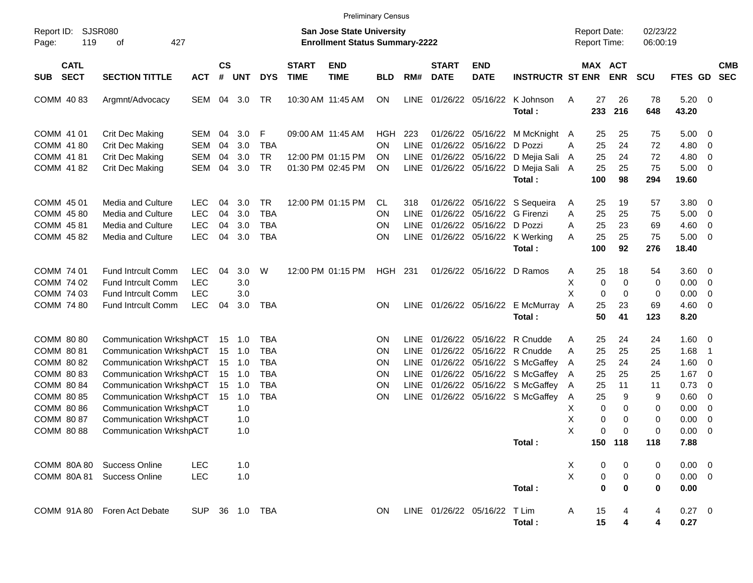|                                                                                                                                        |                                                                                                                                                                                                                                                                                                         |                                                      |                                  |                                                             |                                                                                  |                             | <b>Preliminary Census</b>                                   |                                     |                                                            |                                           |                                           |                                                                                                                                                       |                                           |                                                 |                                                           |                                                       |                                                                                     |                                                                                                                                            |                          |
|----------------------------------------------------------------------------------------------------------------------------------------|---------------------------------------------------------------------------------------------------------------------------------------------------------------------------------------------------------------------------------------------------------------------------------------------------------|------------------------------------------------------|----------------------------------|-------------------------------------------------------------|----------------------------------------------------------------------------------|-----------------------------|-------------------------------------------------------------|-------------------------------------|------------------------------------------------------------|-------------------------------------------|-------------------------------------------|-------------------------------------------------------------------------------------------------------------------------------------------------------|-------------------------------------------|-------------------------------------------------|-----------------------------------------------------------|-------------------------------------------------------|-------------------------------------------------------------------------------------|--------------------------------------------------------------------------------------------------------------------------------------------|--------------------------|
| <b>SJSR080</b><br><b>San Jose State University</b><br>Report ID:<br>119<br>427<br><b>Enrollment Status Summary-2222</b><br>Page:<br>οf |                                                                                                                                                                                                                                                                                                         |                                                      |                                  |                                                             |                                                                                  |                             |                                                             |                                     |                                                            |                                           |                                           |                                                                                                                                                       |                                           |                                                 | <b>Report Date:</b><br>Report Time:                       | 02/23/22<br>06:00:19                                  |                                                                                     |                                                                                                                                            |                          |
| <b>CATL</b><br><b>SECT</b><br><b>SUB</b>                                                                                               | <b>SECTION TITTLE</b>                                                                                                                                                                                                                                                                                   | <b>ACT</b>                                           | <b>CS</b><br>$\#$                | <b>UNT</b>                                                  | <b>DYS</b>                                                                       | <b>START</b><br><b>TIME</b> | <b>END</b><br><b>TIME</b>                                   | <b>BLD</b>                          | RM#                                                        | <b>START</b><br><b>DATE</b>               | <b>END</b><br><b>DATE</b>                 | <b>INSTRUCTR ST ENR</b>                                                                                                                               |                                           |                                                 | MAX ACT<br><b>ENR</b>                                     | <b>SCU</b>                                            | FTES GD                                                                             |                                                                                                                                            | <b>CMB</b><br><b>SEC</b> |
| COMM 4083                                                                                                                              | Argmnt/Advocacy                                                                                                                                                                                                                                                                                         | SEM                                                  | 04                               | 3.0                                                         | TR                                                                               |                             | 10:30 AM 11:45 AM                                           | <b>ON</b>                           | LINE                                                       | 01/26/22 05/16/22                         |                                           | K Johnson<br>Total:                                                                                                                                   | Α                                         | 27<br>233                                       | 26<br>216                                                 | 78<br>648                                             | $5.20 \ 0$<br>43.20                                                                 |                                                                                                                                            |                          |
| COMM 41 01<br>COMM 41 80<br>COMM 41 81<br>COMM 41 82                                                                                   | <b>Crit Dec Making</b><br><b>Crit Dec Making</b><br>Crit Dec Making<br>Crit Dec Making                                                                                                                                                                                                                  | SEM<br>SEM<br><b>SEM</b><br>SEM                      | 04<br>04<br>04<br>04             | 3.0<br>3.0<br>3.0<br>3.0                                    | F<br><b>TBA</b><br><b>TR</b><br><b>TR</b>                                        |                             | 09:00 AM 11:45 AM<br>12:00 PM 01:15 PM<br>01:30 PM 02:45 PM | <b>HGH</b><br>ON<br><b>ON</b><br>ΟN | 223<br>LINE<br>LINE<br><b>LINE</b>                         | 01/26/22<br>01/26/22<br>01/26/22 05/16/22 | 01/26/22 05/16/22<br>05/16/22<br>05/16/22 | M McKnight A<br>D Pozzi<br>D Mejia Sali<br>D Mejia Sali A<br>Total:                                                                                   | A<br>A                                    | 25<br>25<br>25<br>25<br>100                     | 25<br>24<br>24<br>25<br>98                                | 75<br>72<br>72<br>75<br>294                           | $5.00 \t 0$<br>4.80<br>4.80<br>$5.00 \t 0$<br>19.60                                 | $\overline{\mathbf{0}}$<br>$\overline{0}$                                                                                                  |                          |
| COMM 45 01<br>COMM 4580<br>COMM 45 81<br>COMM 4582                                                                                     | <b>Media and Culture</b><br>Media and Culture<br>Media and Culture<br>Media and Culture                                                                                                                                                                                                                 | <b>LEC</b><br><b>LEC</b><br><b>LEC</b><br><b>LEC</b> | 04<br>04<br>04<br>04             | 3.0<br>3.0<br>3.0<br>3.0                                    | <b>TR</b><br><b>TBA</b><br><b>TBA</b><br><b>TBA</b>                              |                             | 12:00 PM 01:15 PM                                           | CL<br>ON<br>ON<br>ON                | 318<br><b>LINE</b><br>LINE<br><b>LINE</b>                  | 01/26/22<br>01/26/22                      | 05/16/22<br>05/16/22                      | 01/26/22 05/16/22 S Sequeira<br><b>G</b> Firenzi<br>D Pozzi<br>01/26/22 05/16/22 K Werking<br>Total:                                                  | A<br>A<br>A<br>A                          | 25<br>25<br>25<br>25<br>100                     | 19<br>25<br>23<br>25<br>92                                | 57<br>75<br>69<br>75<br>276                           | 3.80 0<br>5.00<br>4.60<br>5.00<br>18.40                                             | $\overline{\mathbf{0}}$<br>$\overline{0}$<br>$\overline{0}$                                                                                |                          |
| COMM 74 01<br>COMM 74 02<br>COMM 74 03<br>COMM 74 80                                                                                   | <b>Fund Intrcult Comm</b><br><b>Fund Intrcult Comm</b><br><b>Fund Intrcult Comm</b><br><b>Fund Intrcult Comm</b>                                                                                                                                                                                        | <b>LEC</b><br><b>LEC</b><br><b>LEC</b><br><b>LEC</b> | 04<br>04                         | 3.0<br>3.0<br>3.0<br>3.0                                    | W<br><b>TBA</b>                                                                  |                             | 12:00 PM 01:15 PM                                           | HGH 231<br>ΟN                       | <b>LINE</b>                                                |                                           | 01/26/22 05/16/22                         | D Ramos<br>01/26/22 05/16/22 E McMurray<br>Total:                                                                                                     | Α<br>X<br>X<br>A                          | 25<br>0<br>0<br>25<br>50                        | 18<br>0<br>0<br>23<br>41                                  | 54<br>0<br>0<br>69<br>123                             | $3.60 \ 0$<br>0.00<br>0.00<br>4.60<br>8.20                                          | $\overline{\mathbf{0}}$<br>$\overline{0}$<br>$\overline{\phantom{0}}$                                                                      |                          |
| COMM 80 80<br>COMM 80 81<br>COMM 80 82<br>COMM 80 83<br>COMM 80 84<br>COMM 80 85<br>COMM 80 86<br>COMM 80 87<br>COMM 80 88             | <b>Communication WrkshpACT</b><br><b>Communication WrkshpACT</b><br><b>Communication WrkshpACT</b><br><b>Communication WrkshpACT</b><br><b>Communication WrkshpACT</b><br><b>Communication WrkshpACT</b><br><b>Communication WrkshpACT</b><br>Communication WrkshpACT<br><b>Communication WrkshpACT</b> |                                                      | 15<br>15<br>15<br>15<br>15<br>15 | 1.0<br>1.0<br>1.0<br>1.0<br>1.0<br>1.0<br>1.0<br>1.0<br>1.0 | <b>TBA</b><br><b>TBA</b><br><b>TBA</b><br><b>TBA</b><br><b>TBA</b><br><b>TBA</b> |                             |                                                             | ΟN<br>ΟN<br>ON<br>ON<br>ON<br>ON    | <b>LINE</b><br>LINE<br>LINE<br>LINE<br>LINE<br><b>LINE</b> | 01/26/22<br>01/26/22<br>01/26/22          | 05/16/22<br>05/16/22                      | R Cnudde<br>R Cnudde<br>05/16/22 S McGaffey<br>01/26/22 05/16/22 S McGaffey<br>01/26/22 05/16/22 S McGaffey<br>01/26/22 05/16/22 S McGaffey<br>Total: | Α<br>A<br>A<br>A<br>A<br>A<br>Х<br>Χ<br>X | 25<br>25<br>25<br>25<br>25<br>25<br>0<br>0<br>0 | 24<br>25<br>24<br>25<br>11<br>9<br>0<br>0<br>0<br>150 118 | 24<br>25<br>24<br>25<br>11<br>9<br>0<br>0<br>0<br>118 | $1.60 \t 0$<br>1.68<br>1.60<br>1.67<br>0.73<br>0.60<br>0.00<br>0.00<br>0.00<br>7.88 | $\overline{1}$<br>- 0<br>$\overline{\mathbf{0}}$<br>$\overline{0}$<br>$\overline{0}$<br>$\overline{0}$<br>$\overline{0}$<br>$\overline{0}$ |                          |
| COMM 80A 80<br>COMM 80A 81                                                                                                             | Success Online<br><b>Success Online</b>                                                                                                                                                                                                                                                                 | <b>LEC</b><br><b>LEC</b>                             |                                  | 1.0<br>1.0                                                  |                                                                                  |                             |                                                             |                                     |                                                            |                                           |                                           | Total:                                                                                                                                                | Χ<br>X                                    | 0<br>0<br>$\mathbf 0$                           | 0<br>0<br>0                                               | 0<br>0<br>0                                           | $0.00 \t 0$<br>$0.00 \t 0$<br>0.00                                                  |                                                                                                                                            |                          |
|                                                                                                                                        | COMM 91A 80 Foren Act Debate                                                                                                                                                                                                                                                                            | SUP 36 1.0 TBA                                       |                                  |                                                             |                                                                                  |                             |                                                             | ON.                                 |                                                            | LINE 01/26/22 05/16/22                    |                                           | T Lim<br>Total:                                                                                                                                       | Α                                         | 15<br>15                                        | 4<br>4                                                    | 4<br>4                                                | $0.27 \ 0$<br>0.27                                                                  |                                                                                                                                            |                          |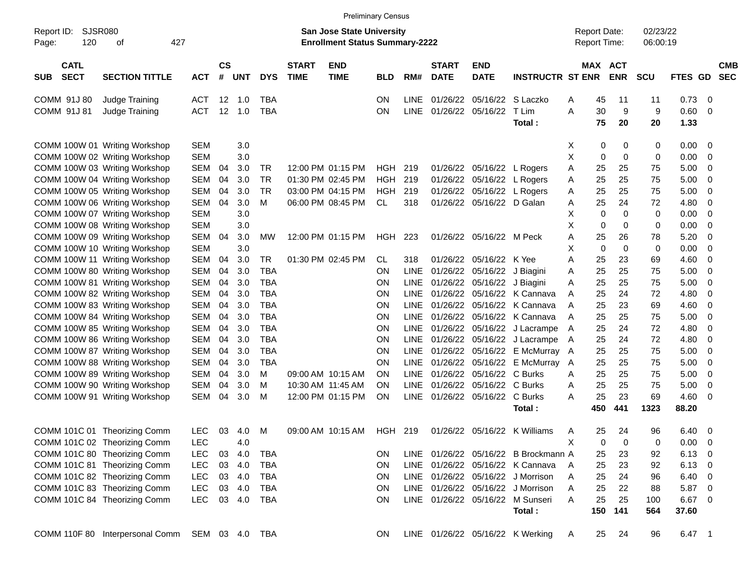|                                          |                                                |            |                    |            |            |                             |                                                                           | <b>Preliminary Census</b> |             |                             |                           |                                      |   |                                     |                          |                      |              |                                |
|------------------------------------------|------------------------------------------------|------------|--------------------|------------|------------|-----------------------------|---------------------------------------------------------------------------|---------------------------|-------------|-----------------------------|---------------------------|--------------------------------------|---|-------------------------------------|--------------------------|----------------------|--------------|--------------------------------|
| SJSR080<br>Report ID:<br>120<br>Page:    | 427<br>οf                                      |            |                    |            |            |                             | <b>San Jose State University</b><br><b>Enrollment Status Summary-2222</b> |                           |             |                             |                           |                                      |   | <b>Report Date:</b><br>Report Time: |                          | 02/23/22<br>06:00:19 |              |                                |
| <b>CATL</b><br><b>SECT</b><br><b>SUB</b> | <b>SECTION TITTLE</b>                          | <b>ACT</b> | $\mathsf{cs}$<br># | <b>UNT</b> | <b>DYS</b> | <b>START</b><br><b>TIME</b> | <b>END</b><br><b>TIME</b>                                                 | <b>BLD</b>                | RM#         | <b>START</b><br><b>DATE</b> | <b>END</b><br><b>DATE</b> | <b>INSTRUCTR ST ENR</b>              |   | <b>MAX</b>                          | <b>ACT</b><br><b>ENR</b> | <b>SCU</b>           | <b>FTES</b>  | <b>CMB</b><br><b>SEC</b><br>GD |
| COMM 91J 80                              | Judge Training                                 | <b>ACT</b> | 12                 | 1.0        | TBA        |                             |                                                                           | ΟN                        | <b>LINE</b> | 01/26/22                    | 05/16/22                  | S Laczko                             | A | 45                                  | 11                       | 11                   | 0.73         | 0                              |
| COMM 91J 81                              | Judge Training                                 | <b>ACT</b> | 12                 | 1.0        | <b>TBA</b> |                             |                                                                           | ON                        | <b>LINE</b> | 01/26/22                    | 05/16/22                  | T Lim<br>Total:                      | A | 30<br>75                            | 9<br>20                  | 9<br>20              | 0.60<br>1.33 | 0                              |
|                                          | COMM 100W 01 Writing Workshop                  | <b>SEM</b> |                    | 3.0        |            |                             |                                                                           |                           |             |                             |                           |                                      | Χ | 0                                   | 0                        | 0                    | 0.00         | 0                              |
|                                          | COMM 100W 02 Writing Workshop                  | <b>SEM</b> |                    | 3.0        |            |                             |                                                                           |                           |             |                             |                           |                                      | X | $\mathbf 0$                         | $\mathbf 0$              | 0                    | 0.00         | 0                              |
|                                          | COMM 100W 03 Writing Workshop                  | <b>SEM</b> | 04                 | 3.0        | TR         |                             | 12:00 PM 01:15 PM                                                         | HGH                       | 219         | 01/26/22                    | 05/16/22                  | L Rogers                             | Α | 25                                  | 25                       | 75                   | 5.00         | 0                              |
|                                          | COMM 100W 04 Writing Workshop                  | <b>SEM</b> | 04                 | 3.0        | <b>TR</b>  |                             | 01:30 PM 02:45 PM                                                         | <b>HGH</b>                | 219         | 01/26/22                    | 05/16/22                  | L Rogers                             | A | 25                                  | 25                       | 75                   | 5.00         | 0                              |
|                                          | COMM 100W 05 Writing Workshop                  | <b>SEM</b> | 04                 | 3.0        | <b>TR</b>  |                             | 03:00 PM 04:15 PM                                                         | <b>HGH</b>                | 219         | 01/26/22                    | 05/16/22                  | L Rogers                             | A | 25                                  | 25                       | 75                   | 5.00         | 0                              |
|                                          | COMM 100W 06 Writing Workshop                  | <b>SEM</b> | 04                 | 3.0        | M          |                             | 06:00 PM 08:45 PM                                                         | <b>CL</b>                 | 318         | 01/26/22                    | 05/16/22                  | D Galan                              | A | 25                                  | 24                       | 72                   | 4.80         | 0                              |
|                                          | COMM 100W 07 Writing Workshop                  | <b>SEM</b> |                    | 3.0        |            |                             |                                                                           |                           |             |                             |                           |                                      | X | $\mathbf 0$                         | $\mathbf 0$              | 0                    | 0.00         | 0                              |
|                                          | COMM 100W 08 Writing Workshop                  | <b>SEM</b> |                    | 3.0        |            |                             |                                                                           |                           |             |                             |                           |                                      | X | 0                                   | 0                        | 0                    | 0.00         | 0                              |
|                                          | COMM 100W 09 Writing Workshop                  | <b>SEM</b> | 04                 | 3.0        | МW         |                             | 12:00 PM 01:15 PM                                                         | HGH                       | 223         | 01/26/22                    | 05/16/22 M Peck           |                                      | A | 25                                  | 26                       | 78                   | 5.20         | 0                              |
|                                          | COMM 100W 10 Writing Workshop                  | <b>SEM</b> |                    | 3.0        |            |                             |                                                                           |                           |             |                             |                           |                                      | X | $\mathbf 0$                         | $\mathbf 0$              | 0                    | 0.00         | 0                              |
|                                          | COMM 100W 11 Writing Workshop                  | <b>SEM</b> | 04                 | 3.0        | <b>TR</b>  |                             | 01:30 PM 02:45 PM                                                         | CL                        | 318         | 01/26/22                    | 05/16/22                  | K Yee                                | A | 25                                  | 23                       | 69                   | 4.60         | 0                              |
|                                          | COMM 100W 80 Writing Workshop                  | <b>SEM</b> | 04                 | 3.0        | <b>TBA</b> |                             |                                                                           | ON                        | <b>LINE</b> | 01/26/22                    | 05/16/22                  | J Biagini                            | Α | 25                                  | 25                       | 75                   | 5.00         | 0                              |
|                                          | COMM 100W 81 Writing Workshop                  | <b>SEM</b> | 04                 | 3.0        | <b>TBA</b> |                             |                                                                           | ΟN                        | <b>LINE</b> | 01/26/22                    | 05/16/22                  | J Biagini                            | A | 25                                  | 25                       | 75                   | 5.00         | 0                              |
|                                          | COMM 100W 82 Writing Workshop                  | <b>SEM</b> | 04                 | 3.0        | <b>TBA</b> |                             |                                                                           | ON                        | <b>LINE</b> | 01/26/22                    | 05/16/22                  | K Cannava                            | A | 25                                  | 24                       | 72                   | 4.80         | 0                              |
|                                          | COMM 100W 83 Writing Workshop                  | <b>SEM</b> | 04                 | 3.0        | <b>TBA</b> |                             |                                                                           | ON                        | <b>LINE</b> | 01/26/22                    | 05/16/22                  | K Cannava                            | A | 25                                  | 23                       | 69                   | 4.60         | 0                              |
|                                          | COMM 100W 84 Writing Workshop                  | <b>SEM</b> | 04                 | 3.0        | <b>TBA</b> |                             |                                                                           | ON                        | <b>LINE</b> | 01/26/22                    | 05/16/22                  | K Cannava                            | A | 25                                  | 25                       | 75                   | 5.00         | 0                              |
|                                          | COMM 100W 85 Writing Workshop                  | <b>SEM</b> | 04                 | 3.0        | <b>TBA</b> |                             |                                                                           | ON                        | <b>LINE</b> | 01/26/22                    | 05/16/22                  | J Lacrampe                           | A | 25                                  | 24                       | 72                   | 4.80         | 0                              |
|                                          | COMM 100W 86 Writing Workshop                  | <b>SEM</b> | 04                 | 3.0        | <b>TBA</b> |                             |                                                                           | ON                        | <b>LINE</b> | 01/26/22                    | 05/16/22                  | J Lacrampe                           | A | 25                                  | 24                       | 72                   | 4.80         | 0                              |
|                                          | COMM 100W 87 Writing Workshop                  | <b>SEM</b> | 04                 | 3.0        | <b>TBA</b> |                             |                                                                           | ΟN                        | <b>LINE</b> | 01/26/22                    | 05/16/22                  | E McMurray A                         |   | 25                                  | 25                       | 75                   | 5.00         | 0                              |
|                                          | COMM 100W 88 Writing Workshop                  | <b>SEM</b> | 04                 | 3.0        | <b>TBA</b> |                             |                                                                           | ON                        | <b>LINE</b> | 01/26/22                    | 05/16/22                  | E McMurray A                         |   | 25                                  | 25                       | 75                   | 5.00         | 0                              |
|                                          | COMM 100W 89 Writing Workshop                  | <b>SEM</b> | 04                 | 3.0        | м          |                             | 09:00 AM 10:15 AM                                                         | ΟN                        | <b>LINE</b> | 01/26/22                    | 05/16/22                  | C Burks                              | A | 25                                  | 25                       | 75                   | 5.00         | 0                              |
|                                          | COMM 100W 90 Writing Workshop                  | <b>SEM</b> | 04                 | 3.0        | м          |                             | 10:30 AM 11:45 AM                                                         | ΟN                        | <b>LINE</b> | 01/26/22                    | 05/16/22                  | C Burks                              | A | 25                                  | 25                       | 75                   | 5.00         | 0                              |
|                                          | COMM 100W 91 Writing Workshop                  | <b>SEM</b> | 04                 | 3.0        | M          |                             | 12:00 PM 01:15 PM                                                         | ΟN                        | <b>LINE</b> | 01/26/22                    | 05/16/22                  | C Burks                              | A | 25                                  | 23                       | 69                   | 4.60         | 0                              |
|                                          |                                                |            |                    |            |            |                             |                                                                           |                           |             |                             |                           | Total:                               |   | 450                                 | 441                      | 1323                 | 88.20        |                                |
|                                          | COMM 101C 01 Theorizing Comm                   | <b>LEC</b> | 03                 | 4.0        | M          |                             | 09:00 AM 10:15 AM                                                         | HGH 219                   |             | 01/26/22                    | 05/16/22                  | K Williams                           | A | 25                                  | 24                       | 96                   | 6.40         | 0                              |
|                                          | COMM 101C 02 Theorizing Comm                   | LEC        |                    | 4.0        |            |                             |                                                                           |                           |             |                             |                           |                                      | Χ | 0                                   | 0                        | 0                    | 0.00         | 0                              |
|                                          | COMM 101C 80 Theorizing Comm                   | <b>LEC</b> | 03                 | 4.0        | TBA        |                             |                                                                           | ON                        |             |                             |                           | LINE 01/26/22 05/16/22 B Brockmann A |   | 25                                  | 23                       | 92                   | 6.13         | 0                              |
|                                          | COMM 101C 81 Theorizing Comm                   | <b>LEC</b> |                    | 03 4.0     | TBA        |                             |                                                                           | ON                        |             |                             |                           | LINE 01/26/22 05/16/22 K Cannava     | A | 25                                  | 23                       | 92                   | 6.13         | 0                              |
|                                          | COMM 101C 82 Theorizing Comm                   | <b>LEC</b> |                    | 03 4.0     | <b>TBA</b> |                             |                                                                           | ON                        |             |                             |                           | LINE 01/26/22 05/16/22 J Morrison    | A | 25                                  | 24                       | 96                   | 6.40         | 0                              |
|                                          | COMM 101C 83 Theorizing Comm                   | <b>LEC</b> |                    | 03 4.0     | TBA        |                             |                                                                           | ON                        |             |                             |                           | LINE 01/26/22 05/16/22 J Morrison    | A | 25                                  | 22                       | 88                   | 5.87         | 0                              |
|                                          | COMM 101C 84 Theorizing Comm                   | <b>LEC</b> |                    | 03 4.0     | TBA        |                             |                                                                           | ON                        |             |                             |                           | LINE 01/26/22 05/16/22 M Sunseri     | Α | 25                                  | 25                       | 100                  | 6.67         | 0                              |
|                                          |                                                |            |                    |            |            |                             |                                                                           |                           |             |                             |                           | Total:                               |   | 150                                 | 141                      | 564                  | 37.60        |                                |
|                                          | COMM 110F 80 Interpersonal Comm SEM 03 4.0 TBA |            |                    |            |            |                             |                                                                           | ON.                       |             |                             |                           | LINE 01/26/22 05/16/22 K Werking     | A | 25                                  | 24                       | 96                   | 6.47 1       |                                |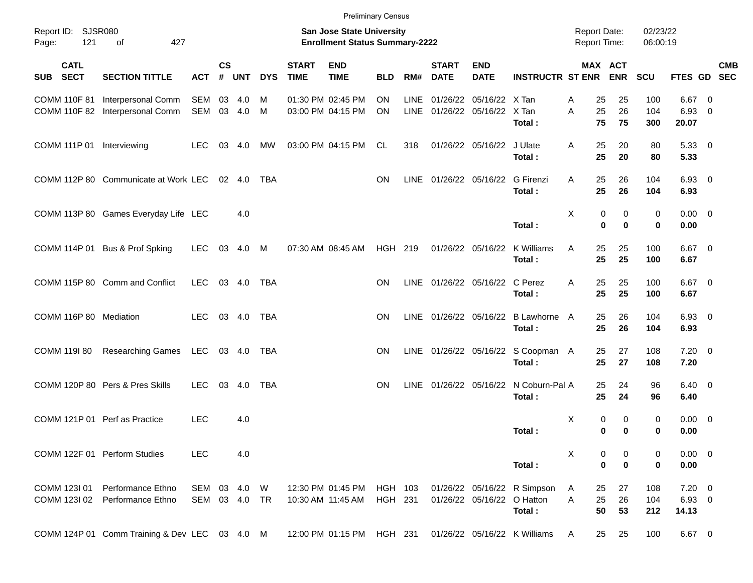|                                    |                                                              |                   |                |            |                |                             |                                                                           | <b>Preliminary Census</b> |              |                             |                            |                                         |                                            |                |                       |                      |                                |                                                     |            |
|------------------------------------|--------------------------------------------------------------|-------------------|----------------|------------|----------------|-----------------------------|---------------------------------------------------------------------------|---------------------------|--------------|-----------------------------|----------------------------|-----------------------------------------|--------------------------------------------|----------------|-----------------------|----------------------|--------------------------------|-----------------------------------------------------|------------|
| Report ID: SJSR080<br>121<br>Page: | 427<br>of                                                    |                   |                |            |                |                             | <b>San Jose State University</b><br><b>Enrollment Status Summary-2222</b> |                           |              |                             |                            |                                         | <b>Report Date:</b><br><b>Report Time:</b> |                |                       | 02/23/22<br>06:00:19 |                                |                                                     |            |
| <b>CATL</b><br>SUB SECT            | <b>SECTION TITTLE</b>                                        | <b>ACT</b>        | <b>CS</b><br># | <b>UNT</b> | <b>DYS</b>     | <b>START</b><br><b>TIME</b> | <b>END</b><br><b>TIME</b>                                                 | <b>BLD</b>                | RM#          | <b>START</b><br><b>DATE</b> | <b>END</b><br><b>DATE</b>  | <b>INSTRUCTR ST ENR</b>                 |                                            |                | MAX ACT<br><b>ENR</b> | SCU                  | FTES GD SEC                    |                                                     | <b>CMB</b> |
| <b>COMM 110F 81</b>                | <b>Interpersonal Comm</b><br>COMM 110F 82 Interpersonal Comm | SEM<br>SEM        | 03<br>03       | 4.0<br>4.0 | M<br>M         |                             | 01:30 PM 02:45 PM<br>03:00 PM 04:15 PM                                    | <b>ON</b><br><b>ON</b>    | LINE<br>LINE | 01/26/22<br>01/26/22        | 05/16/22<br>05/16/22       | X Tan<br>X Tan<br>Total:                | A<br>A                                     | 25<br>25<br>75 | 25<br>26<br>75        | 100<br>104<br>300    | 6.67<br>6.93<br>20.07          | $\overline{\phantom{0}}$<br>$\overline{\mathbf{0}}$ |            |
| COMM 111P 01 Interviewing          |                                                              | <b>LEC</b>        | 03             | 4.0        | MW             |                             | 03:00 PM 04:15 PM                                                         | CL                        | 318          |                             | 01/26/22 05/16/22          | J Ulate<br>Total:                       | A                                          | 25<br>25       | 20<br>20              | 80<br>80             | 5.33 0<br>5.33                 |                                                     |            |
|                                    | COMM 112P 80 Communicate at Work LEC                         |                   |                | 02 4.0     | TBA            |                             |                                                                           | <b>ON</b>                 | <b>LINE</b>  |                             | 01/26/22 05/16/22          | G Firenzi<br>Total:                     | A                                          | 25<br>25       | 26<br>26              | 104<br>104           | $6.93$ 0<br>6.93               |                                                     |            |
|                                    | COMM 113P 80 Games Everyday Life LEC                         |                   |                | 4.0        |                |                             |                                                                           |                           |              |                             |                            | Total:                                  | X                                          | 0<br>$\bf{0}$  | 0<br>$\mathbf 0$      | 0<br>$\bf{0}$        | $0.00 \t 0$<br>0.00            |                                                     |            |
|                                    | COMM 114P 01 Bus & Prof Spking                               | <b>LEC</b>        | 03             | 4.0        | M              |                             | 07:30 AM 08:45 AM                                                         | HGH 219                   |              |                             | 01/26/22 05/16/22          | K Williams<br>Total:                    | A                                          | 25<br>25       | 25<br>25              | 100<br>100           | $6.67$ 0<br>6.67               |                                                     |            |
|                                    | COMM 115P 80 Comm and Conflict                               | <b>LEC</b>        |                | 03 4.0     | TBA            |                             |                                                                           | <b>ON</b>                 | <b>LINE</b>  |                             | 01/26/22 05/16/22          | C Perez<br>Total:                       | A                                          | 25<br>25       | 25<br>25              | 100<br>100           | $6.67$ 0<br>6.67               |                                                     |            |
| COMM 116P 80 Mediation             |                                                              | <b>LEC</b>        |                | 03 4.0     | <b>TBA</b>     |                             |                                                                           | <b>ON</b>                 | <b>LINE</b>  |                             | 01/26/22 05/16/22          | <b>B Lawhorne</b><br>Total:             | A                                          | 25<br>25       | 26<br>26              | 104<br>104           | $6.93$ 0<br>6.93               |                                                     |            |
| COMM 119I 80                       | <b>Researching Games</b>                                     | LEC               |                | 03 4.0     | TBA            |                             |                                                                           | <b>ON</b>                 | LINE         |                             |                            | 01/26/22 05/16/22 S Coopman A<br>Total: |                                            | 25<br>25       | 27<br>27              | 108<br>108           | $7.20 \t 0$<br>7.20            |                                                     |            |
|                                    | COMM 120P 80 Pers & Pres Skills                              | <b>LEC</b>        | 03             | 4.0        | <b>TBA</b>     |                             |                                                                           | <b>ON</b>                 | <b>LINE</b>  |                             | 01/26/22 05/16/22          | N Coburn-Pal A<br>Total:                |                                            | 25<br>25       | 24<br>24              | 96<br>96             | $6.40 \quad 0$<br>6.40         |                                                     |            |
|                                    | COMM 121P 01 Perf as Practice                                | <b>LEC</b>        |                | 4.0        |                |                             |                                                                           |                           |              |                             |                            | Total:                                  | X                                          | 0<br>0         | 0<br>0                | 0<br>0               | $0.00 \t 0$<br>0.00            |                                                     |            |
|                                    | COMM 122F 01 Perform Studies                                 | <b>LEC</b>        |                | 4.0        |                |                             |                                                                           |                           |              |                             |                            | Total:                                  | X                                          | 0<br>$\bf{0}$  | 0<br>0                | 0<br>0               | $0.00 \ 0$<br>0.00             |                                                     |            |
| COMM 123I 01<br>COMM 123I 02       | Performance Ethno<br>Performance Ethno                       | SEM<br>SEM 03 4.0 | 03             | 4.0        | W<br><b>TR</b> |                             | 12:30 PM 01:45 PM<br>10:30 AM 11:45 AM                                    | HGH 103<br>HGH 231        |              |                             | 01/26/22 05/16/22 O Hatton | 01/26/22 05/16/22 R Simpson<br>Total:   | A<br>Α                                     | 25<br>25<br>50 | 27<br>26<br>53        | 108<br>104<br>212    | $7.20 \t 0$<br>6.93 0<br>14.13 |                                                     |            |
|                                    | COMM 124P 01 Comm Training & Dev LEC 03 4.0 M                |                   |                |            |                |                             | 12:00 PM 01:15 PM                                                         | HGH 231                   |              |                             |                            | 01/26/22 05/16/22 K Williams            | A                                          | 25             | 25                    | 100                  | 6.67 0                         |                                                     |            |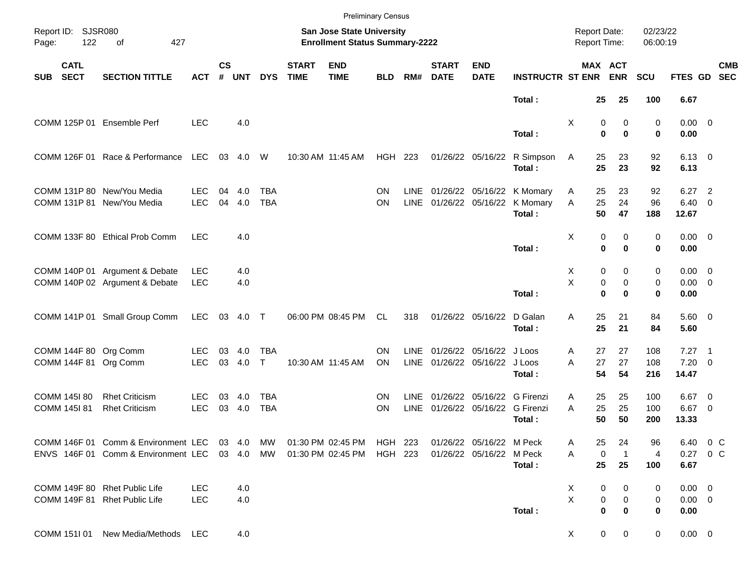|                                          |                                                                                                |                          |           |            |                            |                             |                                                                           | <b>Preliminary Census</b> |                            |                             |                                                            |                                                  |                                            |                                                  |                      |                                       |                                                     |  |
|------------------------------------------|------------------------------------------------------------------------------------------------|--------------------------|-----------|------------|----------------------------|-----------------------------|---------------------------------------------------------------------------|---------------------------|----------------------------|-----------------------------|------------------------------------------------------------|--------------------------------------------------|--------------------------------------------|--------------------------------------------------|----------------------|---------------------------------------|-----------------------------------------------------|--|
| Report ID: SJSR080<br>Page:              | 122<br>of<br>427                                                                               |                          |           |            |                            |                             | <b>San Jose State University</b><br><b>Enrollment Status Summary-2222</b> |                           |                            |                             |                                                            |                                                  | <b>Report Date:</b><br><b>Report Time:</b> |                                                  | 02/23/22<br>06:00:19 |                                       |                                                     |  |
| <b>CATL</b><br><b>SECT</b><br><b>SUB</b> | <b>SECTION TITTLE</b>                                                                          | <b>ACT</b>               | <b>CS</b> | # UNT      | <b>DYS</b>                 | <b>START</b><br><b>TIME</b> | <b>END</b><br><b>TIME</b>                                                 | <b>BLD</b>                | RM#                        | <b>START</b><br><b>DATE</b> | <b>END</b><br><b>DATE</b>                                  | <b>INSTRUCTR ST ENR</b>                          |                                            | MAX ACT<br><b>ENR</b>                            | <b>SCU</b>           | FTES GD SEC                           | <b>CMB</b>                                          |  |
|                                          |                                                                                                |                          |           |            |                            |                             |                                                                           |                           |                            |                             |                                                            | Total:                                           | 25                                         | 25                                               | 100                  | 6.67                                  |                                                     |  |
|                                          | COMM 125P 01 Ensemble Perf                                                                     | <b>LEC</b>               |           | 4.0        |                            |                             |                                                                           |                           |                            |                             |                                                            | Total:                                           | Χ                                          | 0<br>0<br>$\bf{0}$<br>$\bf{0}$                   | 0<br>$\mathbf 0$     | $0.00 \t 0$<br>0.00                   |                                                     |  |
|                                          | COMM 126F 01 Race & Performance                                                                | LEC                      |           | 03 4.0     | W                          |                             | 10:30 AM 11:45 AM                                                         | <b>HGH 223</b>            |                            |                             | 01/26/22 05/16/22                                          | R Simpson<br>Total:                              | 25<br>A<br>25                              | 23<br>23                                         | 92<br>92             | $6.13 \quad 0$<br>6.13                |                                                     |  |
|                                          | COMM 131P 80 New/You Media<br>COMM 131P 81 New/You Media                                       | <b>LEC</b><br><b>LEC</b> | 04<br>04  | 4.0<br>4.0 | <b>TBA</b><br><b>TBA</b>   |                             |                                                                           | ON<br><b>ON</b>           | <b>LINE</b><br>LINE        |                             | 01/26/22 05/16/22                                          | 01/26/22 05/16/22 K Momary<br>K Momary<br>Total: | 25<br>A<br>25<br>A<br>50                   | 23<br>24<br>47                                   | 92<br>96<br>188      | 6.27<br>6.40<br>12.67                 | $\overline{\phantom{0}}$<br>$\overline{\mathbf{0}}$ |  |
|                                          | COMM 133F 80 Ethical Prob Comm                                                                 | <b>LEC</b>               |           | 4.0        |                            |                             |                                                                           |                           |                            |                             |                                                            | Total:                                           | Χ                                          | 0<br>0<br>$\bf{0}$<br>$\bf{0}$                   | 0<br>0               | $0.00 \t 0$<br>0.00                   |                                                     |  |
|                                          | COMM 140P 01 Argument & Debate<br>COMM 140P 02 Argument & Debate                               | <b>LEC</b><br><b>LEC</b> |           | 4.0<br>4.0 |                            |                             |                                                                           |                           |                            |                             |                                                            | Total:                                           | Χ<br>X                                     | 0<br>0<br>0<br>0<br>$\bf{0}$<br>$\bf{0}$         | 0<br>0<br>$\bf{0}$   | $0.00 \quad 0$<br>$0.00 \t 0$<br>0.00 |                                                     |  |
|                                          | COMM 141P 01 Small Group Comm                                                                  | <b>LEC</b>               |           | 03 4.0 T   |                            |                             | 06:00 PM 08:45 PM                                                         | CL.                       | 318                        |                             | 01/26/22 05/16/22                                          | D Galan<br>Total:                                | 25<br>A<br>25                              | 21<br>21                                         | 84<br>84             | 5.60 0<br>5.60                        |                                                     |  |
|                                          | COMM 144F 80 Org Comm<br>COMM 144F 81 Org Comm                                                 | <b>LEC</b><br><b>LEC</b> | 03<br>03  | 4.0<br>4.0 | <b>TBA</b><br>$\mathsf{T}$ |                             | 10:30 AM 11:45 AM                                                         | ON<br>ON                  | <b>LINE</b><br>LINE        |                             | 01/26/22 05/16/22 J Loos<br>01/26/22 05/16/22 J Loos       | Total:                                           | 27<br>A<br>A<br>27<br>54                   | 27<br>27<br>54                                   | 108<br>108<br>216    | $7.27$ 1<br>$7.20 \ 0$<br>14.47       |                                                     |  |
| COMM 145I 80<br>COMM 145I 81             | <b>Rhet Criticism</b><br><b>Rhet Criticism</b>                                                 | <b>LEC</b><br><b>LEC</b> | 03<br>03  | 4.0<br>4.0 | TBA<br><b>TBA</b>          |                             |                                                                           | <b>ON</b><br><b>ON</b>    | <b>LINE</b><br><b>LINE</b> |                             | 01/26/22 05/16/22 G Firenzi<br>01/26/22 05/16/22 G Firenzi | Total:                                           | 25<br>A<br>25<br>A<br>50                   | 25<br>25<br>50                                   | 100<br>100<br>200    | $6.67$ 0<br>$6.67$ 0<br>13.33         |                                                     |  |
|                                          | COMM 146F 01 Comm & Environment LEC 03 4.0 MW<br>ENVS 146F 01 Comm & Environment LEC 03 4.0 MW |                          |           |            |                            |                             | 01:30 PM 02:45 PM<br>01:30 PM 02:45 PM                                    | HGH 223<br>HGH 223        |                            |                             | 01/26/22 05/16/22 M Peck<br>01/26/22 05/16/22 M Peck       | Total:                                           | 25<br>A<br>Α<br>25                         | 24<br>0<br>$\overline{1}$<br>25                  | 96<br>4<br>100       | 6.67                                  | 6.40 0 C<br>0.27 0 C                                |  |
|                                          | COMM 149F 80 Rhet Public Life<br>COMM 149F 81 Rhet Public Life                                 | <b>LEC</b><br><b>LEC</b> |           | 4.0<br>4.0 |                            |                             |                                                                           |                           |                            |                             |                                                            | Total:                                           | X<br>X                                     | 0<br>0<br>$\pmb{0}$<br>0<br>$\bf{0}$<br>$\bf{0}$ | 0<br>0<br>0          | $0.00 \t 0$<br>$0.00 \t 0$<br>0.00    |                                                     |  |
|                                          | COMM 1511 01 New Media/Methods LEC                                                             |                          |           | 4.0        |                            |                             |                                                                           |                           |                            |                             |                                                            |                                                  | $\mathsf{X}$                               | $\overline{0}$<br>$\mathbf 0$                    | $\mathbf 0$          | $0.00 \t 0$                           |                                                     |  |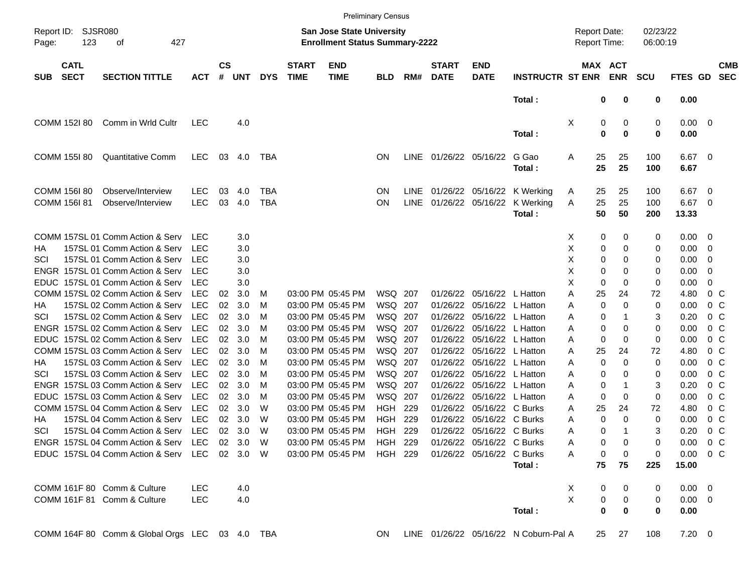|                     |                            |                                                |            |                |            |            |                             | <b>Preliminary Census</b>                                                 |            |     |                             |                           |                                       |                                     |                       |                      |               |                |                          |
|---------------------|----------------------------|------------------------------------------------|------------|----------------|------------|------------|-----------------------------|---------------------------------------------------------------------------|------------|-----|-----------------------------|---------------------------|---------------------------------------|-------------------------------------|-----------------------|----------------------|---------------|----------------|--------------------------|
| Report ID:<br>Page: | <b>SJSR080</b><br>123      | 427<br>οf                                      |            |                |            |            |                             | <b>San Jose State University</b><br><b>Enrollment Status Summary-2222</b> |            |     |                             |                           |                                       | <b>Report Date:</b><br>Report Time: |                       | 02/23/22<br>06:00:19 |               |                |                          |
| <b>SUB</b>          | <b>CATL</b><br><b>SECT</b> | <b>SECTION TITTLE</b>                          | <b>ACT</b> | <b>CS</b><br># | <b>UNT</b> | <b>DYS</b> | <b>START</b><br><b>TIME</b> | <b>END</b><br><b>TIME</b>                                                 | <b>BLD</b> | RM# | <b>START</b><br><b>DATE</b> | <b>END</b><br><b>DATE</b> | <b>INSTRUCTR ST ENR</b>               |                                     | MAX ACT<br><b>ENR</b> | <b>SCU</b>           | FTES GD       |                | <b>CMB</b><br><b>SEC</b> |
|                     |                            |                                                |            |                |            |            |                             |                                                                           |            |     |                             |                           | Total:                                |                                     | 0<br>0                | 0                    | 0.00          |                |                          |
|                     | COMM 152I 80               | Comm in Wrld Cultr                             | <b>LEC</b> |                | 4.0        |            |                             |                                                                           |            |     |                             |                           |                                       | Χ                                   | 0<br>0                | 0                    | 0.00          | - 0            |                          |
|                     |                            |                                                |            |                |            |            |                             |                                                                           |            |     |                             |                           | Total:                                |                                     | 0<br>$\mathbf 0$      | 0                    | 0.00          |                |                          |
|                     | COMM 155180                | <b>Quantitative Comm</b>                       | <b>LEC</b> | 03             | 4.0        | TBA        |                             |                                                                           | ON.        |     | LINE 01/26/22 05/16/22      |                           | G Gao                                 | Α<br>25                             | 25                    | 100                  | $6.67$ 0      |                |                          |
|                     |                            |                                                |            |                |            |            |                             |                                                                           |            |     |                             |                           | Total:                                | 25                                  | 25                    | 100                  | 6.67          |                |                          |
|                     | COMM 156I 80               | Observe/Interview                              | <b>LEC</b> | 03             | 4.0        | <b>TBA</b> |                             |                                                                           | ΟN         |     | LINE 01/26/22 05/16/22      |                           | K Werking                             | 25<br>A                             | 25                    | 100                  | 6.67          | - 0            |                          |
|                     | COMM 156I 81               | Observe/Interview                              | <b>LEC</b> | 03             | 4.0        | <b>TBA</b> |                             |                                                                           | ΟN         |     | LINE 01/26/22 05/16/22      |                           | K Werking                             | 25<br>Α                             | 25                    | 100                  | 6.67          | - 0            |                          |
|                     |                            |                                                |            |                |            |            |                             |                                                                           |            |     |                             |                           | Total:                                | 50                                  | 50                    | 200                  | 13.33         |                |                          |
|                     |                            | COMM 157SL 01 Comm Action & Serv               | LEC        |                | 3.0        |            |                             |                                                                           |            |     |                             |                           |                                       | X.                                  | 0<br>0                | 0                    | 0.00          | - 0            |                          |
| НA                  |                            | 157SL 01 Comm Action & Serv                    | LEC        |                | 3.0        |            |                             |                                                                           |            |     |                             |                           |                                       | х<br>0                              | 0                     | 0                    | 0.00          | 0              |                          |
| SCI                 |                            | 157SL 01 Comm Action & Serv                    | LEC        |                | 3.0        |            |                             |                                                                           |            |     |                             |                           |                                       | х<br>0                              | 0                     | 0                    | 0.00          | 0              |                          |
|                     |                            | ENGR 157SL 01 Comm Action & Serv               | <b>LEC</b> |                | 3.0        |            |                             |                                                                           |            |     |                             |                           |                                       | X<br>0                              | 0                     | 0                    | 0.00          | 0              |                          |
|                     |                            | EDUC 157SL 01 Comm Action & Serv               | <b>LEC</b> |                | 3.0        |            |                             |                                                                           |            |     |                             |                           |                                       | х<br>0                              | 0                     | 0                    | 0.00          | 0              |                          |
|                     |                            | COMM 157SL 02 Comm Action & Serv               | LEC        | 02             | 3.0        | M          |                             | 03:00 PM 05:45 PM                                                         | WSQ 207    |     | 01/26/22                    | 05/16/22 L Hatton         |                                       | 25<br>Α                             | 24                    | 72                   | 4.80          | 0 <sup>o</sup> |                          |
| ΗA                  |                            | 157SL 02 Comm Action & Serv                    | <b>LEC</b> | 02             | 3.0        | м          |                             | 03:00 PM 05:45 PM                                                         | WSQ 207    |     | 01/26/22                    | 05/16/22 L Hatton         |                                       | Α                                   | 0<br>$\Omega$         | 0                    | 0.00          | 0 <sup>o</sup> |                          |
| SCI                 |                            | 157SL 02 Comm Action & Serv                    | <b>LEC</b> | 02             | 3.0        | м          |                             | 03:00 PM 05:45 PM                                                         | WSQ 207    |     | 01/26/22                    | 05/16/22 L Hatton         |                                       | 0<br>Α                              | -1                    | 3                    | 0.20          | 0 <sup>o</sup> |                          |
|                     |                            | ENGR 157SL 02 Comm Action & Serv               | <b>LEC</b> | 02             | 3.0        | м          |                             | 03:00 PM 05:45 PM                                                         | WSQ 207    |     | 01/26/22                    | 05/16/22 L Hatton         |                                       | 0<br>Α                              | 0                     | 0                    | 0.00          | 0 <sup>o</sup> |                          |
|                     |                            | EDUC 157SL 02 Comm Action & Serv               | <b>LEC</b> | 02             | 3.0        | м          |                             | 03:00 PM 05:45 PM                                                         | WSQ 207    |     | 01/26/22                    | 05/16/22 L Hatton         |                                       | 0<br>Α                              | 0                     | 0                    | 0.00          | 0 <sup>o</sup> |                          |
|                     |                            | COMM 157SL 03 Comm Action & Serv               | <b>LEC</b> | 02             | 3.0        | м          |                             | 03:00 PM 05:45 PM                                                         | WSQ 207    |     | 01/26/22                    | 05/16/22 L Hatton         |                                       | 25<br>Α                             | 24                    | 72                   | 4.80          | 0 <sup>o</sup> |                          |
| НA                  |                            | 157SL 03 Comm Action & Serv                    | <b>LEC</b> | 02             | 3.0        | М          |                             | 03:00 PM 05:45 PM                                                         | WSQ 207    |     | 01/26/22                    | 05/16/22 L Hatton         |                                       | Α                                   | 0<br>0                | 0                    | 0.00          | 0 <sup>o</sup> |                          |
| SCI                 |                            | 157SL 03 Comm Action & Serv                    | <b>LEC</b> | 02             | 3.0        | М          |                             | 03:00 PM 05:45 PM                                                         | WSQ 207    |     | 01/26/22                    | 05/16/22 L Hatton         |                                       | 0<br>Α                              | 0                     | 0                    | 0.00          | 0 <sup>o</sup> |                          |
|                     |                            | ENGR 157SL 03 Comm Action & Serv               | <b>LEC</b> | 02             | 3.0        | М          |                             | 03:00 PM 05:45 PM                                                         | WSQ 207    |     | 01/26/22                    | 05/16/22 L Hatton         |                                       | 0<br>A                              | -1                    | 3                    | 0.20          | 0 <sup>o</sup> |                          |
|                     |                            | EDUC 157SL 03 Comm Action & Serv               | LEC        | 02             | 3.0        | М          |                             | 03:00 PM 05:45 PM                                                         | WSQ        | 207 | 01/26/22                    | 05/16/22 L Hatton         |                                       | 0<br>Α                              | 0                     | 0                    | 0.00          | 0 <sup>o</sup> |                          |
|                     |                            | COMM 157SL 04 Comm Action & Serv               | <b>LEC</b> | 02             | 3.0        | W          |                             | 03:00 PM 05:45 PM                                                         | <b>HGH</b> | 229 | 01/26/22                    | 05/16/22 C Burks          |                                       | 25<br>Α                             | 24                    | 72                   | 4.80          | 0 <sup>o</sup> |                          |
| НA                  |                            | 157SL 04 Comm Action & Serv                    | LEC        | 02             | 3.0        | W          |                             | 03:00 PM 05:45 PM                                                         | HGH        | 229 | 01/26/22                    | 05/16/22                  | C Burks                               | 0<br>A                              | 0                     | 0                    | 0.00          | 0 <sup>o</sup> |                          |
| SCI                 |                            | 157SL 04 Comm Action & Serv                    | <b>LEC</b> | 02             | 3.0        | W          |                             | 03:00 PM 05:45 PM                                                         | <b>HGH</b> | 229 |                             | 01/26/22 05/16/22 C Burks |                                       | 0<br>A                              |                       | 3                    | 0.20          | 0 <sup>o</sup> |                          |
|                     |                            | ENGR 157SL 04 Comm Action & Serv LEC 02 3.0 W  |            |                |            |            |                             | 03:00 PM 05:45 PM HGH 229                                                 |            |     |                             | 01/26/22 05/16/22 C Burks |                                       | Α                                   | 0<br>0                | 0                    | $0.00 \t 0 C$ |                |                          |
|                     |                            | EDUC 157SL 04 Comm Action & Serv LEC 02 3.0 W  |            |                |            |            |                             | 03:00 PM 05:45 PM HGH 229                                                 |            |     |                             | 01/26/22 05/16/22 C Burks |                                       | A                                   | 0<br>0                | 0                    | $0.00 \t 0 C$ |                |                          |
|                     |                            |                                                |            |                |            |            |                             |                                                                           |            |     |                             |                           | Total:                                | 75                                  | 75                    | 225                  | 15.00         |                |                          |
|                     |                            | COMM 161F 80 Comm & Culture                    | <b>LEC</b> |                | 4.0        |            |                             |                                                                           |            |     |                             |                           |                                       | X                                   | 0<br>0                | 0                    | $0.00 \t 0$   |                |                          |
|                     |                            | COMM 161F 81 Comm & Culture                    | <b>LEC</b> |                | 4.0        |            |                             |                                                                           |            |     |                             |                           |                                       | X                                   | 0<br>0                | 0                    | $0.00 \t 0$   |                |                          |
|                     |                            |                                                |            |                |            |            |                             |                                                                           |            |     |                             |                           | Total:                                |                                     | 0<br>$\mathbf 0$      | 0                    | 0.00          |                |                          |
|                     |                            | COMM 164F 80 Comm & Global Orgs LEC 03 4.0 TBA |            |                |            |            |                             |                                                                           | ON.        |     |                             |                           | LINE 01/26/22 05/16/22 N Coburn-Pal A |                                     | 25 27                 | 108                  | $7.20 \t 0$   |                |                          |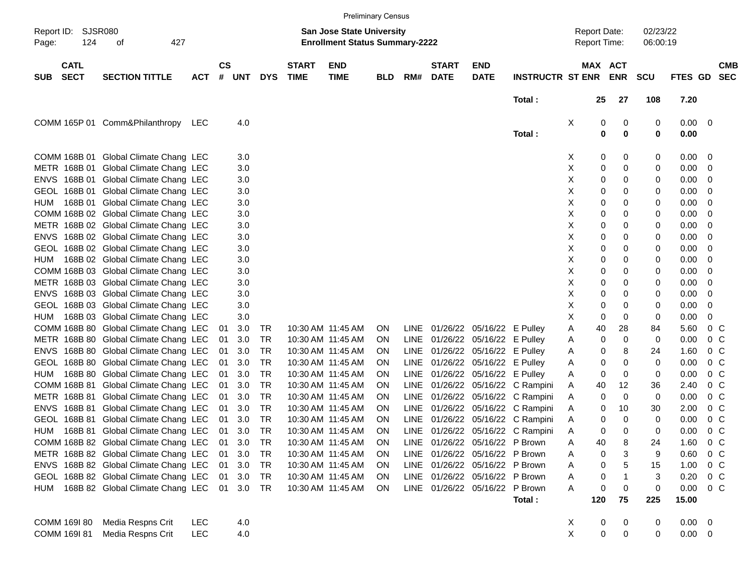|            |                            |                                              |            |           |        |            |                             |                                                                           | <b>Preliminary Census</b> |      |                             |                                 |                                  |             |                                            |                       |                      |                     |                |                          |
|------------|----------------------------|----------------------------------------------|------------|-----------|--------|------------|-----------------------------|---------------------------------------------------------------------------|---------------------------|------|-----------------------------|---------------------------------|----------------------------------|-------------|--------------------------------------------|-----------------------|----------------------|---------------------|----------------|--------------------------|
| Page:      | Report ID: SJSR080<br>124  | 427<br>οf                                    |            |           |        |            |                             | <b>San Jose State University</b><br><b>Enrollment Status Summary-2222</b> |                           |      |                             |                                 |                                  |             | <b>Report Date:</b><br><b>Report Time:</b> |                       | 02/23/22<br>06:00:19 |                     |                |                          |
| <b>SUB</b> | <b>CATL</b><br><b>SECT</b> | <b>SECTION TITTLE</b>                        | <b>ACT</b> | <b>CS</b> | # UNT  | <b>DYS</b> | <b>START</b><br><b>TIME</b> | <b>END</b><br><b>TIME</b>                                                 | <b>BLD</b>                | RM#  | <b>START</b><br><b>DATE</b> | <b>END</b><br><b>DATE</b>       | <b>INSTRUCTR ST ENR</b>          |             |                                            | MAX ACT<br><b>ENR</b> | SCU                  | FTES GD             |                | <b>CMB</b><br><b>SEC</b> |
|            |                            |                                              |            |           |        |            |                             |                                                                           |                           |      |                             |                                 | Total:                           |             | 25                                         | 27                    | 108                  | 7.20                |                |                          |
|            |                            | COMM 165P 01 Comm&Philanthropy               | LEC        |           | 4.0    |            |                             |                                                                           |                           |      |                             |                                 | Total:                           | Х           | 0<br>0                                     | $\boldsymbol{0}$<br>0 | 0<br>0               | $0.00 \t 0$<br>0.00 |                |                          |
|            |                            | COMM 168B 01 Global Climate Chang LEC        |            |           | 3.0    |            |                             |                                                                           |                           |      |                             |                                 |                                  | X           | 0                                          | 0                     | 0                    | 0.00                | - 0            |                          |
|            |                            | METR 168B 01 Global Climate Chang LEC        |            |           | 3.0    |            |                             |                                                                           |                           |      |                             |                                 |                                  | Χ           | 0                                          | 0                     | 0                    | 0.00                | - 0            |                          |
|            |                            | ENVS 168B 01 Global Climate Chang LEC        |            |           | 3.0    |            |                             |                                                                           |                           |      |                             |                                 |                                  | Χ           | 0                                          | 0                     | 0                    | 0.00                | 0              |                          |
|            |                            | GEOL 168B 01 Global Climate Chang LEC        |            |           | 3.0    |            |                             |                                                                           |                           |      |                             |                                 |                                  | Χ           | 0                                          | 0                     | 0                    | 0.00                | 0              |                          |
|            |                            | HUM 168B 01 Global Climate Chang LEC         |            |           | 3.0    |            |                             |                                                                           |                           |      |                             |                                 |                                  | Х           | 0                                          | 0                     | 0                    | 0.00                | 0              |                          |
|            |                            | COMM 168B 02 Global Climate Chang LEC        |            |           | 3.0    |            |                             |                                                                           |                           |      |                             |                                 |                                  | Χ           | 0                                          | 0                     | 0                    | 0.00                | 0              |                          |
|            |                            | METR 168B 02 Global Climate Chang LEC        |            |           | 3.0    |            |                             |                                                                           |                           |      |                             |                                 |                                  | Χ           | 0                                          | 0                     | 0                    | 0.00                | 0              |                          |
|            |                            | ENVS 168B 02 Global Climate Chang LEC        |            |           | 3.0    |            |                             |                                                                           |                           |      |                             |                                 |                                  | Χ           | 0                                          | 0                     | 0                    | 0.00                | 0              |                          |
|            |                            | GEOL 168B 02 Global Climate Chang LEC        |            |           | 3.0    |            |                             |                                                                           |                           |      |                             |                                 |                                  | Χ           | 0                                          | 0                     | 0                    | 0.00                | 0              |                          |
| HUM        |                            | 168B 02 Global Climate Chang LEC             |            |           | 3.0    |            |                             |                                                                           |                           |      |                             |                                 |                                  | Χ           | 0                                          | 0                     | 0                    | 0.00                | 0              |                          |
|            |                            | COMM 168B 03 Global Climate Chang LEC        |            |           | 3.0    |            |                             |                                                                           |                           |      |                             |                                 |                                  | Χ           | 0                                          | 0                     | 0                    | 0.00                | 0              |                          |
|            |                            | METR 168B 03 Global Climate Chang LEC        |            |           | 3.0    |            |                             |                                                                           |                           |      |                             |                                 |                                  | Χ           | 0                                          | 0                     | 0                    | 0.00                | 0              |                          |
|            |                            | ENVS 168B 03 Global Climate Chang LEC        |            |           | 3.0    |            |                             |                                                                           |                           |      |                             |                                 |                                  | Χ           | 0                                          | 0                     | 0                    | 0.00                | 0              |                          |
|            |                            | GEOL 168B 03 Global Climate Chang LEC        |            |           | 3.0    |            |                             |                                                                           |                           |      |                             |                                 |                                  | Χ           | 0                                          | 0                     | 0                    | 0.00                | 0              |                          |
| HUM        |                            | 168B 03 Global Climate Chang LEC             |            |           | 3.0    |            |                             |                                                                           |                           |      |                             |                                 |                                  | Χ           | 0                                          | 0                     | 0                    | 0.00                | 0              |                          |
|            |                            | COMM 168B 80 Global Climate Chang LEC        |            | 01        | 3.0    | TR         |                             | 10:30 AM 11:45 AM                                                         | <b>ON</b>                 |      |                             | LINE 01/26/22 05/16/22 E Pulley |                                  | Α           | 40                                         | 28                    | 84                   | 5.60                | 0 <sup>o</sup> |                          |
|            |                            | METR 168B 80 Global Climate Chang LEC        |            | 01        | 3.0    | TR         |                             | 10:30 AM 11:45 AM                                                         | <b>ON</b>                 | LINE |                             | 01/26/22 05/16/22 E Pulley      |                                  | Α           | 0                                          | 0                     | 0                    | 0.00                | 0 <sup>o</sup> |                          |
|            |                            | ENVS 168B 80 Global Climate Chang LEC        |            | 01        | 3.0    | TR         |                             | 10:30 AM 11:45 AM                                                         | <b>ON</b>                 |      |                             | LINE 01/26/22 05/16/22 E Pulley |                                  | Α           | 0                                          | 8                     | 24                   | 1.60                | 0 <sup>o</sup> |                          |
|            |                            | GEOL 168B 80 Global Climate Chang LEC        |            | 01        | 3.0    | TR         |                             | 10:30 AM 11:45 AM                                                         | <b>ON</b>                 | LINE |                             | 01/26/22 05/16/22 E Pulley      |                                  | Α           | 0                                          | 0                     | 0                    | 0.00                | 0 <sup>o</sup> |                          |
| HUM        |                            | 168B 80 Global Climate Chang LEC             |            | 01        | 3.0    | TR         |                             | 10:30 AM 11:45 AM                                                         | <b>ON</b>                 | LINE |                             | 01/26/22 05/16/22 E Pulley      |                                  | Α           | 0                                          | 0                     | 0                    | 0.00                | 0 <sup>o</sup> |                          |
|            |                            | COMM 168B 81 Global Climate Chang LEC        |            | 01        | 3.0    | TR         |                             | 10:30 AM 11:45 AM                                                         | <b>ON</b>                 | LINE |                             |                                 | 01/26/22 05/16/22 C Rampini      | Α           | 40                                         | 12                    | 36                   | 2.40                | 0 <sup>o</sup> |                          |
|            |                            | METR 168B 81 Global Climate Chang LEC        |            | 01        | 3.0    | TR         |                             | 10:30 AM 11:45 AM                                                         | <b>ON</b>                 | LINE |                             |                                 | 01/26/22 05/16/22 C Rampini      | Α           | 0                                          | 0                     | 0                    | 0.00                | 0 <sup>o</sup> |                          |
|            |                            | ENVS 168B 81 Global Climate Chang LEC        |            | 01        | 3.0    | TR         |                             | 10:30 AM 11:45 AM                                                         | <b>ON</b>                 | LINE |                             |                                 | 01/26/22 05/16/22 C Rampini      | Α           | 0                                          | 10                    | 30                   | 2.00                | 0 <sup>o</sup> |                          |
|            |                            | GEOL 168B 81 Global Climate Chang LEC        |            | 01        | 3.0    | TR         |                             | 10:30 AM 11:45 AM                                                         | <b>ON</b>                 | LINE |                             |                                 | 01/26/22 05/16/22 C Rampini      | Α           | 0                                          | 0                     | 0                    | 0.00                | 0 <sup>o</sup> |                          |
|            |                            | HUM 168B 81 Global Climate Chang LEC 01 3.0  |            |           |        | TR         |                             | 10:30 AM 11:45 AM                                                         | <b>ON</b>                 |      |                             |                                 | LINE 01/26/22 05/16/22 C Rampini | Α           | 0                                          | 0                     | 0                    | 0.00                | 0 <sup>o</sup> |                          |
|            |                            | COMM 168B 82 Global Climate Chang LEC        |            |           |        |            |                             |                                                                           |                           |      |                             | LINE 01/26/22 05/16/22 P Brown  |                                  |             |                                            |                       |                      |                     |                |                          |
|            |                            | METR 168B 82 Global Climate Chang LEC        |            |           | 01 3.0 | TR         |                             | 10:30 AM 11:45 AM                                                         | <b>ON</b>                 |      |                             |                                 |                                  | Α           | 40                                         | 8                     | 24                   | 1.60                | 0 <sup>o</sup> |                          |
|            |                            |                                              |            |           | 01 3.0 | TR         |                             | 10:30 AM 11:45 AM                                                         | ON.                       |      |                             | LINE 01/26/22 05/16/22 P Brown  |                                  | Α           | 0                                          | 3                     | 9                    | 0.60                | 0 <sup>o</sup> |                          |
|            |                            | ENVS 168B 82 Global Climate Chang LEC        |            |           | 01 3.0 | TR         |                             | 10:30 AM 11:45 AM                                                         | ON.                       |      |                             | LINE 01/26/22 05/16/22 P Brown  |                                  | Α           | 0                                          | 5                     | 15                   | 1.00                | 0 <sup>o</sup> |                          |
|            |                            | GEOL 168B 82 Global Climate Chang LEC 01 3.0 |            |           |        | TR         |                             | 10:30 AM 11:45 AM                                                         | ON.                       |      |                             | LINE 01/26/22 05/16/22 P Brown  |                                  | Α           | 0                                          | 1                     | 3                    | 0.20                | 0 <sup>o</sup> |                          |
|            |                            | HUM 168B 82 Global Climate Chang LEC 01 3.0  |            |           |        | TR.        |                             | 10:30 AM 11:45 AM                                                         | ON.                       |      |                             | LINE 01/26/22 05/16/22 P Brown  | Total:                           | A           | 0<br>120                                   | 0<br>75               | 0<br>225             | 0.00<br>15.00       | $0\,$ C        |                          |
|            | COMM 169I 80               | Media Respns Crit                            | <b>LEC</b> |           | 4.0    |            |                             |                                                                           |                           |      |                             |                                 |                                  | X           | 0                                          | 0                     | 0                    | $0.00 \t 0$         |                |                          |
|            | COMM 169I 81               | Media Respns Crit                            | <b>LEC</b> |           | 4.0    |            |                             |                                                                           |                           |      |                             |                                 |                                  | $\mathsf X$ | 0                                          | 0                     | 0                    | $0.00 \t 0$         |                |                          |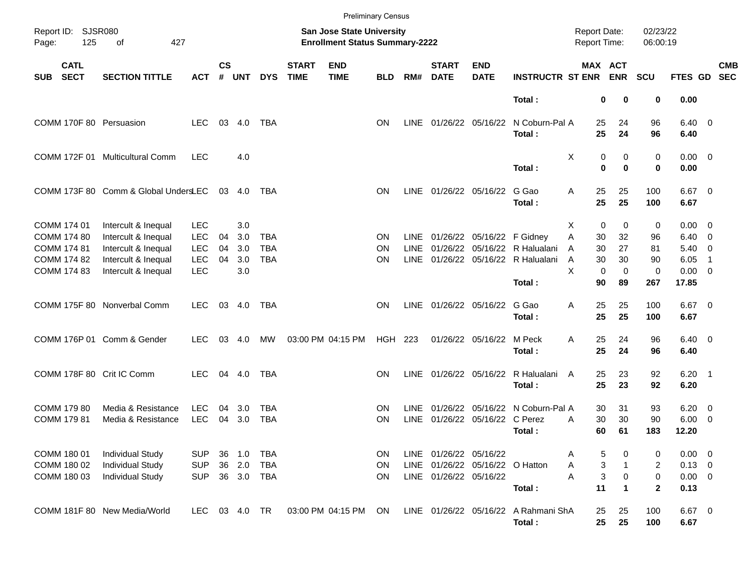|                                                  |                                                                               |                                        |                    |                      |                          |                             |                                                                           | <b>Preliminary Census</b> |                            |                                                  |                            |                                                          |                                        |                         |                      |                                           |                          |            |
|--------------------------------------------------|-------------------------------------------------------------------------------|----------------------------------------|--------------------|----------------------|--------------------------|-----------------------------|---------------------------------------------------------------------------|---------------------------|----------------------------|--------------------------------------------------|----------------------------|----------------------------------------------------------|----------------------------------------|-------------------------|----------------------|-------------------------------------------|--------------------------|------------|
| Report ID: SJSR080<br>125<br>Page:               | 427<br>οf                                                                     |                                        |                    |                      |                          |                             | <b>San Jose State University</b><br><b>Enrollment Status Summary-2222</b> |                           |                            |                                                  |                            |                                                          | <b>Report Date:</b><br>Report Time:    |                         | 02/23/22<br>06:00:19 |                                           |                          |            |
| <b>CATL</b><br><b>SECT</b><br><b>SUB</b>         | <b>SECTION TITTLE</b>                                                         | <b>ACT</b>                             | $\mathsf{cs}$<br># | <b>UNT</b>           | <b>DYS</b>               | <b>START</b><br><b>TIME</b> | <b>END</b><br><b>TIME</b>                                                 | <b>BLD</b>                | RM#                        | <b>START</b><br><b>DATE</b>                      | <b>END</b><br><b>DATE</b>  | <b>INSTRUCTR ST ENR</b>                                  | MAX ACT                                | <b>ENR</b>              | <b>SCU</b>           | FTES GD SEC                               |                          | <b>CMB</b> |
|                                                  |                                                                               |                                        |                    |                      |                          |                             |                                                                           |                           |                            |                                                  |                            | Total:                                                   | 0                                      | 0                       | 0                    | 0.00                                      |                          |            |
| COMM 170F 80 Persuasion                          |                                                                               | LEC.                                   |                    | 03 4.0               | <b>TBA</b>               |                             |                                                                           | <b>ON</b>                 | <b>LINE</b>                |                                                  | 01/26/22 05/16/22          | N Coburn-Pal A<br>Total:                                 | 25<br>25                               | 24<br>24                | 96<br>96             | $6.40 \quad 0$<br>6.40                    |                          |            |
|                                                  | COMM 172F 01 Multicultural Comm                                               | <b>LEC</b>                             |                    | 4.0                  |                          |                             |                                                                           |                           |                            |                                                  |                            | Total:                                                   | Χ<br>0<br>$\bf{0}$                     | 0<br>$\bf{0}$           | 0<br>0               | $0.00 \t 0$<br>0.00                       |                          |            |
|                                                  | COMM 173F 80 Comm & Global UndersLEC                                          |                                        |                    | 03 4.0               | TBA                      |                             |                                                                           | ON                        | <b>LINE</b>                | 01/26/22 05/16/22                                |                            | G Gao<br>Total:                                          | Α<br>25<br>25                          | 25<br>25                | 100<br>100           | $6.67$ 0<br>6.67                          |                          |            |
| COMM 174 01<br><b>COMM 174 80</b><br>COMM 174 81 | Intercult & Inequal<br>Intercult & Inequal<br>Intercult & Inequal             | <b>LEC</b><br><b>LEC</b><br><b>LEC</b> | 04<br>04           | 3.0<br>3.0<br>3.0    | <b>TBA</b><br><b>TBA</b> |                             |                                                                           | <b>ON</b><br>ON           | <b>LINE</b><br><b>LINE</b> |                                                  | 01/26/22 05/16/22 F Gidney | 01/26/22 05/16/22 R Halualani                            | $\mathbf 0$<br>х<br>Α<br>30<br>30<br>A | 0<br>32<br>27           | 0<br>96<br>81        | $0.00 \t 0$<br>6.40<br>$5.40 \quad 0$     | $\overline{\phantom{0}}$ |            |
| COMM 174 82<br>COMM 174 83                       | Intercult & Inequal<br>Intercult & Inequal                                    | <b>LEC</b><br><b>LEC</b>               | 04                 | 3.0<br>3.0           | <b>TBA</b>               |                             |                                                                           | ΟN                        | <b>LINE</b>                |                                                  |                            | 01/26/22 05/16/22 R Halualani<br>Total:                  | 30<br>A<br>X<br>$\mathbf 0$<br>90      | 30<br>$\mathbf 0$<br>89 | 90<br>0<br>267       | 6.05<br>$0.00 \t 0$<br>17.85              | -1                       |            |
|                                                  | COMM 175F 80 Nonverbal Comm                                                   | <b>LEC</b>                             |                    | 03 4.0               | TBA                      |                             |                                                                           | ON                        | <b>LINE</b>                |                                                  | 01/26/22 05/16/22          | G Gao<br>Total:                                          | 25<br>Α<br>25                          | 25<br>25                | 100<br>100           | $6.67$ 0<br>6.67                          |                          |            |
|                                                  | COMM 176P 01 Comm & Gender                                                    | <b>LEC</b>                             | 03                 | 4.0                  | MW                       |                             | 03:00 PM 04:15 PM                                                         | <b>HGH 223</b>            |                            |                                                  | 01/26/22 05/16/22 M Peck   | Total:                                                   | 25<br>Α<br>25                          | 24<br>24                | 96<br>96             | $6.40 \quad 0$<br>6.40                    |                          |            |
| COMM 178F 80 Crit IC Comm                        |                                                                               | <b>LEC</b>                             |                    | 04 4.0               | TBA                      |                             |                                                                           | ON                        | LINE                       |                                                  |                            | 01/26/22 05/16/22 R Halualani<br>Total:                  | 25<br>A<br>25                          | 23<br>23                | 92<br>92             | $6.20$ 1<br>6.20                          |                          |            |
| COMM 179 80<br>COMM 179 81                       | Media & Resistance<br>Media & Resistance                                      | <b>LEC</b><br><b>LEC</b>               | 04<br>04           | 3.0<br>3.0           | TBA<br><b>TBA</b>        |                             |                                                                           | <b>ON</b><br>ΟN           | <b>LINE</b><br><b>LINE</b> |                                                  | 01/26/22 05/16/22 C Perez  | 01/26/22 05/16/22 N Coburn-Pal A<br>Total :              | 30<br>30<br>Α<br>60                    | 31<br>30<br>61          | 93<br>90<br>183      | $6.20 \quad 0$<br>$6.00 \quad 0$<br>12.20 |                          |            |
| COMM 180 01<br>COMM 180 02<br>COMM 180 03        | <b>Individual Study</b><br><b>Individual Study</b><br><b>Individual Study</b> | <b>SUP</b><br><b>SUP</b><br><b>SUP</b> | 36<br>36           | 1.0<br>2.0<br>36 3.0 | TBA<br>TBA<br>TBA        |                             |                                                                           | ON.<br>ON<br>ON.          | <b>LINE</b>                | LINE 01/26/22 05/16/22<br>LINE 01/26/22 05/16/22 | 01/26/22 05/16/22 O Hatton |                                                          | 5<br>A<br>3<br>Α<br>3<br>Α             | 0<br>0                  | 0<br>2<br>0          | $0.00 \t 0$<br>$0.13 \ 0$<br>$0.00 \t 0$  |                          |            |
|                                                  | COMM 181F 80 New Media/World                                                  | LEC.                                   |                    |                      |                          |                             | 03:00 PM 04:15 PM                                                         | <b>ON</b>                 |                            |                                                  |                            | Total:<br>LINE 01/26/22 05/16/22 A Rahmani ShA<br>Total: | 11<br>25<br>25                         | 1<br>25<br>25           | 2<br>100<br>100      | 0.13<br>$6.67$ 0<br>6.67                  |                          |            |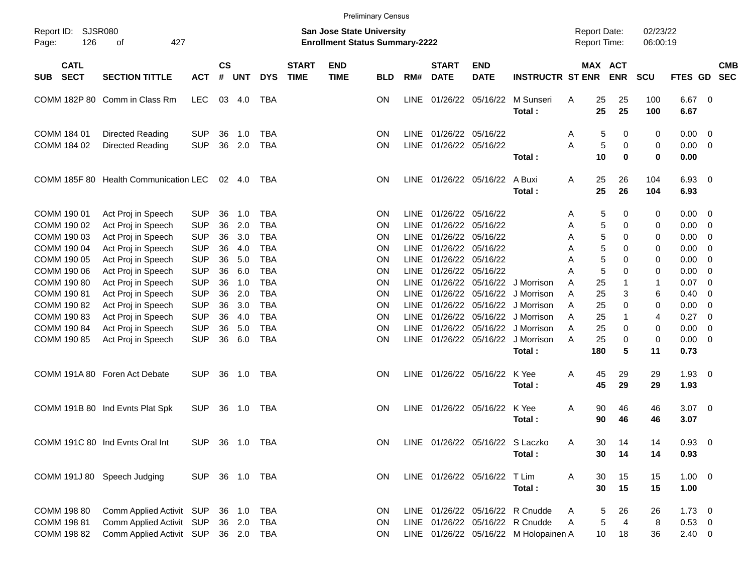|                                          |                                          |                          |                    |            |                          |                             |                                                                           | <b>Preliminary Census</b> |                     |                               |                              |                                       |                |                                     |                          |                      |              |                          |  |
|------------------------------------------|------------------------------------------|--------------------------|--------------------|------------|--------------------------|-----------------------------|---------------------------------------------------------------------------|---------------------------|---------------------|-------------------------------|------------------------------|---------------------------------------|----------------|-------------------------------------|--------------------------|----------------------|--------------|--------------------------|--|
| SJSR080<br>Report ID:<br>126<br>Page:    | 427<br>οf                                |                          |                    |            |                          |                             | <b>San Jose State University</b><br><b>Enrollment Status Summary-2222</b> |                           |                     |                               |                              |                                       |                | <b>Report Date:</b><br>Report Time: |                          | 02/23/22<br>06:00:19 |              |                          |  |
| <b>CATL</b><br><b>SECT</b><br><b>SUB</b> | <b>SECTION TITTLE</b>                    | <b>ACT</b>               | $\mathsf{cs}$<br># | <b>UNT</b> | <b>DYS</b>               | <b>START</b><br><b>TIME</b> | <b>END</b><br><b>TIME</b>                                                 | <b>BLD</b>                | RM#                 | <b>START</b><br><b>DATE</b>   | <b>END</b><br><b>DATE</b>    | <b>INSTRUCTR ST ENR</b>               |                | <b>MAX</b>                          | <b>ACT</b><br><b>ENR</b> | <b>SCU</b>           | FTES GD      | <b>CMB</b><br><b>SEC</b> |  |
|                                          | COMM 182P 80 Comm in Class Rm            | <b>LEC</b>               | 03                 | 4.0        | <b>TBA</b>               |                             |                                                                           | ΟN                        | LINE                | 01/26/22                      | 05/16/22                     | M Sunseri<br>Total:                   | Α              | 25<br>25                            | 25<br>25                 | 100<br>100           | 6.67<br>6.67 | $\overline{0}$           |  |
| COMM 184 01<br>COMM 184 02               | Directed Reading<br>Directed Reading     | <b>SUP</b><br><b>SUP</b> | 36<br>36           | 1.0<br>2.0 | <b>TBA</b><br><b>TBA</b> |                             |                                                                           | ON<br>ON                  | <b>LINE</b><br>LINE | 01/26/22<br>01/26/22 05/16/22 | 05/16/22                     |                                       | A<br>A         | 5<br>5                              | 0<br>0                   | 0<br>0               | 0.00<br>0.00 | 0<br>$\mathbf 0$         |  |
|                                          |                                          |                          |                    |            |                          |                             |                                                                           |                           |                     |                               |                              | Total:                                |                | 10                                  | $\bf{0}$                 | $\bf{0}$             | 0.00         |                          |  |
|                                          | COMM 185F 80 Health Communication LEC    |                          |                    | 02 4.0     | TBA                      |                             |                                                                           | ΟN                        |                     | LINE 01/26/22 05/16/22        |                              | A Buxi<br>Total:                      | Α              | 25<br>25                            | 26<br>26                 | 104<br>104           | 6.93<br>6.93 | $\overline{0}$           |  |
| COMM 190 01<br>COMM 190 02               | Act Proj in Speech<br>Act Proj in Speech | <b>SUP</b><br><b>SUP</b> | 36<br>36           | 1.0<br>2.0 | <b>TBA</b><br><b>TBA</b> |                             |                                                                           | ON<br>ON                  | LINE<br><b>LINE</b> | 01/26/22<br>01/26/22          | 05/16/22<br>05/16/22         |                                       | A<br>A         | 5<br>5                              | 0<br>0                   | 0<br>0               | 0.00<br>0.00 | 0<br>0                   |  |
| COMM 190 03                              | Act Proj in Speech                       | <b>SUP</b>               | 36                 | 3.0        | <b>TBA</b>               |                             |                                                                           | ON                        | <b>LINE</b>         | 01/26/22                      | 05/16/22                     |                                       | A              | 5                                   | 0                        | 0                    | 0.00         | 0                        |  |
| COMM 190 04                              | Act Proj in Speech                       | <b>SUP</b>               | 36                 | 4.0        | <b>TBA</b>               |                             |                                                                           | ON                        | <b>LINE</b>         | 01/26/22                      | 05/16/22                     |                                       | A              | 5                                   | 0                        | 0                    | 0.00         | 0                        |  |
| COMM 190 05                              | Act Proj in Speech                       | <b>SUP</b>               | 36                 | 5.0        | <b>TBA</b>               |                             |                                                                           | ON                        | <b>LINE</b>         | 01/26/22                      | 05/16/22                     |                                       | Α              | 5                                   | 0                        | 0                    | 0.00         | 0                        |  |
| COMM 190 06                              | Act Proj in Speech                       | <b>SUP</b>               | 36                 | 6.0        | <b>TBA</b>               |                             |                                                                           | ON                        | <b>LINE</b>         | 01/26/22 05/16/22             |                              |                                       | Α              | 5                                   | 0                        | 0                    | 0.00         | 0                        |  |
| COMM 190 80                              | Act Proj in Speech                       | <b>SUP</b>               | 36                 | 1.0        | <b>TBA</b>               |                             |                                                                           | ON                        | <b>LINE</b>         |                               | 01/26/22 05/16/22            | J Morrison                            | A              | 25                                  | 1                        | 1                    | 0.07         | 0                        |  |
| COMM 190 81                              | Act Proj in Speech                       | <b>SUP</b>               | 36                 | 2.0        | <b>TBA</b>               |                             |                                                                           | ON                        | <b>LINE</b>         |                               | 01/26/22 05/16/22            | J Morrison                            | A              | 25                                  | 3                        | 6                    | 0.40         | 0                        |  |
| COMM 190 82                              | Act Proj in Speech                       | <b>SUP</b>               | 36                 | 3.0        | <b>TBA</b>               |                             |                                                                           | ON                        | LINE                |                               | 01/26/22 05/16/22            | J Morrison                            | A              | 25                                  | 0                        | 0                    | 0.00         | 0                        |  |
| COMM 190 83                              | Act Proj in Speech                       | <b>SUP</b>               | 36                 | 4.0        | <b>TBA</b>               |                             |                                                                           | ON                        | LINE                | 01/26/22                      | 05/16/22                     | J Morrison                            | A              | 25                                  | $\mathbf{1}$             | $\overline{4}$       | 0.27         | $\mathbf 0$              |  |
| COMM 190 84                              | Act Proj in Speech                       | <b>SUP</b>               | 36                 | 5.0        | <b>TBA</b>               |                             |                                                                           | ON                        | <b>LINE</b>         | 01/26/22                      | 05/16/22                     | J Morrison                            | A              | 25                                  | 0                        | 0                    | 0.00         | 0                        |  |
| COMM 190 85                              | Act Proj in Speech                       | <b>SUP</b>               | 36                 | 6.0        | <b>TBA</b>               |                             |                                                                           | ON                        | <b>LINE</b>         | 01/26/22 05/16/22             |                              | J Morrison                            | A              | 25                                  | 0                        | 0                    | 0.00         | $\mathbf 0$              |  |
|                                          |                                          |                          |                    |            |                          |                             |                                                                           |                           |                     |                               |                              | Total:                                |                | 180                                 | 5                        | 11                   | 0.73         |                          |  |
|                                          | COMM 191A 80 Foren Act Debate            | <b>SUP</b>               | 36                 | 1.0        | TBA                      |                             |                                                                           | ΟN                        |                     | LINE 01/26/22 05/16/22        |                              | K Yee                                 | A              | 45                                  | 29                       | 29                   | 1.93         | $\overline{0}$           |  |
|                                          |                                          |                          |                    |            |                          |                             |                                                                           |                           |                     |                               |                              | Total:                                |                | 45                                  | 29                       | 29                   | 1.93         |                          |  |
|                                          | COMM 191B 80 Ind Evnts Plat Spk          | <b>SUP</b>               | 36                 | 1.0        | TBA                      |                             |                                                                           | ΟN                        | LINE                | 01/26/22 05/16/22             |                              | K Yee<br>Total:                       | Α              | 90<br>90                            | 46<br>46                 | 46<br>46             | 3.07<br>3.07 | $\overline{0}$           |  |
|                                          |                                          |                          |                    |            |                          |                             |                                                                           |                           |                     |                               |                              |                                       |                |                                     |                          |                      |              |                          |  |
|                                          | COMM 191C 80 Ind Evnts Oral Int          | SUP 36 1.0 TBA           |                    |            |                          |                             |                                                                           |                           |                     |                               |                              | ON LINE 01/26/22 05/16/22 S Laczko    | $\overline{A}$ | 30                                  | 14                       | 14                   | $0.93 \ 0$   |                          |  |
|                                          |                                          |                          |                    |            |                          |                             |                                                                           |                           |                     |                               |                              | Total:                                |                | 30                                  | 14                       | 14                   | 0.93         |                          |  |
|                                          | COMM 191J 80 Speech Judging              | SUP 36 1.0 TBA           |                    |            |                          |                             |                                                                           | ON                        |                     |                               | LINE 01/26/22 05/16/22 T Lim |                                       | A              | 30                                  | 15                       | 15                   | $1.00 \t 0$  |                          |  |
|                                          |                                          |                          |                    |            |                          |                             |                                                                           |                           |                     |                               |                              | Total:                                |                | 30                                  | 15                       | 15                   | 1.00         |                          |  |
| COMM 198 80                              | Comm Applied Activit SUP                 |                          |                    | 36 1.0     | TBA                      |                             |                                                                           | <b>ON</b>                 |                     |                               | LINE 01/26/22 05/16/22       | R Cnudde                              |                | 5                                   | 26                       | 26                   | $1.73 \t 0$  |                          |  |
| COMM 198 81                              | Comm Applied Activit SUP                 |                          |                    | 36 2.0     | <b>TBA</b>               |                             |                                                                           | ON                        |                     |                               |                              | LINE 01/26/22 05/16/22 R Cnudde       | A              | 5                                   | $\overline{4}$           | 8                    | 0.53         | $\overline{\mathbf{0}}$  |  |
| COMM 198 82                              | Comm Applied Activit SUP 36 2.0 TBA      |                          |                    |            |                          |                             |                                                                           | <b>ON</b>                 |                     |                               |                              | LINE 01/26/22 05/16/22 M Holopainen A |                | 10                                  | 18                       | 36                   | $2.40 \t 0$  |                          |  |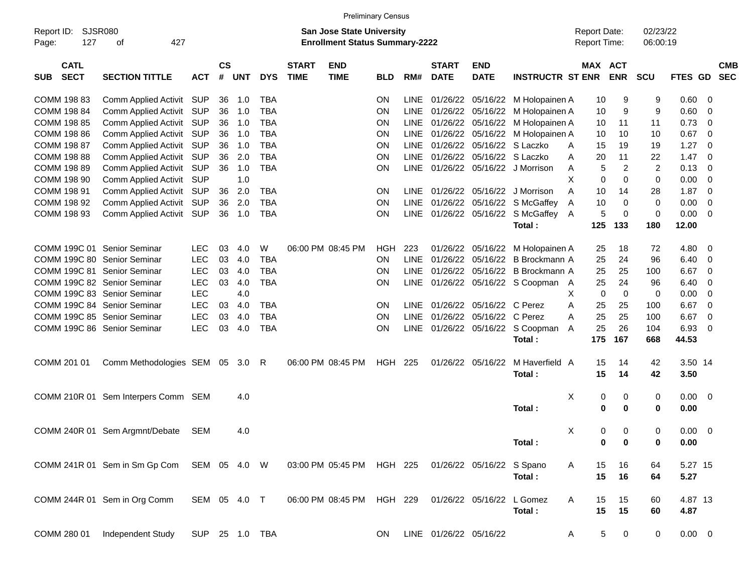|                                          |                                     |                |                    |            |            |                             | <b>Preliminary Census</b>                                                 |            |             |                             |                           |                                |                                     |                       |                      |             |     |                          |
|------------------------------------------|-------------------------------------|----------------|--------------------|------------|------------|-----------------------------|---------------------------------------------------------------------------|------------|-------------|-----------------------------|---------------------------|--------------------------------|-------------------------------------|-----------------------|----------------------|-------------|-----|--------------------------|
| Report ID:<br>127<br>Page:               | <b>SJSR080</b><br>427<br>of         |                |                    |            |            |                             | <b>San Jose State University</b><br><b>Enrollment Status Summary-2222</b> |            |             |                             |                           |                                | <b>Report Date:</b><br>Report Time: |                       | 02/23/22<br>06:00:19 |             |     |                          |
| <b>CATL</b><br><b>SECT</b><br><b>SUB</b> | <b>SECTION TITTLE</b>               | <b>ACT</b>     | $\mathsf{cs}$<br># | <b>UNT</b> | <b>DYS</b> | <b>START</b><br><b>TIME</b> | <b>END</b><br><b>TIME</b>                                                 | <b>BLD</b> | RM#         | <b>START</b><br><b>DATE</b> | <b>END</b><br><b>DATE</b> | <b>INSTRUCTR ST ENR</b>        |                                     | MAX ACT<br><b>ENR</b> | <b>SCU</b>           | FTES GD     |     | <b>CMB</b><br><b>SEC</b> |
| COMM 198 83                              | Comm Applied Activit                | SUP            | 36                 | 1.0        | <b>TBA</b> |                             |                                                                           | <b>ON</b>  | <b>LINE</b> | 01/26/22                    |                           | 05/16/22 M Holopainen A        | 10                                  | 9                     | 9                    | 0.60        | 0   |                          |
| COMM 198 84                              | Comm Applied Activit                | SUP            | 36                 | 1.0        | <b>TBA</b> |                             |                                                                           | <b>ON</b>  | <b>LINE</b> | 01/26/22                    | 05/16/22                  | M Holopainen A                 | 10                                  | 9                     | 9                    | 0.60        | 0   |                          |
| COMM 198 85                              | Comm Applied Activit                | SUP            | 36                 | 1.0        | <b>TBA</b> |                             |                                                                           | <b>ON</b>  | <b>LINE</b> | 01/26/22                    | 05/16/22                  | M Holopainen A                 | 10                                  | 11                    | 11                   | 0.73        | 0   |                          |
| COMM 198 86                              | Comm Applied Activit                | SUP            | 36                 | 1.0        | <b>TBA</b> |                             |                                                                           | <b>ON</b>  | <b>LINE</b> | 01/26/22                    | 05/16/22                  | M Holopainen A                 | 10                                  | 10                    | 10                   | 0.67        | 0   |                          |
| <b>COMM 198 87</b>                       | Comm Applied Activit                | SUP            | 36                 | 1.0        | <b>TBA</b> |                             |                                                                           | <b>ON</b>  | <b>LINE</b> | 01/26/22                    |                           | 05/16/22 S Laczko              | A<br>15                             | 19                    | 19                   | 1.27        | 0   |                          |
| <b>COMM 198 88</b>                       | Comm Applied Activit                | SUP            | 36                 | 2.0        | <b>TBA</b> |                             |                                                                           | <b>ON</b>  | <b>LINE</b> | 01/26/22                    |                           | 05/16/22 S Laczko              | A<br>20                             | 11                    | 22                   | 1.47        | 0   |                          |
| COMM 198 89                              | Comm Applied Activit                | SUP            | 36                 | 1.0        | <b>TBA</b> |                             |                                                                           | <b>ON</b>  | <b>LINE</b> | 01/26/22                    |                           | 05/16/22 J Morrison            | 5<br>A                              | $\overline{2}$        | $\overline{2}$       | 0.13        | 0   |                          |
| COMM 198 90                              | Comm Applied Activit                | SUP            |                    | 1.0        |            |                             |                                                                           |            |             |                             |                           |                                | X<br>0                              | 0                     | 0                    | 0.00        | 0   |                          |
| COMM 198 91                              | Comm Applied Activit                | SUP            | 36                 | 2.0        | <b>TBA</b> |                             |                                                                           | <b>ON</b>  | <b>LINE</b> |                             |                           | 01/26/22 05/16/22 J Morrison   | A<br>10                             | 14                    | 28                   | 1.87        | 0   |                          |
| COMM 198 92                              | Comm Applied Activit                | SUP            | 36                 | 2.0        | <b>TBA</b> |                             |                                                                           | <b>ON</b>  | <b>LINE</b> | 01/26/22                    | 05/16/22                  | S McGaffey                     | A<br>10                             | 0                     | 0                    | 0.00        | 0   |                          |
| COMM 198 93                              | Comm Applied Activit SUP            |                | 36                 | 1.0        | <b>TBA</b> |                             |                                                                           | <b>ON</b>  | <b>LINE</b> |                             |                           | 01/26/22 05/16/22 S McGaffey A | 5                                   | 0                     | 0                    | 0.00        | 0   |                          |
|                                          |                                     |                |                    |            |            |                             |                                                                           |            |             |                             |                           | Total:                         | 125                                 | 133                   | 180                  | 12.00       |     |                          |
| COMM 199C 01 Senior Seminar              |                                     | <b>LEC</b>     | 03                 | 4.0        | W          |                             | 06:00 PM 08:45 PM                                                         | HGH        | 223         | 01/26/22                    | 05/16/22                  | M Holopainen A                 | 25                                  | 18                    | 72                   | 4.80        | 0   |                          |
| COMM 199C 80 Senior Seminar              |                                     | <b>LEC</b>     | 03                 | 4.0        | <b>TBA</b> |                             |                                                                           | <b>ON</b>  | <b>LINE</b> | 01/26/22                    | 05/16/22                  | B Brockmann A                  | 25                                  | 24                    | 96                   | 6.40        | 0   |                          |
| COMM 199C 81 Senior Seminar              |                                     | <b>LEC</b>     | 03                 | 4.0        | TBA        |                             |                                                                           | <b>ON</b>  | <b>LINE</b> | 01/26/22                    | 05/16/22                  | B Brockmann A                  | 25                                  | 25                    | 100                  | 6.67        | 0   |                          |
| COMM 199C 82 Senior Seminar              |                                     | <b>LEC</b>     | 03                 | 4.0        | <b>TBA</b> |                             |                                                                           | ON         | LINE        |                             |                           | 01/26/22 05/16/22 S Coopman    | 25<br>A                             | 24                    | 96                   | 6.40        | 0   |                          |
| COMM 199C 83 Senior Seminar              |                                     | <b>LEC</b>     |                    | 4.0        |            |                             |                                                                           |            |             |                             |                           |                                | X<br>$\mathbf 0$                    | $\mathbf 0$           | 0                    | 0.00        | 0   |                          |
| COMM 199C 84 Senior Seminar              |                                     | <b>LEC</b>     | 03                 | 4.0        | TBA        |                             |                                                                           | ON         | <b>LINE</b> |                             | 01/26/22 05/16/22 C Perez |                                | A<br>25                             | 25                    | 100                  | 6.67        | 0   |                          |
| COMM 199C 85 Senior Seminar              |                                     | LEC            | 03                 | 4.0        | <b>TBA</b> |                             |                                                                           | ON         | <b>LINE</b> | 01/26/22                    | 05/16/22                  | C Perez                        | 25<br>A                             | 25                    | 100                  | 6.67        | 0   |                          |
| COMM 199C 86 Senior Seminar              |                                     | <b>LEC</b>     | 03                 | 4.0        | <b>TBA</b> |                             |                                                                           | ON         | <b>LINE</b> |                             |                           | 01/26/22 05/16/22 S Coopman    | 25<br>A                             | 26                    | 104                  | 6.93        | 0   |                          |
|                                          |                                     |                |                    |            |            |                             |                                                                           |            |             |                             |                           | Total:                         | 175                                 | 167                   | 668                  | 44.53       |     |                          |
| COMM 201 01                              | Comm Methodologies SEM 05           |                |                    | 3.0        | R          |                             | 06:00 PM 08:45 PM                                                         | HGH        | 225         |                             | 01/26/22 05/16/22         | M Haverfield A                 | 15                                  | 14                    | 42                   | 3.50 14     |     |                          |
|                                          |                                     |                |                    |            |            |                             |                                                                           |            |             |                             |                           | Total:                         | 15                                  | 14                    | 42                   | 3.50        |     |                          |
|                                          | COMM 210R 01 Sem Interpers Comm SEM |                |                    | 4.0        |            |                             |                                                                           |            |             |                             |                           |                                | Х<br>0                              | 0                     | 0                    | 0.00        | - 0 |                          |
|                                          |                                     |                |                    |            |            |                             |                                                                           |            |             |                             |                           | Total:                         | 0                                   | 0                     | $\bf{0}$             | 0.00        |     |                          |
|                                          | COMM 240R 01 Sem Argmnt/Debate      | SEM            |                    | 4.0        |            |                             |                                                                           |            |             |                             |                           |                                | X<br>0                              | 0                     | 0                    | 0.00        | 0   |                          |
|                                          |                                     |                |                    |            |            |                             |                                                                           |            |             |                             |                           | Total:                         |                                     | 0<br>0                | 0                    | 0.00        |     |                          |
|                                          | COMM 241R 01 Sem in Sm Gp Com       | SEM 05 4.0 W   |                    |            |            |                             | 03:00 PM 05:45 PM HGH 225                                                 |            |             |                             | 01/26/22 05/16/22 S Spano |                                | A<br>15                             | 16                    | 64                   | 5.27 15     |     |                          |
|                                          |                                     |                |                    |            |            |                             |                                                                           |            |             |                             |                           | Total:                         | 15                                  | 16                    | 64                   | 5.27        |     |                          |
|                                          | COMM 244R 01 Sem in Org Comm        | SEM 05 4.0 T   |                    |            |            |                             | 06:00 PM 08:45 PM                                                         | HGH 229    |             |                             | 01/26/22 05/16/22 L Gomez |                                | A<br>15                             | 15                    | 60                   | 4.87 13     |     |                          |
|                                          |                                     |                |                    |            |            |                             |                                                                           |            |             |                             |                           | Total:                         | 15                                  | 15                    | 60                   | 4.87        |     |                          |
| COMM 280 01                              | Independent Study                   | SUP 25 1.0 TBA |                    |            |            |                             |                                                                           | ON         |             | LINE 01/26/22 05/16/22      |                           |                                | A                                   | 5<br>0                | 0                    | $0.00 \t 0$ |     |                          |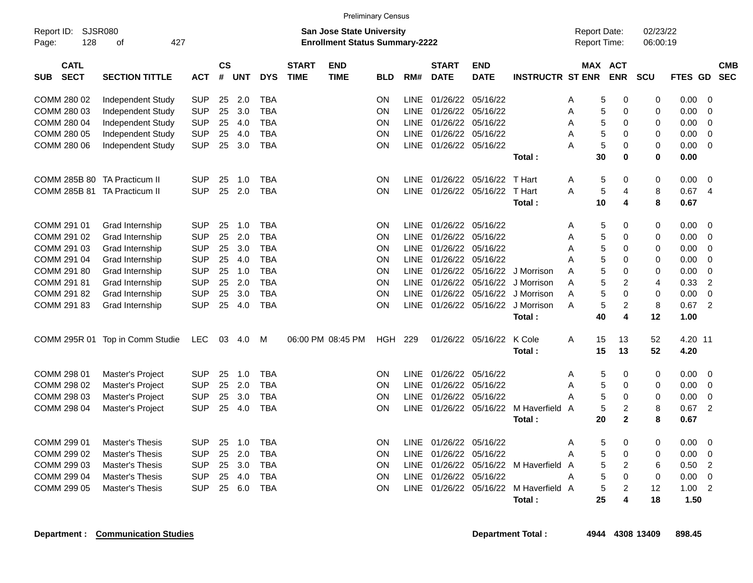|                                          |                                 |            |                |            |            |                             |                                                                           | <b>Preliminary Census</b> |             |                             |                           |                         |                                     |                         |                      |                |                |                          |
|------------------------------------------|---------------------------------|------------|----------------|------------|------------|-----------------------------|---------------------------------------------------------------------------|---------------------------|-------------|-----------------------------|---------------------------|-------------------------|-------------------------------------|-------------------------|----------------------|----------------|----------------|--------------------------|
| Report ID:<br>128<br>Page:               | <b>SJSR080</b><br>427<br>οf     |            |                |            |            |                             | <b>San Jose State University</b><br><b>Enrollment Status Summary-2222</b> |                           |             |                             |                           |                         | <b>Report Date:</b><br>Report Time: |                         | 02/23/22<br>06:00:19 |                |                |                          |
| <b>CATL</b><br><b>SECT</b><br><b>SUB</b> | <b>SECTION TITTLE</b>           | <b>ACT</b> | <b>CS</b><br># | <b>UNT</b> | <b>DYS</b> | <b>START</b><br><b>TIME</b> | <b>END</b><br><b>TIME</b>                                                 | <b>BLD</b>                | RM#         | <b>START</b><br><b>DATE</b> | <b>END</b><br><b>DATE</b> | <b>INSTRUCTR ST ENR</b> |                                     | MAX ACT<br><b>ENR</b>   | <b>SCU</b>           | <b>FTES GD</b> |                | <b>CMB</b><br><b>SEC</b> |
| COMM 280 02                              | Independent Study               | <b>SUP</b> | 25             | 2.0        | <b>TBA</b> |                             |                                                                           | ON                        | <b>LINE</b> | 01/26/22                    | 05/16/22                  |                         | A<br>5                              | $\mathbf 0$             | 0                    | 0.00           | $\mathbf 0$    |                          |
| COMM 280 03                              | Independent Study               | <b>SUP</b> | 25             | 3.0        | TBA        |                             |                                                                           | ON                        | <b>LINE</b> | 01/26/22                    | 05/16/22                  |                         | A<br>5                              | $\mathbf 0$             | 0                    | 0.00           | $\Omega$       |                          |
| COMM 280 04                              | Independent Study               | <b>SUP</b> | 25             | 4.0        | <b>TBA</b> |                             |                                                                           | OΝ                        | <b>LINE</b> | 01/26/22 05/16/22           |                           |                         | 5<br>A                              | $\mathbf 0$             | 0                    | 0.00           | 0              |                          |
| COMM 280 05                              | Independent Study               | <b>SUP</b> | 25             | 4.0        | TBA        |                             |                                                                           | ON                        | <b>LINE</b> | 01/26/22                    | 05/16/22                  |                         | 5<br>A                              | $\Omega$                | 0                    | 0.00           | 0              |                          |
| COMM 280 06                              | Independent Study               | <b>SUP</b> | 25             | 3.0        | <b>TBA</b> |                             |                                                                           | OΝ                        | LINE        | 01/26/22 05/16/22           |                           |                         | 5<br>A                              | $\mathbf 0$             | $\mathbf 0$          | 0.00           | $\mathbf 0$    |                          |
|                                          |                                 |            |                |            |            |                             |                                                                           |                           |             |                             |                           | Total:                  | 30                                  | $\mathbf 0$             | $\bf{0}$             | 0.00           |                |                          |
| COMM 285B 80 TA Practicum II             |                                 | <b>SUP</b> | 25             | 1.0        | <b>TBA</b> |                             |                                                                           | ON                        | <b>LINE</b> | 01/26/22 05/16/22           |                           | T Hart                  | Α<br>5                              | 0                       | 0                    | 0.00           | $\mathbf 0$    |                          |
| COMM 285B 81 TA Practicum II             |                                 | <b>SUP</b> | 25             | 2.0        | <b>TBA</b> |                             |                                                                           | ΟN                        | <b>LINE</b> |                             | 01/26/22 05/16/22         | T Hart                  | 5<br>A                              | $\overline{4}$          | 8                    | 0.67           | $\overline{4}$ |                          |
|                                          |                                 |            |                |            |            |                             |                                                                           |                           |             |                             |                           | Total:                  | 10                                  | $\overline{\mathbf{4}}$ | 8                    | 0.67           |                |                          |
| COMM 291 01                              | Grad Internship                 | <b>SUP</b> | 25             | 1.0        | TBA        |                             |                                                                           | ON                        | <b>LINE</b> | 01/26/22 05/16/22           |                           |                         | 5<br>Α                              | 0                       | 0                    | 0.00           | $\mathbf 0$    |                          |
| COMM 291 02                              | Grad Internship                 | <b>SUP</b> | 25             | 2.0        | <b>TBA</b> |                             |                                                                           | ON                        | <b>LINE</b> | 01/26/22                    | 05/16/22                  |                         | 5<br>Α                              | $\mathbf 0$             | $\mathbf 0$          | 0.00           | $\mathbf 0$    |                          |
| COMM 291 03                              | Grad Internship                 | <b>SUP</b> | 25             | 3.0        | <b>TBA</b> |                             |                                                                           | ON                        | <b>LINE</b> | 01/26/22 05/16/22           |                           |                         | 5<br>A                              | $\mathbf 0$             | 0                    | 0.00           | $\mathbf 0$    |                          |
| COMM 291 04                              | Grad Internship                 | <b>SUP</b> | 25             | 4.0        | <b>TBA</b> |                             |                                                                           | ON                        | <b>LINE</b> | 01/26/22                    | 05/16/22                  |                         | 5<br>Α                              | $\mathbf 0$             | $\mathbf 0$          | 0.00           | $\mathbf 0$    |                          |
| COMM 291 80                              | Grad Internship                 | <b>SUP</b> | 25             | 1.0        | <b>TBA</b> |                             |                                                                           | ON                        | <b>LINE</b> |                             | 01/26/22 05/16/22         | J Morrison              | 5<br>Α                              | $\mathbf 0$             | 0                    | 0.00           | $\mathbf 0$    |                          |
| COMM 291 81                              | Grad Internship                 | <b>SUP</b> | 25             | 2.0        | <b>TBA</b> |                             |                                                                           | ON                        | LINE        |                             | 01/26/22 05/16/22         | J Morrison              | A<br>5                              | $\overline{2}$          | 4                    | 0.33           | $\overline{2}$ |                          |
| COMM 291 82                              | Grad Internship                 | <b>SUP</b> | 25             | 3.0        | <b>TBA</b> |                             |                                                                           | OΝ                        | <b>LINE</b> |                             | 01/26/22 05/16/22         | J Morrison              | 5<br>A                              | $\mathbf 0$             | $\mathbf 0$          | 0.00           | $\mathbf 0$    |                          |
| COMM 291 83                              | Grad Internship                 | <b>SUP</b> | 25             | 4.0        | TBA        |                             |                                                                           | ON                        | <b>LINE</b> | 01/26/22 05/16/22           |                           | J Morrison              | 5<br>A                              | $\overline{2}$          | 8                    | 0.67           | $\overline{2}$ |                          |
|                                          |                                 |            |                |            |            |                             |                                                                           |                           |             |                             |                           | Total:                  | 40                                  | $\overline{\mathbf{4}}$ | 12                   | 1.00           |                |                          |
|                                          | COMM 295R 01 Top in Comm Studie | <b>LEC</b> | 03             | 4.0        | M          |                             | 06:00 PM 08:45 PM                                                         | HGH                       | 229         |                             | 01/26/22 05/16/22         | K Cole                  | A<br>15                             | 13                      | 52                   | 4.20 11        |                |                          |
|                                          |                                 |            |                |            |            |                             |                                                                           |                           |             |                             |                           | Total:                  | 15                                  | 13                      | 52                   | 4.20           |                |                          |
| COMM 298 01                              | Master's Project                | <b>SUP</b> | 25             | 1.0        | <b>TBA</b> |                             |                                                                           | ON                        | <b>LINE</b> | 01/26/22                    | 05/16/22                  |                         | A<br>5                              | 0                       | 0                    | 0.00           | $\mathbf 0$    |                          |
| COMM 298 02                              | <b>Master's Project</b>         | <b>SUP</b> | 25             | 2.0        | <b>TBA</b> |                             |                                                                           | OΝ                        | <b>LINE</b> | 01/26/22 05/16/22           |                           |                         | A<br>5                              | $\mathbf 0$             | 0                    | 0.00           | $\overline{0}$ |                          |
| COMM 298 03                              | Master's Project                | <b>SUP</b> | 25             | 3.0        | TBA        |                             |                                                                           | ON                        | <b>LINE</b> | 01/26/22                    | 05/16/22                  |                         | 5<br>Α                              | $\mathbf 0$             | 0                    | 0.00           | $\mathbf 0$    |                          |
| COMM 298 04                              | Master's Project                | <b>SUP</b> | 25             | 4.0        | TBA        |                             |                                                                           | ON                        | <b>LINE</b> | 01/26/22 05/16/22           |                           | M Haverfield A          | 5                                   | $\overline{2}$          | 8                    | 0.67           | $\overline{2}$ |                          |
|                                          |                                 |            |                |            |            |                             |                                                                           |                           |             |                             |                           | Total:                  | 20                                  | $\mathbf{2}$            | 8                    | 0.67           |                |                          |
| COMM 299 01                              | <b>Master's Thesis</b>          | <b>SUP</b> | 25             | 1.0        | <b>TBA</b> |                             |                                                                           | ON                        | <b>LINE</b> | 01/26/22 05/16/22           |                           |                         | A<br>5                              | $\mathbf 0$             | 0                    | 0.00           | $\overline{0}$ |                          |
| COMM 299 02                              | <b>Master's Thesis</b>          | <b>SUP</b> | 25             | 2.0        | <b>TBA</b> |                             |                                                                           | ON                        | <b>LINE</b> | 01/26/22                    | 05/16/22                  |                         | A<br>5                              | $\mathbf 0$             | 0                    | 0.00           | 0              |                          |
| COMM 299 03                              | <b>Master's Thesis</b>          | <b>SUP</b> | 25             | 3.0        | <b>TBA</b> |                             |                                                                           | OΝ                        | <b>LINE</b> | 01/26/22 05/16/22           |                           | M Haverfield A          | 5                                   | $\overline{2}$          | 6                    | 0.50           | $\overline{2}$ |                          |
| COMM 299 04                              | <b>Master's Thesis</b>          | <b>SUP</b> | 25             | 4.0        | TBA        |                             |                                                                           | ON                        | <b>LINE</b> | 01/26/22                    | 05/16/22                  |                         | 5<br>A                              | $\Omega$                | $\mathbf 0$          | 0.00           | 0              |                          |
| COMM 299 05                              | <b>Master's Thesis</b>          | SUP        | 25             | 6.0        | TBA        |                             |                                                                           | ΟN                        | <b>LINE</b> |                             | 01/26/22 05/16/22         | M Haverfield A          | 5                                   | $\overline{2}$          | 12                   | 1.00           | $\overline{2}$ |                          |
|                                          |                                 |            |                |            |            |                             |                                                                           |                           |             |                             |                           | Total:                  | 25                                  | 4                       | 18                   | 1.50           |                |                          |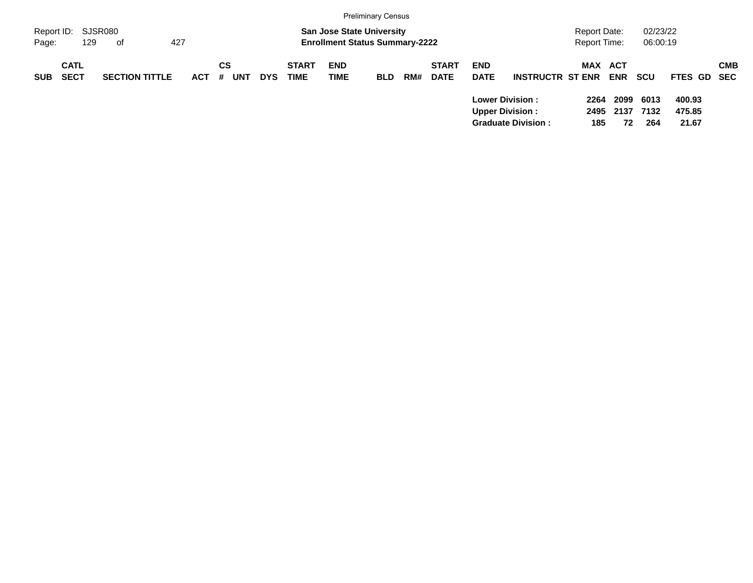|            |                            |                       |            |                       |            |                             |                                                                           | <b>Preliminary Census</b> |     |                             |                           |                                                                               |                                     |                    |                      |                           |            |
|------------|----------------------------|-----------------------|------------|-----------------------|------------|-----------------------------|---------------------------------------------------------------------------|---------------------------|-----|-----------------------------|---------------------------|-------------------------------------------------------------------------------|-------------------------------------|--------------------|----------------------|---------------------------|------------|
| Page:      | Report ID: SJSR080<br>129  | 427<br>of             |            |                       |            |                             | <b>San Jose State University</b><br><b>Enrollment Status Summary-2222</b> |                           |     |                             |                           |                                                                               | <b>Report Date:</b><br>Report Time: |                    | 02/23/22<br>06:00:19 |                           |            |
| <b>SUB</b> | <b>CATL</b><br><b>SECT</b> | <b>SECTION TITTLE</b> | <b>ACT</b> | CS<br>#<br><b>UNT</b> | <b>DYS</b> | <b>START</b><br><b>TIME</b> | <b>END</b><br><b>TIME</b>                                                 | <b>BLD</b>                | RM# | <b>START</b><br><b>DATE</b> | <b>END</b><br><b>DATE</b> | <b>INSTRUCTR ST ENR</b>                                                       | MAX ACT                             | <b>ENR</b>         | <b>SCU</b>           | FTES GD SEC               | <b>CMB</b> |
|            |                            |                       |            |                       |            |                             |                                                                           |                           |     |                             |                           | <b>Lower Division:</b><br><b>Upper Division:</b><br><b>Graduate Division:</b> | 2264<br>2495<br>185                 | 2099<br>2137<br>72 | 6013<br>7132<br>264  | 400.93<br>475.85<br>21.67 |            |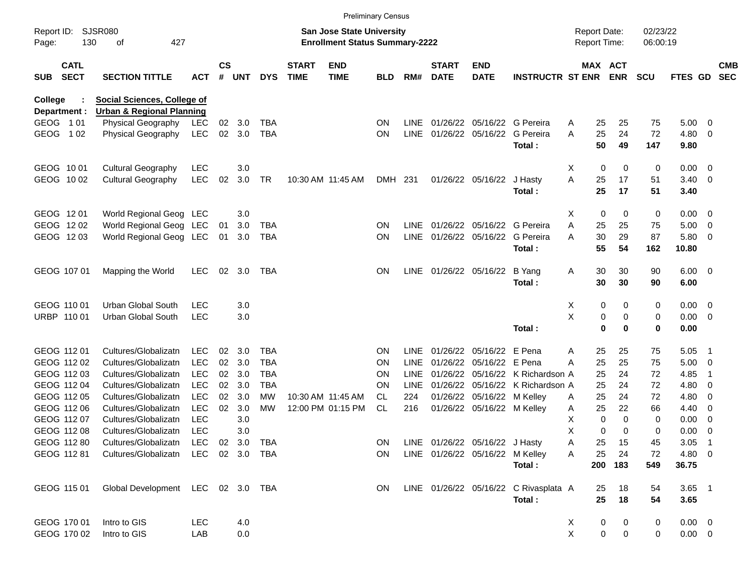|                                          |                                      |                |                    |            |            |                             |                                                                           | <b>Preliminary Census</b> |             |                             |                                 |                                       |                                     |                          |                      |                 |                          |                          |
|------------------------------------------|--------------------------------------|----------------|--------------------|------------|------------|-----------------------------|---------------------------------------------------------------------------|---------------------------|-------------|-----------------------------|---------------------------------|---------------------------------------|-------------------------------------|--------------------------|----------------------|-----------------|--------------------------|--------------------------|
| Report ID:<br>130<br>Page:               | SJSR080<br>427<br>οf                 |                |                    |            |            |                             | <b>San Jose State University</b><br><b>Enrollment Status Summary-2222</b> |                           |             |                             |                                 |                                       | <b>Report Date:</b><br>Report Time: |                          | 02/23/22<br>06:00:19 |                 |                          |                          |
| <b>CATL</b><br><b>SECT</b><br><b>SUB</b> | <b>SECTION TITTLE</b>                | <b>ACT</b>     | $\mathsf{cs}$<br># | <b>UNT</b> | <b>DYS</b> | <b>START</b><br><b>TIME</b> | <b>END</b><br><b>TIME</b>                                                 | <b>BLD</b>                | RM#         | <b>START</b><br><b>DATE</b> | <b>END</b><br><b>DATE</b>       | <b>INSTRUCTR ST ENR</b>               |                                     | MAX ACT<br><b>ENR</b>    | <b>SCU</b>           | FTES GD         |                          | <b>CMB</b><br><b>SEC</b> |
| College                                  | <b>Social Sciences, College of</b>   |                |                    |            |            |                             |                                                                           |                           |             |                             |                                 |                                       |                                     |                          |                      |                 |                          |                          |
| Department :                             | <b>Urban &amp; Regional Planning</b> |                |                    |            |            |                             |                                                                           |                           |             |                             |                                 |                                       |                                     |                          |                      |                 |                          |                          |
| GEOG 101                                 | <b>Physical Geography</b>            | <b>LEC</b>     | 02                 | 3.0        | <b>TBA</b> |                             |                                                                           | <b>ON</b>                 | LINE        |                             |                                 | 01/26/22 05/16/22 G Pereira           | A                                   | 25<br>25                 | 75                   | 5.00            | - 0                      |                          |
| GEOG 102                                 | Physical Geography                   | <b>LEC</b>     | 02 <sub>o</sub>    | 3.0        | <b>TBA</b> |                             |                                                                           | <b>ON</b>                 | <b>LINE</b> |                             | 01/26/22 05/16/22               | G Pereira<br>Total:                   | A                                   | 25<br>24<br>50<br>49     | 72<br>147            | 4.80<br>9.80    | - 0                      |                          |
| GEOG 1001                                | <b>Cultural Geography</b>            | <b>LEC</b>     |                    | 3.0        |            |                             |                                                                           |                           |             |                             |                                 |                                       | Х                                   | 0<br>$\mathbf 0$         | 0                    | 0.00            | $\overline{\phantom{0}}$ |                          |
| GEOG 1002                                | <b>Cultural Geography</b>            | <b>LEC</b>     | 02                 | 3.0        | TR         |                             | 10:30 AM 11:45 AM                                                         | DMH 231                   |             |                             | 01/26/22 05/16/22               | J Hasty<br>Total:                     | A<br>25                             | 17<br>25<br>17           | 51<br>51             | 3.40<br>3.40    | $\overline{\mathbf{0}}$  |                          |
| GEOG 1201                                | World Regional Geog LEC              |                |                    | 3.0        |            |                             |                                                                           |                           |             |                             |                                 |                                       | Х                                   | 0<br>$\mathbf 0$         | 0                    | 0.00            | $\overline{\phantom{0}}$ |                          |
| GEOG 1202                                | World Regional Geog LEC              |                | 01                 | 3.0        | <b>TBA</b> |                             |                                                                           | <b>ON</b>                 | LINE        |                             |                                 | 01/26/22 05/16/22 G Pereira           | А<br>25                             | 25                       | 75                   | 5.00            | $\overline{\mathbf{0}}$  |                          |
| GEOG 1203                                | World Regional Geog LEC              |                | 01                 | 3.0        | TBA        |                             |                                                                           | <b>ON</b>                 | <b>LINE</b> |                             | 01/26/22 05/16/22               | G Pereira<br>Total:                   | Α                                   | 30<br>29<br>55<br>54     | 87<br>162            | 5.80<br>10.80   | $\overline{\mathbf{0}}$  |                          |
|                                          |                                      |                |                    |            |            |                             |                                                                           |                           |             |                             |                                 |                                       |                                     |                          |                      |                 |                          |                          |
| GEOG 107 01                              | Mapping the World                    | <b>LEC</b>     | 02                 | 3.0        | TBA        |                             |                                                                           | <b>ON</b>                 |             |                             | LINE 01/26/22 05/16/22          | B Yang                                | A                                   | 30<br>30                 | 90                   | $6.00 \quad 0$  |                          |                          |
|                                          |                                      |                |                    |            |            |                             |                                                                           |                           |             |                             |                                 | Total:                                |                                     | 30<br>30                 | 90                   | 6.00            |                          |                          |
| GEOG 110 01                              | <b>Urban Global South</b>            | <b>LEC</b>     |                    | 3.0        |            |                             |                                                                           |                           |             |                             |                                 |                                       | Х                                   | 0<br>0                   | 0                    | $0.00 \t 0$     |                          |                          |
| URBP 110 01                              | Urban Global South                   | <b>LEC</b>     |                    | 3.0        |            |                             |                                                                           |                           |             |                             |                                 |                                       | X                                   | 0<br>0                   | 0                    | 0.00            | $\overline{\phantom{0}}$ |                          |
|                                          |                                      |                |                    |            |            |                             |                                                                           |                           |             |                             |                                 | Total:                                |                                     | $\mathbf 0$<br>0         | $\bf{0}$             | 0.00            |                          |                          |
| GEOG 112 01                              | Cultures/Globalizatn                 | <b>LEC</b>     | 02                 | 3.0        | <b>TBA</b> |                             |                                                                           | <b>ON</b>                 | LINE        |                             | 01/26/22 05/16/22 E Pena        |                                       | A                                   | 25<br>25                 | 75                   | 5.05            | - 1                      |                          |
| GEOG 112 02                              | Cultures/Globalizatn                 | <b>LEC</b>     | 02                 | 3.0        | <b>TBA</b> |                             |                                                                           | <b>ON</b>                 | LINE        |                             | 01/26/22 05/16/22 E Pena        |                                       | 25<br>А                             | 25                       | 75                   | 5.00            | $\overline{\mathbf{0}}$  |                          |
| GEOG 112 03                              | Cultures/Globalizatn                 | <b>LEC</b>     | 02                 | 3.0        | <b>TBA</b> |                             |                                                                           | <b>ON</b>                 | LINE        |                             |                                 | 01/26/22 05/16/22 K Richardson A      | 25                                  | 24                       | 72                   | 4.85            | -1                       |                          |
| GEOG 112 04                              | Cultures/Globalizatn                 | <b>LEC</b>     | 02                 | 3.0        | <b>TBA</b> |                             |                                                                           | <b>ON</b>                 | LINE        |                             |                                 | 01/26/22 05/16/22 K Richardson A      | 25                                  | 24                       | 72                   | 4.80            | 0                        |                          |
| GEOG 112 05                              | Cultures/Globalizatn                 | <b>LEC</b>     | 02                 | 3.0        | <b>MW</b>  |                             | 10:30 AM 11:45 AM                                                         | CL.                       | 224         |                             | 01/26/22 05/16/22 M Kelley      |                                       | A                                   | 25<br>24                 | 72                   | 4.80            | 0                        |                          |
| GEOG 112 06                              | Cultures/Globalizatn                 | <b>LEC</b>     | 02                 | 3.0        | <b>MW</b>  |                             | 12:00 PM 01:15 PM                                                         | <b>CL</b>                 | 216         |                             | 01/26/22 05/16/22 M Kelley      |                                       | Α                                   | 25<br>22                 | 66                   | 4.40            | 0                        |                          |
| GEOG 112 07                              | Cultures/Globalizatn                 | <b>LEC</b>     |                    | 3.0        |            |                             |                                                                           |                           |             |                             |                                 |                                       | X                                   | 0<br>$\Omega$            | 0                    | 0.00            | 0                        |                          |
| GEOG 112 08                              | Cultures/Globalizatn                 | <b>LEC</b>     |                    | 3.0        |            |                             |                                                                           |                           |             |                             |                                 |                                       | X                                   | 0<br>$\Omega$            | 0                    | 0.00            | $\overline{0}$           |                          |
| GEOG 112 80                              | Cultures/Globalizatn                 | LEC            |                    |            | 02 3.0 TBA |                             |                                                                           | <b>ON</b>                 |             |                             | LINE 01/26/22 05/16/22 J Hasty  |                                       | A                                   | 25<br>-15                | 45                   | $3.05$ 1        |                          |                          |
| GEOG 112 81                              | Cultures/Globalizatn                 | LEC 02 3.0 TBA |                    |            |            |                             |                                                                           | <b>ON</b>                 |             |                             | LINE 01/26/22 05/16/22 M Kelley | Total:                                | A                                   | 25<br>24<br>200 183      | 72<br>549            | 4.80 0<br>36.75 |                          |                          |
| GEOG 115 01                              | Global Development LEC 02 3.0 TBA    |                |                    |            |            |                             |                                                                           | ON.                       |             |                             |                                 | LINE 01/26/22 05/16/22 C Rivasplata A |                                     | 18<br>25                 | 54                   | $3.65$ 1        |                          |                          |
|                                          |                                      |                |                    |            |            |                             |                                                                           |                           |             |                             |                                 | Total:                                |                                     | 25<br>18                 | 54                   | 3.65            |                          |                          |
| GEOG 170 01                              | Intro to GIS                         | LEC            |                    | 4.0        |            |                             |                                                                           |                           |             |                             |                                 |                                       | X                                   | 0<br>0                   | 0                    | $0.00 \t 0$     |                          |                          |
| GEOG 170 02                              | Intro to GIS                         | LAB            |                    | 0.0        |            |                             |                                                                           |                           |             |                             |                                 |                                       | X                                   | $\pmb{0}$<br>$\mathbf 0$ | 0                    | $0.00 \t 0$     |                          |                          |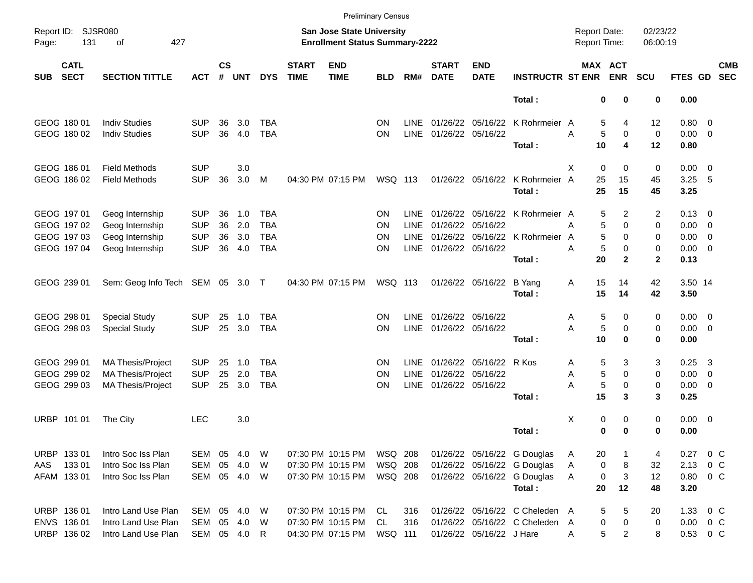|             |                            |                                  |            |                    |            |            |                             |                                                                    | <b>Preliminary Census</b> |             |                             |                           |                                 |                                     |                       |                      |                |                         |                          |
|-------------|----------------------------|----------------------------------|------------|--------------------|------------|------------|-----------------------------|--------------------------------------------------------------------|---------------------------|-------------|-----------------------------|---------------------------|---------------------------------|-------------------------------------|-----------------------|----------------------|----------------|-------------------------|--------------------------|
| Page:       | Report ID: SJSR080<br>131  | of<br>427                        |            |                    |            |            |                             | San Jose State University<br><b>Enrollment Status Summary-2222</b> |                           |             |                             |                           |                                 | <b>Report Date:</b><br>Report Time: |                       | 02/23/22<br>06:00:19 |                |                         |                          |
| <b>SUB</b>  | <b>CATL</b><br><b>SECT</b> | <b>SECTION TITTLE</b>            | <b>ACT</b> | $\mathsf{cs}$<br># | <b>UNT</b> | <b>DYS</b> | <b>START</b><br><b>TIME</b> | <b>END</b><br><b>TIME</b>                                          | <b>BLD</b>                | RM#         | <b>START</b><br><b>DATE</b> | <b>END</b><br><b>DATE</b> | <b>INSTRUCTR ST ENR</b>         |                                     | MAX ACT<br><b>ENR</b> | <b>SCU</b>           | FTES GD        |                         | <b>CMB</b><br><b>SEC</b> |
|             |                            |                                  |            |                    |            |            |                             |                                                                    |                           |             |                             |                           | Total:                          |                                     | 0<br>0                | 0                    | 0.00           |                         |                          |
|             | GEOG 180 01                | <b>Indiv Studies</b>             | <b>SUP</b> | 36                 | 3.0        | TBA        |                             |                                                                    | ΟN                        | <b>LINE</b> |                             |                           | 01/26/22 05/16/22 K Rohrmeier A |                                     | 5<br>4                | 12                   | $0.80 \ 0$     |                         |                          |
|             | GEOG 180 02                | <b>Indiv Studies</b>             | <b>SUP</b> | 36                 | 4.0        | <b>TBA</b> |                             |                                                                    | <b>ON</b>                 | <b>LINE</b> |                             | 01/26/22 05/16/22         |                                 | Α                                   | 5<br>0                | 0                    | $0.00 \t 0$    |                         |                          |
|             |                            |                                  |            |                    |            |            |                             |                                                                    |                           |             |                             |                           | Total:                          | 10                                  | 4                     | 12                   | 0.80           |                         |                          |
|             | GEOG 186 01                | <b>Field Methods</b>             | <b>SUP</b> |                    | 3.0        |            |                             |                                                                    |                           |             |                             |                           |                                 | $\mathbf 0$<br>X                    | 0                     | 0                    | $0.00 \t 0$    |                         |                          |
|             | GEOG 186 02                | <b>Field Methods</b>             | <b>SUP</b> | 36                 | 3.0        | M          |                             | 04:30 PM 07:15 PM                                                  | <b>WSQ 113</b>            |             |                             | 01/26/22 05/16/22         | K Rohrmeier                     | 25<br>A                             | 15                    | 45                   | 3.25           | - 5                     |                          |
|             |                            |                                  |            |                    |            |            |                             |                                                                    |                           |             |                             |                           | Total:                          | 25                                  | 15                    | 45                   | 3.25           |                         |                          |
|             | GEOG 197 01                | Geog Internship                  | <b>SUP</b> | 36                 | 1.0        | <b>TBA</b> |                             |                                                                    | ΟN                        | <b>LINE</b> |                             |                           | 01/26/22 05/16/22 K Rohrmeier A |                                     | 5<br>2                | 2                    | $0.13 \quad 0$ |                         |                          |
|             | GEOG 197 02                | Geog Internship                  | <b>SUP</b> | 36                 | 2.0        | <b>TBA</b> |                             |                                                                    | ΟN                        | <b>LINE</b> | 01/26/22                    | 05/16/22                  |                                 | А                                   | 5<br>$\Omega$         | 0                    | $0.00 \t 0$    |                         |                          |
|             | GEOG 197 03                | Geog Internship                  | <b>SUP</b> | 36                 | 3.0        | TBA        |                             |                                                                    | ΟN                        | <b>LINE</b> | 01/26/22                    |                           | 05/16/22 K Rohrmeier            | A                                   | 5<br>$\Omega$         | 0                    | $0.00 \t 0$    |                         |                          |
|             | GEOG 197 04                | Geog Internship                  | <b>SUP</b> | 36                 | 4.0        | <b>TBA</b> |                             |                                                                    | ΟN                        | <b>LINE</b> | 01/26/22 05/16/22           |                           |                                 | А                                   | 5<br>0                | 0                    | $0.00 \t 0$    |                         |                          |
|             |                            |                                  |            |                    |            |            |                             |                                                                    |                           |             |                             |                           | Total:                          | 20                                  | $\mathbf{2}$          | $\mathbf{2}$         | 0.13           |                         |                          |
|             | GEOG 239 01                | Sem: Geog Info Tech SEM 05 3.0 T |            |                    |            |            |                             | 04:30 PM 07:15 PM                                                  | WSQ 113                   |             |                             | 01/26/22 05/16/22         | <b>B</b> Yang                   | 15<br>Α                             | 14                    | 42                   | 3.50 14        |                         |                          |
|             |                            |                                  |            |                    |            |            |                             |                                                                    |                           |             |                             |                           | Total:                          | 15                                  | 14                    | 42                   | 3.50           |                         |                          |
|             | GEOG 298 01                | <b>Special Study</b>             | <b>SUP</b> | 25                 | 1.0        | <b>TBA</b> |                             |                                                                    | ΟN                        | <b>LINE</b> |                             | 01/26/22 05/16/22         |                                 | Α                                   | 5<br>0                | 0                    | $0.00 \t 0$    |                         |                          |
|             | GEOG 298 03                | <b>Special Study</b>             | <b>SUP</b> | 25                 | 3.0        | TBA        |                             |                                                                    | ΟN                        | <b>LINE</b> | 01/26/22 05/16/22           |                           |                                 | Α                                   | 5<br>0                | 0                    | $0.00 \t 0$    |                         |                          |
|             |                            |                                  |            |                    |            |            |                             |                                                                    |                           |             |                             |                           | Total:                          | 10                                  | $\bf{0}$              | 0                    | 0.00           |                         |                          |
|             | GEOG 299 01                | MA Thesis/Project                | <b>SUP</b> | 25                 | 1.0        | TBA        |                             |                                                                    | ΟN                        | <b>LINE</b> | 01/26/22                    | 05/16/22 R Kos            |                                 | Α                                   | 5<br>3                | 3                    | 0.25           | $\overline{\mathbf{3}}$ |                          |
|             | GEOG 299 02                | <b>MA Thesis/Project</b>         | <b>SUP</b> | 25                 | 2.0        | <b>TBA</b> |                             |                                                                    | ΟN                        | <b>LINE</b> | 01/26/22                    | 05/16/22                  |                                 | Α                                   | 5<br>$\Omega$         | 0                    | $0.00 \t 0$    |                         |                          |
|             | GEOG 299 03                | <b>MA Thesis/Project</b>         | <b>SUP</b> | 25                 | 3.0        | <b>TBA</b> |                             |                                                                    | ΟN                        | <b>LINE</b> | 01/26/22 05/16/22           |                           |                                 | A                                   | 5<br>0                | 0                    | $0.00 \t 0$    |                         |                          |
|             |                            |                                  |            |                    |            |            |                             |                                                                    |                           |             |                             |                           | Total:                          | 15                                  | 3                     | 3                    | 0.25           |                         |                          |
| <b>URBP</b> | 101 01                     | The City                         | <b>LEC</b> |                    | 3.0        |            |                             |                                                                    |                           |             |                             |                           |                                 | Χ                                   | 0<br>0                | 0                    | $0.00 \t 0$    |                         |                          |
|             |                            |                                  |            |                    |            |            |                             |                                                                    |                           |             |                             |                           | Total:                          |                                     | 0<br>$\bf{0}$         | 0                    | 0.00           |                         |                          |
|             |                            |                                  |            |                    |            |            |                             |                                                                    |                           |             |                             |                           |                                 |                                     |                       |                      |                |                         |                          |
|             | URBP 133 01                | Intro Soc Iss Plan               | SEM        | 05                 | 4.0        | W          |                             | 07:30 PM 10:15 PM                                                  | <b>WSQ 208</b>            |             |                             |                           | 01/26/22 05/16/22 G Douglas     | 20<br>Α                             |                       | 4                    | 0.27 0 C       |                         |                          |
| AAS         | 13301                      | Intro Soc Iss Plan               | SEM        | 05                 | 4.0        | W          |                             | 07:30 PM 10:15 PM                                                  | WSQ 208                   |             |                             |                           | 01/26/22 05/16/22 G Douglas     | Α                                   | 8<br>0                | 32                   | 2.13 0 C       |                         |                          |
|             | AFAM 133 01                | Intro Soc Iss Plan               | SEM        |                    | 05  4.0  W |            |                             | 07:30 PM 10:15 PM                                                  | WSQ 208                   |             |                             |                           | 01/26/22 05/16/22 G Douglas     | A                                   | $\mathbf{3}$<br>0     | 12                   | 0.80 0 C       |                         |                          |
|             |                            |                                  |            |                    |            |            |                             |                                                                    |                           |             |                             |                           | Total:                          | 20                                  | 12                    | 48                   | 3.20           |                         |                          |
|             | URBP 136 01                | Intro Land Use Plan              | SEM        |                    | 05 4.0     | W          |                             | 07:30 PM 10:15 PM                                                  | CL.                       | 316         |                             |                           | 01/26/22 05/16/22 C Cheleden A  |                                     | 5<br>5                | 20                   | 1.33 0 C       |                         |                          |
|             | ENVS 136 01                | Intro Land Use Plan              | SEM        |                    | 05  4.0  W |            |                             | 07:30 PM 10:15 PM                                                  | CL                        | 316         |                             |                           | 01/26/22 05/16/22 C Cheleden A  |                                     | 0<br>0                | 0                    | $0.00 \t 0 C$  |                         |                          |
|             | URBP 136 02                | Intro Land Use Plan              | SEM        |                    | 05 4.0 R   |            |                             | 04:30 PM 07:15 PM                                                  | WSQ 111                   |             |                             | 01/26/22 05/16/22 J Hare  |                                 | Α                                   | 5<br>$\overline{2}$   | 8                    | 0.53 0 C       |                         |                          |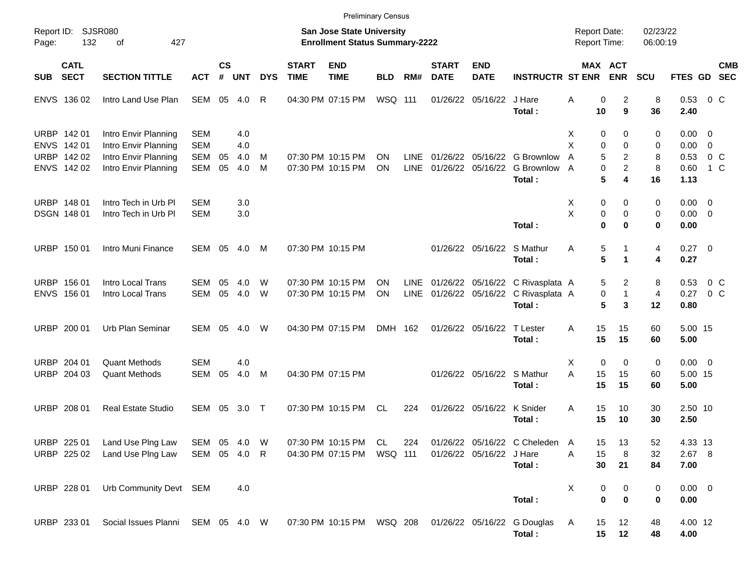|             |                            |                                              |                              |                    |            |            |                             | <b>Preliminary Census</b>                                          |                |                     |                             |                            |                                                    |                                            |                                |                      |                      |                           |
|-------------|----------------------------|----------------------------------------------|------------------------------|--------------------|------------|------------|-----------------------------|--------------------------------------------------------------------|----------------|---------------------|-----------------------------|----------------------------|----------------------------------------------------|--------------------------------------------|--------------------------------|----------------------|----------------------|---------------------------|
| Page:       | Report ID: SJSR080<br>132  | 427<br>οf                                    |                              |                    |            |            |                             | San Jose State University<br><b>Enrollment Status Summary-2222</b> |                |                     |                             |                            |                                                    | <b>Report Date:</b><br><b>Report Time:</b> |                                | 02/23/22<br>06:00:19 |                      |                           |
| <b>SUB</b>  | <b>CATL</b><br><b>SECT</b> | <b>SECTION TITTLE</b>                        | <b>ACT</b>                   | $\mathsf{cs}$<br># | <b>UNT</b> | <b>DYS</b> | <b>START</b><br><b>TIME</b> | <b>END</b><br><b>TIME</b>                                          | <b>BLD</b>     | RM#                 | <b>START</b><br><b>DATE</b> | <b>END</b><br><b>DATE</b>  | <b>INSTRUCTR ST ENR</b>                            | <b>MAX ACT</b>                             | <b>ENR</b>                     | <b>SCU</b>           |                      | <b>CMB</b><br>FTES GD SEC |
|             | ENVS 136 02                | Intro Land Use Plan                          | SEM 05                       |                    | 4.0        | R          |                             | 04:30 PM 07:15 PM                                                  | <b>WSQ 111</b> |                     | 01/26/22                    | 05/16/22                   | J Hare<br>Total:                                   | Α<br>0<br>10                               | 2<br>9                         | 8<br>36              | 0.53<br>2.40         | $0\,$ C                   |
|             | URBP 142 01<br>ENVS 142 01 | Intro Envir Planning<br>Intro Envir Planning | <b>SEM</b><br><b>SEM</b>     |                    | 4.0<br>4.0 |            |                             |                                                                    |                |                     |                             |                            |                                                    | 0<br>Х<br>X<br>0                           | 0<br>$\Omega$                  | 0<br>0               | $0.00 \t 0$<br>0.00  | $\overline{0}$            |
|             | URBP 142 02<br>ENVS 142 02 | Intro Envir Planning<br>Intro Envir Planning | <b>SEM</b><br><b>SEM</b>     | 05<br>05           | 4.0<br>4.0 | M<br>M     |                             | 07:30 PM 10:15 PM<br>07:30 PM 10:15 PM                             | ΟN<br>ON       | <b>LINE</b><br>LINE | 01/26/22<br>01/26/22        | 05/16/22                   | 05/16/22 G Brownlow<br>G Brownlow<br>Total:        | 5<br>A<br>0<br>A<br>5                      | 2<br>$\overline{2}$<br>4       | 8<br>8<br>16         | 0.53<br>0.60<br>1.13 | 0 <sup>o</sup><br>1 C     |
|             | URBP 148 01                | Intro Tech in Urb PI                         | <b>SEM</b>                   |                    | 3.0        |            |                             |                                                                    |                |                     |                             |                            |                                                    | 0<br>Х                                     | 0                              | 0                    | $0.00 \t 0$          |                           |
|             | DSGN 148 01                | Intro Tech in Urb PI                         | <b>SEM</b>                   |                    | 3.0        |            |                             |                                                                    |                |                     |                             |                            | Total:                                             | X<br>0<br>$\bf{0}$                         | $\mathbf 0$<br>$\bf{0}$        | 0<br>0               | $0.00 \t 0$<br>0.00  |                           |
|             | URBP 150 01                | Intro Muni Finance                           | SEM 05                       |                    | 4.0        | M          |                             | 07:30 PM 10:15 PM                                                  |                |                     |                             | 01/26/22 05/16/22          | S Mathur<br>Total:                                 | 5<br>Α<br>5                                | 1<br>1                         | 4<br>4               | $0.27 \t 0$<br>0.27  |                           |
|             | URBP 156 01<br>ENVS 156 01 | Intro Local Trans<br>Intro Local Trans       | SEM<br>SEM                   | 05<br>05           | 4.0<br>4.0 | W<br>W     |                             | 07:30 PM 10:15 PM<br>07:30 PM 10:15 PM                             | OΝ<br>ON       | LINE<br>LINE        |                             | 01/26/22 05/16/22          | 01/26/22 05/16/22 C Rivasplata A<br>C Rivasplata A | 5<br>0                                     | $\overline{2}$<br>$\mathbf{1}$ | 8<br>4               | 0.53<br>0.27         | $0\,$ C<br>0 <sup>o</sup> |
|             | URBP 200 01                | Urb Plan Seminar                             | <b>SEM</b>                   | 05                 | 4.0        | W          |                             | 04:30 PM 07:15 PM                                                  | DMH 162        |                     |                             | 01/26/22 05/16/22          | Total:<br>T Lester                                 | 5<br>15<br>A                               | 3<br>15                        | 12<br>60             | 0.80<br>5.00 15      |                           |
| <b>URBP</b> | 204 01                     | <b>Quant Methods</b>                         | <b>SEM</b>                   |                    | 4.0        |            |                             |                                                                    |                |                     |                             |                            | Total:                                             | 15<br>$\mathbf 0$<br>Х                     | 15<br>0                        | 60<br>0              | 5.00<br>$0.00 \t 0$  |                           |
|             | URBP 204 03                | <b>Quant Methods</b>                         | SEM                          | 05                 | 4.0        | M          |                             | 04:30 PM 07:15 PM                                                  |                |                     |                             | 01/26/22 05/16/22 S Mathur | Total:                                             | A<br>15<br>15                              | 15<br>15                       | 60<br>60             | 5.00 15<br>5.00      |                           |
|             | URBP 208 01                | <b>Real Estate Studio</b>                    | SEM                          | 05                 | 3.0        | $\top$     |                             | 07:30 PM 10:15 PM                                                  | CL             | 224                 |                             | 01/26/22 05/16/22          | K Snider<br>Total:                                 | 15<br>Α<br>15                              | 10<br>10                       | 30<br>30             | 2.50 10<br>2.50      |                           |
|             | URBP 225 01<br>URBP 225 02 | Land Use Plng Law<br>Land Use Plng Law       | SEM 05 4.0 W<br>SEM 05 4.0 R |                    |            |            |                             | 07:30 PM 10:15 PM CL<br>04:30 PM 07:15 PM WSQ 111                  |                | 224                 |                             | 01/26/22 05/16/22 J Hare   | 01/26/22 05/16/22 C Cheleden                       | A<br>15<br>15<br>Α                         | 13<br>8                        | 52<br>32             | 4.33 13<br>$2.67$ 8  |                           |
|             | URBP 228 01                | Urb Community Devt SEM                       |                              |                    | 4.0        |            |                             |                                                                    |                |                     |                             |                            | Total:                                             | 30<br>х<br>0                               | 21<br>0                        | 84<br>0              | 7.00<br>$0.00 \t 0$  |                           |
|             |                            |                                              |                              |                    |            |            |                             |                                                                    |                |                     |                             |                            | Total:                                             | $\mathbf 0$                                | $\bf{0}$                       | 0                    | 0.00                 |                           |
|             | URBP 233 01                | Social Issues Planni SEM 05 4.0 W            |                              |                    |            |            |                             | 07:30 PM 10:15 PM WSQ 208                                          |                |                     |                             |                            | 01/26/22 05/16/22 G Douglas<br>Total:              | A<br>15<br>15                              | 12<br>12                       | 48<br>48             | 4.00 12<br>4.00      |                           |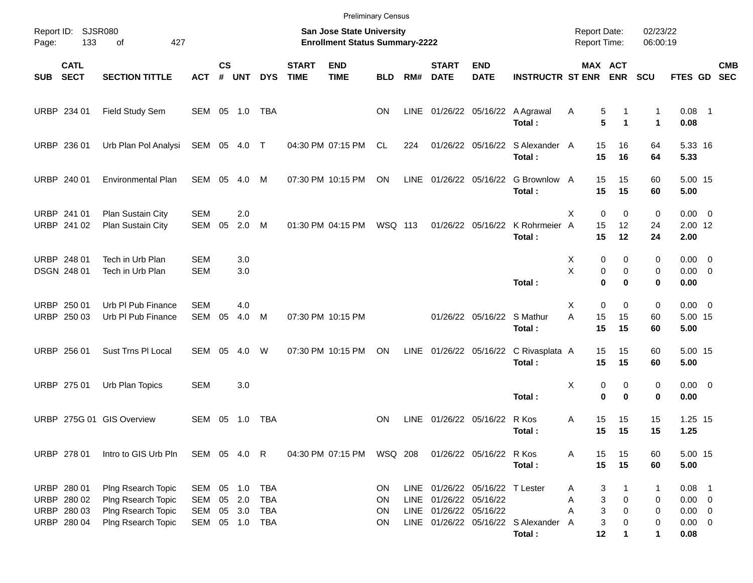| Page:      | Report ID: SJSR080<br>133                                | 427<br>of                                                                            |                          |                    |                                   |                                        |                             | <b>Preliminary Census</b><br><b>San Jose State University</b><br><b>Enrollment Status Summary-2222</b> |                                                  |                            |                                        |                                 |                                              | <b>Report Date:</b><br>Report Time: |                                           | 02/23/22<br>06:00:19  |                                                               |            |
|------------|----------------------------------------------------------|--------------------------------------------------------------------------------------|--------------------------|--------------------|-----------------------------------|----------------------------------------|-----------------------------|--------------------------------------------------------------------------------------------------------|--------------------------------------------------|----------------------------|----------------------------------------|---------------------------------|----------------------------------------------|-------------------------------------|-------------------------------------------|-----------------------|---------------------------------------------------------------|------------|
| <b>SUB</b> | <b>CATL</b><br><b>SECT</b>                               | <b>SECTION TITTLE</b>                                                                | <b>ACT</b>               | $\mathsf{cs}$<br># | <b>UNT</b>                        | <b>DYS</b>                             | <b>START</b><br><b>TIME</b> | <b>END</b><br><b>TIME</b>                                                                              | <b>BLD</b>                                       | RM#                        | <b>START</b><br><b>DATE</b>            | <b>END</b><br><b>DATE</b>       | <b>INSTRUCTR ST ENR</b>                      |                                     | MAX ACT<br><b>ENR</b>                     | <b>SCU</b>            | FTES GD SEC                                                   | <b>CMB</b> |
|            | URBP 234 01                                              | Field Study Sem                                                                      | SEM 05 1.0               |                    |                                   | TBA                                    |                             |                                                                                                        | <b>ON</b>                                        | LINE                       |                                        |                                 | 01/26/22 05/16/22 A Agrawal<br>Total:        | 5<br>Α<br>5                         | 1<br>$\mathbf{1}$                         | 1<br>$\mathbf 1$      | $0.08$ 1<br>0.08                                              |            |
|            | URBP 236 01                                              | Urb Plan Pol Analysi                                                                 | SEM 05 4.0 T             |                    |                                   |                                        |                             | 04:30 PM 07:15 PM                                                                                      | CL.                                              | 224                        |                                        |                                 | 01/26/22 05/16/22 S Alexander A<br>Total:    | 15<br>15                            | 16<br>16                                  | 64<br>64              | 5.33 16<br>5.33                                               |            |
|            | URBP 240 01                                              | <b>Environmental Plan</b>                                                            | SEM                      |                    | 05 4.0                            | M                                      |                             | 07:30 PM 10:15 PM                                                                                      | ON                                               |                            |                                        | LINE 01/26/22 05/16/22          | G Brownlow A<br>Total:                       | 15<br>15                            | 15<br>15                                  | 60<br>60              | 5.00 15<br>5.00                                               |            |
|            | URBP 241 01<br>URBP 241 02                               | Plan Sustain City<br>Plan Sustain City                                               | <b>SEM</b><br>SEM        | 05                 | 2.0<br>2.0                        | M                                      |                             | 01:30 PM 04:15 PM                                                                                      | <b>WSQ 113</b>                                   |                            |                                        | 01/26/22 05/16/22               | K Rohrmeier<br>Total:                        | X<br>$\Omega$<br>15<br>A<br>15      | $\mathbf 0$<br>12<br>12                   | 0<br>24<br>24         | $0.00 \t 0$<br>2.00 12<br>2.00                                |            |
|            | URBP 248 01<br>DSGN 248 01                               | Tech in Urb Plan<br>Tech in Urb Plan                                                 | <b>SEM</b><br><b>SEM</b> |                    | 3.0<br>3.0                        |                                        |                             |                                                                                                        |                                                  |                            |                                        |                                 | Total:                                       | X<br>0<br>X<br>$\mathbf 0$          | 0<br>0<br>0<br>$\bf{0}$                   | 0<br>0<br>0           | $0.00 \t 0$<br>$0.00 \t 0$<br>0.00                            |            |
|            | URBP 250 01<br>URBP 250 03                               | Urb PI Pub Finance<br>Urb PI Pub Finance                                             | <b>SEM</b><br>SEM        | 05                 | 4.0<br>4.0                        | M                                      |                             | 07:30 PM 10:15 PM                                                                                      |                                                  |                            |                                        | 01/26/22 05/16/22 S Mathur      | Total:                                       | $\mathbf 0$<br>X<br>A<br>15<br>15   | 0<br>15<br>15                             | 0<br>60<br>60         | $0.00 \t 0$<br>5.00 15<br>5.00                                |            |
|            | URBP 256 01                                              | Sust Trns PI Local                                                                   | SEM                      | 05                 | 4.0                               | W                                      |                             | 07:30 PM 10:15 PM                                                                                      | ON                                               | LINE                       |                                        | 01/26/22 05/16/22               | C Rivasplata A<br>Total:                     | 15<br>15                            | 15<br>15                                  | 60<br>60              | 5.00 15<br>5.00                                               |            |
|            | URBP 275 01                                              | Urb Plan Topics                                                                      | <b>SEM</b>               |                    | 3.0                               |                                        |                             |                                                                                                        |                                                  |                            |                                        |                                 | Total:                                       | Χ<br>$\mathbf 0$                    | 0<br>0<br>$\bf{0}$                        | 0<br>0                | $0.00 \t 0$<br>0.00                                           |            |
|            |                                                          | URBP 275G 01 GIS Overview                                                            | SEM                      |                    | 05 1.0                            | TBA                                    |                             |                                                                                                        | <b>ON</b>                                        | <b>LINE</b>                | 01/26/22 05/16/22                      |                                 | R Kos<br>Total:                              | Α<br>15<br>15                       | 15<br>15                                  | 15<br>15              | 1.25 15<br>1.25                                               |            |
|            | URBP 278 01                                              | Intro to GIS Urb Pln                                                                 | SEM 05 4.0 R             |                    |                                   |                                        |                             | 04:30 PM 07:15 PM                                                                                      | WSQ 208                                          |                            |                                        | 01/26/22 05/16/22 R Kos         | Total:                                       | 15<br>Α<br>15                       | 15<br>15                                  | 60<br>60              | 5.00 15<br>5.00                                               |            |
|            | URBP 280 01<br>URBP 280 02<br>URBP 280 03<br>URBP 280 04 | Plng Rsearch Topic<br>Plng Rsearch Topic<br>Plng Rsearch Topic<br>Plng Rsearch Topic | SEM<br>SEM<br>SEM<br>SEM | 05                 | 05 1.0<br>2.0<br>05 3.0<br>05 1.0 | <b>TBA</b><br><b>TBA</b><br>TBA<br>TBA |                             |                                                                                                        | <b>ON</b><br><b>ON</b><br><b>ON</b><br><b>ON</b> | <b>LINE</b><br><b>LINE</b> | 01/26/22 05/16/22<br>01/26/22 05/16/22 | LINE 01/26/22 05/16/22 T Lester | LINE 01/26/22 05/16/22 S Alexander<br>Total: | 3<br>Α<br>Α<br>Α<br>3<br>A<br>12    | 1<br>3<br>0<br>3<br>0<br>0<br>$\mathbf 1$ | 1<br>0<br>0<br>0<br>1 | $0.08$ 1<br>$0.00 \t 0$<br>$0.00 \t 0$<br>$0.00 \t 0$<br>0.08 |            |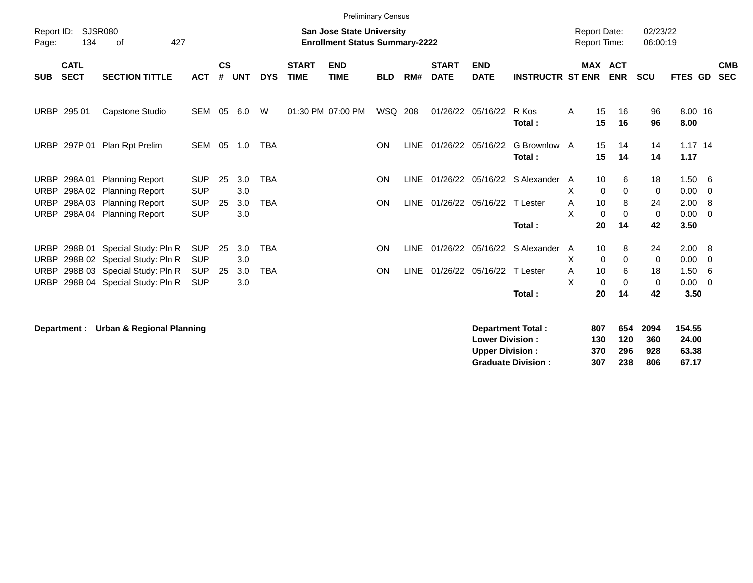| <b>Preliminary Census</b>                                       |                            |                                                              |                          |                    |            |            |                             |                                                                           |            |             |                             |                            |                               |                                     |                   |                  |                      |                       |     |                          |
|-----------------------------------------------------------------|----------------------------|--------------------------------------------------------------|--------------------------|--------------------|------------|------------|-----------------------------|---------------------------------------------------------------------------|------------|-------------|-----------------------------|----------------------------|-------------------------------|-------------------------------------|-------------------|------------------|----------------------|-----------------------|-----|--------------------------|
| Report ID:<br>Page:                                             | 134                        | <b>SJSR080</b><br>427<br>of                                  |                          |                    |            |            |                             | <b>San Jose State University</b><br><b>Enrollment Status Summary-2222</b> |            |             |                             |                            |                               | <b>Report Date:</b><br>Report Time: |                   |                  | 02/23/22<br>06:00:19 |                       |     |                          |
| <b>SUB</b>                                                      | <b>CATL</b><br><b>SECT</b> | <b>SECTION TITTLE</b>                                        | <b>ACT</b>               | $\mathsf{cs}$<br># | <b>UNT</b> | <b>DYS</b> | <b>START</b><br><b>TIME</b> | <b>END</b><br><b>TIME</b>                                                 | <b>BLD</b> | RM#         | <b>START</b><br><b>DATE</b> | <b>END</b><br><b>DATE</b>  | <b>INSTRUCTR ST ENR</b>       | <b>MAX ACT</b>                      |                   | <b>ENR</b>       | <b>SCU</b>           | <b>FTES GD</b>        |     | <b>CMB</b><br><b>SEC</b> |
| <b>URBP</b>                                                     | 295 01                     | Capstone Studio                                              | SEM                      | 05                 | 6.0        | W          |                             | 01:30 PM 07:00 PM                                                         | WSQ 208    |             |                             | 01/26/22 05/16/22          | R Kos<br>Total:               | A                                   | 15<br>15          | 16<br>16         | 96<br>96             | 8.00 16<br>8.00       |     |                          |
| <b>URBP</b>                                                     | 297P 01                    | Plan Rpt Prelim                                              | SEM                      | 05                 | 1.0        | <b>TBA</b> |                             |                                                                           | <b>ON</b>  | LINE        |                             | 01/26/22 05/16/22          | G Brownlow A<br>Total:        |                                     | 15<br>15          | 14<br>14         | 14<br>14             | $1.17$ 14<br>1.17     |     |                          |
| <b>URBP</b><br><b>URBP</b>                                      | 298A 01<br>298A02          | <b>Planning Report</b><br><b>Planning Report</b>             | <b>SUP</b><br><b>SUP</b> | 25                 | 3.0<br>3.0 | <b>TBA</b> |                             |                                                                           | ON         | <b>LINE</b> |                             |                            | 01/26/22 05/16/22 S Alexander | A<br>X                              | 10<br>$\mathbf 0$ | 6<br>0           | 18<br>0              | 1.506<br>0.00         | - 0 |                          |
| <b>URBP</b><br><b>URBP</b>                                      | 298A 04                    | 298A 03 Planning Report<br><b>Planning Report</b>            | <b>SUP</b><br><b>SUP</b> | 25                 | 3.0<br>3.0 | <b>TBA</b> |                             |                                                                           | ON         | LINE        |                             | 01/26/22 05/16/22 T Lester |                               | A<br>X                              | 10<br>0           | 8<br>$\mathbf 0$ | 24<br>$\mathbf 0$    | 2.00 8<br>$0.00 \t 0$ |     |                          |
|                                                                 |                            |                                                              |                          |                    |            |            |                             |                                                                           |            |             |                             |                            | Total:                        |                                     | 20                | 14               | 42                   | 3.50                  |     |                          |
| <b>URBP</b><br><b>URBP</b>                                      | 298B 01                    | Special Study: Pln R<br>298B 02 Special Study: Pln R         | <b>SUP</b><br><b>SUP</b> | 25                 | 3.0<br>3.0 | <b>TBA</b> |                             |                                                                           | ON         | <b>LINE</b> |                             |                            | 01/26/22 05/16/22 S Alexander | A<br>X                              | 10<br>$\mathbf 0$ | 8<br>$\Omega$    | 24<br>$\mathbf 0$    | 2.00 8<br>0.00        | - 0 |                          |
| <b>URBP</b><br><b>URBP</b>                                      |                            | 298B 03 Special Study: Pln R<br>298B 04 Special Study: Pln R | <b>SUP</b><br><b>SUP</b> | 25                 | 3.0<br>3.0 | <b>TBA</b> |                             |                                                                           | ON         | <b>LINE</b> |                             | 01/26/22 05/16/22 T Lester |                               | A<br>X                              | 10<br>$\Omega$    | 6<br>$\Omega$    | 18<br>$\mathbf 0$    | 1.50<br>$0.00 \t 0$   | - 6 |                          |
|                                                                 |                            |                                                              |                          |                    |            |            |                             |                                                                           |            |             |                             |                            | Total:                        |                                     | 20                | 14               | 42                   | 3.50                  |     |                          |
| Demonton and Tabel :<br>Department : Hobert & Deplemal Diampton |                            |                                                              |                          |                    |            |            |                             |                                                                           |            | 007.        |                             | CEA DOOA                   | 4 E A .E.E.                   |                                     |                   |                  |                      |                       |     |                          |

**Department : Urban & Regional Planning** 

| Department Total:         | 807 |     | 654 2094 | 154.55 |
|---------------------------|-----|-----|----------|--------|
| <b>Lower Division:</b>    | 130 | 120 | 360      | 24.00  |
| <b>Upper Division:</b>    | 370 | 296 | 928      | 63.38  |
| <b>Graduate Division:</b> | 307 | 238 | 806      | 67.17  |